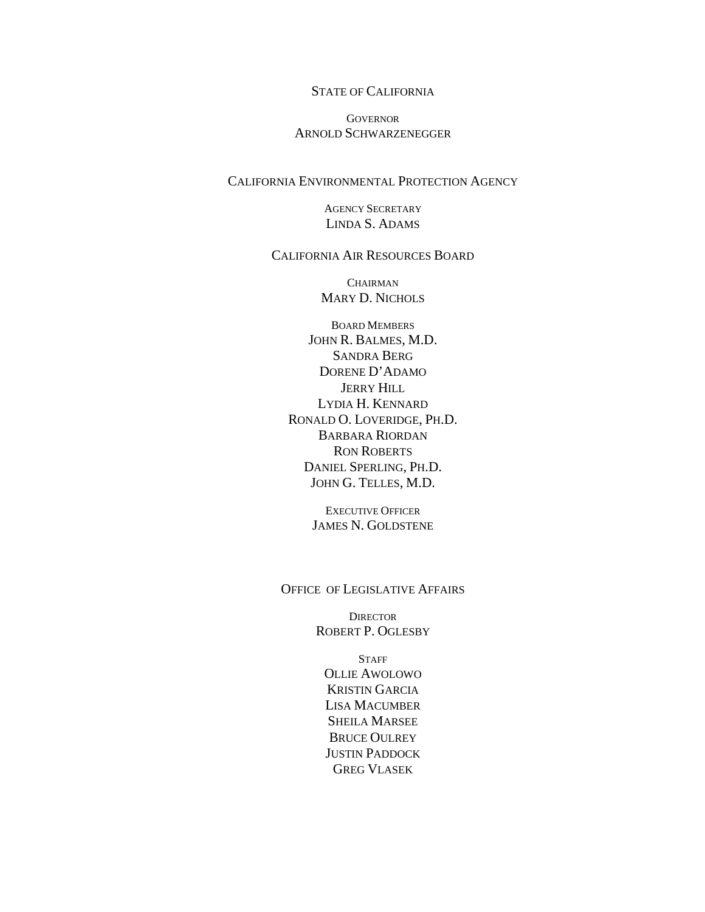#### STATE OF CALIFORNIA

#### **GOVERNOR** ARNOLD SCHWARZENEGGER

#### CALIFORNIA ENVIRONMENTAL PROTECTION AGENCY

AGENCY SECRETARY LINDA S. ADAMS

#### CALIFORNIA AIR RESOURCES BOARD

**CHAIRMAN** MARY D. NICHOLS

BOARD MEMBERS JOHN R. BALMES, M.D. SANDRA BERG DORENE D'ADAMO JERRY HILL LYDIA H. KENNARD RONALD O. LOVERIDGE, PH.D. BARBARA RIORDAN RON ROBERTS DANIEL SPERLING, PH.D. JOHN G. TELLES, M.D.

> EXECUTIVE OFFICER JAMES N. GOLDSTENE

#### OFFICE OF LEGISLATIVE AFFAIRS

**DIRECTOR** ROBERT P. OGLESBY

**STAFF** OLLIE AWOLOWO KRISTIN GARCIA LISA MACUMBER SHEILA MARSEE BRUCE OULREY JUSTIN PADDOCK GREG VLASEK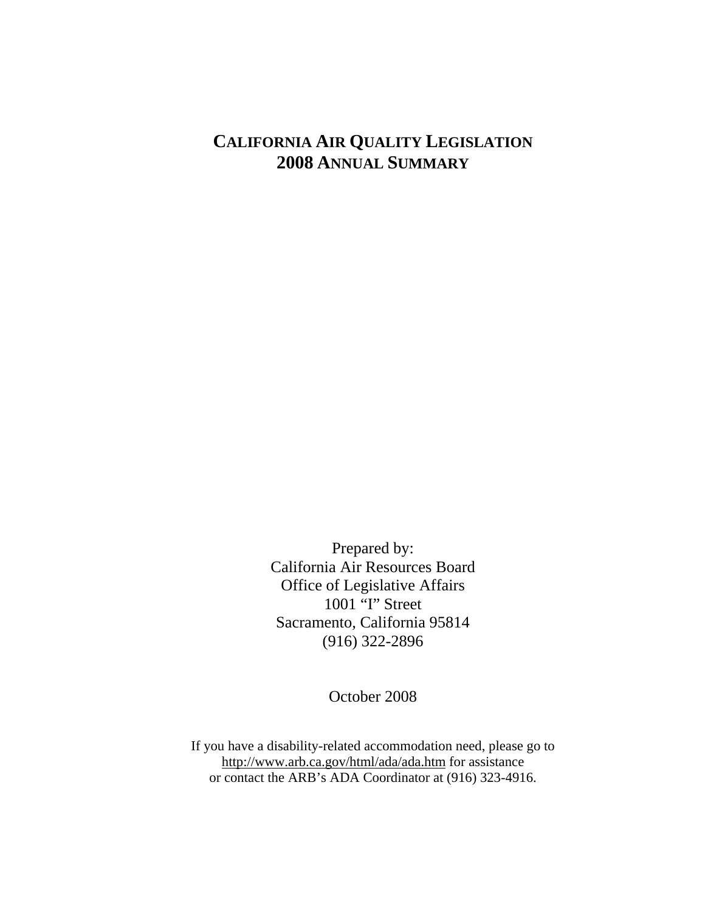# **CALIFORNIA AIR QUALITY LEGISLATION 2008 ANNUAL SUMMARY**

Prepared by: California Air Resources Board Office of Legislative Affairs 1001 "I" Street Sacramento, California 95814 (916) 322-2896

October 2008

If you have a disability-related accommodation need, please go to http://www.arb.ca.gov/html/ada/ada.htm for assistance or contact the ARB's ADA Coordinator at (916) 323-4916.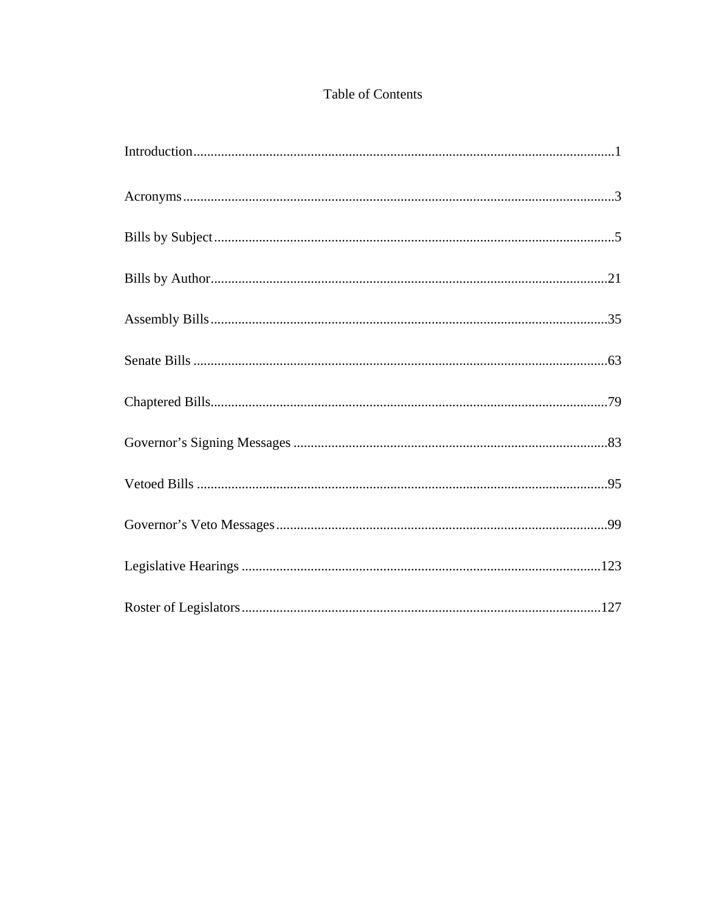## Table of Contents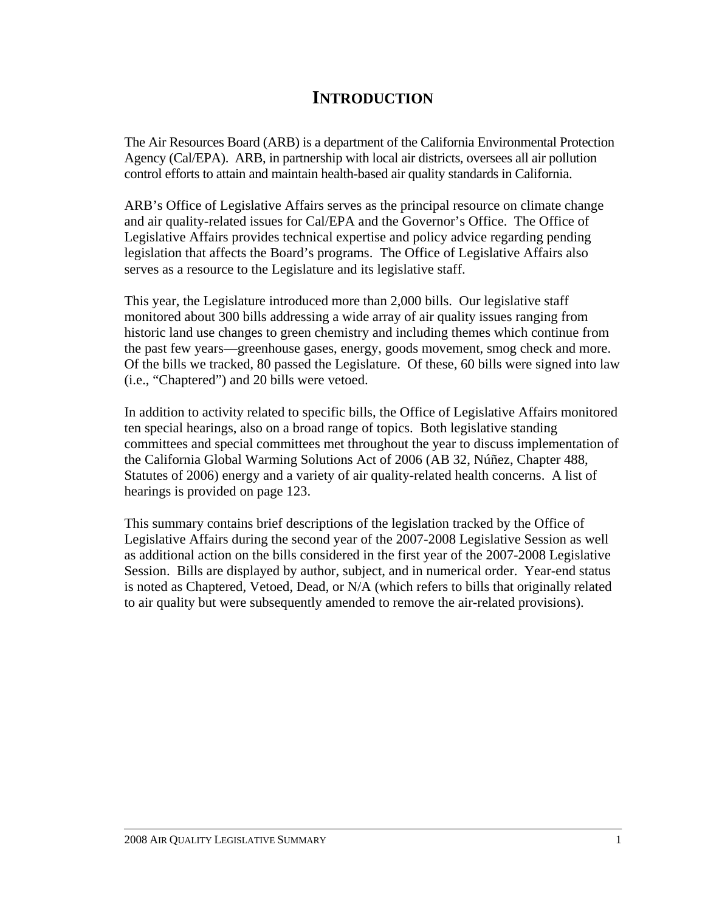# **INTRODUCTION**

The Air Resources Board (ARB) is a department of the California Environmental Protection Agency (Cal/EPA). ARB, in partnership with local air districts, oversees all air pollution control efforts to attain and maintain health-based air quality standards in California.

ARB's Office of Legislative Affairs serves as the principal resource on climate change and air quality-related issues for Cal/EPA and the Governor's Office. The Office of Legislative Affairs provides technical expertise and policy advice regarding pending legislation that affects the Board's programs. The Office of Legislative Affairs also serves as a resource to the Legislature and its legislative staff.

This year, the Legislature introduced more than 2,000 bills. Our legislative staff monitored about 300 bills addressing a wide array of air quality issues ranging from historic land use changes to green chemistry and including themes which continue from the past few years—greenhouse gases, energy, goods movement, smog check and more. Of the bills we tracked, 80 passed the Legislature. Of these, 60 bills were signed into law (i.e., "Chaptered") and 20 bills were vetoed.

In addition to activity related to specific bills, the Office of Legislative Affairs monitored ten special hearings, also on a broad range of topics. Both legislative standing committees and special committees met throughout the year to discuss implementation of the California Global Warming Solutions Act of 2006 (AB 32, Núñez, Chapter 488, Statutes of 2006) energy and a variety of air quality-related health concerns. A list of hearings is provided on page 123.

This summary contains brief descriptions of the legislation tracked by the Office of Legislative Affairs during the second year of the 2007-2008 Legislative Session as well as additional action on the bills considered in the first year of the 2007-2008 Legislative Session. Bills are displayed by author, subject, and in numerical order. Year-end status is noted as Chaptered, Vetoed, Dead, or N/A (which refers to bills that originally related to air quality but were subsequently amended to remove the air-related provisions).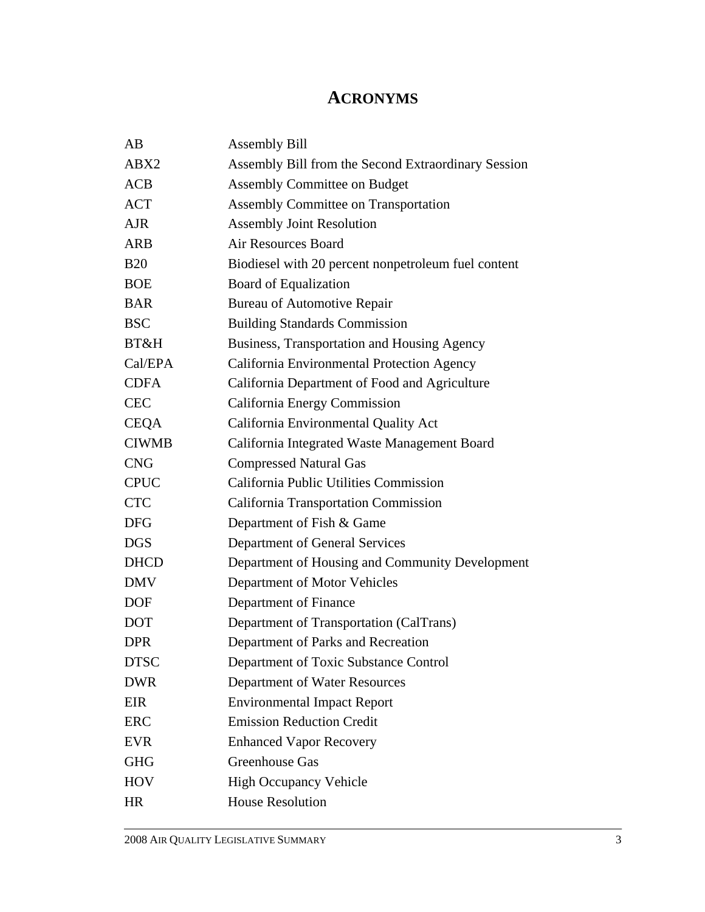# **ACRONYMS**

| AB           | <b>Assembly Bill</b>                                |
|--------------|-----------------------------------------------------|
| ABX2         | Assembly Bill from the Second Extraordinary Session |
| <b>ACB</b>   | <b>Assembly Committee on Budget</b>                 |
| <b>ACT</b>   | <b>Assembly Committee on Transportation</b>         |
| <b>AJR</b>   | <b>Assembly Joint Resolution</b>                    |
| <b>ARB</b>   | <b>Air Resources Board</b>                          |
| <b>B20</b>   | Biodiesel with 20 percent nonpetroleum fuel content |
| <b>BOE</b>   | <b>Board of Equalization</b>                        |
| <b>BAR</b>   | <b>Bureau of Automotive Repair</b>                  |
| <b>BSC</b>   | <b>Building Standards Commission</b>                |
| BT&H         | Business, Transportation and Housing Agency         |
| Cal/EPA      | California Environmental Protection Agency          |
| <b>CDFA</b>  | California Department of Food and Agriculture       |
| <b>CEC</b>   | California Energy Commission                        |
| <b>CEQA</b>  | California Environmental Quality Act                |
| <b>CIWMB</b> | California Integrated Waste Management Board        |
| <b>CNG</b>   | <b>Compressed Natural Gas</b>                       |
| <b>CPUC</b>  | California Public Utilities Commission              |
| <b>CTC</b>   | <b>California Transportation Commission</b>         |
| <b>DFG</b>   | Department of Fish & Game                           |
| <b>DGS</b>   | Department of General Services                      |
| <b>DHCD</b>  | Department of Housing and Community Development     |
| <b>DMV</b>   | Department of Motor Vehicles                        |
| <b>DOF</b>   | Department of Finance                               |
| <b>DOT</b>   | Department of Transportation (CalTrans)             |
| <b>DPR</b>   | Department of Parks and Recreation                  |
| <b>DTSC</b>  | Department of Toxic Substance Control               |
| <b>DWR</b>   | Department of Water Resources                       |
| <b>EIR</b>   | <b>Environmental Impact Report</b>                  |
| <b>ERC</b>   | <b>Emission Reduction Credit</b>                    |
| <b>EVR</b>   | <b>Enhanced Vapor Recovery</b>                      |
| <b>GHG</b>   | <b>Greenhouse Gas</b>                               |
| <b>HOV</b>   | <b>High Occupancy Vehicle</b>                       |
| HR           | <b>House Resolution</b>                             |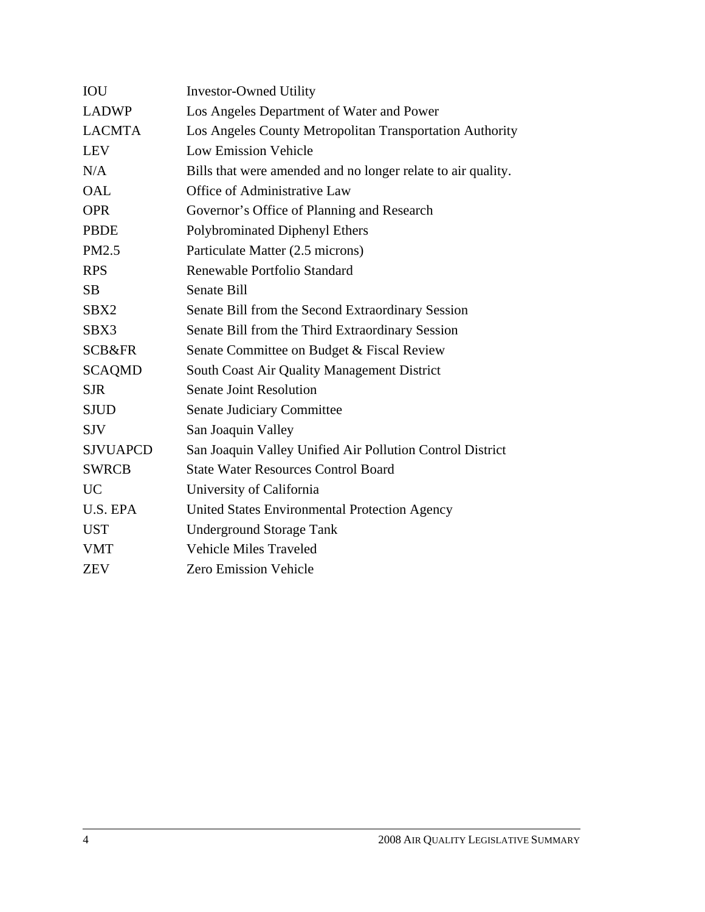| <b>IOU</b>        | <b>Investor-Owned Utility</b>                                |
|-------------------|--------------------------------------------------------------|
| <b>LADWP</b>      | Los Angeles Department of Water and Power                    |
| <b>LACMTA</b>     | Los Angeles County Metropolitan Transportation Authority     |
| <b>LEV</b>        | <b>Low Emission Vehicle</b>                                  |
| N/A               | Bills that were amended and no longer relate to air quality. |
| <b>OAL</b>        | Office of Administrative Law                                 |
| <b>OPR</b>        | Governor's Office of Planning and Research                   |
| <b>PBDE</b>       | Polybrominated Diphenyl Ethers                               |
| PM2.5             | Particulate Matter (2.5 microns)                             |
| <b>RPS</b>        | Renewable Portfolio Standard                                 |
| <b>SB</b>         | <b>Senate Bill</b>                                           |
| SBX2              | Senate Bill from the Second Extraordinary Session            |
| SBX3              | Senate Bill from the Third Extraordinary Session             |
| <b>SCB&amp;FR</b> | Senate Committee on Budget & Fiscal Review                   |
| <b>SCAQMD</b>     | <b>South Coast Air Quality Management District</b>           |
| <b>SJR</b>        | <b>Senate Joint Resolution</b>                               |
| <b>SJUD</b>       | <b>Senate Judiciary Committee</b>                            |
| <b>SJV</b>        | San Joaquin Valley                                           |
| <b>SJVUAPCD</b>   | San Joaquin Valley Unified Air Pollution Control District    |
| <b>SWRCB</b>      | <b>State Water Resources Control Board</b>                   |
| <b>UC</b>         | University of California                                     |
| U.S. EPA          | United States Environmental Protection Agency                |
| <b>UST</b>        | <b>Underground Storage Tank</b>                              |
| <b>VMT</b>        | <b>Vehicle Miles Traveled</b>                                |
| ZEV               | <b>Zero Emission Vehicle</b>                                 |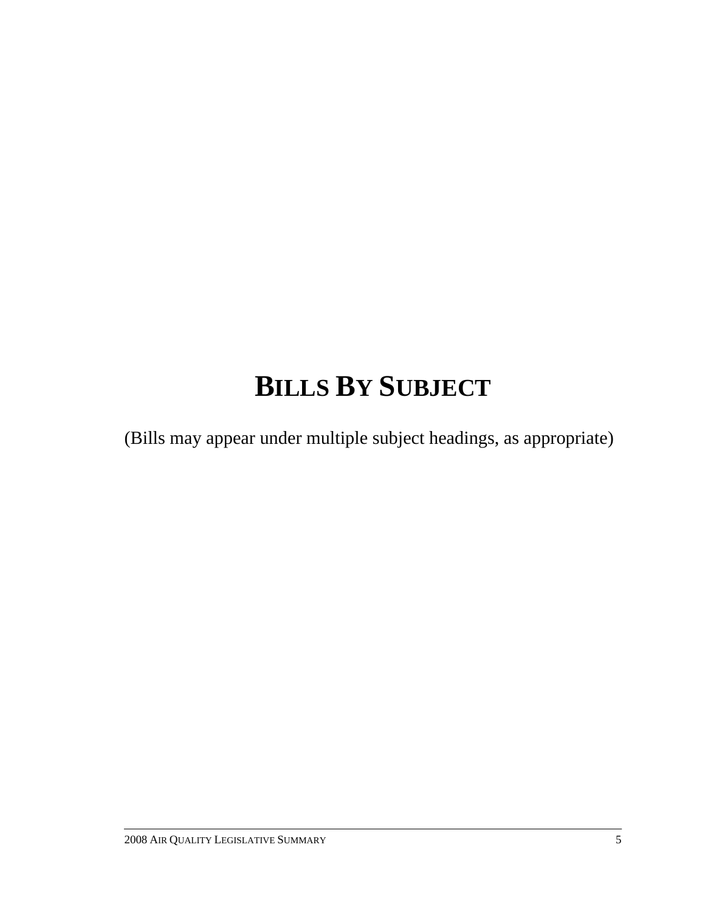# **BILLS BY SUBJECT**

(Bills may appear under multiple subject headings, as appropriate)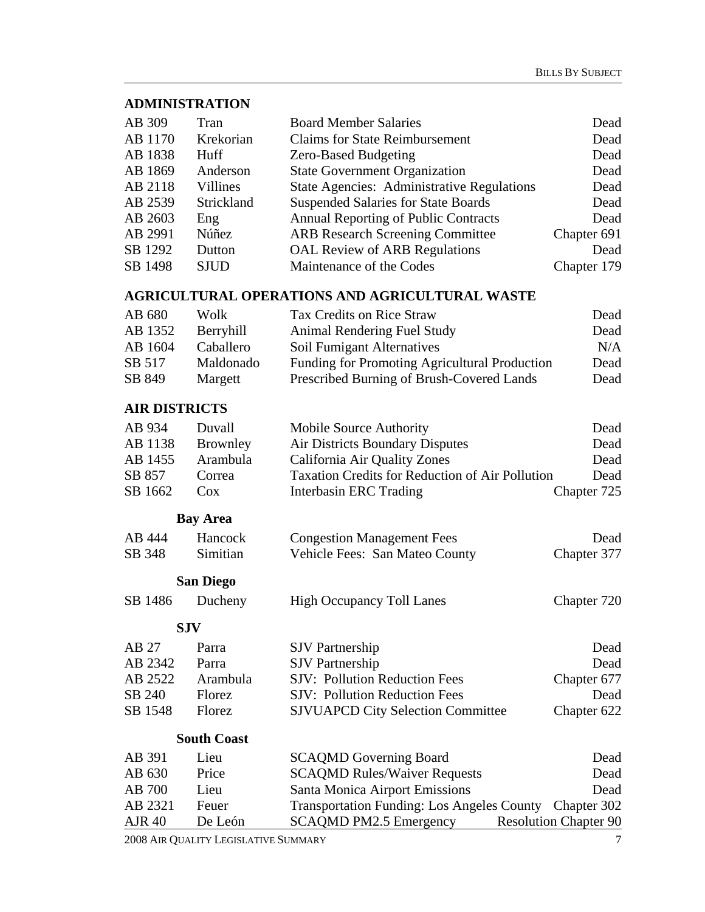#### **ADMINISTRATION**

| Tran            |                                                   | Dead                         |
|-----------------|---------------------------------------------------|------------------------------|
| Krekorian       | <b>Claims for State Reimbursement</b>             | Dead                         |
| Huff            | <b>Zero-Based Budgeting</b>                       | Dead                         |
| Anderson        | <b>State Government Organization</b>              | Dead                         |
| <b>Villines</b> | <b>State Agencies: Administrative Regulations</b> | Dead                         |
| Strickland      | <b>Suspended Salaries for State Boards</b>        | Dead                         |
| Eng             | <b>Annual Reporting of Public Contracts</b>       | Dead                         |
| Núñez           | <b>ARB Research Screening Committee</b>           | Chapter 691                  |
| Dutton          | <b>OAL Review of ARB Regulations</b>              | Dead                         |
| <b>SJUD</b>     | Maintenance of the Codes                          | Chapter 179                  |
|                 |                                                   | <b>Board Member Salaries</b> |

#### **AGRICULTURAL OPERATIONS AND AGRICULTURAL WASTE**

| AB 680  | Wolk      | Tax Credits on Rice Straw                     | Dead |
|---------|-----------|-----------------------------------------------|------|
| AB 1352 | Berryhill | Animal Rendering Fuel Study                   | Dead |
| AB 1604 | Caballero | Soil Fumigant Alternatives                    | N/A  |
| SB 517  | Maldonado | Funding for Promoting Agricultural Production | Dead |
| SB 849  | Margett   | Prescribed Burning of Brush-Covered Lands     | Dead |

#### **AIR DISTRICTS**

| AB 934  | Duvall          | Mobile Source Authority                                | Dead        |
|---------|-----------------|--------------------------------------------------------|-------------|
| AB 1138 | <b>Brownley</b> | <b>Air Districts Boundary Disputes</b>                 | Dead        |
| AB 1455 | Arambula        | California Air Quality Zones                           | Dead        |
| SB 857  | Correa          | <b>Taxation Credits for Reduction of Air Pollution</b> | Dead        |
| SB 1662 | Cox             | Interbasin ERC Trading                                 | Chapter 725 |

#### **Bay Area**

| AB 444 | Hancock  | <b>Congestion Management Fees</b> | Dead        |
|--------|----------|-----------------------------------|-------------|
| SB 348 | Simitian | Vehicle Fees: San Mateo County    | Chapter 377 |

#### **San Diego**

| SB 1486 | Ducheny | <b>High Occupancy Toll Lanes</b> | Chapter 720 |
|---------|---------|----------------------------------|-------------|
|---------|---------|----------------------------------|-------------|

#### **SJV**

| AB 27   | Parra         | <b>SJV</b> Partnership                   | Dead        |
|---------|---------------|------------------------------------------|-------------|
| AB 2342 | Parra         | <b>SJV</b> Partnership                   | Dead        |
| AB 2522 | Arambula      | SJV: Pollution Reduction Fees            | Chapter 677 |
| SB 240  | <b>Florez</b> | <b>SJV: Pollution Reduction Fees</b>     | Dead        |
| SB 1548 | <b>Florez</b> | <b>SJVUAPCD City Selection Committee</b> | Chapter 622 |

### **South Coast**

| AB 391        | Lieu         | <b>SCAQMD</b> Governing Board                          | Dead                         |
|---------------|--------------|--------------------------------------------------------|------------------------------|
| AB 630        | Price        | <b>SCAQMD Rules/Waiver Requests</b>                    | Dead                         |
| AB 700        | Lieu         | <b>Santa Monica Airport Emissions</b>                  | Dead                         |
| AB 2321       | <b>Feuer</b> | Transportation Funding: Los Angeles County Chapter 302 |                              |
| <b>AJR 40</b> | De León      | <b>SCAQMD PM2.5 Emergency</b>                          | <b>Resolution Chapter 90</b> |

2008 AIR QUALITY LEGISLATIVE SUMMARY 7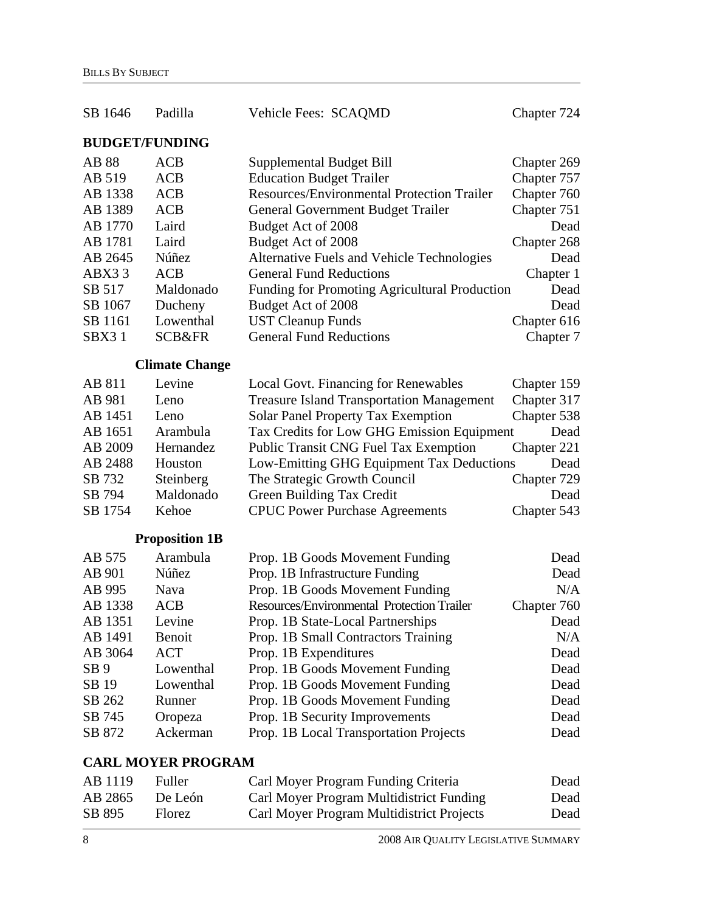| SB 1646               | Padilla                   | Vehicle Fees: SCAQMD                              | Chapter 724 |
|-----------------------|---------------------------|---------------------------------------------------|-------------|
| <b>BUDGET/FUNDING</b> |                           |                                                   |             |
| AB 88                 | <b>ACB</b>                | Supplemental Budget Bill                          | Chapter 269 |
| AB 519                | <b>ACB</b>                | <b>Education Budget Trailer</b>                   | Chapter 757 |
| AB 1338               | <b>ACB</b>                | <b>Resources/Environmental Protection Trailer</b> | Chapter 760 |
| AB 1389               | <b>ACB</b>                | General Government Budget Trailer                 | Chapter 751 |
| AB 1770               | Laird                     | Budget Act of 2008                                | Dead        |
| AB 1781               | Laird                     | Budget Act of 2008                                | Chapter 268 |
| AB 2645               | Núñez                     | Alternative Fuels and Vehicle Technologies        | Dead        |
| ABX33                 | <b>ACB</b>                | <b>General Fund Reductions</b>                    | Chapter 1   |
| SB 517                | Maldonado                 | Funding for Promoting Agricultural Production     | Dead        |
| SB 1067               | Ducheny                   | Budget Act of 2008                                | Dead        |
| SB 1161               | Lowenthal                 | <b>UST Cleanup Funds</b>                          | Chapter 616 |
| SBX31                 | <b>SCB&amp;FR</b>         | <b>General Fund Reductions</b>                    | Chapter 7   |
|                       | <b>Climate Change</b>     |                                                   |             |
| AB 811                | Levine                    | Local Govt. Financing for Renewables              | Chapter 159 |
| AB 981                | Leno                      | <b>Treasure Island Transportation Management</b>  | Chapter 317 |
| AB 1451               | Leno                      | <b>Solar Panel Property Tax Exemption</b>         | Chapter 538 |
| AB 1651               | Arambula                  | Tax Credits for Low GHG Emission Equipment        | Dead        |
| AB 2009               | Hernandez                 | <b>Public Transit CNG Fuel Tax Exemption</b>      | Chapter 221 |
| AB 2488               | Houston                   | Low-Emitting GHG Equipment Tax Deductions         | Dead        |
| SB 732                | Steinberg                 | The Strategic Growth Council                      | Chapter 729 |
| SB 794                | Maldonado                 | Green Building Tax Credit                         | Dead        |
| SB 1754               | Kehoe                     | <b>CPUC Power Purchase Agreements</b>             | Chapter 543 |
|                       | <b>Proposition 1B</b>     |                                                   |             |
| AB 575                | Arambula                  | Prop. 1B Goods Movement Funding                   | Dead        |
| AB 901                | Núñez                     | Prop. 1B Infrastructure Funding                   | Dead        |
| AB 995                | Nava                      | Prop. 1B Goods Movement Funding                   | N/A         |
| AB 1338               | <b>ACB</b>                | Resources/Environmental Protection Trailer        | Chapter 760 |
| AB 1351               | Levine                    | Prop. 1B State-Local Partnerships                 | Dead        |
| AB 1491               | Benoit                    | Prop. 1B Small Contractors Training               | N/A         |
| AB 3064               | <b>ACT</b>                | Prop. 1B Expenditures                             | Dead        |
| SB <sub>9</sub>       | Lowenthal                 | Prop. 1B Goods Movement Funding                   | Dead        |
| SB 19                 | Lowenthal                 | Prop. 1B Goods Movement Funding                   | Dead        |
| SB 262                | Runner                    | Prop. 1B Goods Movement Funding                   | Dead        |
| SB 745                | Oropeza                   | Prop. 1B Security Improvements                    | Dead        |
| SB 872                | Ackerman                  | Prop. 1B Local Transportation Projects            | Dead        |
|                       | <b>CARL MOYER PROGRAM</b> |                                                   |             |
| $AR 1119$ Fuller      |                           | Carl Mover Program Funding Criteria               | Dead        |

| AB 1119 | Fuller        | Carl Moyer Program Funding Criteria       | Dead |
|---------|---------------|-------------------------------------------|------|
| AB 2865 | De León       | Carl Moyer Program Multidistrict Funding  | Dead |
| SB 895  | <b>Florez</b> | Carl Moyer Program Multidistrict Projects | Dead |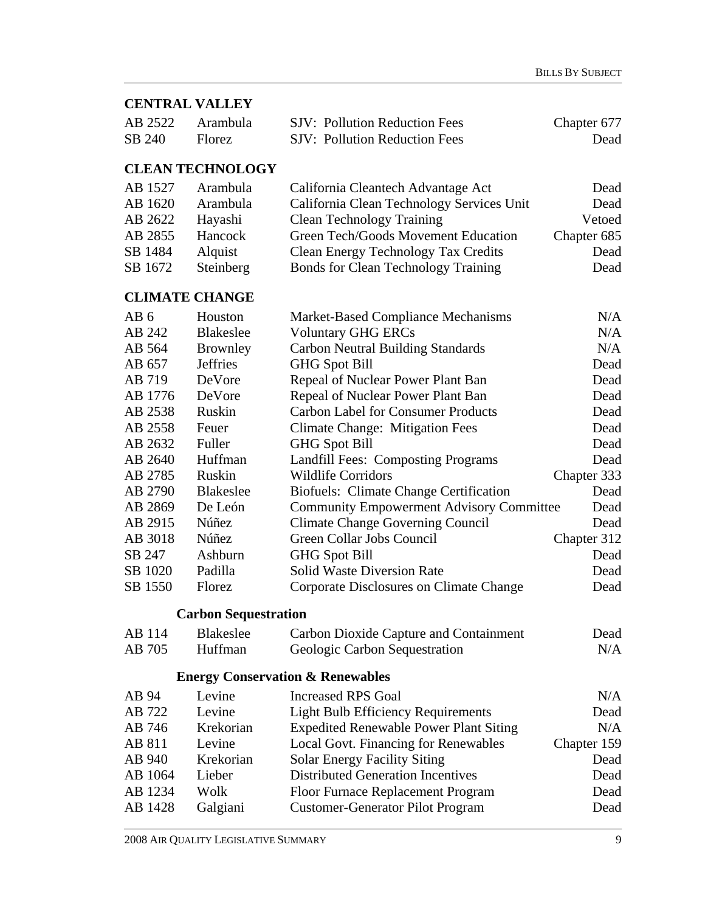## **CENTRAL VALLEY**

| AB 2522 | – Arambula    | SJV: Pollution Reduction Fees | Chapter 677 |
|---------|---------------|-------------------------------|-------------|
| SB 240  | <b>Florez</b> | SJV: Pollution Reduction Fees | Dead        |

#### **CLEAN TECHNOLOGY**

| AB 1527 | Arambula  | California Cleantech Advantage Act         | Dead        |
|---------|-----------|--------------------------------------------|-------------|
| AB 1620 | Arambula  | California Clean Technology Services Unit  | Dead        |
| AB 2622 | Hayashi   | <b>Clean Technology Training</b>           | Vetoed      |
| AB 2855 | Hancock   | Green Tech/Goods Movement Education        | Chapter 685 |
| SB 1484 | Alquist   | Clean Energy Technology Tax Credits        | Dead        |
| SB 1672 | Steinberg | <b>Bonds for Clean Technology Training</b> | Dead        |

### **CLIMATE CHANGE**

| AB6     | Houston          | <b>Market-Based Compliance Mechanisms</b>       | N/A         |
|---------|------------------|-------------------------------------------------|-------------|
| AB 242  | <b>Blakeslee</b> | <b>Voluntary GHG ERCs</b>                       | N/A         |
| AB 564  | <b>Brownley</b>  | <b>Carbon Neutral Building Standards</b>        | N/A         |
| AB 657  | <b>Jeffries</b>  | <b>GHG Spot Bill</b>                            | Dead        |
| AB 719  | DeVore           | Repeal of Nuclear Power Plant Ban               | Dead        |
| AB 1776 | DeVore           | Repeal of Nuclear Power Plant Ban               | Dead        |
| AB 2538 | Ruskin           | <b>Carbon Label for Consumer Products</b>       | Dead        |
| AB 2558 | Feuer            | Climate Change: Mitigation Fees                 | Dead        |
| AB 2632 | Fuller           | <b>GHG Spot Bill</b>                            | Dead        |
| AB 2640 | Huffman          | Landfill Fees: Composting Programs              | Dead        |
| AB 2785 | Ruskin           | <b>Wildlife Corridors</b>                       | Chapter 333 |
| AB 2790 | <b>Blakeslee</b> | <b>Biofuels: Climate Change Certification</b>   | Dead        |
| AB 2869 | De León          | <b>Community Empowerment Advisory Committee</b> | Dead        |
| AB 2915 | Núñez            | <b>Climate Change Governing Council</b>         | Dead        |
| AB 3018 | Núñez            | Green Collar Jobs Council                       | Chapter 312 |
| SB 247  | Ashburn          | <b>GHG Spot Bill</b>                            | Dead        |
| SB 1020 | Padilla          | <b>Solid Waste Diversion Rate</b>               | Dead        |
| SB 1550 | Florez           | Corporate Disclosures on Climate Change         | Dead        |

## **Carbon Sequestration**

| AB 114 | <b>Blakeslee</b> | Carbon Dioxide Capture and Containment | Dead |
|--------|------------------|----------------------------------------|------|
| AB 705 | Huffman          | Geologic Carbon Sequestration          | N/A  |

#### **Energy Conservation & Renewables**

| AB 94   | Levine    | <b>Increased RPS Goal</b>                     | N/A         |
|---------|-----------|-----------------------------------------------|-------------|
| AB 722  | Levine    | <b>Light Bulb Efficiency Requirements</b>     | Dead        |
| AB 746  | Krekorian | <b>Expedited Renewable Power Plant Siting</b> | N/A         |
| AB 811  | Levine    | Local Govt. Financing for Renewables          | Chapter 159 |
| AB 940  | Krekorian | <b>Solar Energy Facility Siting</b>           | Dead        |
| AB 1064 | Lieber    | <b>Distributed Generation Incentives</b>      | Dead        |
| AB 1234 | Wolk      | Floor Furnace Replacement Program             | Dead        |
| AB 1428 | Galgiani  | <b>Customer-Generator Pilot Program</b>       | Dead        |
|         |           |                                               |             |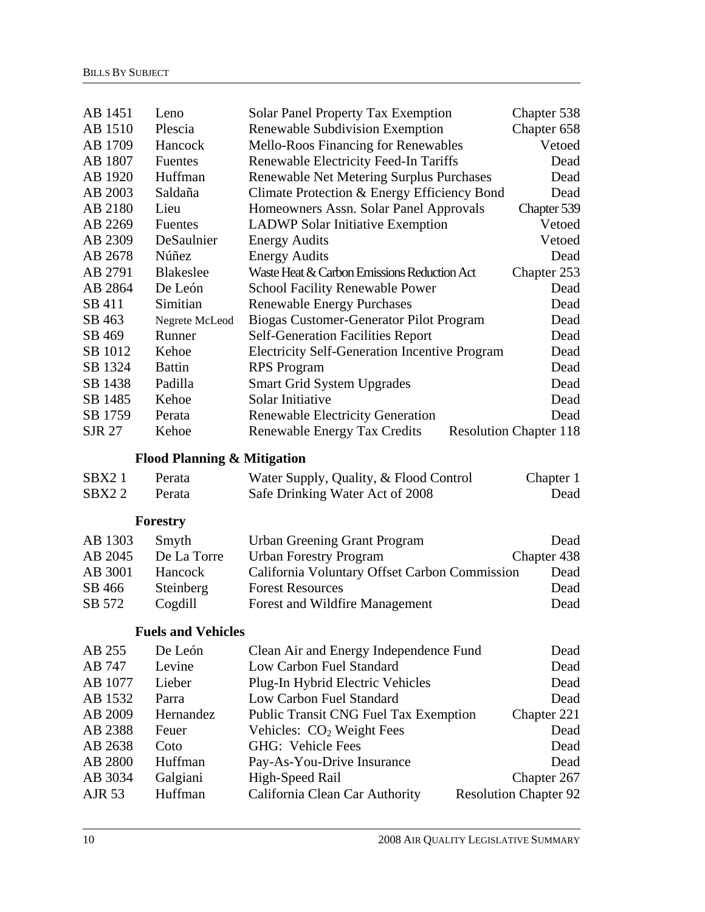| AB 1451            | Leno                                   | <b>Solar Panel Property Tax Exemption</b>                                | Chapter 538                                 |
|--------------------|----------------------------------------|--------------------------------------------------------------------------|---------------------------------------------|
| AB 1510            | Plescia                                | Renewable Subdivision Exemption                                          | Chapter 658                                 |
| AB 1709            | Hancock                                | Mello-Roos Financing for Renewables                                      | Vetoed                                      |
| AB 1807            | Fuentes                                | Renewable Electricity Feed-In Tariffs                                    | Dead                                        |
| AB 1920            | Huffman                                | Renewable Net Metering Surplus Purchases                                 | Dead                                        |
| AB 2003            | Saldaña                                | Climate Protection & Energy Efficiency Bond                              | Dead                                        |
| AB 2180            | Lieu                                   | Homeowners Assn. Solar Panel Approvals                                   | Chapter 539                                 |
| AB 2269            | <b>Fuentes</b>                         | <b>LADWP Solar Initiative Exemption</b>                                  | Vetoed                                      |
| AB 2309            | DeSaulnier                             | <b>Energy Audits</b>                                                     | Vetoed                                      |
| AB 2678            | Núñez                                  | <b>Energy Audits</b>                                                     | Dead                                        |
| AB 2791            | <b>Blakeslee</b>                       | Waste Heat & Carbon Emissions Reduction Act                              | Chapter 253                                 |
| AB 2864            | De León                                | <b>School Facility Renewable Power</b>                                   | Dead                                        |
| SB 411             | Simitian                               | <b>Renewable Energy Purchases</b>                                        | Dead                                        |
| SB 463             | Negrete McLeod                         | Biogas Customer-Generator Pilot Program                                  | Dead                                        |
| SB 469             | Runner                                 | <b>Self-Generation Facilities Report</b>                                 | Dead                                        |
| SB 1012            | Kehoe                                  | <b>Electricity Self-Generation Incentive Program</b>                     | Dead                                        |
| SB 1324            | <b>Battin</b>                          | <b>RPS</b> Program                                                       | Dead                                        |
| SB 1438            | Padilla                                | <b>Smart Grid System Upgrades</b>                                        | Dead                                        |
| SB 1485            | Kehoe                                  | Solar Initiative                                                         | Dead                                        |
| SB 1759            | Perata                                 | <b>Renewable Electricity Generation</b>                                  | Dead                                        |
| <b>SJR 27</b>      | Kehoe                                  | <b>Renewable Energy Tax Credits</b>                                      | <b>Resolution Chapter 118</b>               |
|                    |                                        |                                                                          |                                             |
|                    | <b>Flood Planning &amp; Mitigation</b> |                                                                          |                                             |
| SBX <sub>2</sub> 1 | Perata                                 | Water Supply, Quality, & Flood Control                                   | Chapter 1                                   |
| SBX <sub>2</sub> 2 | Perata                                 | Safe Drinking Water Act of 2008                                          | Dead                                        |
|                    | Forestry                               |                                                                          |                                             |
| AB 1303            |                                        | Urban Greening Grant Program                                             |                                             |
|                    |                                        |                                                                          | Dead                                        |
|                    | Smyth<br>De La Torre                   |                                                                          |                                             |
| AB 2045            |                                        | <b>Urban Forestry Program</b>                                            | Chapter 438                                 |
| AB 3001<br>SB 466  | Hancock                                | California Voluntary Offset Carbon Commission<br><b>Forest Resources</b> | Dead<br>Dead                                |
| SB 572             | Steinberg<br>Cogdill                   |                                                                          | Dead                                        |
|                    |                                        | Forest and Wildfire Management                                           |                                             |
|                    | <b>Fuels and Vehicles</b>              |                                                                          |                                             |
| AB 255             | De León                                | Clean Air and Energy Independence Fund                                   | Dead                                        |
| AB 747             | Levine                                 | Low Carbon Fuel Standard                                                 | Dead                                        |
| AB 1077            | Lieber                                 | Plug-In Hybrid Electric Vehicles                                         | Dead                                        |
| AB 1532            | Parra                                  | Low Carbon Fuel Standard                                                 | Dead                                        |
| AB 2009            | Hernandez                              | Public Transit CNG Fuel Tax Exemption                                    | Chapter 221                                 |
| AB 2388            | Feuer                                  | Vehicles: $CO2$ Weight Fees                                              | Dead                                        |
| AB 2638            | Coto                                   | GHG: Vehicle Fees                                                        | Dead                                        |
| AB 2800            | Huffman                                | Pay-As-You-Drive Insurance                                               | Dead                                        |
| AB 3034<br>AJR 53  | Galgiani<br>Huffman                    | High-Speed Rail<br>California Clean Car Authority                        | Chapter 267<br><b>Resolution Chapter 92</b> |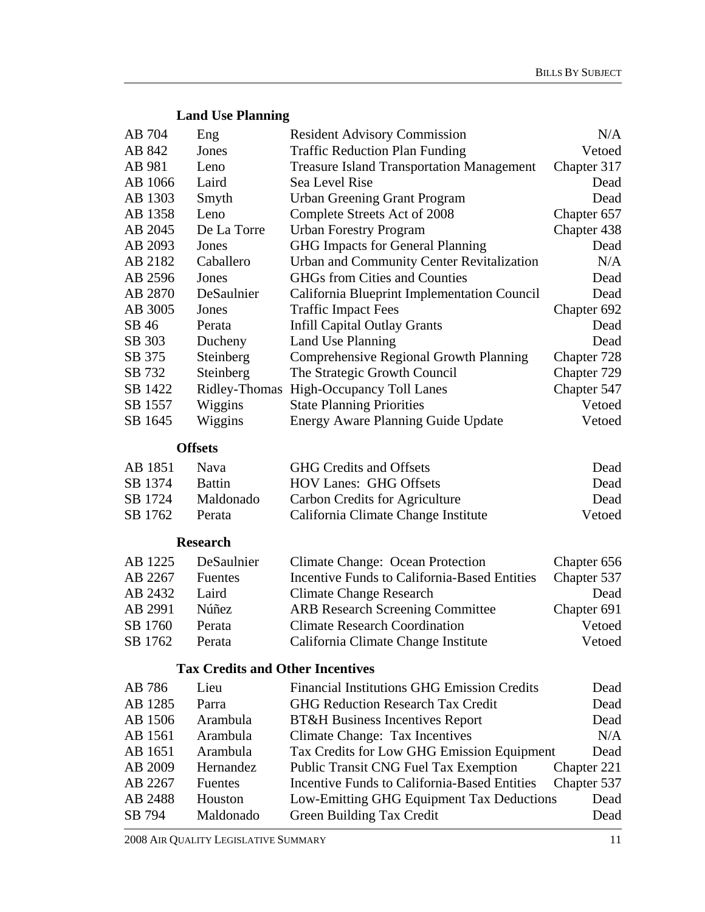# **Land Use Planning**

| AB 704  | Eng                                     | <b>Resident Advisory Commission</b>                 | N/A         |
|---------|-----------------------------------------|-----------------------------------------------------|-------------|
| AB 842  | Jones                                   | <b>Traffic Reduction Plan Funding</b>               | Vetoed      |
| AB 981  | Leno                                    | <b>Treasure Island Transportation Management</b>    | Chapter 317 |
| AB 1066 | Laird                                   | Sea Level Rise                                      | Dead        |
| AB 1303 | Smyth                                   | <b>Urban Greening Grant Program</b>                 | Dead        |
| AB 1358 | Leno                                    | Complete Streets Act of 2008                        | Chapter 657 |
| AB 2045 | De La Torre                             | <b>Urban Forestry Program</b>                       | Chapter 438 |
| AB 2093 | Jones                                   | <b>GHG Impacts for General Planning</b>             | Dead        |
| AB 2182 | Caballero                               | <b>Urban and Community Center Revitalization</b>    | N/A         |
| AB 2596 | Jones                                   | <b>GHGs from Cities and Counties</b>                | Dead        |
| AB 2870 | DeSaulnier                              | California Blueprint Implementation Council         | Dead        |
| AB 3005 | Jones                                   | <b>Traffic Impact Fees</b>                          | Chapter 692 |
| SB 46   | Perata                                  | <b>Infill Capital Outlay Grants</b>                 | Dead        |
| SB 303  | Ducheny                                 | Land Use Planning                                   | Dead        |
| SB 375  | Steinberg                               | Comprehensive Regional Growth Planning              | Chapter 728 |
| SB 732  | Steinberg                               | The Strategic Growth Council                        | Chapter 729 |
| SB 1422 | Ridley-Thomas                           | High-Occupancy Toll Lanes                           | Chapter 547 |
| SB 1557 | Wiggins                                 | <b>State Planning Priorities</b>                    | Vetoed      |
| SB 1645 | Wiggins                                 | <b>Energy Aware Planning Guide Update</b>           | Vetoed      |
|         | <b>Offsets</b>                          |                                                     |             |
| AB 1851 | Nava                                    | <b>GHG Credits and Offsets</b>                      | Dead        |
| SB 1374 | <b>Battin</b>                           | <b>HOV Lanes: GHG Offsets</b>                       | Dead        |
| SB 1724 | Maldonado                               | Carbon Credits for Agriculture                      | Dead        |
| SB 1762 | Perata                                  | California Climate Change Institute                 | Vetoed      |
|         | <b>Research</b>                         |                                                     |             |
| AB 1225 | DeSaulnier                              | <b>Climate Change: Ocean Protection</b>             | Chapter 656 |
| AB 2267 | Fuentes                                 | <b>Incentive Funds to California-Based Entities</b> | Chapter 537 |
| AB 2432 | Laird                                   | <b>Climate Change Research</b>                      | Dead        |
| AB 2991 | Núñez                                   | <b>ARB Research Screening Committee</b>             | Chapter 691 |
| SB 1760 | Perata                                  | <b>Climate Research Coordination</b>                | Vetoed      |
| SB 1762 | Perata                                  | California Climate Change Institute                 | Vetoed      |
|         | <b>Tax Credits and Other Incentives</b> |                                                     |             |
|         |                                         |                                                     |             |
| AB 786  | Lieu                                    | <b>Financial Institutions GHG Emission Credits</b>  | Dead        |
| AB 1285 | Parra                                   | <b>GHG Reduction Research Tax Credit</b>            | Dead        |
| AB 1506 | Arambula                                | <b>BT&amp;H</b> Business Incentives Report          | Dead        |
| AB 1561 | Arambula                                | Climate Change: Tax Incentives                      | N/A         |
| AB 1651 | Arambula                                | Tax Credits for Low GHG Emission Equipment          | Dead        |
| AB 2009 | Hernandez                               | <b>Public Transit CNG Fuel Tax Exemption</b>        | Chapter 221 |
| AB 2267 | Fuentes                                 | Incentive Funds to California-Based Entities        | Chapter 537 |
| AB 2488 | Houston                                 | Low-Emitting GHG Equipment Tax Deductions           | Dead        |
| SB 794  | Maldonado                               | Green Building Tax Credit                           | Dead        |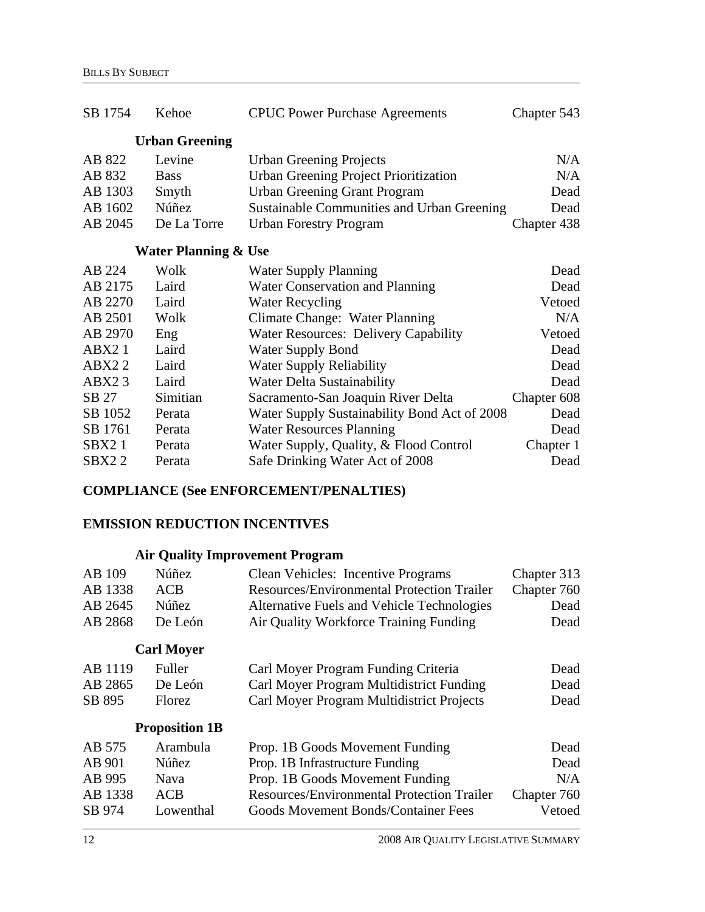| SB 1754            | Kehoe                           | <b>CPUC Power Purchase Agreements</b>        | Chapter 543 |
|--------------------|---------------------------------|----------------------------------------------|-------------|
|                    | <b>Urban Greening</b>           |                                              |             |
| AB 822             | Levine                          | <b>Urban Greening Projects</b>               | N/A         |
| AB 832             | <b>Bass</b>                     | <b>Urban Greening Project Prioritization</b> | N/A         |
| AB 1303            | Smyth                           | <b>Urban Greening Grant Program</b>          | Dead        |
| AB 1602            | Núñez                           | Sustainable Communities and Urban Greening   | Dead        |
| AB 2045            | De La Torre                     | <b>Urban Forestry Program</b>                | Chapter 438 |
|                    | <b>Water Planning &amp; Use</b> |                                              |             |
| AB 224             | Wolk                            | <b>Water Supply Planning</b>                 | Dead        |
| AB 2175            | Laird                           | <b>Water Conservation and Planning</b>       | Dead        |
| AB 2270            | Laird                           | <b>Water Recycling</b>                       | Vetoed      |
| AB 2501            | Wolk                            | Climate Change: Water Planning               | N/A         |
| AB 2970            | Eng                             | <b>Water Resources: Delivery Capability</b>  | Vetoed      |
| ABX21              | Laird                           | <b>Water Supply Bond</b>                     | Dead        |
| ABX <sub>2</sub> 2 | Laird                           | <b>Water Supply Reliability</b>              | Dead        |
| ABX <sub>2</sub> 3 | Laird                           | Water Delta Sustainability                   | Dead        |
| SB 27              | Simitian                        | Sacramento-San Joaquin River Delta           | Chapter 608 |
| SB 1052            | Perata                          | Water Supply Sustainability Bond Act of 2008 | Dead        |
| SB 1761            | Perata                          | <b>Water Resources Planning</b>              | Dead        |
| SBX <sub>2</sub> 1 | Perata                          | Water Supply, Quality, & Flood Control       | Chapter 1   |
| SBX <sub>2</sub> 2 | Perata                          | Safe Drinking Water Act of 2008              | Dead        |

## **COMPLIANCE (See ENFORCEMENT/PENALTIES)**

#### **EMISSION REDUCTION INCENTIVES**

## **Air Quality Improvement Program**

| AB 109  | <b>Núñez</b>          | Clean Vehicles: Incentive Programs                | Chapter 313 |
|---------|-----------------------|---------------------------------------------------|-------------|
| AB 1338 | <b>ACB</b>            | <b>Resources/Environmental Protection Trailer</b> | Chapter 760 |
| AB 2645 | Núñez                 | Alternative Fuels and Vehicle Technologies        | Dead        |
| AB 2868 | De León               | Air Quality Workforce Training Funding            | Dead        |
|         | <b>Carl Moyer</b>     |                                                   |             |
| AB 1119 | <b>Fuller</b>         | Carl Moyer Program Funding Criteria               | Dead        |
| AB 2865 | De León               | Carl Moyer Program Multidistrict Funding          | Dead        |
| SB 895  | Florez                | Carl Moyer Program Multidistrict Projects         | Dead        |
|         | <b>Proposition 1B</b> |                                                   |             |
| AB 575  | Arambula              | Prop. 1B Goods Movement Funding                   | Dead        |
| AB 901  | Núñez                 | Prop. 1B Infrastructure Funding                   | Dead        |
| AB 995  | <b>Nava</b>           | Prop. 1B Goods Movement Funding                   | N/A         |
| AB 1338 | <b>ACB</b>            | <b>Resources/Environmental Protection Trailer</b> | Chapter 760 |
| SB 974  | Lowenthal             | <b>Goods Movement Bonds/Container Fees</b>        | Vetoed      |
|         |                       |                                                   |             |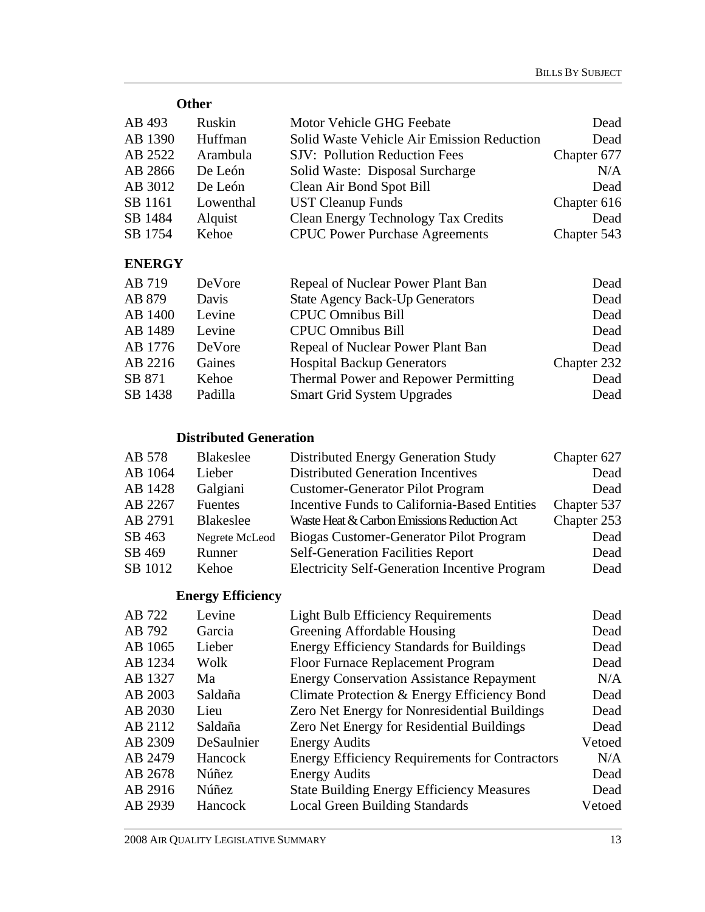## **Other**

| AB 493                    | Ruskin             | Motor Vehicle GHG Feebate                  | Dead        |
|---------------------------|--------------------|--------------------------------------------|-------------|
| AB 1390                   | Huffman            | Solid Waste Vehicle Air Emission Reduction | Dead        |
| AB 2522                   | Arambula           | <b>SJV: Pollution Reduction Fees</b>       | Chapter 677 |
| AB 2866                   | De León            | Solid Waste: Disposal Surcharge            | N/A         |
| AB 3012                   | De León            | Clean Air Bond Spot Bill                   | Dead        |
| SB 1161                   | Lowenthal          | <b>UST Cleanup Funds</b>                   | Chapter 616 |
| SB 1484                   | Alquist            | Clean Energy Technology Tax Credits        | Dead        |
| SB 1754                   | Kehoe              | <b>CPUC Power Purchase Agreements</b>      | Chapter 543 |
| <b>ENERGY</b>             |                    |                                            |             |
| AB 719                    | DeVore             | Repeal of Nuclear Power Plant Ban          | Dead        |
| AB 879                    | Davis              | <b>State Agency Back-Up Generators</b>     | Dead        |
| $\triangle$ <b>D</b> 1400 | I <sub>avina</sub> | $\overline{\text{CDI}}$ IC Omnibue Rill    | Dood        |

| AB 1400 | Levine        | <b>CPUC Omnibus Bill</b>             | Dead        |
|---------|---------------|--------------------------------------|-------------|
| AB 1489 | Levine        | <b>CPUC Omnibus Bill</b>             | Dead        |
| AB 1776 | <b>DeVore</b> | Repeal of Nuclear Power Plant Ban    | Dead        |
| AB 2216 | Gaines        | <b>Hospital Backup Generators</b>    | Chapter 232 |
| SB 871  | Kehoe         | Thermal Power and Repower Permitting | Dead        |
| SB 1438 | Padilla       | <b>Smart Grid System Upgrades</b>    | Dead        |

# **Distributed Generation**

| AB 578  | <b>Blakeslee</b> | Distributed Energy Generation Study                  | Chapter 627 |
|---------|------------------|------------------------------------------------------|-------------|
| AB 1064 | Lieber           | <b>Distributed Generation Incentives</b>             | Dead        |
| AB 1428 | Galgiani         | <b>Customer-Generator Pilot Program</b>              | Dead        |
| AB 2267 | Fuentes          | <b>Incentive Funds to California-Based Entities</b>  | Chapter 537 |
| AB 2791 | Blakeslee        | Waste Heat & Carbon Emissions Reduction Act          | Chapter 253 |
| SB 463  | Negrete McLeod   | Biogas Customer-Generator Pilot Program              | Dead        |
| SB 469  | Runner           | <b>Self-Generation Facilities Report</b>             | Dead        |
| SB 1012 | Kehoe            | <b>Electricity Self-Generation Incentive Program</b> | Dead        |

# **Energy Efficiency**

| AB 722  | Levine     | <b>Light Bulb Efficiency Requirements</b>             | Dead   |
|---------|------------|-------------------------------------------------------|--------|
| AB 792  | Garcia     | Greening Affordable Housing                           | Dead   |
| AB 1065 | Lieber     | <b>Energy Efficiency Standards for Buildings</b>      | Dead   |
| AB 1234 | Wolk       | Floor Furnace Replacement Program                     | Dead   |
| AB 1327 | Ma         | <b>Energy Conservation Assistance Repayment</b>       | N/A    |
| AB 2003 | Saldaña    | Climate Protection & Energy Efficiency Bond           | Dead   |
| AB 2030 | Lieu       | <b>Zero Net Energy for Nonresidential Buildings</b>   | Dead   |
| AB 2112 | Saldaña    | <b>Zero Net Energy for Residential Buildings</b>      | Dead   |
| AB 2309 | DeSaulnier | <b>Energy Audits</b>                                  | Vetoed |
| AB 2479 | Hancock    | <b>Energy Efficiency Requirements for Contractors</b> | N/A    |
| AB 2678 | Núñez      | <b>Energy Audits</b>                                  | Dead   |
| AB 2916 | Núñez      | <b>State Building Energy Efficiency Measures</b>      | Dead   |
| AB 2939 | Hancock    | <b>Local Green Building Standards</b>                 | Vetoed |
|         |            |                                                       |        |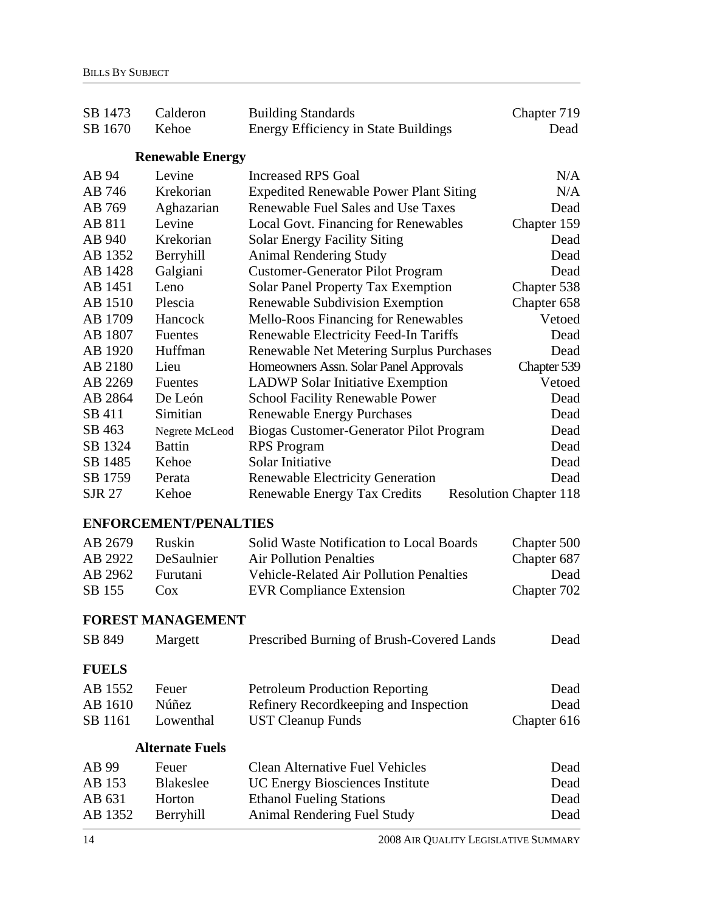| SB 1473       | Calderon                     | <b>Building Standards</b>                       | Chapter 719                   |
|---------------|------------------------------|-------------------------------------------------|-------------------------------|
| SB 1670       | Kehoe                        | <b>Energy Efficiency in State Buildings</b>     | Dead                          |
|               | <b>Renewable Energy</b>      |                                                 |                               |
| AB 94         | Levine                       | <b>Increased RPS Goal</b>                       | N/A                           |
| AB 746        | Krekorian                    | <b>Expedited Renewable Power Plant Siting</b>   | N/A                           |
| AB 769        | Aghazarian                   | Renewable Fuel Sales and Use Taxes              | Dead                          |
| AB 811        | Levine                       | Local Govt. Financing for Renewables            | Chapter 159                   |
| AB 940        | Krekorian                    | <b>Solar Energy Facility Siting</b>             | Dead                          |
| AB 1352       | Berryhill                    | <b>Animal Rendering Study</b>                   | Dead                          |
| AB 1428       | Galgiani                     | <b>Customer-Generator Pilot Program</b>         | Dead                          |
| AB 1451       | Leno                         | <b>Solar Panel Property Tax Exemption</b>       | Chapter 538                   |
| AB 1510       | Plescia                      | Renewable Subdivision Exemption                 | Chapter 658                   |
| AB 1709       | Hancock                      | Mello-Roos Financing for Renewables             | Vetoed                        |
| AB 1807       | Fuentes                      | Renewable Electricity Feed-In Tariffs           | Dead                          |
| AB 1920       | Huffman                      | <b>Renewable Net Metering Surplus Purchases</b> | Dead                          |
| AB 2180       | Lieu                         | Homeowners Assn. Solar Panel Approvals          | Chapter 539                   |
| AB 2269       | <b>Fuentes</b>               | <b>LADWP</b> Solar Initiative Exemption         | Vetoed                        |
| AB 2864       | De León                      | <b>School Facility Renewable Power</b>          | Dead                          |
| SB 411        | Simitian                     | <b>Renewable Energy Purchases</b>               | Dead                          |
| SB 463        | Negrete McLeod               | Biogas Customer-Generator Pilot Program         | Dead                          |
| SB 1324       | <b>Battin</b>                | <b>RPS</b> Program                              | Dead                          |
| SB 1485       | Kehoe                        | Solar Initiative                                | Dead                          |
| SB 1759       | Perata                       | <b>Renewable Electricity Generation</b>         | Dead                          |
| <b>SJR 27</b> | Kehoe                        | Renewable Energy Tax Credits                    | <b>Resolution Chapter 118</b> |
|               | <b>ENFORCEMENT/PENALTIES</b> |                                                 |                               |
| AB 2679       | Ruskin                       | Solid Waste Notification to Local Boards        |                               |
| AB 2922       | DeSaulnier                   | <b>Air Pollution Penalties</b>                  | Chapter 500<br>Chapter 687    |
| AB 2962       | Furutani                     | <b>Vehicle-Related Air Pollution Penalties</b>  | Dead                          |
| SB 155        | Cox                          |                                                 | Chapter 702                   |
|               |                              | <b>EVR</b> Compliance Extension                 |                               |
|               | <b>FOREST MANAGEMENT</b>     |                                                 |                               |
| SB 849        | Margett                      | Prescribed Burning of Brush-Covered Lands       | Dead                          |
| <b>FUELS</b>  |                              |                                                 |                               |
| AB 1552       | Feuer                        | <b>Petroleum Production Reporting</b>           | Dead                          |
| AB 1610       | Núñez                        | Refinery Recordkeeping and Inspection           | Dead                          |
| SB 1161       | Lowenthal                    | <b>UST Cleanup Funds</b>                        | Chapter 616                   |
|               |                              |                                                 |                               |
|               | <b>Alternate Fuels</b>       |                                                 |                               |
| AB 99         | Feuer                        | <b>Clean Alternative Fuel Vehicles</b>          | Dead                          |
| AB 153        | <b>Blakeslee</b>             | <b>UC Energy Biosciences Institute</b>          | Dead                          |

AB 631 Horton Ethanol Fueling Stations Dead AB 1352 Berryhill Animal Rendering Fuel Study Dead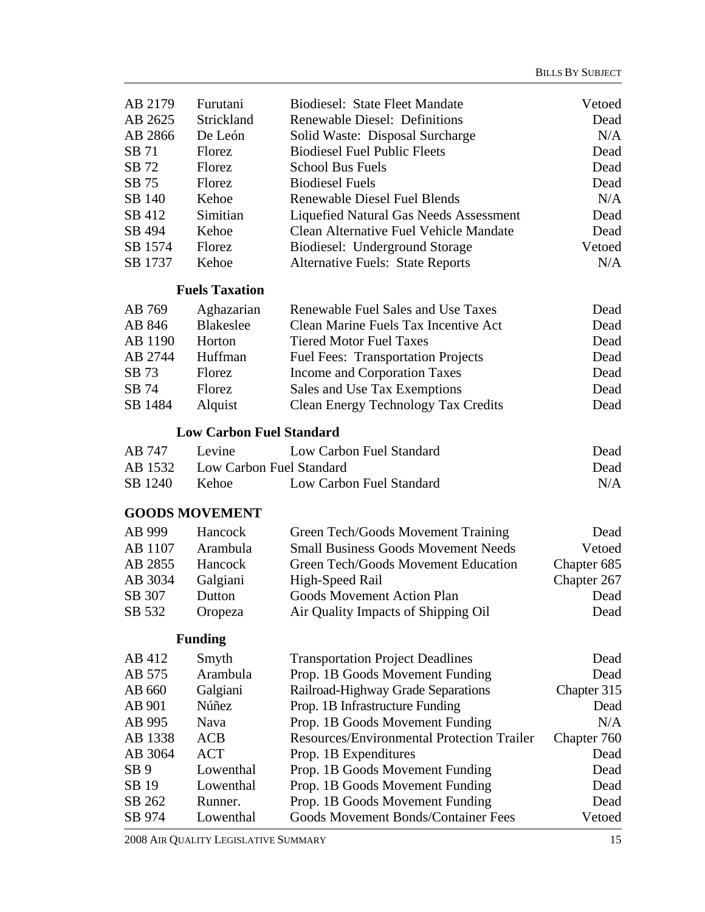| AB 2179         | Furutani                        | <b>Biodiesel: State Fleet Mandate</b>       | Vetoed      |
|-----------------|---------------------------------|---------------------------------------------|-------------|
| AB 2625         | Strickland                      | <b>Renewable Diesel: Definitions</b>        | Dead        |
| AB 2866         | De León                         | Solid Waste: Disposal Surcharge             | N/A         |
| SB 71           | Florez                          | <b>Biodiesel Fuel Public Fleets</b>         | Dead        |
| SB 72           | Florez                          | <b>School Bus Fuels</b>                     | Dead        |
| SB 75           | Florez                          | <b>Biodiesel Fuels</b>                      | Dead        |
| SB 140          | Kehoe                           | <b>Renewable Diesel Fuel Blends</b>         | N/A         |
| SB 412          | Simitian                        | Liquefied Natural Gas Needs Assessment      | Dead        |
| SB 494          | Kehoe                           | Clean Alternative Fuel Vehicle Mandate      | Dead        |
| SB 1574         | Florez                          | Biodiesel: Underground Storage              | Vetoed      |
| SB 1737         | Kehoe                           | <b>Alternative Fuels: State Reports</b>     | N/A         |
|                 |                                 |                                             |             |
|                 | <b>Fuels Taxation</b>           |                                             |             |
| AB 769          | Aghazarian                      | Renewable Fuel Sales and Use Taxes          | Dead        |
| AB 846          | <b>Blakeslee</b>                | <b>Clean Marine Fuels Tax Incentive Act</b> | Dead        |
| AB 1190         | Horton                          | <b>Tiered Motor Fuel Taxes</b>              | Dead        |
| AB 2744         | Huffman                         | <b>Fuel Fees: Transportation Projects</b>   | Dead        |
| SB 73           | Florez                          | Income and Corporation Taxes                | Dead        |
| SB 74           | Florez                          | Sales and Use Tax Exemptions                | Dead        |
| SB 1484         | Alquist                         | Clean Energy Technology Tax Credits         | Dead        |
|                 |                                 |                                             |             |
|                 | <b>Low Carbon Fuel Standard</b> |                                             |             |
| AB 747          | Levine                          | Low Carbon Fuel Standard                    | Dead        |
| AB 1532         | Low Carbon Fuel Standard        |                                             | Dead        |
| SB 1240         | Kehoe                           | Low Carbon Fuel Standard                    | N/A         |
|                 | <b>GOODS MOVEMENT</b>           |                                             |             |
| AB 999          | Hancock                         | Green Tech/Goods Movement Training          | Dead        |
| AB 1107         | Arambula                        | <b>Small Business Goods Movement Needs</b>  | Vetoed      |
| AB 2855         | Hancock                         | Green Tech/Goods Movement Education         | Chapter 685 |
| AB 3034         | Galgiani                        | High-Speed Rail                             | Chapter 267 |
| SB 307          | Dutton                          | <b>Goods Movement Action Plan</b>           | Dead        |
| SB 532          | Oropeza                         | Air Quality Impacts of Shipping Oil         | Dead        |
|                 |                                 |                                             |             |
|                 | <b>Funding</b>                  |                                             |             |
| AB 412          | Smyth                           | <b>Transportation Project Deadlines</b>     | Dead        |
| AB 575          | Arambula                        | Prop. 1B Goods Movement Funding             | Dead        |
| AB 660          | Galgiani                        | Railroad-Highway Grade Separations          | Chapter 315 |
| AB 901          | Núñez                           | Prop. 1B Infrastructure Funding             | Dead        |
| AB 995          | Nava                            | Prop. 1B Goods Movement Funding             | N/A         |
| AB 1338         | <b>ACB</b>                      | Resources/Environmental Protection Trailer  | Chapter 760 |
| AB 3064         | <b>ACT</b>                      | Prop. 1B Expenditures                       | Dead        |
| SB <sub>9</sub> | Lowenthal                       | Prop. 1B Goods Movement Funding             | Dead        |
| SB 19           | Lowenthal                       | Prop. 1B Goods Movement Funding             | Dead        |
| SB 262          | Runner.                         | Prop. 1B Goods Movement Funding             | Dead        |
| SB 974          | Lowenthal                       | Goods Movement Bonds/Container Fees         | Vetoed      |

2008 AIR QUALITY LEGISLATIVE SUMMARY 15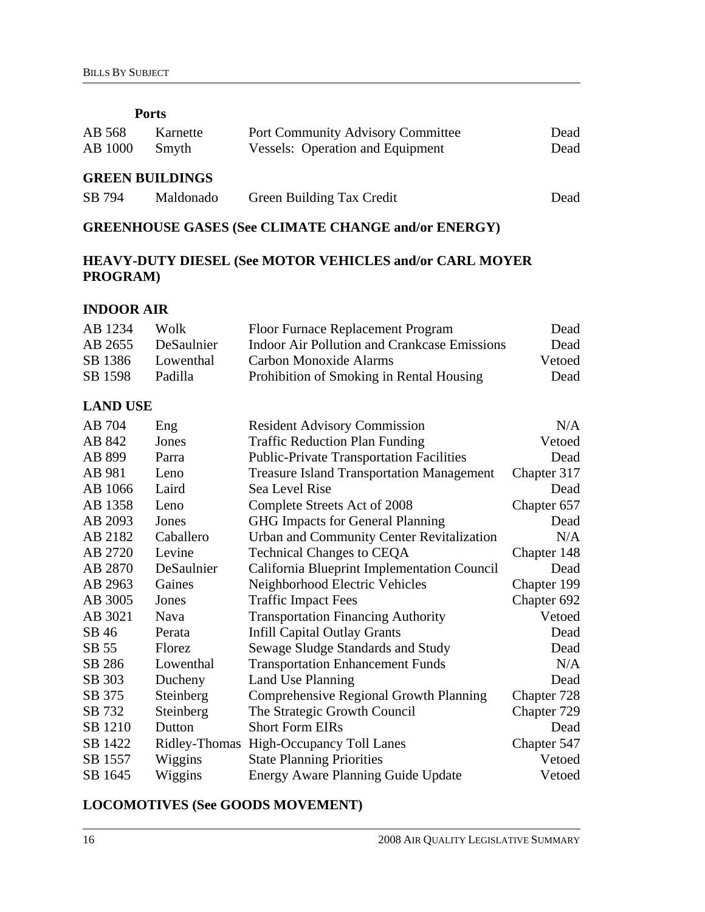**Ports** 

| AB 568  | Karnette     | <b>Port Community Advisory Committee</b> | Dead |
|---------|--------------|------------------------------------------|------|
| AB 1000 | <b>Smyth</b> | <b>Vessels: Operation and Equipment</b>  | Dead |
|         |              |                                          |      |

## **GREEN BUILDINGS**

| SB 794 | Maldonado | Green Building Tax Credit | Dead |
|--------|-----------|---------------------------|------|
|--------|-----------|---------------------------|------|

#### **GREENHOUSE GASES (See CLIMATE CHANGE and/or ENERGY)**

#### **HEAVY-DUTY DIESEL (See MOTOR VEHICLES and/or CARL MOYER PROGRAM)**

#### **INDOOR AIR**

| Wolk              | Floor Furnace Replacement Program            | Dead   |
|-------------------|----------------------------------------------|--------|
| <b>DeSaulnier</b> | Indoor Air Pollution and Crankcase Emissions | Dead   |
| Lowenthal         | Carbon Monoxide Alarms                       | Vetoed |
| Padilla           | Prohibition of Smoking in Rental Housing     | Dead   |
|                   |                                              |        |

#### **LAND USE**

| AB 704  | Eng           | <b>Resident Advisory Commission</b>              | N/A         |
|---------|---------------|--------------------------------------------------|-------------|
| AB 842  | Jones         | <b>Traffic Reduction Plan Funding</b>            | Vetoed      |
| AB 899  | Parra         | <b>Public-Private Transportation Facilities</b>  | Dead        |
| AB 981  | Leno          | <b>Treasure Island Transportation Management</b> | Chapter 317 |
| AB 1066 | Laird         | Sea Level Rise                                   | Dead        |
| AB 1358 | Leno          | Complete Streets Act of 2008                     | Chapter 657 |
| AB 2093 | Jones         | <b>GHG</b> Impacts for General Planning          | Dead        |
| AB 2182 | Caballero     | <b>Urban and Community Center Revitalization</b> | N/A         |
| AB 2720 | Levine        | <b>Technical Changes to CEQA</b>                 | Chapter 148 |
| AB 2870 | DeSaulnier    | California Blueprint Implementation Council      | Dead        |
| AB 2963 | Gaines        | Neighborhood Electric Vehicles                   | Chapter 199 |
| AB 3005 | Jones         | <b>Traffic Impact Fees</b>                       | Chapter 692 |
| AB 3021 | Nava          | <b>Transportation Financing Authority</b>        | Vetoed      |
| SB 46   | Perata        | <b>Infill Capital Outlay Grants</b>              | Dead        |
| SB 55   | Florez        | Sewage Sludge Standards and Study                | Dead        |
| SB 286  | Lowenthal     | <b>Transportation Enhancement Funds</b>          | N/A         |
| SB 303  | Ducheny       | Land Use Planning                                | Dead        |
| SB 375  | Steinberg     | Comprehensive Regional Growth Planning           | Chapter 728 |
| SB 732  | Steinberg     | The Strategic Growth Council                     | Chapter 729 |
| SB 1210 | Dutton        | <b>Short Form EIRs</b>                           | Dead        |
| SB 1422 | Ridley-Thomas | High-Occupancy Toll Lanes                        | Chapter 547 |
| SB 1557 | Wiggins       | <b>State Planning Priorities</b>                 | Vetoed      |
| SB 1645 | Wiggins       | Energy Aware Planning Guide Update               | Vetoed      |

#### **LOCOMOTIVES (See GOODS MOVEMENT)**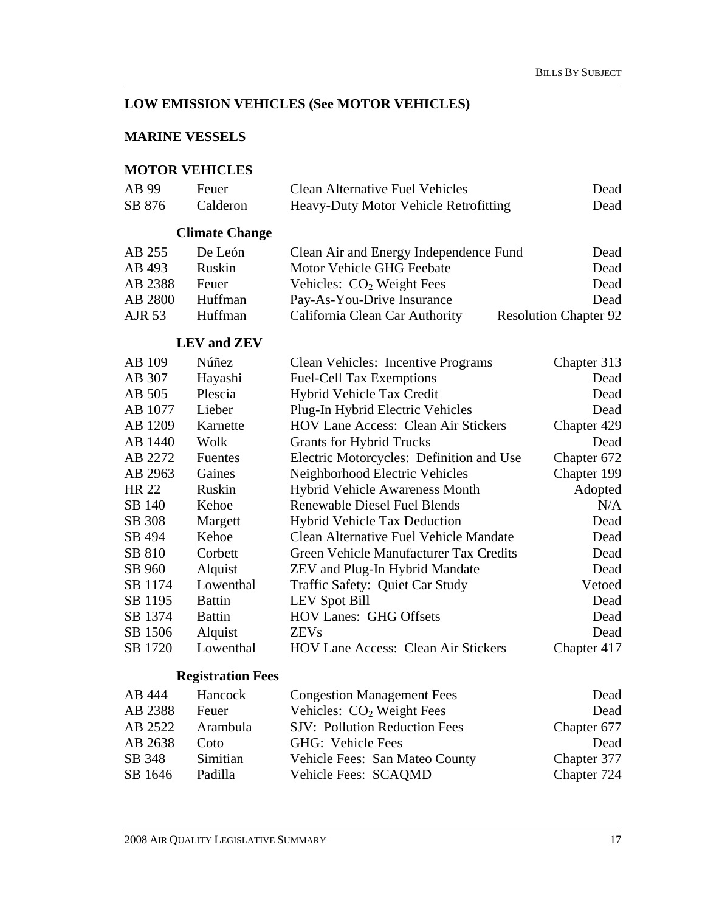#### **LOW EMISSION VEHICLES (See MOTOR VEHICLES)**

#### **MARINE VESSELS**

#### **MOTOR VEHICLES**

| AB 99         | Feuer                     | <b>Clean Alternative Fuel Vehicles</b>        | Dead                         |
|---------------|---------------------------|-----------------------------------------------|------------------------------|
| SB 876        | Calderon                  | Heavy-Duty Motor Vehicle Retrofitting         | Dead                         |
|               | <b>Climate Change</b>     |                                               |                              |
| AB 255        | De León                   | Clean Air and Energy Independence Fund        | Dead                         |
| AB 493        | Ruskin                    | Motor Vehicle GHG Feebate                     | Dead                         |
| AB 2388       | Feuer                     | Vehicles: CO <sub>2</sub> Weight Fees         | Dead                         |
| AB 2800       | Huffman                   | Pay-As-You-Drive Insurance                    | Dead                         |
| <b>AJR 53</b> | Huffman                   | California Clean Car Authority                | <b>Resolution Chapter 92</b> |
|               | <b>LEV</b> and <b>ZEV</b> |                                               |                              |
| AB 109        | Núñez                     | Clean Vehicles: Incentive Programs            | Chapter 313                  |
| AB 307        | Hayashi                   | <b>Fuel-Cell Tax Exemptions</b>               | Dead                         |
| AB 505        | Plescia                   | Hybrid Vehicle Tax Credit                     | Dead                         |
| AB 1077       | Lieber                    | Plug-In Hybrid Electric Vehicles              | Dead                         |
| AB 1209       | Karnette                  | <b>HOV Lane Access: Clean Air Stickers</b>    | Chapter 429                  |
| AB 1440       | Wolk                      | <b>Grants for Hybrid Trucks</b>               | Dead                         |
| AB 2272       | Fuentes                   | Electric Motorcycles: Definition and Use      | Chapter 672                  |
| AB 2963       | Gaines                    | Neighborhood Electric Vehicles                | Chapter 199                  |
| HR 22         | Ruskin                    | <b>Hybrid Vehicle Awareness Month</b>         | Adopted                      |
| SB 140        | Kehoe                     | <b>Renewable Diesel Fuel Blends</b>           | N/A                          |
| SB 308        | Margett                   | <b>Hybrid Vehicle Tax Deduction</b>           | Dead                         |
| SB 494        | Kehoe                     | <b>Clean Alternative Fuel Vehicle Mandate</b> | Dead                         |
| SB 810        | Corbett                   | Green Vehicle Manufacturer Tax Credits        | Dead                         |
| SB 960        | Alquist                   | <b>ZEV</b> and Plug-In Hybrid Mandate         | Dead                         |
| SB 1174       | Lowenthal                 | Traffic Safety: Quiet Car Study               | Vetoed                       |
| SB 1195       | <b>Battin</b>             | <b>LEV Spot Bill</b>                          | Dead                         |
| SB 1374       | <b>Battin</b>             | <b>HOV Lanes: GHG Offsets</b>                 | Dead                         |
| SB 1506       | Alquist                   | <b>ZEVs</b>                                   | Dead                         |
| SB 1720       | Lowenthal                 | <b>HOV Lane Access: Clean Air Stickers</b>    | Chapter 417                  |
|               | <b>Registration Fees</b>  |                                               |                              |
| AB 444        | Hancock                   | <b>Congestion Management Fees</b>             | Dead                         |
| AB 2388       | Feuer                     | Vehicles: CO <sub>2</sub> Weight Fees         | Dead                         |
| AB 2522       | Arambula                  | <b>SJV: Pollution Reduction Fees</b>          | Chapter 677                  |
| AB 2638       | Coto                      | GHG: Vehicle Fees                             | Dead                         |
| SB 348        | Simitian                  | Vehicle Fees: San Mateo County                | Chapter 377                  |
| SB 1646       | Padilla                   | Vehicle Fees: SCAQMD                          | Chapter 724                  |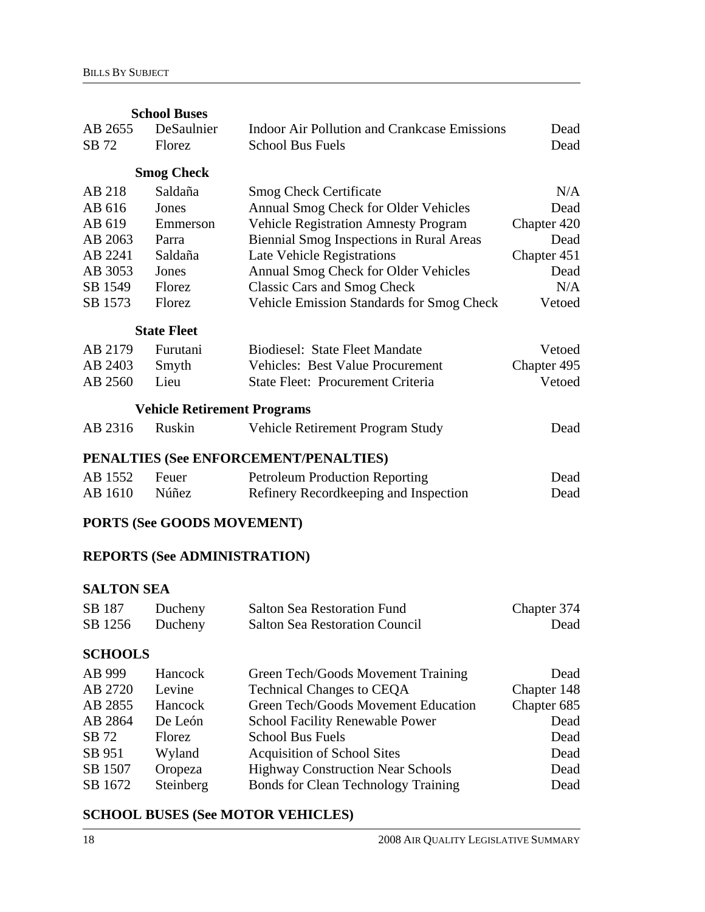|                   | <b>School Buses</b>                 |                                                     |             |
|-------------------|-------------------------------------|-----------------------------------------------------|-------------|
| AB 2655           | DeSaulnier                          | <b>Indoor Air Pollution and Crankcase Emissions</b> | Dead        |
| SB 72             | Florez                              | <b>School Bus Fuels</b>                             | Dead        |
|                   | <b>Smog Check</b>                   |                                                     |             |
| AB 218            | Saldaña                             | <b>Smog Check Certificate</b>                       | N/A         |
| AB 616            | Jones                               | Annual Smog Check for Older Vehicles                | Dead        |
| AB 619            | Emmerson                            | <b>Vehicle Registration Amnesty Program</b>         | Chapter 420 |
| AB 2063           | Parra                               | Biennial Smog Inspections in Rural Areas            | Dead        |
| AB 2241           | Saldaña                             | Late Vehicle Registrations                          | Chapter 451 |
| AB 3053           | Jones                               | Annual Smog Check for Older Vehicles                | Dead        |
| SB 1549           | Florez                              | <b>Classic Cars and Smog Check</b>                  | N/A         |
| SB 1573           | Florez                              | Vehicle Emission Standards for Smog Check           | Vetoed      |
|                   | <b>State Fleet</b>                  |                                                     |             |
| AB 2179           | Furutani                            | <b>Biodiesel: State Fleet Mandate</b>               | Vetoed      |
| AB 2403           | Smyth                               | <b>Vehicles: Best Value Procurement</b>             | Chapter 495 |
| AB 2560           | Lieu                                | State Fleet: Procurement Criteria                   | Vetoed      |
|                   | <b>Vehicle Retirement Programs</b>  |                                                     |             |
| AB 2316           | Ruskin                              | Vehicle Retirement Program Study                    | Dead        |
|                   |                                     | PENALTIES (See ENFORCEMENT/PENALTIES)               |             |
| AB 1552           | Feuer                               | <b>Petroleum Production Reporting</b>               | Dead        |
| AB 1610           | Núñez                               | Refinery Recordkeeping and Inspection               | Dead        |
|                   |                                     |                                                     |             |
|                   | <b>PORTS (See GOODS MOVEMENT)</b>   |                                                     |             |
|                   | <b>REPORTS (See ADMINISTRATION)</b> |                                                     |             |
|                   |                                     |                                                     |             |
| <b>SALTON SEA</b> |                                     |                                                     |             |
| SB 187            | Ducheny                             | <b>Salton Sea Restoration Fund</b>                  | Chapter 374 |
| SB 1256           | Ducheny                             | <b>Salton Sea Restoration Council</b>               | Dead        |
| <b>SCHOOLS</b>    |                                     |                                                     |             |
| AB 999            | Hancock                             | Green Tech/Goods Movement Training                  | Dead        |
| $\Delta$ R 2720   | $I$ evine                           | Technical Changes to CEOA                           | Chapter 148 |

| 111777  | Tiancoch      | $O$ <sub>1</sub> CC <sub>11</sub> $O$ <sub>2</sub> C <sub>21</sub> T <sub>1</sub> C <sub>21</sub> C <sub>21</sub> C <sub>21</sub> C <sub>21</sub> C <sub>21</sub> C <sub>21</sub> C <sub>21</sub> C <sub>21</sub> C <sub>21</sub> C <sub>21</sub> C <sub>21</sub> C <sub>21</sub> C <sub>21</sub> C <sub>21</sub> C <sub>21</sub> C <sub>21</sub> C <sub>21</sub> C <sub>21</sub> C <sub>21</sub> C <sub>21</sub> C <sub>21</sub> C <sub>21</sub> C <sub>21</sub> C <sub>21</sub> C <sub>21</sub> C <sub>21</sub> C <sub>21</sub> C <sub>21</sub> C <sub>21</sub> C <sub>21</sub> C <sub>21</sub> C <sub>2</sub> | Dua -       |
|---------|---------------|------------------------------------------------------------------------------------------------------------------------------------------------------------------------------------------------------------------------------------------------------------------------------------------------------------------------------------------------------------------------------------------------------------------------------------------------------------------------------------------------------------------------------------------------------------------------------------------------------------------|-------------|
| AB 2720 | Levine        | <b>Technical Changes to CEQA</b>                                                                                                                                                                                                                                                                                                                                                                                                                                                                                                                                                                                 | Chapter 148 |
| AB 2855 | Hancock       | Green Tech/Goods Movement Education                                                                                                                                                                                                                                                                                                                                                                                                                                                                                                                                                                              | Chapter 685 |
| AB 2864 | De León       | <b>School Facility Renewable Power</b>                                                                                                                                                                                                                                                                                                                                                                                                                                                                                                                                                                           | Dead        |
| SB 72   | <b>Florez</b> | <b>School Bus Fuels</b>                                                                                                                                                                                                                                                                                                                                                                                                                                                                                                                                                                                          | Dead        |
| SB 951  | Wyland        | <b>Acquisition of School Sites</b>                                                                                                                                                                                                                                                                                                                                                                                                                                                                                                                                                                               | Dead        |
| SB 1507 | Oropeza       | <b>Highway Construction Near Schools</b>                                                                                                                                                                                                                                                                                                                                                                                                                                                                                                                                                                         | Dead        |
| SB 1672 | Steinberg     | <b>Bonds for Clean Technology Training</b>                                                                                                                                                                                                                                                                                                                                                                                                                                                                                                                                                                       | Dead        |
|         |               |                                                                                                                                                                                                                                                                                                                                                                                                                                                                                                                                                                                                                  |             |

# **SCHOOL BUSES (See MOTOR VEHICLES)**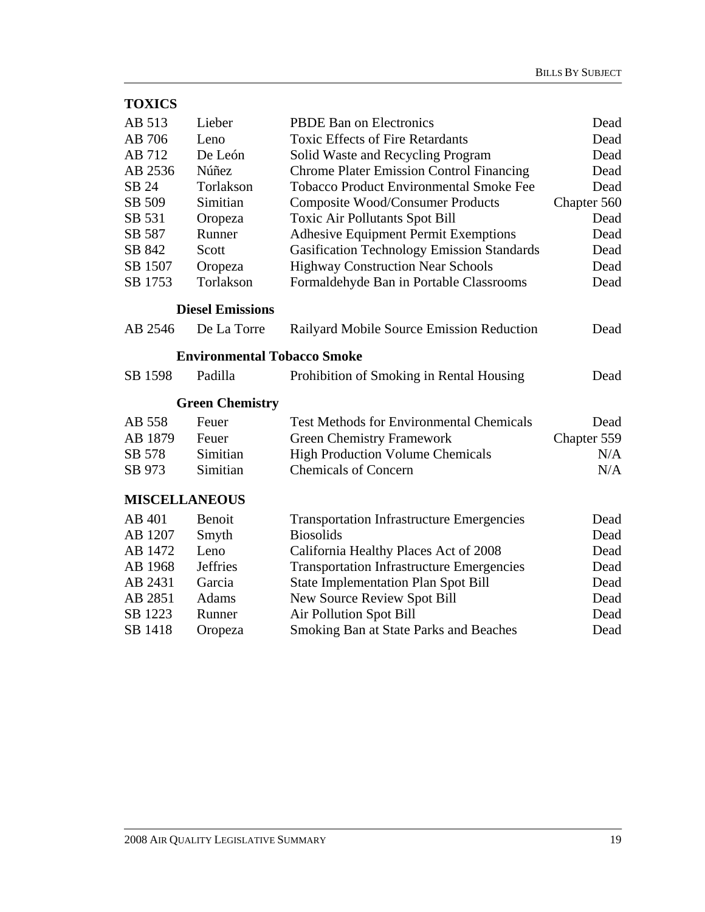| <b>TOXICS</b>        |                                    |                                                   |             |
|----------------------|------------------------------------|---------------------------------------------------|-------------|
| AB 513               | Lieber                             | <b>PBDE Ban on Electronics</b>                    | Dead        |
| AB 706               | Leno                               | <b>Toxic Effects of Fire Retardants</b>           | Dead        |
| AB 712               | De León                            | Solid Waste and Recycling Program                 | Dead        |
| AB 2536              | Núñez                              | <b>Chrome Plater Emission Control Financing</b>   | Dead        |
| SB 24                | Torlakson                          | <b>Tobacco Product Environmental Smoke Fee</b>    | Dead        |
| SB 509               | Simitian                           | <b>Composite Wood/Consumer Products</b>           | Chapter 560 |
| SB 531               | Oropeza                            | <b>Toxic Air Pollutants Spot Bill</b>             | Dead        |
| SB 587               | Runner                             | <b>Adhesive Equipment Permit Exemptions</b>       | Dead        |
| SB 842               | Scott                              | <b>Gasification Technology Emission Standards</b> | Dead        |
| SB 1507              | Oropeza                            | <b>Highway Construction Near Schools</b>          | Dead        |
| SB 1753              | Torlakson                          | Formaldehyde Ban in Portable Classrooms           | Dead        |
|                      | <b>Diesel Emissions</b>            |                                                   |             |
| AB 2546              | De La Torre                        | Railyard Mobile Source Emission Reduction         | Dead        |
|                      | <b>Environmental Tobacco Smoke</b> |                                                   |             |
| SB 1598              | Padilla                            | Prohibition of Smoking in Rental Housing          | Dead        |
|                      | <b>Green Chemistry</b>             |                                                   |             |
| AB 558               | Feuer                              | <b>Test Methods for Environmental Chemicals</b>   | Dead        |
| AB 1879              | Feuer                              | <b>Green Chemistry Framework</b>                  | Chapter 559 |
| SB 578               | Simitian                           | <b>High Production Volume Chemicals</b>           | N/A         |
| SB 973               | Simitian                           | <b>Chemicals of Concern</b>                       | N/A         |
| <b>MISCELLANEOUS</b> |                                    |                                                   |             |
| AB 401               | Benoit                             | <b>Transportation Infrastructure Emergencies</b>  | Dead        |
| AB 1207              | Smyth                              | <b>Biosolids</b>                                  | Dead        |
| AB 1472              | Leno                               | California Healthy Places Act of 2008             | Dead        |
| AB 1968              | <b>Jeffries</b>                    | <b>Transportation Infrastructure Emergencies</b>  | Dead        |
| AB 2431              | Garcia                             | <b>State Implementation Plan Spot Bill</b>        | Dead        |
| AB 2851              | Adams                              | New Source Review Spot Bill                       | Dead        |
| SB 1223              | Runner                             | <b>Air Pollution Spot Bill</b>                    | Dead        |
| SB 1418              | Oropeza                            | <b>Smoking Ban at State Parks and Beaches</b>     | Dead        |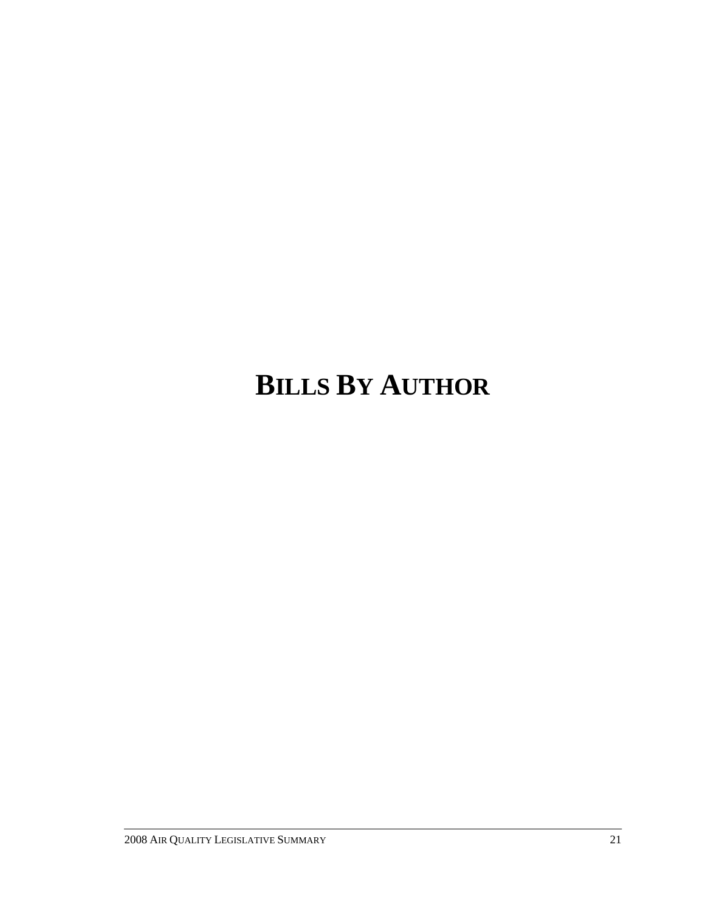# **BILLS BY AUTHOR**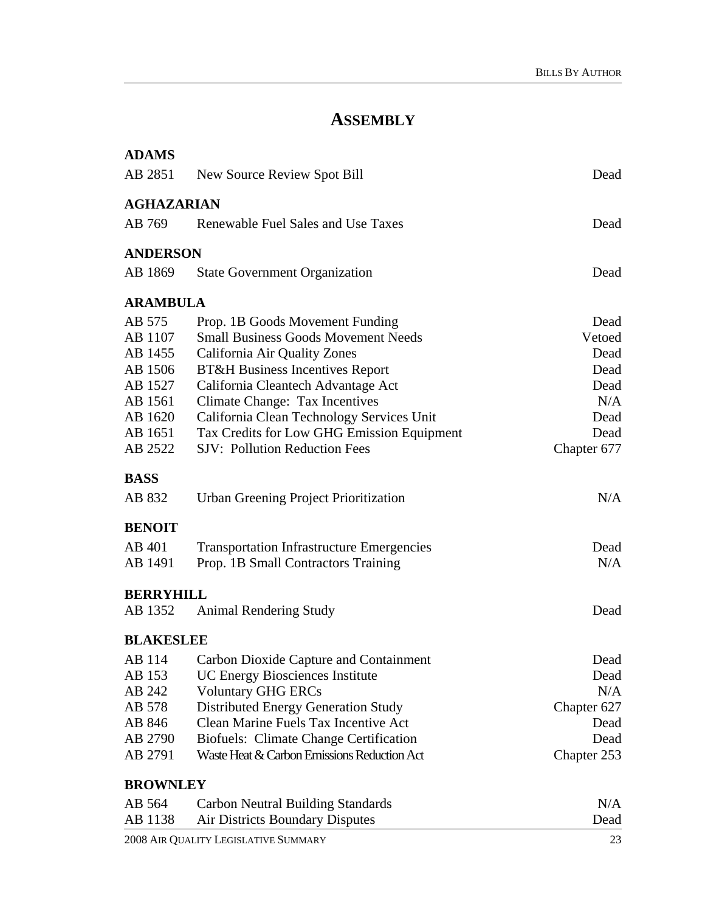# **ASSEMBLY**

| <b>ADAMS</b>                                                                                   |                                                                                                                                                                                                                                                                                                                                                                               |                                                                   |
|------------------------------------------------------------------------------------------------|-------------------------------------------------------------------------------------------------------------------------------------------------------------------------------------------------------------------------------------------------------------------------------------------------------------------------------------------------------------------------------|-------------------------------------------------------------------|
| AB 2851                                                                                        | New Source Review Spot Bill                                                                                                                                                                                                                                                                                                                                                   | Dead                                                              |
| <b>AGHAZARIAN</b>                                                                              |                                                                                                                                                                                                                                                                                                                                                                               |                                                                   |
| AB 769                                                                                         | Renewable Fuel Sales and Use Taxes                                                                                                                                                                                                                                                                                                                                            | Dead                                                              |
| <b>ANDERSON</b>                                                                                |                                                                                                                                                                                                                                                                                                                                                                               |                                                                   |
| AB 1869                                                                                        | <b>State Government Organization</b>                                                                                                                                                                                                                                                                                                                                          | Dead                                                              |
| <b>ARAMBULA</b>                                                                                |                                                                                                                                                                                                                                                                                                                                                                               |                                                                   |
| AB 575<br>AB 1107<br>AB 1455<br>AB 1506<br>AB 1527<br>AB 1561<br>AB 1620<br>AB 1651<br>AB 2522 | Prop. 1B Goods Movement Funding<br><b>Small Business Goods Movement Needs</b><br>California Air Quality Zones<br><b>BT&amp;H Business Incentives Report</b><br>California Cleantech Advantage Act<br><b>Climate Change: Tax Incentives</b><br>California Clean Technology Services Unit<br>Tax Credits for Low GHG Emission Equipment<br><b>SJV: Pollution Reduction Fees</b> | Dead<br>Vetoed<br>Dead<br>Dead<br>Dead<br>N/A<br>Dead<br>Dead     |
|                                                                                                |                                                                                                                                                                                                                                                                                                                                                                               | Chapter 677                                                       |
| <b>BASS</b><br>AB 832                                                                          | <b>Urban Greening Project Prioritization</b>                                                                                                                                                                                                                                                                                                                                  | N/A                                                               |
| <b>BENOIT</b>                                                                                  |                                                                                                                                                                                                                                                                                                                                                                               |                                                                   |
| AB 401<br>AB 1491                                                                              | <b>Transportation Infrastructure Emergencies</b><br>Prop. 1B Small Contractors Training                                                                                                                                                                                                                                                                                       | Dead<br>N/A                                                       |
| <b>BERRYHILL</b>                                                                               |                                                                                                                                                                                                                                                                                                                                                                               |                                                                   |
| AB 1352                                                                                        | <b>Animal Rendering Study</b>                                                                                                                                                                                                                                                                                                                                                 | Dead                                                              |
| <b>BLAKESLEE</b>                                                                               |                                                                                                                                                                                                                                                                                                                                                                               |                                                                   |
| AB 114<br>AB 153<br>AB 242<br>AB 578<br>AB 846<br>AB 2790<br>AB 2791                           | Carbon Dioxide Capture and Containment<br><b>UC Energy Biosciences Institute</b><br><b>Voluntary GHG ERCs</b><br><b>Distributed Energy Generation Study</b><br>Clean Marine Fuels Tax Incentive Act<br><b>Biofuels: Climate Change Certification</b><br>Waste Heat & Carbon Emissions Reduction Act                                                                           | Dead<br>Dead<br>N/A<br>Chapter 627<br>Dead<br>Dead<br>Chapter 253 |
| <b>BROWNLEY</b>                                                                                |                                                                                                                                                                                                                                                                                                                                                                               |                                                                   |
| AB 564                                                                                         | <b>Carbon Neutral Building Standards</b>                                                                                                                                                                                                                                                                                                                                      | N/A                                                               |
| AB 1138                                                                                        | <b>Air Districts Boundary Disputes</b>                                                                                                                                                                                                                                                                                                                                        | Dead                                                              |
|                                                                                                | 2008 AIR QUALITY LEGISLATIVE SUMMARY                                                                                                                                                                                                                                                                                                                                          | 23                                                                |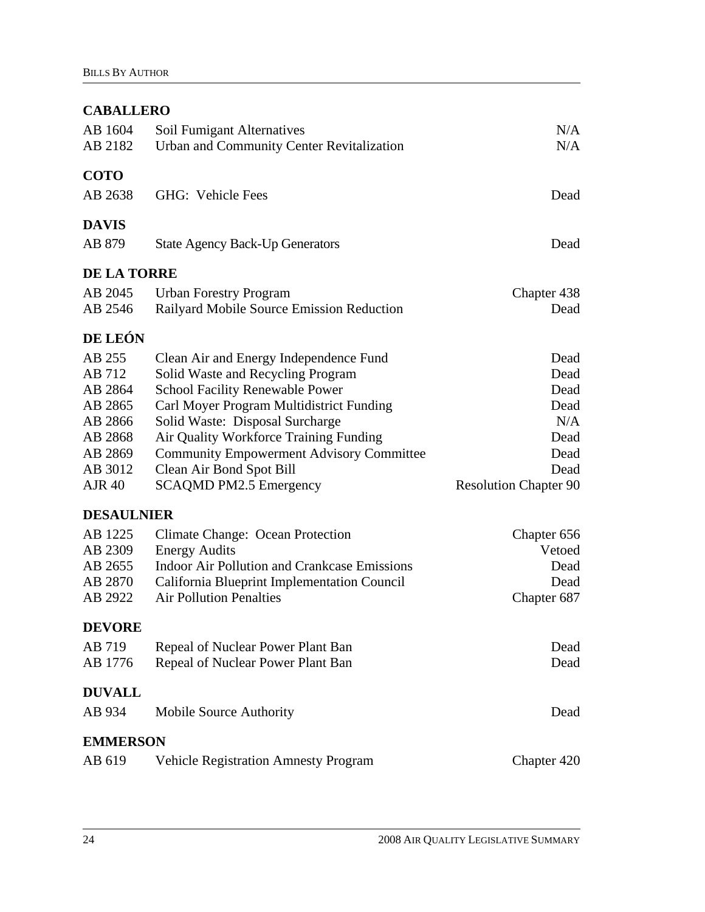## **CABALLERO**

| AB 1604<br>AB 2182 | Soil Fumigant Alternatives<br><b>Urban and Community Center Revitalization</b> | N/A<br>N/A                   |
|--------------------|--------------------------------------------------------------------------------|------------------------------|
| <b>COTO</b>        |                                                                                |                              |
| AB 2638            | GHG: Vehicle Fees                                                              | Dead                         |
| <b>DAVIS</b>       |                                                                                |                              |
| AB 879             | <b>State Agency Back-Up Generators</b>                                         | Dead                         |
| <b>DE LA TORRE</b> |                                                                                |                              |
| AB 2045            | <b>Urban Forestry Program</b>                                                  | Chapter 438                  |
| AB 2546            | Railyard Mobile Source Emission Reduction                                      | Dead                         |
| DE LEÓN            |                                                                                |                              |
| AB 255             | Clean Air and Energy Independence Fund                                         | Dead                         |
| AB 712             | Solid Waste and Recycling Program                                              | Dead                         |
| AB 2864            | <b>School Facility Renewable Power</b>                                         | Dead                         |
| AB 2865            | Carl Moyer Program Multidistrict Funding                                       | Dead                         |
| AB 2866            | Solid Waste: Disposal Surcharge                                                | N/A                          |
| AB 2868            | Air Quality Workforce Training Funding                                         | Dead                         |
| AB 2869            | <b>Community Empowerment Advisory Committee</b>                                | Dead                         |
| AB 3012            | Clean Air Bond Spot Bill                                                       | Dead                         |
| <b>AJR 40</b>      | <b>SCAQMD PM2.5 Emergency</b>                                                  | <b>Resolution Chapter 90</b> |
| <b>DESAULNIER</b>  |                                                                                |                              |
| AB 1225            | <b>Climate Change: Ocean Protection</b>                                        | Chapter 656                  |
| AB 2309            | <b>Energy Audits</b>                                                           | Vetoed                       |
| AB 2655            | Indoor Air Pollution and Crankcase Emissions                                   | Dead                         |
| AB 2870            | California Blueprint Implementation Council                                    | Dead                         |
| AB 2922            | <b>Air Pollution Penalties</b>                                                 | Chapter 687                  |
| <b>DEVORE</b>      |                                                                                |                              |
| AB 719             | Repeal of Nuclear Power Plant Ban                                              | Dead                         |
| AB 1776            | Repeal of Nuclear Power Plant Ban                                              | Dead                         |
| <b>DUVALL</b>      |                                                                                |                              |
| AB 934             | Mobile Source Authority                                                        | Dead                         |
| <b>EMMERSON</b>    |                                                                                |                              |
| AB 619             | <b>Vehicle Registration Amnesty Program</b>                                    | Chapter 420                  |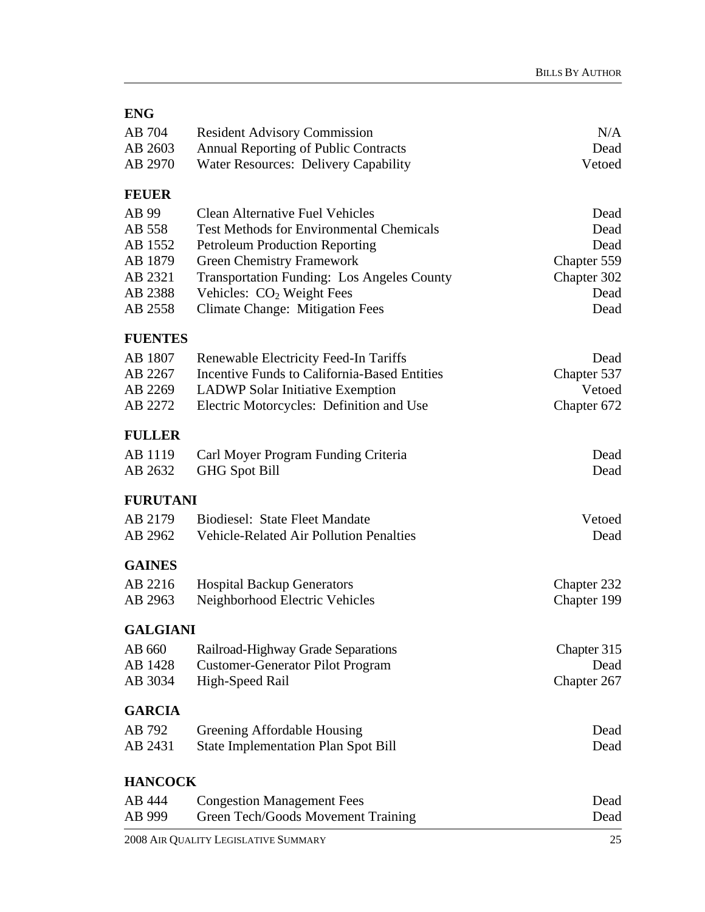| ., |
|----|
|----|

| AB 704            | <b>Resident Advisory Commission</b>                        | N/A                 |
|-------------------|------------------------------------------------------------|---------------------|
| AB 2603           | <b>Annual Reporting of Public Contracts</b>                | Dead                |
| AB 2970           | <b>Water Resources: Delivery Capability</b>                | Vetoed              |
| <b>FEUER</b>      |                                                            |                     |
| AB 99             | <b>Clean Alternative Fuel Vehicles</b>                     | Dead                |
| AB 558            | <b>Test Methods for Environmental Chemicals</b>            | Dead                |
| AB 1552           | <b>Petroleum Production Reporting</b>                      | Dead                |
| AB 1879           | <b>Green Chemistry Framework</b>                           | Chapter 559         |
| AB 2321           | <b>Transportation Funding: Los Angeles County</b>          | Chapter 302         |
| AB 2388           | Vehicles: CO <sub>2</sub> Weight Fees                      | Dead                |
| AB 2558           | Climate Change: Mitigation Fees                            | Dead                |
| <b>FUENTES</b>    |                                                            |                     |
| AB 1807           | Renewable Electricity Feed-In Tariffs                      | Dead                |
| AB 2267           | <b>Incentive Funds to California-Based Entities</b>        | Chapter 537         |
| AB 2269           | <b>LADWP Solar Initiative Exemption</b>                    | Vetoed              |
| AB 2272           | Electric Motorcycles: Definition and Use                   | Chapter 672         |
| <b>FULLER</b>     |                                                            |                     |
| AB 1119           | Carl Moyer Program Funding Criteria                        | Dead                |
| AB 2632           | <b>GHG Spot Bill</b>                                       | Dead                |
| <b>FURUTANI</b>   |                                                            |                     |
| AB 2179           | <b>Biodiesel: State Fleet Mandate</b>                      | Vetoed              |
| AB 2962           | <b>Vehicle-Related Air Pollution Penalties</b>             | Dead                |
| <b>GAINES</b>     |                                                            |                     |
| AB 2216           | <b>Hospital Backup Generators</b>                          | Chapter 232         |
| AB 2963           | Neighborhood Electric Vehicles                             | Chapter 199         |
|                   |                                                            |                     |
| <b>GALGIANI</b>   |                                                            |                     |
| AB 660<br>AB 1428 | Railroad-Highway Grade Separations                         | Chapter 315<br>Dead |
| AB 3034           | <b>Customer-Generator Pilot Program</b><br>High-Speed Rail | Chapter 267         |
|                   |                                                            |                     |
| <b>GARCIA</b>     |                                                            |                     |
| AB 792            | Greening Affordable Housing                                | Dead                |
| AB 2431           | <b>State Implementation Plan Spot Bill</b>                 | Dead                |
| <b>HANCOCK</b>    |                                                            |                     |
| AB 444            | <b>Congestion Management Fees</b>                          | Dead                |
| AB 999            | Green Tech/Goods Movement Training                         | Dead                |
|                   | 2008 AIR QUALITY LEGISLATIVE SUMMARY                       | 25                  |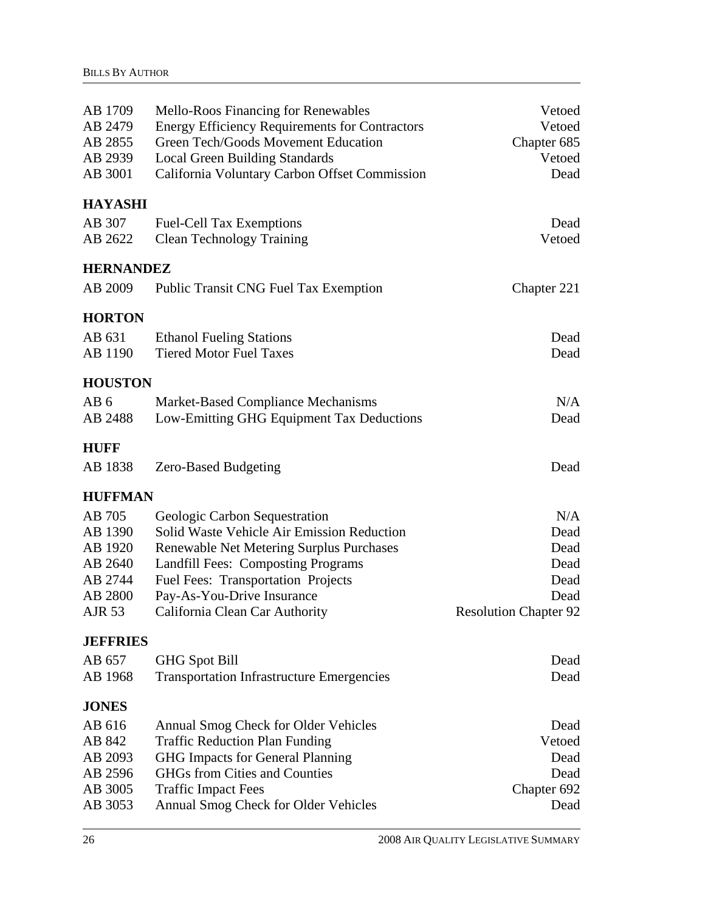| AB 1709<br>AB 2479<br>AB 2855<br>AB 2939<br>AB 3001                     | Mello-Roos Financing for Renewables<br><b>Energy Efficiency Requirements for Contractors</b><br>Green Tech/Goods Movement Education<br><b>Local Green Building Standards</b><br>California Voluntary Carbon Offset Commission                                              | Vetoed<br>Vetoed<br>Chapter 685<br>Vetoed<br>Dead                           |
|-------------------------------------------------------------------------|----------------------------------------------------------------------------------------------------------------------------------------------------------------------------------------------------------------------------------------------------------------------------|-----------------------------------------------------------------------------|
| <b>HAYASHI</b>                                                          |                                                                                                                                                                                                                                                                            |                                                                             |
| AB 307<br>AB 2622                                                       | <b>Fuel-Cell Tax Exemptions</b><br><b>Clean Technology Training</b>                                                                                                                                                                                                        | Dead<br>Vetoed                                                              |
| <b>HERNANDEZ</b>                                                        |                                                                                                                                                                                                                                                                            |                                                                             |
| AB 2009                                                                 | <b>Public Transit CNG Fuel Tax Exemption</b>                                                                                                                                                                                                                               | Chapter 221                                                                 |
| <b>HORTON</b>                                                           |                                                                                                                                                                                                                                                                            |                                                                             |
| AB 631<br>AB 1190                                                       | <b>Ethanol Fueling Stations</b><br><b>Tiered Motor Fuel Taxes</b>                                                                                                                                                                                                          | Dead<br>Dead                                                                |
| <b>HOUSTON</b>                                                          |                                                                                                                                                                                                                                                                            |                                                                             |
| AB <sub>6</sub><br>AB 2488                                              | Market-Based Compliance Mechanisms<br>Low-Emitting GHG Equipment Tax Deductions                                                                                                                                                                                            | N/A<br>Dead                                                                 |
| <b>HUFF</b>                                                             |                                                                                                                                                                                                                                                                            |                                                                             |
| AB 1838                                                                 | <b>Zero-Based Budgeting</b>                                                                                                                                                                                                                                                | Dead                                                                        |
| <b>HUFFMAN</b>                                                          |                                                                                                                                                                                                                                                                            |                                                                             |
| AB 705<br>AB 1390<br>AB 1920<br>AB 2640<br>AB 2744<br>AB 2800<br>AJR 53 | Geologic Carbon Sequestration<br>Solid Waste Vehicle Air Emission Reduction<br>Renewable Net Metering Surplus Purchases<br><b>Landfill Fees: Composting Programs</b><br>Fuel Fees: Transportation Projects<br>Pay-As-You-Drive Insurance<br>California Clean Car Authority | N/A<br>Dead<br>Dead<br>Dead<br>Dead<br>Dead<br><b>Resolution Chapter 92</b> |
| <b>JEFFRIES</b>                                                         |                                                                                                                                                                                                                                                                            |                                                                             |
| AB 657<br>AB 1968                                                       | <b>GHG Spot Bill</b><br><b>Transportation Infrastructure Emergencies</b>                                                                                                                                                                                                   | Dead<br>Dead                                                                |
| <b>JONES</b>                                                            |                                                                                                                                                                                                                                                                            |                                                                             |
| AB 616<br>AB 842<br>AB 2093<br>AB 2596<br>AB 3005<br>AB 3053            | Annual Smog Check for Older Vehicles<br><b>Traffic Reduction Plan Funding</b><br><b>GHG</b> Impacts for General Planning<br><b>GHGs from Cities and Counties</b><br><b>Traffic Impact Fees</b><br>Annual Smog Check for Older Vehicles                                     | Dead<br>Vetoed<br>Dead<br>Dead<br>Chapter 692<br>Dead                       |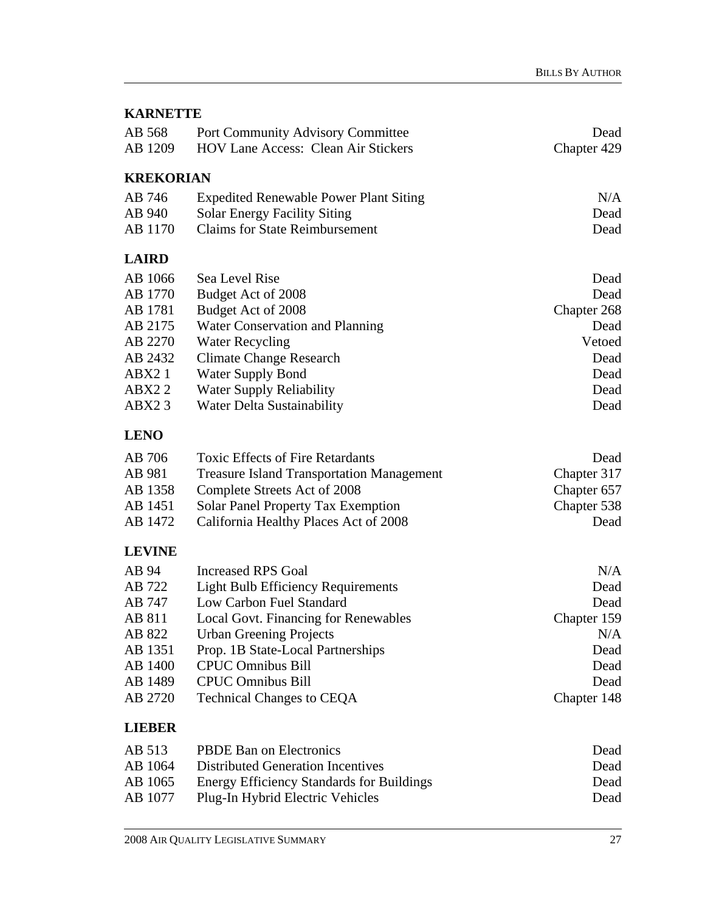| <b>KARNETTE</b>    |                                                                                        |                     |
|--------------------|----------------------------------------------------------------------------------------|---------------------|
| AB 568<br>AB 1209  | <b>Port Community Advisory Committee</b><br><b>HOV Lane Access: Clean Air Stickers</b> | Dead<br>Chapter 429 |
| <b>KREKORIAN</b>   |                                                                                        |                     |
| AB 746             | <b>Expedited Renewable Power Plant Siting</b>                                          | N/A                 |
| AB 940             | <b>Solar Energy Facility Siting</b>                                                    | Dead                |
| AB 1170            | <b>Claims for State Reimbursement</b>                                                  | Dead                |
| <b>LAIRD</b>       |                                                                                        |                     |
| AB 1066            | Sea Level Rise                                                                         | Dead                |
| AB 1770            | Budget Act of 2008                                                                     | Dead                |
| AB 1781            | Budget Act of 2008                                                                     | Chapter 268         |
| AB 2175            | Water Conservation and Planning                                                        | Dead                |
| AB 2270            | <b>Water Recycling</b>                                                                 | Vetoed              |
| AB 2432            | <b>Climate Change Research</b>                                                         | Dead                |
| ABX21              | <b>Water Supply Bond</b>                                                               | Dead                |
| ABX <sub>22</sub>  | Water Supply Reliability                                                               | Dead                |
| ABX <sub>2</sub> 3 | Water Delta Sustainability                                                             | Dead                |
| <b>LENO</b>        |                                                                                        |                     |
| AB 706             | <b>Toxic Effects of Fire Retardants</b>                                                | Dead                |
| AB 981             | <b>Treasure Island Transportation Management</b>                                       | Chapter 317         |
| AB 1358            | Complete Streets Act of 2008                                                           | Chapter 657         |
| AB 1451            | <b>Solar Panel Property Tax Exemption</b>                                              | Chapter 538         |
| AB 1472            | California Healthy Places Act of 2008                                                  | Dead                |
| <b>LEVINE</b>      |                                                                                        |                     |
| AB 94              | <b>Increased RPS Goal</b>                                                              | N/A                 |
| AB 722             | <b>Light Bulb Efficiency Requirements</b>                                              | Dead                |
| AB 747             | Low Carbon Fuel Standard                                                               | Dead                |
| AB 811             | <b>Local Govt. Financing for Renewables</b>                                            | Chapter 159         |
| AB 822             | <b>Urban Greening Projects</b>                                                         | N/A                 |
| AB 1351            | Prop. 1B State-Local Partnerships                                                      | Dead                |
| AB 1400            | <b>CPUC Omnibus Bill</b>                                                               | Dead                |
| AB 1489            | <b>CPUC Omnibus Bill</b>                                                               | Dead                |
| AB 2720            | <b>Technical Changes to CEQA</b>                                                       | Chapter 148         |
| <b>LIEBER</b>      |                                                                                        |                     |
| AB 513             | <b>PBDE Ban on Electronics</b>                                                         | Dead                |
| AB 1064            | <b>Distributed Generation Incentives</b>                                               | Dead                |
| AB 1065            | <b>Energy Efficiency Standards for Buildings</b>                                       | Dead                |
| AB 1077            | Plug-In Hybrid Electric Vehicles                                                       | Dead                |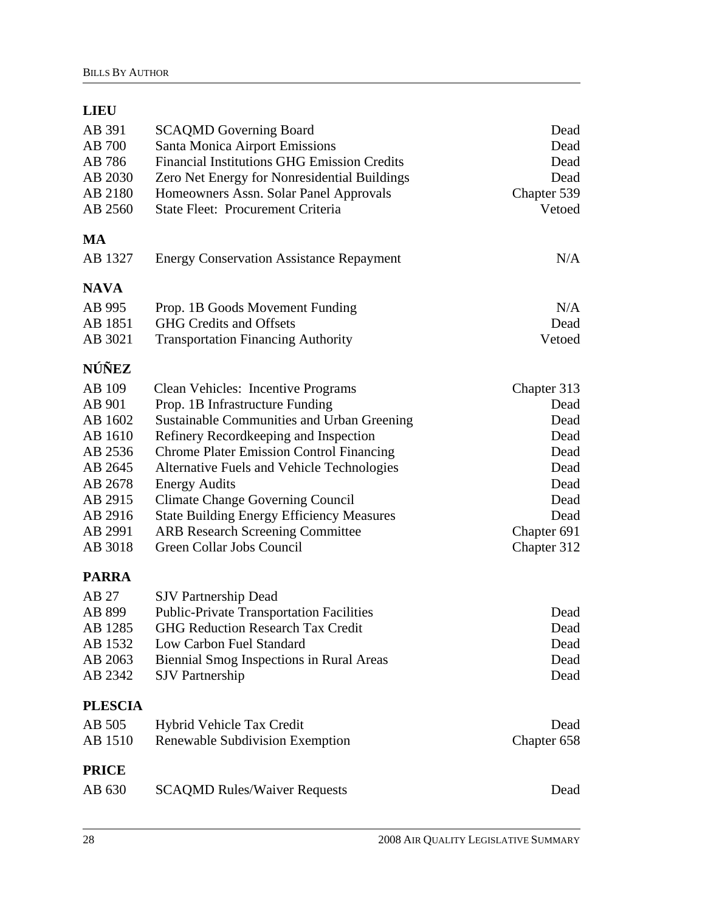## **LIEU**

| AB 391         | <b>SCAQMD Governing Board</b>                      | Dead        |
|----------------|----------------------------------------------------|-------------|
| AB 700         | <b>Santa Monica Airport Emissions</b>              | Dead        |
| AB 786         | <b>Financial Institutions GHG Emission Credits</b> | Dead        |
| AB 2030        | Zero Net Energy for Nonresidential Buildings       | Dead        |
| AB 2180        | Homeowners Assn. Solar Panel Approvals             | Chapter 539 |
| AB 2560        | State Fleet: Procurement Criteria                  | Vetoed      |
| <b>MA</b>      |                                                    |             |
| AB 1327        | <b>Energy Conservation Assistance Repayment</b>    | N/A         |
| <b>NAVA</b>    |                                                    |             |
| AB 995         | Prop. 1B Goods Movement Funding                    | N/A         |
| AB 1851        | <b>GHG Credits and Offsets</b>                     | Dead        |
| AB 3021        | <b>Transportation Financing Authority</b>          | Vetoed      |
| NÚÑEZ          |                                                    |             |
| AB 109         | Clean Vehicles: Incentive Programs                 | Chapter 313 |
| AB 901         | Prop. 1B Infrastructure Funding                    | Dead        |
| AB 1602        | <b>Sustainable Communities and Urban Greening</b>  | Dead        |
| AB 1610        | Refinery Recordkeeping and Inspection              | Dead        |
| AB 2536        | <b>Chrome Plater Emission Control Financing</b>    | Dead        |
| AB 2645        | Alternative Fuels and Vehicle Technologies         | Dead        |
| AB 2678        | <b>Energy Audits</b>                               | Dead        |
| AB 2915        | <b>Climate Change Governing Council</b>            | Dead        |
| AB 2916        | <b>State Building Energy Efficiency Measures</b>   | Dead        |
| AB 2991        | <b>ARB Research Screening Committee</b>            | Chapter 691 |
| AB 3018        | Green Collar Jobs Council                          | Chapter 312 |
| <b>PARRA</b>   |                                                    |             |
| AB 27          | <b>SJV Partnership Dead</b>                        |             |
| AB 899         | <b>Public-Private Transportation Facilities</b>    | Dead        |
| AB 1285        | <b>GHG Reduction Research Tax Credit</b>           | Dead        |
| AB 1532        | Low Carbon Fuel Standard                           | Dead        |
| AB 2063        | <b>Biennial Smog Inspections in Rural Areas</b>    | Dead        |
| AB 2342        | <b>SJV</b> Partnership                             | Dead        |
| <b>PLESCIA</b> |                                                    |             |
| AB 505         | Hybrid Vehicle Tax Credit                          | Dead        |
| AB 1510        | Renewable Subdivision Exemption                    | Chapter 658 |
| <b>PRICE</b>   |                                                    |             |
| AB 630         | <b>SCAQMD Rules/Waiver Requests</b>                | Dead        |
|                |                                                    |             |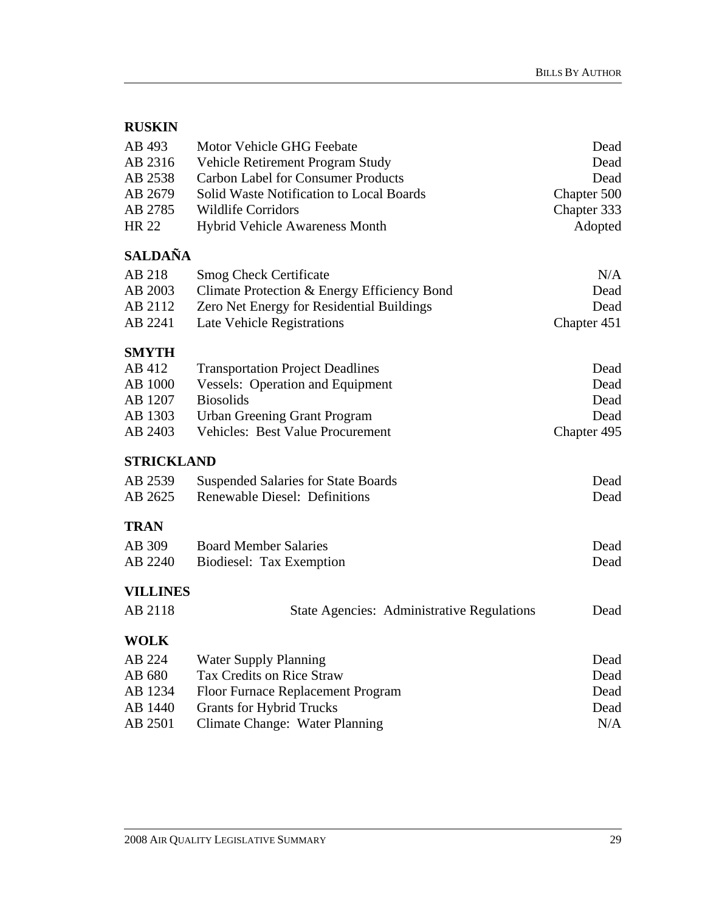## **RUSKIN**

| AB 493<br>AB 2316<br>AB 2538<br>AB 2679<br>AB 2785<br><b>HR 22</b> | Motor Vehicle GHG Feebate<br>Vehicle Retirement Program Study<br><b>Carbon Label for Consumer Products</b><br>Solid Waste Notification to Local Boards<br><b>Wildlife Corridors</b><br><b>Hybrid Vehicle Awareness Month</b> | Dead<br>Dead<br>Dead<br>Chapter 500<br>Chapter 333<br>Adopted |
|--------------------------------------------------------------------|------------------------------------------------------------------------------------------------------------------------------------------------------------------------------------------------------------------------------|---------------------------------------------------------------|
| <b>SALDAÑA</b>                                                     |                                                                                                                                                                                                                              |                                                               |
| AB 218                                                             | <b>Smog Check Certificate</b>                                                                                                                                                                                                | N/A                                                           |
| AB 2003                                                            | Climate Protection & Energy Efficiency Bond                                                                                                                                                                                  | Dead                                                          |
| AB 2112                                                            | Zero Net Energy for Residential Buildings                                                                                                                                                                                    | Dead                                                          |
| AB 2241                                                            | Late Vehicle Registrations                                                                                                                                                                                                   | Chapter 451                                                   |
| <b>SMYTH</b>                                                       |                                                                                                                                                                                                                              |                                                               |
| AB 412                                                             | <b>Transportation Project Deadlines</b>                                                                                                                                                                                      | Dead                                                          |
| AB 1000                                                            | <b>Vessels: Operation and Equipment</b>                                                                                                                                                                                      | Dead                                                          |
| AB 1207                                                            | <b>Biosolids</b>                                                                                                                                                                                                             | Dead                                                          |
| AB 1303                                                            | <b>Urban Greening Grant Program</b>                                                                                                                                                                                          | Dead                                                          |
| AB 2403                                                            | <b>Vehicles: Best Value Procurement</b>                                                                                                                                                                                      | Chapter 495                                                   |
| <b>STRICKLAND</b>                                                  |                                                                                                                                                                                                                              |                                                               |
| AB 2539                                                            | <b>Suspended Salaries for State Boards</b>                                                                                                                                                                                   | Dead                                                          |
| AB 2625                                                            | <b>Renewable Diesel: Definitions</b>                                                                                                                                                                                         | Dead                                                          |
| <b>TRAN</b>                                                        |                                                                                                                                                                                                                              |                                                               |
| AB 309                                                             | <b>Board Member Salaries</b>                                                                                                                                                                                                 | Dead                                                          |
| AB 2240                                                            | Biodiesel: Tax Exemption                                                                                                                                                                                                     | Dead                                                          |
| <b>VILLINES</b>                                                    |                                                                                                                                                                                                                              |                                                               |
| AB 2118                                                            | <b>State Agencies: Administrative Regulations</b>                                                                                                                                                                            | Dead                                                          |
| <b>WOLK</b>                                                        |                                                                                                                                                                                                                              |                                                               |
| AB 224                                                             | <b>Water Supply Planning</b>                                                                                                                                                                                                 | Dead                                                          |
| AB 680                                                             | Tax Credits on Rice Straw                                                                                                                                                                                                    | Dead                                                          |
| AB 1234                                                            | Floor Furnace Replacement Program                                                                                                                                                                                            | Dead                                                          |
| AB 1440                                                            | <b>Grants for Hybrid Trucks</b>                                                                                                                                                                                              | Dead                                                          |
| AB 2501                                                            | Climate Change: Water Planning                                                                                                                                                                                               | N/A                                                           |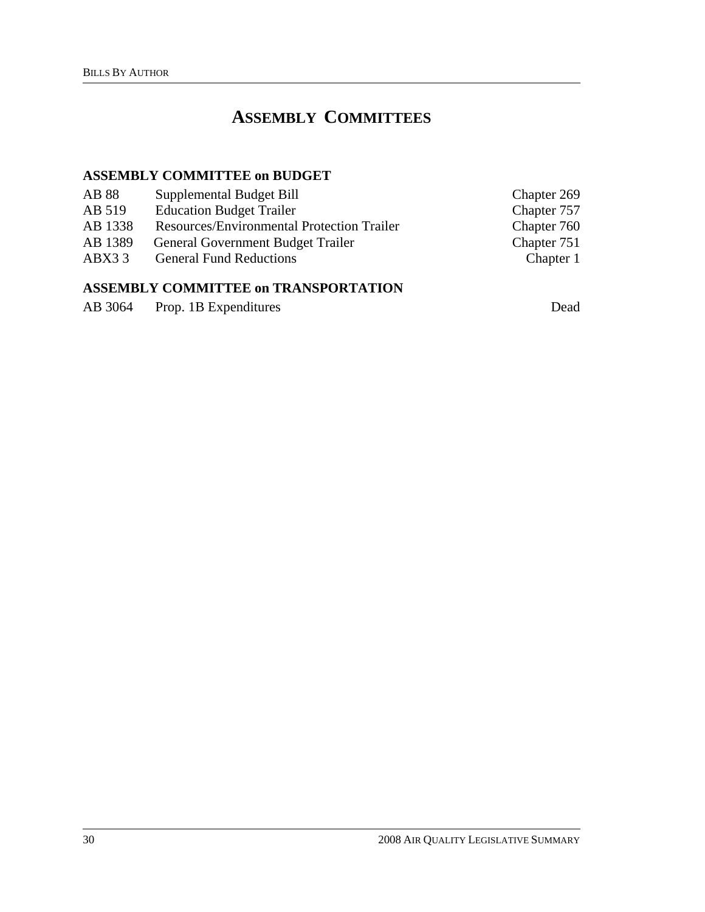# **ASSEMBLY COMMITTEES**

## **ASSEMBLY COMMITTEE on BUDGET**

| AB 88   | Supplemental Budget Bill                          | Chapter 269 |
|---------|---------------------------------------------------|-------------|
| AB 519  | <b>Education Budget Trailer</b>                   | Chapter 757 |
| AB 1338 | <b>Resources/Environmental Protection Trailer</b> | Chapter 760 |
| AB 1389 | <b>General Government Budget Trailer</b>          | Chapter 751 |
| ABX33   | <b>General Fund Reductions</b>                    | Chapter 1   |
|         |                                                   |             |

## **ASSEMBLY COMMITTEE on TRANSPORTATION**

|  | AB 3064 Prop. 1B Expenditures | Dead |
|--|-------------------------------|------|
|--|-------------------------------|------|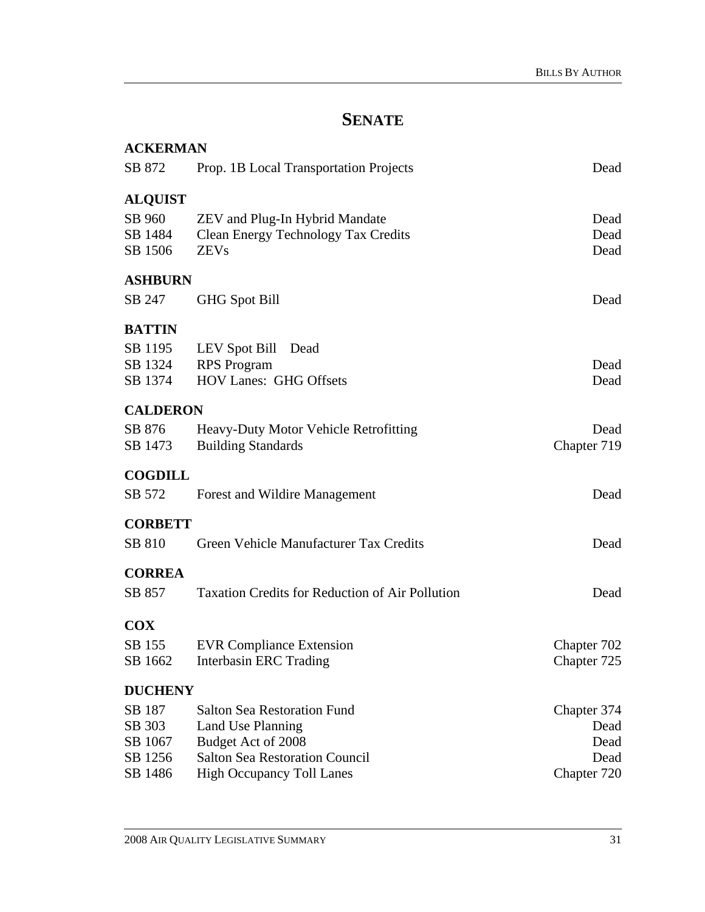# **SENATE**

| <b>ACKERMAN</b> |                                                        |             |  |  |
|-----------------|--------------------------------------------------------|-------------|--|--|
| SB 872          | Prop. 1B Local Transportation Projects                 |             |  |  |
| <b>ALQUIST</b>  |                                                        |             |  |  |
| SB 960          | <b>ZEV</b> and Plug-In Hybrid Mandate                  | Dead        |  |  |
| SB 1484         | <b>Clean Energy Technology Tax Credits</b>             | Dead        |  |  |
| SB 1506         | <b>ZEVs</b>                                            | Dead        |  |  |
| <b>ASHBURN</b>  |                                                        |             |  |  |
| SB 247          | <b>GHG Spot Bill</b>                                   | Dead        |  |  |
| <b>BATTIN</b>   |                                                        |             |  |  |
| SB 1195         | LEV Spot Bill Dead                                     |             |  |  |
| SB 1324         | <b>RPS</b> Program                                     | Dead        |  |  |
| SB 1374         | <b>HOV Lanes: GHG Offsets</b>                          | Dead        |  |  |
| <b>CALDERON</b> |                                                        |             |  |  |
| SB 876          | Heavy-Duty Motor Vehicle Retrofitting                  | Dead        |  |  |
| SB 1473         | <b>Building Standards</b>                              | Chapter 719 |  |  |
| <b>COGDILL</b>  |                                                        |             |  |  |
| SB 572          | Forest and Wildire Management                          | Dead        |  |  |
| <b>CORBETT</b>  |                                                        |             |  |  |
| SB 810          | Green Vehicle Manufacturer Tax Credits                 | Dead        |  |  |
| <b>CORREA</b>   |                                                        |             |  |  |
| SB 857          | <b>Taxation Credits for Reduction of Air Pollution</b> | Dead        |  |  |
| <b>COX</b>      |                                                        |             |  |  |
| SB 155          | <b>EVR Compliance Extension</b>                        | Chapter 702 |  |  |
| SB 1662         | <b>Interbasin ERC Trading</b>                          | Chapter 725 |  |  |
|                 |                                                        |             |  |  |
| <b>DUCHENY</b>  |                                                        |             |  |  |
| SB 187          | <b>Salton Sea Restoration Fund</b>                     | Chapter 374 |  |  |
| SB 303          | Land Use Planning                                      | Dead        |  |  |
| SB 1067         | Budget Act of 2008                                     | Dead        |  |  |
| SB 1256         | <b>Salton Sea Restoration Council</b>                  | Dead        |  |  |
| SB 1486         | <b>High Occupancy Toll Lanes</b>                       | Chapter 720 |  |  |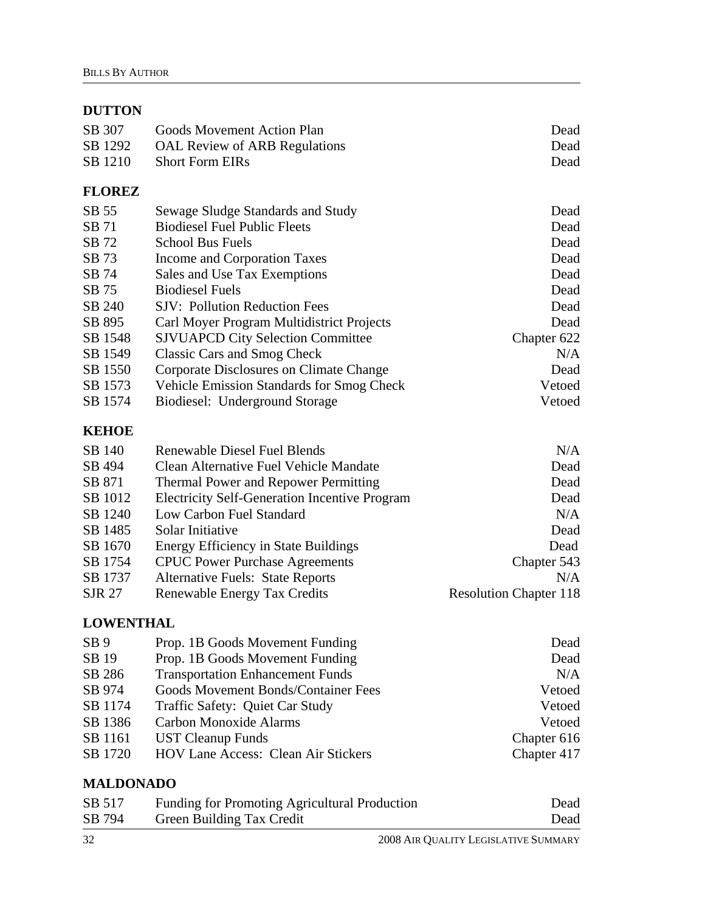# **DUTTON**

| SB 307           | Goods Movement Action Plan                           | Dead                          |  |
|------------------|------------------------------------------------------|-------------------------------|--|
| SB 1292          | <b>OAL Review of ARB Regulations</b>                 | Dead                          |  |
| SB 1210          | <b>Short Form EIRs</b>                               |                               |  |
| <b>FLOREZ</b>    |                                                      |                               |  |
| SB 55            | Sewage Sludge Standards and Study                    | Dead                          |  |
| SB 71            | <b>Biodiesel Fuel Public Fleets</b>                  | Dead                          |  |
| SB 72            | <b>School Bus Fuels</b>                              | Dead                          |  |
| SB 73            | Income and Corporation Taxes                         | Dead                          |  |
| SB 74            | Sales and Use Tax Exemptions                         | Dead                          |  |
| SB 75            | <b>Biodiesel Fuels</b>                               | Dead                          |  |
| SB 240           | <b>SJV: Pollution Reduction Fees</b>                 | Dead                          |  |
| SB 895           | Carl Moyer Program Multidistrict Projects            | Dead                          |  |
| SB 1548          | <b>SJVUAPCD City Selection Committee</b>             | Chapter 622                   |  |
| SB 1549          | <b>Classic Cars and Smog Check</b>                   | N/A                           |  |
| SB 1550          | Corporate Disclosures on Climate Change              | Dead                          |  |
| SB 1573          | Vehicle Emission Standards for Smog Check            | Vetoed                        |  |
| SB 1574          | Biodiesel: Underground Storage                       | Vetoed                        |  |
| <b>KEHOE</b>     |                                                      |                               |  |
| SB 140           | <b>Renewable Diesel Fuel Blends</b>                  | N/A                           |  |
| SB 494           | Clean Alternative Fuel Vehicle Mandate               | Dead                          |  |
| SB 871           | <b>Thermal Power and Repower Permitting</b>          | Dead                          |  |
| SB 1012          | <b>Electricity Self-Generation Incentive Program</b> | Dead                          |  |
| SB 1240          | Low Carbon Fuel Standard                             | N/A                           |  |
| SB 1485          | Solar Initiative                                     | Dead                          |  |
| SB 1670          | <b>Energy Efficiency in State Buildings</b>          | Dead                          |  |
| SB 1754          | <b>CPUC Power Purchase Agreements</b>                | Chapter 543                   |  |
| SB 1737          | <b>Alternative Fuels: State Reports</b>              | N/A                           |  |
| <b>SJR 27</b>    | Renewable Energy Tax Credits                         | <b>Resolution Chapter 118</b> |  |
| <b>LOWENTHAL</b> |                                                      |                               |  |
| SB <sub>9</sub>  | Prop. 1B Goods Movement Funding                      | Dead                          |  |
| SB 19            | Prop. 1B Goods Movement Funding                      | Dead                          |  |
| SB 286           | <b>Transportation Enhancement Funds</b>              | N/A                           |  |
| SB 974           | <b>Goods Movement Bonds/Container Fees</b>           | Vetoed                        |  |
| SB 1174          | Traffic Safety: Quiet Car Study                      | Vetoed                        |  |
| SB 1386          | <b>Carbon Monoxide Alarms</b>                        | Vetoed                        |  |
| SB 1161          | <b>UST Cleanup Funds</b>                             | Chapter 616                   |  |
| SB 1720          | <b>HOV Lane Access: Clean Air Stickers</b>           | Chapter 417                   |  |
| <b>MALDONADO</b> |                                                      |                               |  |
| SB 517           | Funding for Promoting Agricultural Production        | Dead                          |  |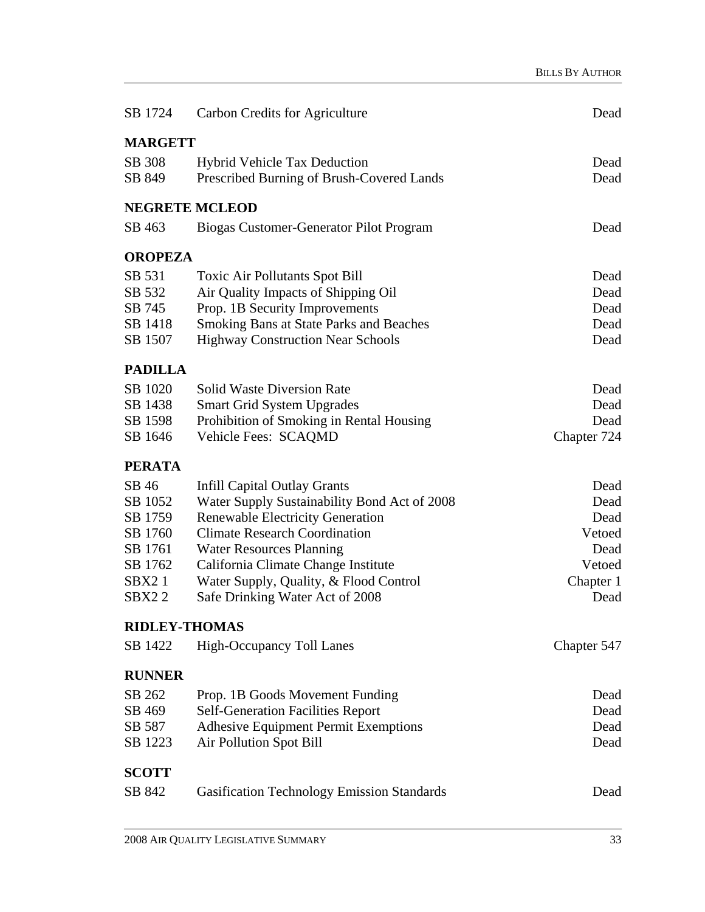| SB 1724               | Carbon Credits for Agriculture                                                   | Dead         |  |  |
|-----------------------|----------------------------------------------------------------------------------|--------------|--|--|
| <b>MARGETT</b>        |                                                                                  |              |  |  |
| SB 308<br>SB 849      | <b>Hybrid Vehicle Tax Deduction</b><br>Prescribed Burning of Brush-Covered Lands | Dead<br>Dead |  |  |
| <b>NEGRETE MCLEOD</b> |                                                                                  |              |  |  |
| SB 463                | Biogas Customer-Generator Pilot Program                                          | Dead         |  |  |
|                       |                                                                                  |              |  |  |
| <b>OROPEZA</b>        |                                                                                  |              |  |  |
| SB 531                | Toxic Air Pollutants Spot Bill                                                   | Dead         |  |  |
| SB 532                | Air Quality Impacts of Shipping Oil<br>Dead                                      |              |  |  |
| SB 745                | Prop. 1B Security Improvements                                                   | Dead         |  |  |
| SB 1418               | <b>Smoking Bans at State Parks and Beaches</b>                                   | Dead         |  |  |
| SB 1507               | <b>Highway Construction Near Schools</b>                                         | Dead         |  |  |
| <b>PADILLA</b>        |                                                                                  |              |  |  |
| SB 1020               | <b>Solid Waste Diversion Rate</b>                                                | Dead         |  |  |
| SB 1438               | <b>Smart Grid System Upgrades</b>                                                | Dead         |  |  |
| SB 1598               | Prohibition of Smoking in Rental Housing                                         | Dead         |  |  |
| SB 1646               | Vehicle Fees: SCAQMD                                                             | Chapter 724  |  |  |
| <b>PERATA</b>         |                                                                                  |              |  |  |
| SB 46                 | <b>Infill Capital Outlay Grants</b>                                              | Dead         |  |  |
| SB 1052               | Water Supply Sustainability Bond Act of 2008<br>Dead                             |              |  |  |
| SB 1759               | <b>Renewable Electricity Generation</b>                                          | Dead         |  |  |
| SB 1760               | <b>Climate Research Coordination</b>                                             | Vetoed       |  |  |
| SB 1761               | <b>Water Resources Planning</b>                                                  | Dead         |  |  |
| SB 1762               | California Climate Change Institute                                              | Vetoed       |  |  |
| <b>SBX21</b>          | Water Supply, Quality, & Flood Control                                           | Chapter 1    |  |  |
| SBX22                 | Safe Drinking Water Act of 2008                                                  | Dead         |  |  |
| <b>RIDLEY-THOMAS</b>  |                                                                                  |              |  |  |
| SB 1422               | High-Occupancy Toll Lanes                                                        | Chapter 547  |  |  |
| <b>RUNNER</b>         |                                                                                  |              |  |  |
| SB 262                | Prop. 1B Goods Movement Funding                                                  | Dead         |  |  |
| SB 469                | <b>Self-Generation Facilities Report</b>                                         | Dead         |  |  |
| SB 587                | <b>Adhesive Equipment Permit Exemptions</b>                                      | Dead         |  |  |
| SB 1223               | Air Pollution Spot Bill                                                          | Dead         |  |  |
| <b>SCOTT</b>          |                                                                                  |              |  |  |
| SB 842                | <b>Gasification Technology Emission Standards</b>                                | Dead         |  |  |
|                       |                                                                                  |              |  |  |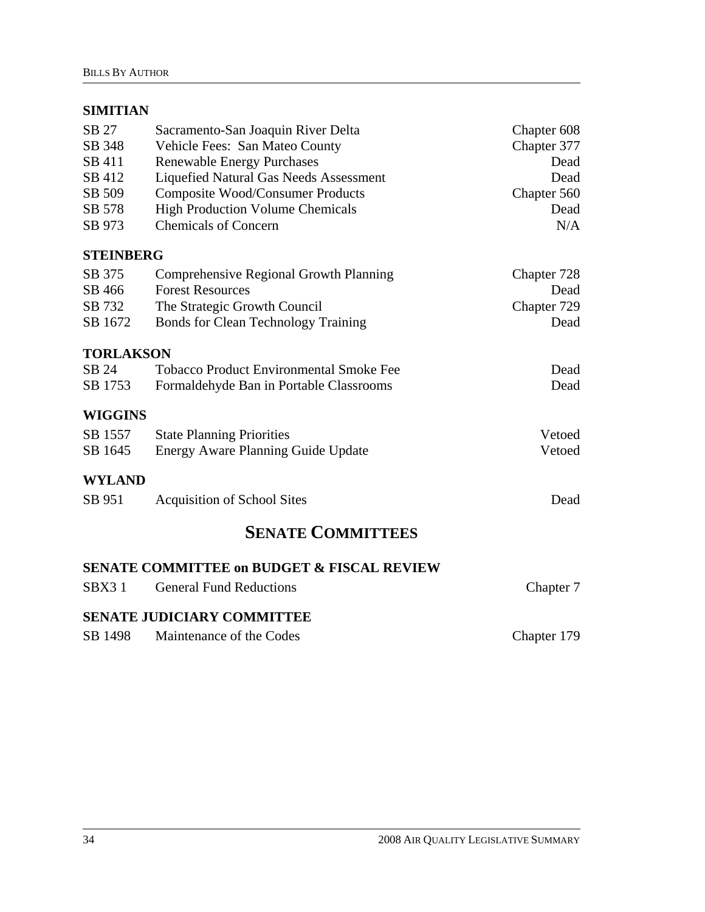#### **SIMITIAN**

| SB 27            | Sacramento-San Joaquin River Delta<br>Chapter 608     |             |  |  |
|------------------|-------------------------------------------------------|-------------|--|--|
| SB 348           | Chapter 377<br>Vehicle Fees: San Mateo County         |             |  |  |
| SB 411           | <b>Renewable Energy Purchases</b>                     |             |  |  |
| SB 412           | <b>Liquefied Natural Gas Needs Assessment</b>         | Dead        |  |  |
| SB 509           | <b>Composite Wood/Consumer Products</b>               | Chapter 560 |  |  |
| SB 578           | <b>High Production Volume Chemicals</b>               | Dead        |  |  |
| SB 973           | <b>Chemicals of Concern</b>                           | N/A         |  |  |
| <b>STEINBERG</b> |                                                       |             |  |  |
| SB 375           | Comprehensive Regional Growth Planning                | Chapter 728 |  |  |
| SB 466           | <b>Forest Resources</b>                               | Dead        |  |  |
| SB 732           | The Strategic Growth Council                          | Chapter 729 |  |  |
| SB 1672          | Bonds for Clean Technology Training                   | Dead        |  |  |
| <b>TORLAKSON</b> |                                                       |             |  |  |
| SB 24            | <b>Tobacco Product Environmental Smoke Fee</b>        | Dead        |  |  |
| SB 1753          | Formaldehyde Ban in Portable Classrooms               | Dead        |  |  |
| <b>WIGGINS</b>   |                                                       |             |  |  |
| SB 1557          | <b>State Planning Priorities</b>                      | Vetoed      |  |  |
| SB 1645          | <b>Energy Aware Planning Guide Update</b>             | Vetoed      |  |  |
| <b>WYLAND</b>    |                                                       |             |  |  |
| SB 951           | <b>Acquisition of School Sites</b>                    | Dead        |  |  |
|                  | <b>SENATE COMMITTEES</b>                              |             |  |  |
|                  | <b>SENATE COMMITTEE on BUDGET &amp; FISCAL REVIEW</b> |             |  |  |
| SBX31            | Chapter 7                                             |             |  |  |
|                  | <b>General Fund Reductions</b>                        |             |  |  |
|                  | <b>SENATE JUDICIARY COMMITTEE</b>                     |             |  |  |

SB 1498 Maintenance of the Codes Chapter 179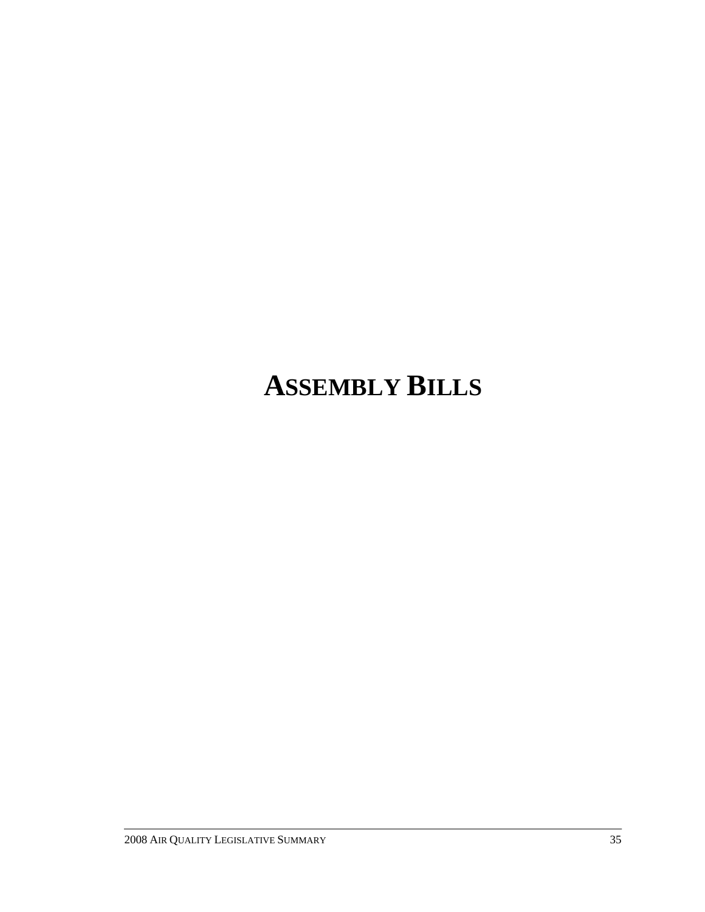# **ASSEMBLY BILLS**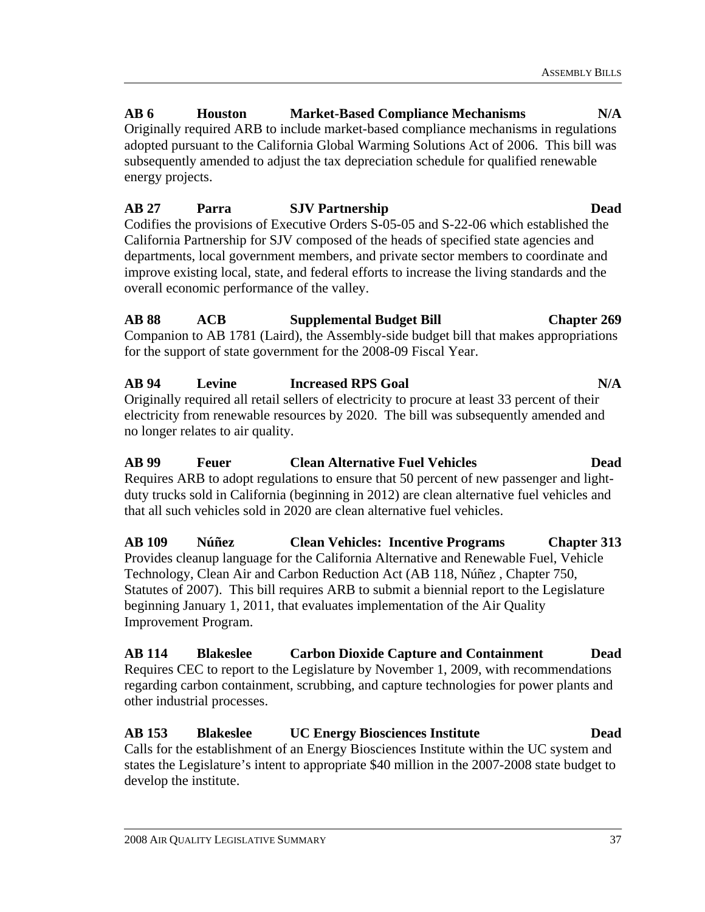**AB 6 Houston Market-Based Compliance Mechanisms N/A**  Originally required ARB to include market-based compliance mechanisms in regulations adopted pursuant to the California Global Warming Solutions Act of 2006. This bill was subsequently amended to adjust the tax depreciation schedule for qualified renewable energy projects.

**AB 27 Parra SJV Partnership Dead**  Codifies the provisions of Executive Orders S-05-05 and S-22-06 which established the California Partnership for SJV composed of the heads of specified state agencies and departments, local government members, and private sector members to coordinate and improve existing local, state, and federal efforts to increase the living standards and the overall economic performance of the valley.

#### **AB 88 ACB Supplemental Budget Bill Chapter 269**  Companion to AB 1781 (Laird), the Assembly-side budget bill that makes appropriations for the support of state government for the 2008-09 Fiscal Year.

# **AB 94 Levine Increased RPS Goal N/A**

Originally required all retail sellers of electricity to procure at least 33 percent of their electricity from renewable resources by 2020. The bill was subsequently amended and no longer relates to air quality.

**AB 99 Feuer Clean Alternative Fuel Vehicles Dead** 

Requires ARB to adopt regulations to ensure that 50 percent of new passenger and lightduty trucks sold in California (beginning in 2012) are clean alternative fuel vehicles and that all such vehicles sold in 2020 are clean alternative fuel vehicles.

**AB 109 Núñez Clean Vehicles: Incentive Programs Chapter 313**  Provides cleanup language for the California Alternative and Renewable Fuel, Vehicle Technology, Clean Air and Carbon Reduction Act (AB 118, Núñez , Chapter 750, Statutes of 2007). This bill requires ARB to submit a biennial report to the Legislature beginning January 1, 2011, that evaluates implementation of the Air Quality Improvement Program.

#### **AB 114 Blakeslee Carbon Dioxide Capture and Containment Dead**

Requires CEC to report to the Legislature by November 1, 2009, with recommendations regarding carbon containment, scrubbing, and capture technologies for power plants and other industrial processes.

### **AB 153 Blakeslee UC Energy Biosciences Institute Dead**

Calls for the establishment of an Energy Biosciences Institute within the UC system and states the Legislature's intent to appropriate \$40 million in the 2007-2008 state budget to develop the institute.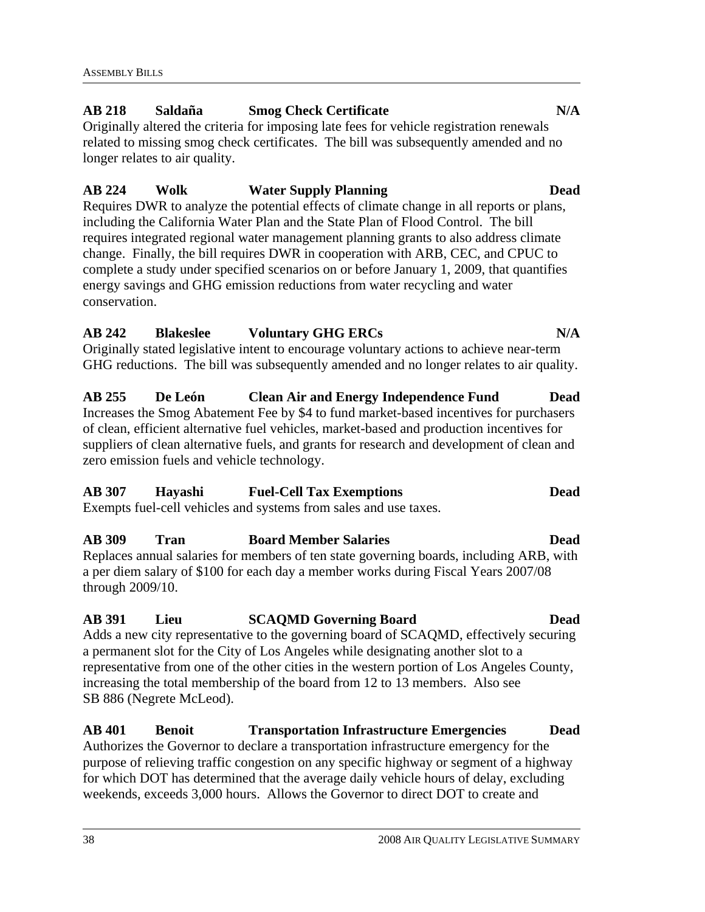#### **AB 218 Saldaña Smog Check Certificate N/A**

Originally altered the criteria for imposing late fees for vehicle registration renewals related to missing smog check certificates. The bill was subsequently amended and no longer relates to air quality.

#### **AB 224 Wolk Water Supply Planning Dead**

Requires DWR to analyze the potential effects of climate change in all reports or plans, including the California Water Plan and the State Plan of Flood Control. The bill requires integrated regional water management planning grants to also address climate change. Finally, the bill requires DWR in cooperation with ARB, CEC, and CPUC to complete a study under specified scenarios on or before January 1, 2009, that quantifies energy savings and GHG emission reductions from water recycling and water conservation.

#### **AB 242 Blakeslee Voluntary GHG ERCs N/A**

Originally stated legislative intent to encourage voluntary actions to achieve near-term GHG reductions. The bill was subsequently amended and no longer relates to air quality.

#### **AB 255 De León Clean Air and Energy Independence Fund Dead**  Increases the Smog Abatement Fee by \$4 to fund market-based incentives for purchasers of clean, efficient alternative fuel vehicles, market-based and production incentives for suppliers of clean alternative fuels, and grants for research and development of clean and zero emission fuels and vehicle technology.

### **AB 307 Hayashi Fuel-Cell Tax Exemptions Dead**

Exempts fuel-cell vehicles and systems from sales and use taxes.

#### **AB 309 Tran Board Member Salaries Dead**

Replaces annual salaries for members of ten state governing boards, including ARB, with a per diem salary of \$100 for each day a member works during Fiscal Years 2007/08 through 2009/10.

#### **AB 391 Lieu SCAQMD Governing Board Dead**

Adds a new city representative to the governing board of SCAQMD, effectively securing a permanent slot for the City of Los Angeles while designating another slot to a representative from one of the other cities in the western portion of Los Angeles County, increasing the total membership of the board from 12 to 13 members. Also see SB 886 (Negrete McLeod).

#### **AB 401 Benoit Transportation Infrastructure Emergencies Dead**

Authorizes the Governor to declare a transportation infrastructure emergency for the purpose of relieving traffic congestion on any specific highway or segment of a highway for which DOT has determined that the average daily vehicle hours of delay, excluding weekends, exceeds 3,000 hours. Allows the Governor to direct DOT to create and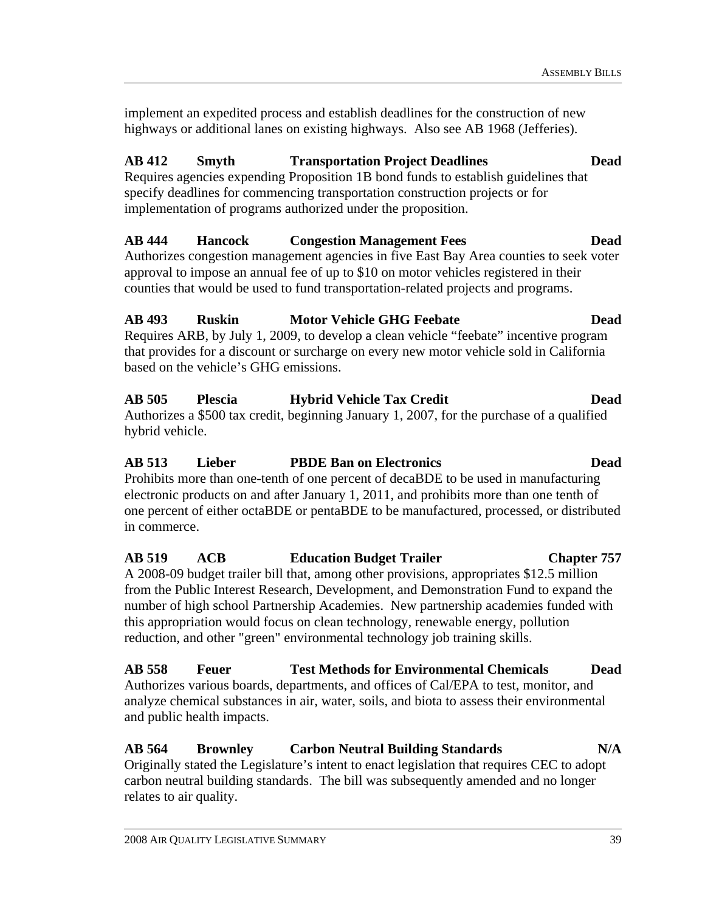implement an expedited process and establish deadlines for the construction of new highways or additional lanes on existing highways. Also see AB 1968 (Jefferies).

#### **AB 412 Smyth Transportation Project Deadlines Dead**

Requires agencies expending Proposition 1B bond funds to establish guidelines that specify deadlines for commencing transportation construction projects or for implementation of programs authorized under the proposition.

# **AB 444 Hancock Congestion Management Fees Dead**

Authorizes congestion management agencies in five East Bay Area counties to seek voter approval to impose an annual fee of up to \$10 on motor vehicles registered in their counties that would be used to fund transportation-related projects and programs.

# **AB 493 Ruskin Motor Vehicle GHG Feebate Dead**

Requires ARB, by July 1, 2009, to develop a clean vehicle "feebate" incentive program that provides for a discount or surcharge on every new motor vehicle sold in California based on the vehicle's GHG emissions.

# **AB 505 Plescia Hybrid Vehicle Tax Credit Dead**

Authorizes a \$500 tax credit, beginning January 1, 2007, for the purchase of a qualified hybrid vehicle.

# **AB 513 Lieber PBDE Ban on Electronics Dead**

Prohibits more than one-tenth of one percent of decaBDE to be used in manufacturing electronic products on and after January 1, 2011, and prohibits more than one tenth of one percent of either octaBDE or pentaBDE to be manufactured, processed, or distributed in commerce.

# **AB 519 ACB Education Budget Trailer Chapter 757**

A 2008-09 budget trailer bill that, among other provisions, appropriates \$12.5 million from the Public Interest Research, Development, and Demonstration Fund to expand the number of high school Partnership Academies. New partnership academies funded with this appropriation would focus on clean technology, renewable energy, pollution reduction, and other "green" environmental technology job training skills.

**AB 558 Feuer Test Methods for Environmental Chemicals Dead**  Authorizes various boards, departments, and offices of Cal/EPA to test, monitor, and analyze chemical substances in air, water, soils, and biota to assess their environmental and public health impacts.

# **AB 564 Brownley Carbon Neutral Building Standards N/A**  Originally stated the Legislature's intent to enact legislation that requires CEC to adopt

carbon neutral building standards. The bill was subsequently amended and no longer relates to air quality.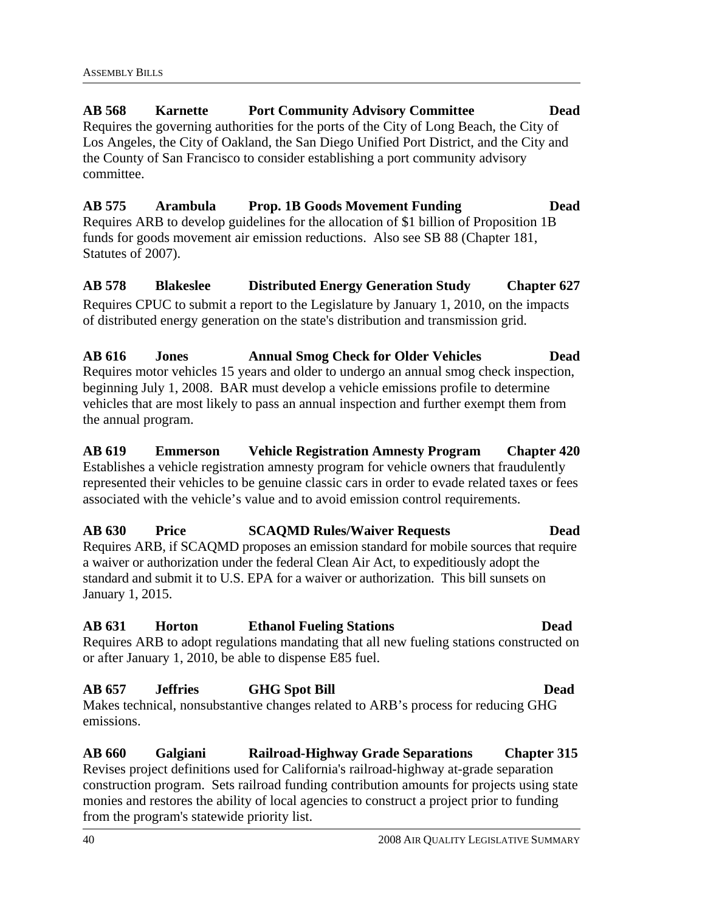**AB 568 Karnette Port Community Advisory Committee Dead**  Requires the governing authorities for the ports of the City of Long Beach, the City of Los Angeles, the City of Oakland, the San Diego Unified Port District, and the City and the County of San Francisco to consider establishing a port community advisory committee.

**AB 575 Arambula Prop. 1B Goods Movement Funding Dead** Requires ARB to develop guidelines for the allocation of \$1 billion of Proposition 1B funds for goods movement air emission reductions. Also see SB 88 (Chapter 181, Statutes of 2007).

**AB 578 Blakeslee Distributed Energy Generation Study Chapter 627**  Requires CPUC to submit a report to the Legislature by January 1, 2010, on the impacts of distributed energy generation on the state's distribution and transmission grid.

**AB 616 Jones Annual Smog Check for Older Vehicles Dead**  Requires motor vehicles 15 years and older to undergo an annual smog check inspection, beginning July 1, 2008. BAR must develop a vehicle emissions profile to determine vehicles that are most likely to pass an annual inspection and further exempt them from the annual program.

**AB 619 Emmerson Vehicle Registration Amnesty Program Chapter 420**  Establishes a vehicle registration amnesty program for vehicle owners that fraudulently represented their vehicles to be genuine classic cars in order to evade related taxes or fees associated with the vehicle's value and to avoid emission control requirements.

#### **AB 630 Price SCAQMD Rules/Waiver Requests Dead**  Requires ARB, if SCAQMD proposes an emission standard for mobile sources that require a waiver or authorization under the federal Clean Air Act, to expeditiously adopt the

standard and submit it to U.S. EPA for a waiver or authorization. This bill sunsets on January 1, 2015.

# **AB 631 Horton Ethanol Fueling Stations Dead**

Requires ARB to adopt regulations mandating that all new fueling stations constructed on or after January 1, 2010, be able to dispense E85 fuel.

### **AB 657 Jeffries GHG Spot Bill Dead**

Makes technical, nonsubstantive changes related to ARB's process for reducing GHG emissions.

### **AB 660 Galgiani Railroad-Highway Grade Separations Chapter 315**

Revises project definitions used for California's railroad-highway at-grade separation construction program. Sets railroad funding contribution amounts for projects using state monies and restores the ability of local agencies to construct a project prior to funding from the program's statewide priority list.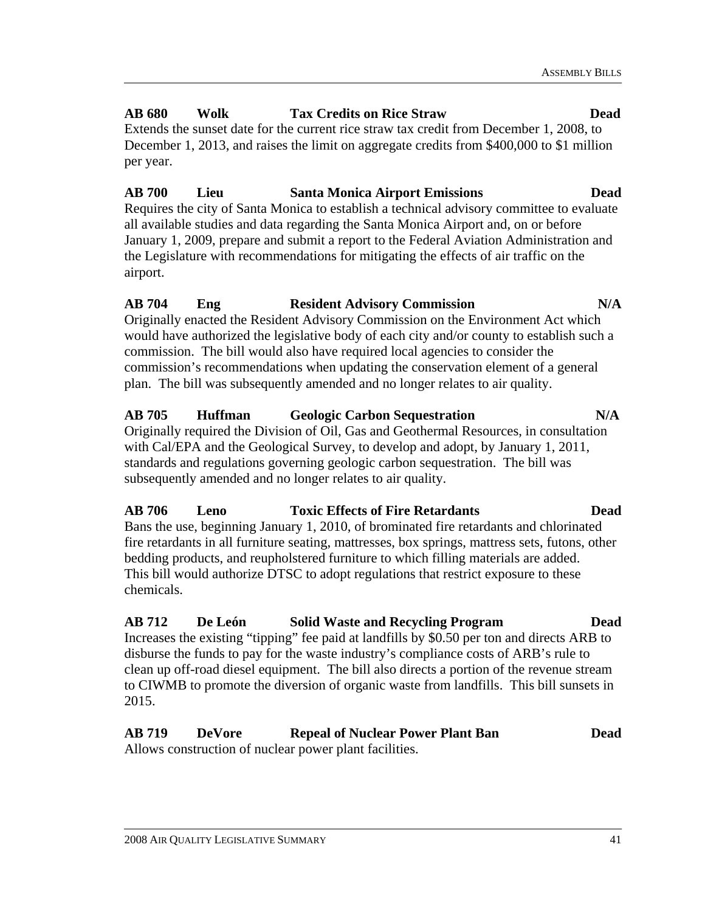#### **AB 680 Wolk Tax Credits on Rice Straw Dead**

Extends the sunset date for the current rice straw tax credit from December 1, 2008, to December 1, 2013, and raises the limit on aggregate credits from \$400,000 to \$1 million per year.

#### **AB 700 Lieu Santa Monica Airport Emissions Dead**

Requires the city of Santa Monica to establish a technical advisory committee to evaluate all available studies and data regarding the Santa Monica Airport and, on or before January 1, 2009, prepare and submit a report to the Federal Aviation Administration and the Legislature with recommendations for mitigating the effects of air traffic on the airport.

# **AB 704 Eng Resident Advisory Commission N/A**

Originally enacted the Resident Advisory Commission on the Environment Act which would have authorized the legislative body of each city and/or county to establish such a commission. The bill would also have required local agencies to consider the commission's recommendations when updating the conservation element of a general plan. The bill was subsequently amended and no longer relates to air quality.

### **AB 705 Huffman Geologic Carbon Sequestration N/A**

Originally required the Division of Oil, Gas and Geothermal Resources, in consultation with Cal/EPA and the Geological Survey, to develop and adopt, by January 1, 2011, standards and regulations governing geologic carbon sequestration. The bill was subsequently amended and no longer relates to air quality.

#### **AB 706 Leno Toxic Effects of Fire Retardants Dead**

Bans the use, beginning January 1, 2010, of brominated fire retardants and chlorinated fire retardants in all furniture seating, mattresses, box springs, mattress sets, futons, other bedding products, and reupholstered furniture to which filling materials are added. This bill would authorize DTSC to adopt regulations that restrict exposure to these chemicals.

### **AB 712 De León Solid Waste and Recycling Program Dead**

Increases the existing "tipping" fee paid at landfills by \$0.50 per ton and directs ARB to disburse the funds to pay for the waste industry's compliance costs of ARB's rule to clean up off-road diesel equipment. The bill also directs a portion of the revenue stream to CIWMB to promote the diversion of organic waste from landfills. This bill sunsets in 2015.

#### **AB 719 DeVore Repeal of Nuclear Power Plant Ban Dead**  Allows construction of nuclear power plant facilities.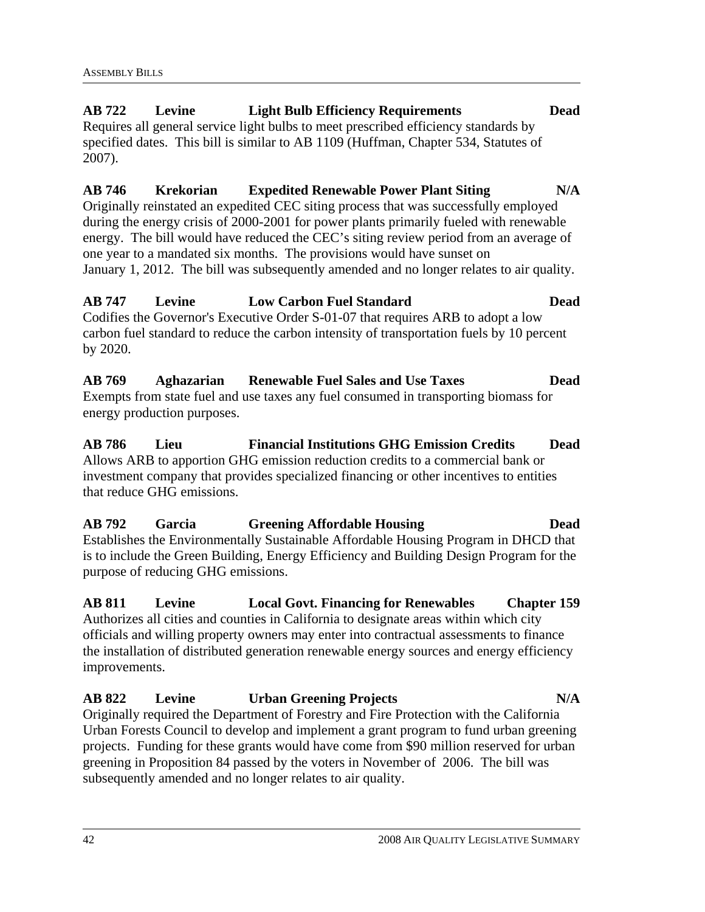## **AB 722 Levine Light Bulb Efficiency Requirements Dead**  Requires all general service light bulbs to meet prescribed efficiency standards by

specified dates. This bill is similar to AB 1109 (Huffman, Chapter 534, Statutes of 2007).

## **AB 746 Krekorian Expedited Renewable Power Plant Siting N/A**

Originally reinstated an expedited CEC siting process that was successfully employed during the energy crisis of 2000-2001 for power plants primarily fueled with renewable energy. The bill would have reduced the CEC's siting review period from an average of one year to a mandated six months. The provisions would have sunset on January 1, 2012. The bill was subsequently amended and no longer relates to air quality.

# **AB 747 Levine Low Carbon Fuel Standard Dead**

Codifies the Governor's Executive Order S-01-07 that requires ARB to adopt a low carbon fuel standard to reduce the carbon intensity of transportation fuels by 10 percent by 2020.

#### **AB 769 Aghazarian Renewable Fuel Sales and Use Taxes Dead**  Exempts from state fuel and use taxes any fuel consumed in transporting biomass for energy production purposes.

**AB 786 Lieu Financial Institutions GHG Emission Credits Dead**  Allows ARB to apportion GHG emission reduction credits to a commercial bank or investment company that provides specialized financing or other incentives to entities that reduce GHG emissions.

#### **AB 792 Garcia Greening Affordable Housing Dead**  Establishes the Environmentally Sustainable Affordable Housing Program in DHCD that is to include the Green Building, Energy Efficiency and Building Design Program for the purpose of reducing GHG emissions.

**AB 811 Levine Local Govt. Financing for Renewables Chapter 159**  Authorizes all cities and counties in California to designate areas within which city officials and willing property owners may enter into contractual assessments to finance the installation of distributed generation renewable energy sources and energy efficiency improvements.

# **AB 822 Levine Urban Greening Projects N/A**

Originally required the Department of Forestry and Fire Protection with the California Urban Forests Council to develop and implement a grant program to fund urban greening projects. Funding for these grants would have come from \$90 million reserved for urban greening in Proposition 84 passed by the voters in November of 2006. The bill was subsequently amended and no longer relates to air quality.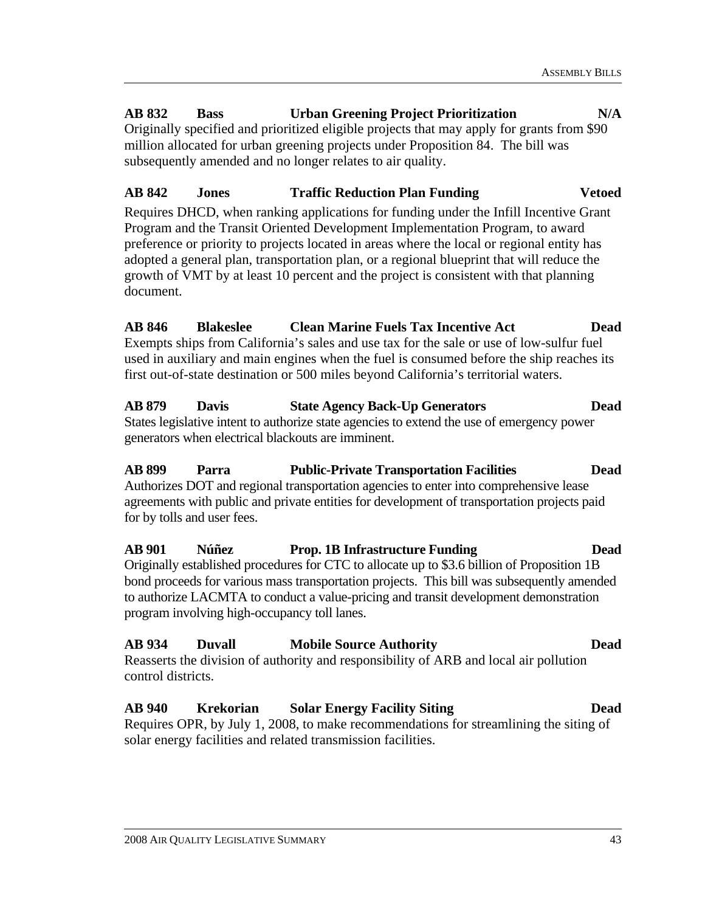## **AB 832 Bass Urban Greening Project Prioritization N/A**

Originally specified and prioritized eligible projects that may apply for grants from \$90 million allocated for urban greening projects under Proposition 84. The bill was subsequently amended and no longer relates to air quality.

#### **AB 842 Jones Traffic Reduction Plan Funding Vetoed**

Requires DHCD, when ranking applications for funding under the Infill Incentive Grant Program and the Transit Oriented Development Implementation Program, to award preference or priority to projects located in areas where the local or regional entity has adopted a general plan, transportation plan, or a regional blueprint that will reduce the growth of VMT by at least 10 percent and the project is consistent with that planning document.

#### **AB 846 Blakeslee Clean Marine Fuels Tax Incentive Act Dead**  Exempts ships from California's sales and use tax for the sale or use of low-sulfur fuel used in auxiliary and main engines when the fuel is consumed before the ship reaches its first out-of-state destination or 500 miles beyond California's territorial waters.

#### **AB 879 Davis State Agency Back-Up Generators Dead**  States legislative intent to authorize state agencies to extend the use of emergency power generators when electrical blackouts are imminent.

#### **AB 899 Parra Public-Private Transportation Facilities Dead**  Authorizes DOT and regional transportation agencies to enter into comprehensive lease agreements with public and private entities for development of transportation projects paid for by tolls and user fees.

#### **AB 901 Núñez Prop. 1B Infrastructure Funding Dead**  Originally established procedures for CTC to allocate up to \$3.6 billion of Proposition 1B bond proceeds for various mass transportation projects. This bill was subsequently amended to authorize LACMTA to conduct a value-pricing and transit development demonstration program involving high-occupancy toll lanes.

# **AB 934 Duvall Mobile Source Authority Dead**  Reasserts the division of authority and responsibility of ARB and local air pollution

control districts.

# **AB 940 Krekorian Solar Energy Facility Siting Dead**

Requires OPR, by July 1, 2008, to make recommendations for streamlining the siting of solar energy facilities and related transmission facilities.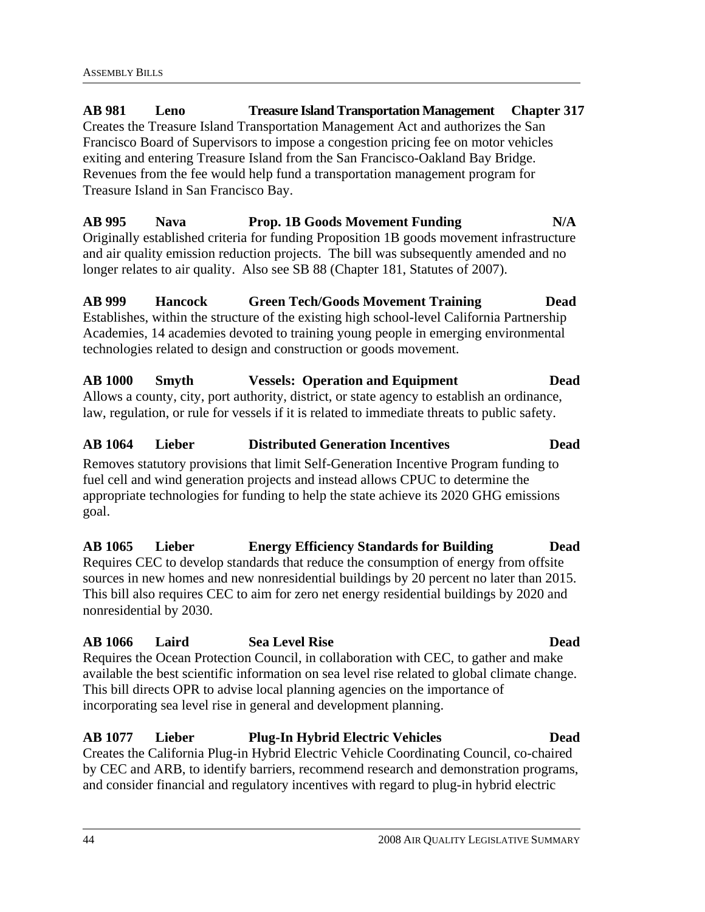**AB 981 Leno Treasure Island Transportation Management Chapter 317**  Creates the Treasure Island Transportation Management Act and authorizes the San Francisco Board of Supervisors to impose a congestion pricing fee on motor vehicles exiting and entering Treasure Island from the San Francisco-Oakland Bay Bridge. Revenues from the fee would help fund a transportation management program for Treasure Island in San Francisco Bay.

**AB 995 Nava Prop. 1B Goods Movement Funding N/A**  Originally established criteria for funding Proposition 1B goods movement infrastructure and air quality emission reduction projects. The bill was subsequently amended and no longer relates to air quality. Also see SB 88 (Chapter 181, Statutes of 2007).

**AB 999 Hancock Green Tech/Goods Movement Training Dead**  Establishes, within the structure of the existing high school-level California Partnership Academies, 14 academies devoted to training young people in emerging environmental technologies related to design and construction or goods movement.

#### **AB 1000 Smyth Vessels: Operation and Equipment Dead**  Allows a county, city, port authority, district, or state agency to establish an ordinance, law, regulation, or rule for vessels if it is related to immediate threats to public safety.

# **AB 1064 Lieber Distributed Generation Incentives Dead**  Removes statutory provisions that limit Self-Generation Incentive Program funding to fuel cell and wind generation projects and instead allows CPUC to determine the appropriate technologies for funding to help the state achieve its 2020 GHG emissions

#### **AB 1065 Lieber Energy Efficiency Standards for Building Dead**  Requires CEC to develop standards that reduce the consumption of energy from offsite sources in new homes and new nonresidential buildings by 20 percent no later than 2015. This bill also requires CEC to aim for zero net energy residential buildings by 2020 and nonresidential by 2030.

**AB 1066 Laird Sea Level Rise Dead**  Requires the Ocean Protection Council, in collaboration with CEC, to gather and make available the best scientific information on sea level rise related to global climate change. This bill directs OPR to advise local planning agencies on the importance of incorporating sea level rise in general and development planning.

# **AB 1077 Lieber Plug-In Hybrid Electric Vehicles Dead**

Creates the California Plug-in Hybrid Electric Vehicle Coordinating Council, co-chaired by CEC and ARB, to identify barriers, recommend research and demonstration programs, and consider financial and regulatory incentives with regard to plug-in hybrid electric

goal.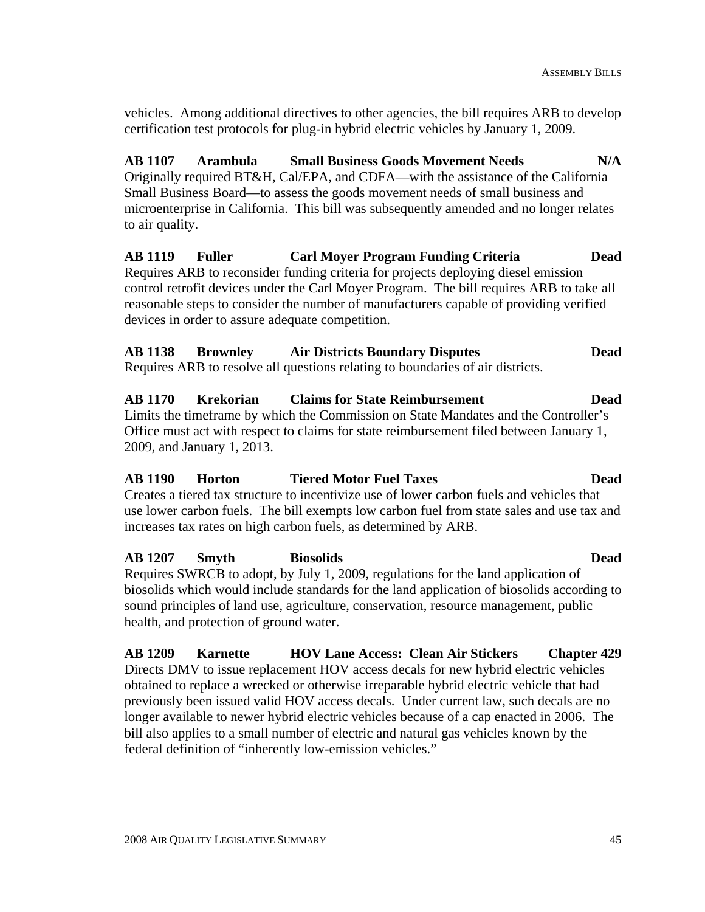vehicles. Among additional directives to other agencies, the bill requires ARB to develop certification test protocols for plug-in hybrid electric vehicles by January 1, 2009.

**AB 1107 Arambula Small Business Goods Movement Needs N/A**  Originally required BT&H, Cal/EPA, and CDFA—with the assistance of the California Small Business Board—to assess the goods movement needs of small business and microenterprise in California. This bill was subsequently amended and no longer relates to air quality.

**AB 1119 Fuller Carl Moyer Program Funding Criteria Dead**  Requires ARB to reconsider funding criteria for projects deploying diesel emission control retrofit devices under the Carl Moyer Program. The bill requires ARB to take all reasonable steps to consider the number of manufacturers capable of providing verified devices in order to assure adequate competition.

|  | <b>AB 1138 Brownley</b> | <b>Air Districts Boundary Disputes</b> | <b>Dead</b> |
|--|-------------------------|----------------------------------------|-------------|
|--|-------------------------|----------------------------------------|-------------|

Requires ARB to resolve all questions relating to boundaries of air districts.

#### **AB 1170 Krekorian Claims for State Reimbursement Dead**  Limits the timeframe by which the Commission on State Mandates and the Controller's

Office must act with respect to claims for state reimbursement filed between January 1, 2009, and January 1, 2013.

#### **AB 1190 Horton Tiered Motor Fuel Taxes Dead**

Creates a tiered tax structure to incentivize use of lower carbon fuels and vehicles that use lower carbon fuels. The bill exempts low carbon fuel from state sales and use tax and increases tax rates on high carbon fuels, as determined by ARB.

#### **AB 1207 Smyth Biosolids Dead**

Requires SWRCB to adopt, by July 1, 2009, regulations for the land application of biosolids which would include standards for the land application of biosolids according to sound principles of land use, agriculture, conservation, resource management, public health, and protection of ground water.

**AB 1209 Karnette HOV Lane Access: Clean Air Stickers Chapter 429**  Directs DMV to issue replacement HOV access decals for new hybrid electric vehicles obtained to replace a wrecked or otherwise irreparable hybrid electric vehicle that had previously been issued valid HOV access decals. Under current law, such decals are no longer available to newer hybrid electric vehicles because of a cap enacted in 2006. The bill also applies to a small number of electric and natural gas vehicles known by the federal definition of "inherently low-emission vehicles."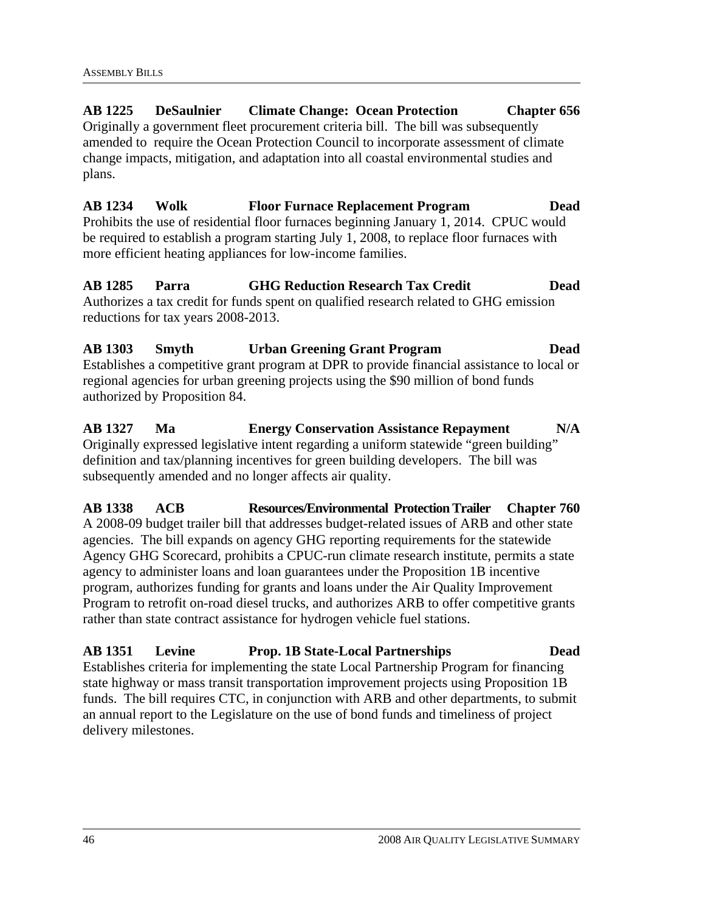**AB 1225 DeSaulnier Climate Change: Ocean Protection Chapter 656**  Originally a government fleet procurement criteria bill. The bill was subsequently amended to require the Ocean Protection Council to incorporate assessment of climate change impacts, mitigation, and adaptation into all coastal environmental studies and plans.

**AB 1234 Wolk Floor Furnace Replacement Program Dead**  Prohibits the use of residential floor furnaces beginning January 1, 2014. CPUC would be required to establish a program starting July 1, 2008, to replace floor furnaces with more efficient heating appliances for low-income families.

**AB 1285 Parra GHG Reduction Research Tax Credit Dead**  Authorizes a tax credit for funds spent on qualified research related to GHG emission reductions for tax years 2008-2013.

**AB 1303 Smyth Urban Greening Grant Program Dead**  Establishes a competitive grant program at DPR to provide financial assistance to local or regional agencies for urban greening projects using the \$90 million of bond funds authorized by Proposition 84.

**AB 1327 Ma Energy Conservation Assistance Repayment N/A**  Originally expressed legislative intent regarding a uniform statewide "green building" definition and tax/planning incentives for green building developers. The bill was subsequently amended and no longer affects air quality.

**AB 1338 ACB Resources/Environmental Protection Trailer Chapter 760**  A 2008-09 budget trailer bill that addresses budget-related issues of ARB and other state agencies. The bill expands on agency GHG reporting requirements for the statewide Agency GHG Scorecard, prohibits a CPUC-run climate research institute, permits a state agency to administer loans and loan guarantees under the Proposition 1B incentive program, authorizes funding for grants and loans under the Air Quality Improvement Program to retrofit on-road diesel trucks, and authorizes ARB to offer competitive grants rather than state contract assistance for hydrogen vehicle fuel stations.

#### **AB 1351 Levine Prop. 1B State-Local Partnerships Dead**

Establishes criteria for implementing the state Local Partnership Program for financing state highway or mass transit transportation improvement projects using Proposition 1B funds. The bill requires CTC, in conjunction with ARB and other departments, to submit an annual report to the Legislature on the use of bond funds and timeliness of project delivery milestones.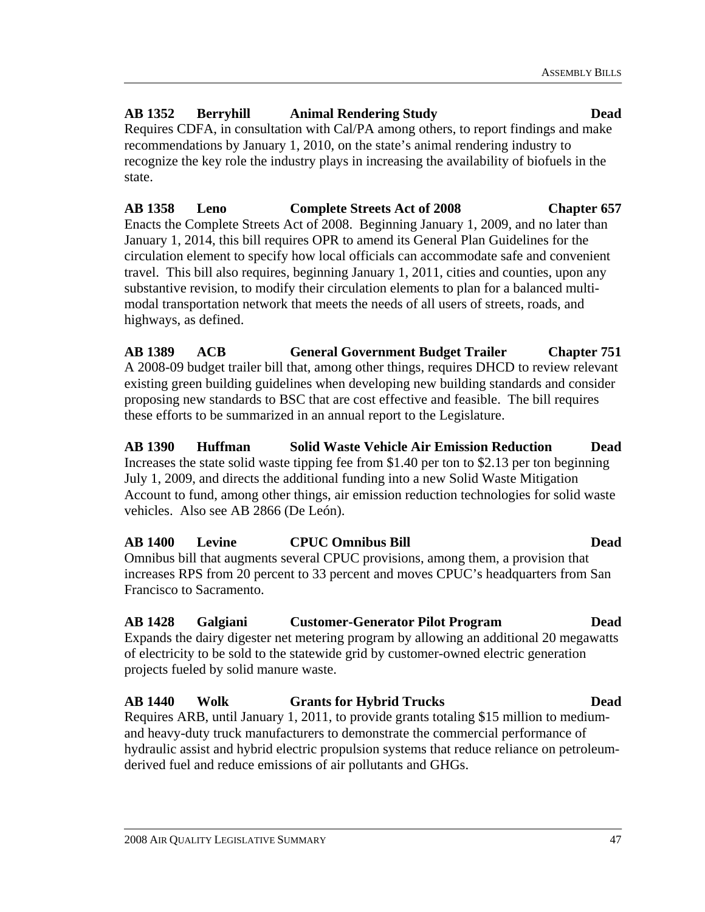# **AB 1352 Berryhill Animal Rendering Study Dead**

Requires CDFA, in consultation with Cal/PA among others, to report findings and make recommendations by January 1, 2010, on the state's animal rendering industry to recognize the key role the industry plays in increasing the availability of biofuels in the state.

#### **AB 1358 Leno Complete Streets Act of 2008 Chapter 657**  Enacts the Complete Streets Act of 2008. Beginning January 1, 2009, and no later than

January 1, 2014, this bill requires OPR to amend its General Plan Guidelines for the circulation element to specify how local officials can accommodate safe and convenient travel. This bill also requires, beginning January 1, 2011, cities and counties, upon any substantive revision, to modify their circulation elements to plan for a balanced multimodal transportation network that meets the needs of all users of streets, roads, and highways, as defined.

**AB 1389 ACB General Government Budget Trailer Chapter 751**  A 2008-09 budget trailer bill that, among other things, requires DHCD to review relevant existing green building guidelines when developing new building standards and consider proposing new standards to BSC that are cost effective and feasible. The bill requires these efforts to be summarized in an annual report to the Legislature.

#### **AB 1390 Huffman Solid Waste Vehicle Air Emission Reduction Dead**  Increases the state solid waste tipping fee from \$1.40 per ton to \$2.13 per ton beginning July 1, 2009, and directs the additional funding into a new Solid Waste Mitigation Account to fund, among other things, air emission reduction technologies for solid waste vehicles. Also see AB 2866 (De León).

# **AB 1400 Levine CPUC Omnibus Bill Dead**

Omnibus bill that augments several CPUC provisions, among them, a provision that increases RPS from 20 percent to 33 percent and moves CPUC's headquarters from San Francisco to Sacramento.

#### **AB 1428 Galgiani Customer-Generator Pilot Program Dead**

Expands the dairy digester net metering program by allowing an additional 20 megawatts of electricity to be sold to the statewide grid by customer-owned electric generation projects fueled by solid manure waste.

### **AB 1440 Wolk Grants for Hybrid Trucks Dead**

Requires ARB, until January 1, 2011, to provide grants totaling \$15 million to mediumand heavy-duty truck manufacturers to demonstrate the commercial performance of hydraulic assist and hybrid electric propulsion systems that reduce reliance on petroleumderived fuel and reduce emissions of air pollutants and GHGs.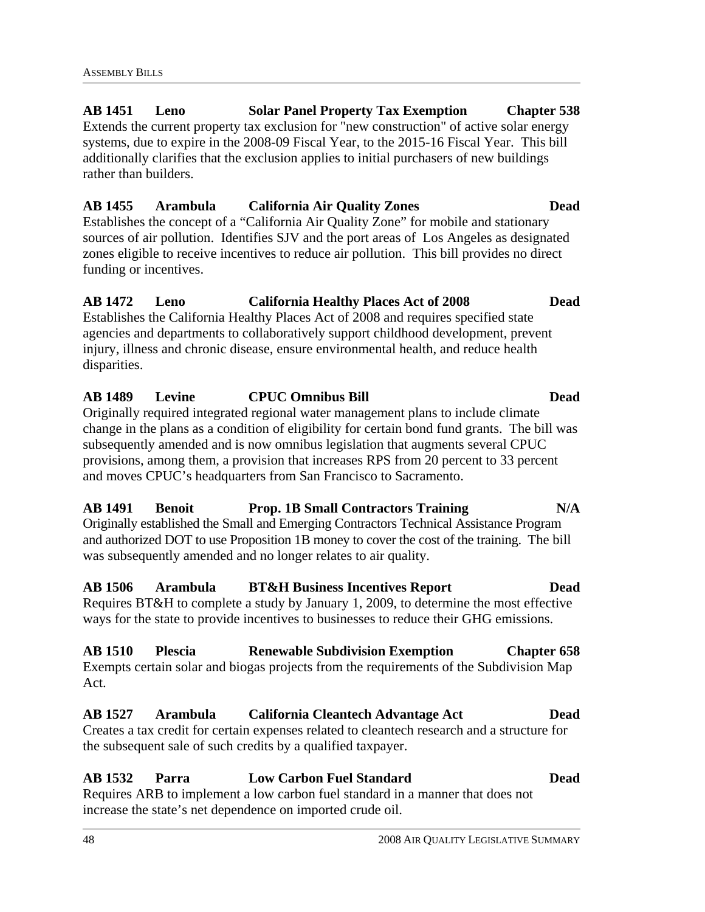**AB 1451 Leno Solar Panel Property Tax Exemption Chapter 538**  Extends the current property tax exclusion for "new construction" of active solar energy systems, due to expire in the 2008-09 Fiscal Year, to the 2015-16 Fiscal Year. This bill additionally clarifies that the exclusion applies to initial purchasers of new buildings rather than builders.

**AB 1455 Arambula California Air Quality Zones Dead**  Establishes the concept of a "California Air Quality Zone" for mobile and stationary sources of air pollution. Identifies SJV and the port areas of Los Angeles as designated zones eligible to receive incentives to reduce air pollution. This bill provides no direct funding or incentives.

# **AB 1472 Leno California Healthy Places Act of 2008 Dead**

Establishes the California Healthy Places Act of 2008 and requires specified state agencies and departments to collaboratively support childhood development, prevent injury, illness and chronic disease, ensure environmental health, and reduce health disparities.

# **AB 1489 Levine CPUC Omnibus Bill Dead**  Originally required integrated regional water management plans to include climate change in the plans as a condition of eligibility for certain bond fund grants. The bill was

subsequently amended and is now omnibus legislation that augments several CPUC provisions, among them, a provision that increases RPS from 20 percent to 33 percent and moves CPUC's headquarters from San Francisco to Sacramento.

# **AB 1491 Benoit Prop. 1B Small Contractors Training N/A**

Originally established the Small and Emerging Contractors Technical Assistance Program and authorized DOT to use Proposition 1B money to cover the cost of the training. The bill was subsequently amended and no longer relates to air quality.

#### **AB 1506 Arambula BT&H Business Incentives Report Dead**

Requires BT&H to complete a study by January 1, 2009, to determine the most effective ways for the state to provide incentives to businesses to reduce their GHG emissions.

#### **AB 1510 Plescia Renewable Subdivision Exemption Chapter 658**  Exempts certain solar and biogas projects from the requirements of the Subdivision Map Act.

#### **AB 1527 Arambula California Cleantech Advantage Act Dead**  Creates a tax credit for certain expenses related to cleantech research and a structure for the subsequent sale of such credits by a qualified taxpayer.

**AB 1532 Parra Low Carbon Fuel Standard Dead**  Requires ARB to implement a low carbon fuel standard in a manner that does not increase the state's net dependence on imported crude oil.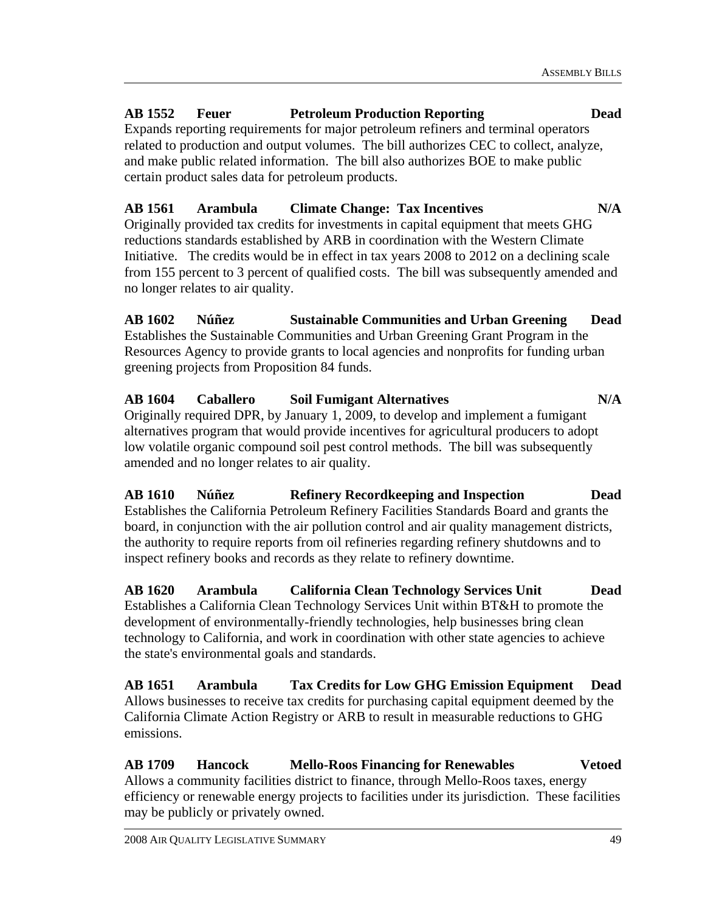#### **AB 1552 Feuer Petroleum Production Reporting Dead**  Expands reporting requirements for major petroleum refiners and terminal operators related to production and output volumes. The bill authorizes CEC to collect, analyze, and make public related information. The bill also authorizes BOE to make public certain product sales data for petroleum products.

**AB 1561 Arambula Climate Change: Tax Incentives N/A**  Originally provided tax credits for investments in capital equipment that meets GHG reductions standards established by ARB in coordination with the Western Climate Initiative. The credits would be in effect in tax years 2008 to 2012 on a declining scale from 155 percent to 3 percent of qualified costs. The bill was subsequently amended and no longer relates to air quality.

**AB 1602 Núñez Sustainable Communities and Urban Greening Dead**  Establishes the Sustainable Communities and Urban Greening Grant Program in the Resources Agency to provide grants to local agencies and nonprofits for funding urban greening projects from Proposition 84 funds.

AB 1604 Caballero Soil Fumigant Alternatives N/A Originally required DPR, by January 1, 2009, to develop and implement a fumigant alternatives program that would provide incentives for agricultural producers to adopt low volatile organic compound soil pest control methods. The bill was subsequently amended and no longer relates to air quality.

**AB 1610 Núñez Refinery Recordkeeping and Inspection Dead**  Establishes the California Petroleum Refinery Facilities Standards Board and grants the board, in conjunction with the air pollution control and air quality management districts, the authority to require reports from oil refineries regarding refinery shutdowns and to inspect refinery books and records as they relate to refinery downtime.

**AB 1620 Arambula California Clean Technology Services Unit Dead**  Establishes a California Clean Technology Services Unit within BT&H to promote the development of environmentally-friendly technologies, help businesses bring clean technology to California, and work in coordination with other state agencies to achieve the state's environmental goals and standards.

**AB 1651 Arambula Tax Credits for Low GHG Emission Equipment Dead** Allows businesses to receive tax credits for purchasing capital equipment deemed by the California Climate Action Registry or ARB to result in measurable reductions to GHG emissions.

**AB 1709 Hancock Mello-Roos Financing for Renewables Vetoed**  Allows a community facilities district to finance, through Mello-Roos taxes, energy efficiency or renewable energy projects to facilities under its jurisdiction. These facilities may be publicly or privately owned.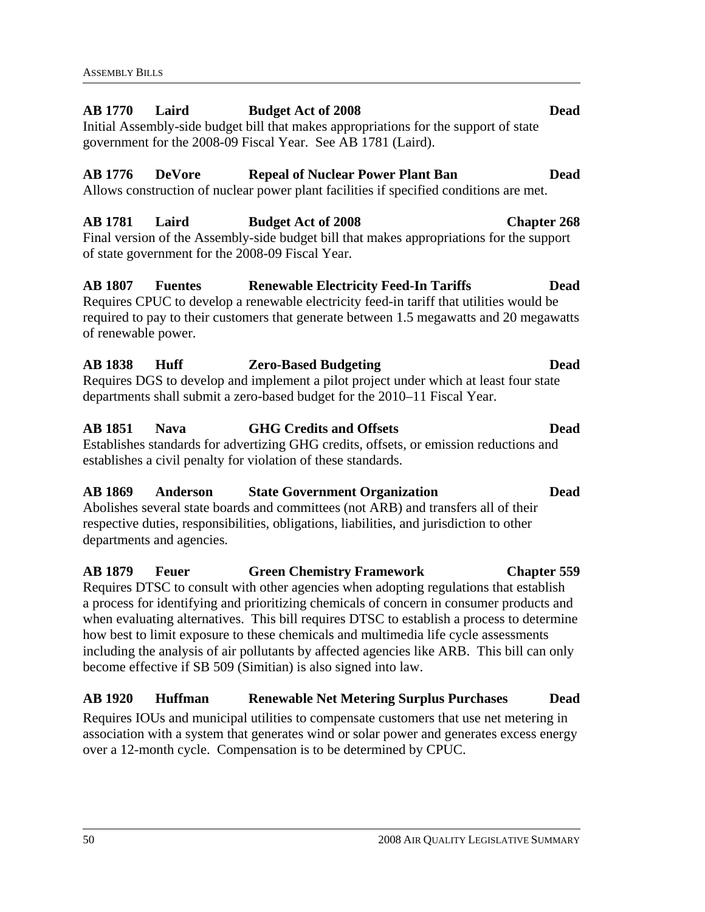### **AB 1770 Laird Budget Act of 2008 Dead**

Initial Assembly-side budget bill that makes appropriations for the support of state government for the 2008-09 Fiscal Year. See AB 1781 (Laird).

#### **AB 1776 DeVore Repeal of Nuclear Power Plant Ban Dead**

Allows construction of nuclear power plant facilities if specified conditions are met.

# **AB 1781 Laird Budget Act of 2008 Chapter 268**

Final version of the Assembly-side budget bill that makes appropriations for the support of state government for the 2008-09 Fiscal Year.

# **AB 1807 Fuentes Renewable Electricity Feed-In Tariffs Dead**

Requires CPUC to develop a renewable electricity feed-in tariff that utilities would be required to pay to their customers that generate between 1.5 megawatts and 20 megawatts of renewable power.

# **AB 1838 Huff Zero-Based Budgeting Dead**

Requires DGS to develop and implement a pilot project under which at least four state departments shall submit a zero-based budget for the 2010–11 Fiscal Year.

# **AB 1851 Nava GHG Credits and Offsets Dead**

Establishes standards for advertizing GHG credits, offsets, or emission reductions and establishes a civil penalty for violation of these standards.

#### **AB 1869 Anderson State Government Organization Dead**

Abolishes several state boards and committees (not ARB) and transfers all of their respective duties, responsibilities, obligations, liabilities, and jurisdiction to other departments and agencies*.*

### **AB 1879 Feuer Green Chemistry Framework Chapter 559**  Requires DTSC to consult with other agencies when adopting regulations that establish

a process for identifying and prioritizing chemicals of concern in consumer products and when evaluating alternatives. This bill requires DTSC to establish a process to determine how best to limit exposure to these chemicals and multimedia life cycle assessments including the analysis of air pollutants by affected agencies like ARB. This bill can only become effective if SB 509 (Simitian) is also signed into law.

### **AB 1920 Huffman Renewable Net Metering Surplus Purchases Dead**

Requires IOUs and municipal utilities to compensate customers that use net metering in association with a system that generates wind or solar power and generates excess energy over a 12-month cycle. Compensation is to be determined by CPUC.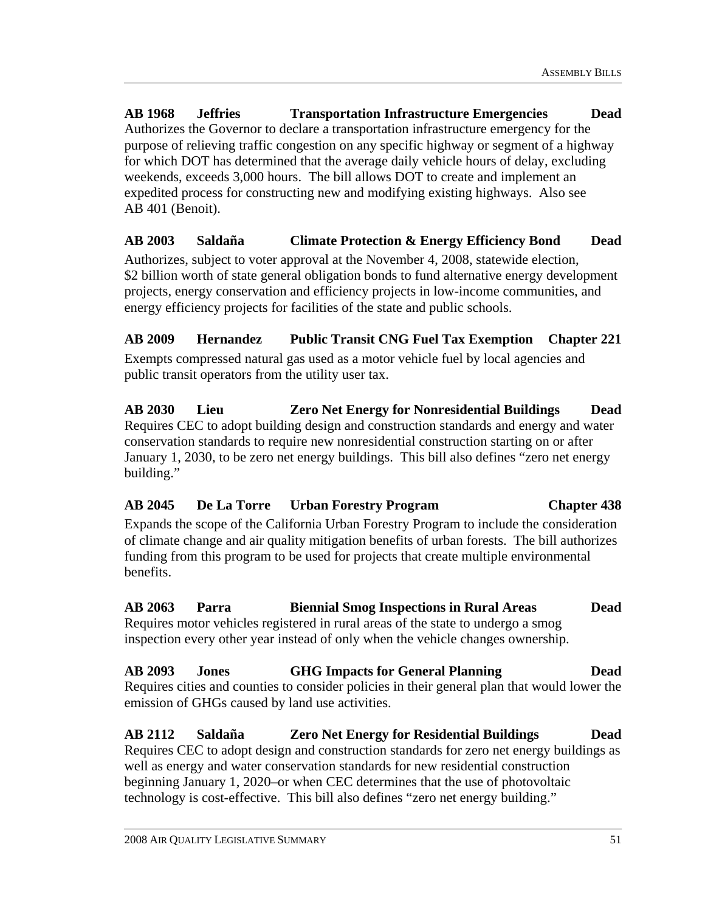**AB 1968 Jeffries Transportation Infrastructure Emergencies Dead**  Authorizes the Governor to declare a transportation infrastructure emergency for the purpose of relieving traffic congestion on any specific highway or segment of a highway for which DOT has determined that the average daily vehicle hours of delay, excluding weekends, exceeds 3,000 hours. The bill allows DOT to create and implement an expedited process for constructing new and modifying existing highways. Also see AB 401 (Benoit).

#### **AB 2003 Saldaña Climate Protection & Energy Efficiency Bond Dead**

Authorizes, subject to voter approval at the November 4, 2008, statewide election, \$2 billion worth of state general obligation bonds to fund alternative energy development projects, energy conservation and efficiency projects in low-income communities, and energy efficiency projects for facilities of the state and public schools.

#### **AB 2009 Hernandez Public Transit CNG Fuel Tax Exemption Chapter 221**

Exempts compressed natural gas used as a motor vehicle fuel by local agencies and public transit operators from the utility user tax.

**AB 2030 Lieu Zero Net Energy for Nonresidential Buildings Dead**  Requires CEC to adopt building design and construction standards and energy and water conservation standards to require new nonresidential construction starting on or after January 1, 2030, to be zero net energy buildings. This bill also defines "zero net energy building."

### **AB 2045 De La Torre Urban Forestry Program Chapter 438**

Expands the scope of the California Urban Forestry Program to include the consideration of climate change and air quality mitigation benefits of urban forests. The bill authorizes funding from this program to be used for projects that create multiple environmental benefits.

#### **AB 2063 Parra Biennial Smog Inspections in Rural Areas Dead**  Requires motor vehicles registered in rural areas of the state to undergo a smog inspection every other year instead of only when the vehicle changes ownership.

#### **AB 2093 Jones GHG Impacts for General Planning Dead**  Requires cities and counties to consider policies in their general plan that would lower the emission of GHGs caused by land use activities.

#### **AB 2112 Saldaña Zero Net Energy for Residential Buildings Dead**  Requires CEC to adopt design and construction standards for zero net energy buildings as well as energy and water conservation standards for new residential construction beginning January 1, 2020–or when CEC determines that the use of photovoltaic technology is cost-effective. This bill also defines "zero net energy building."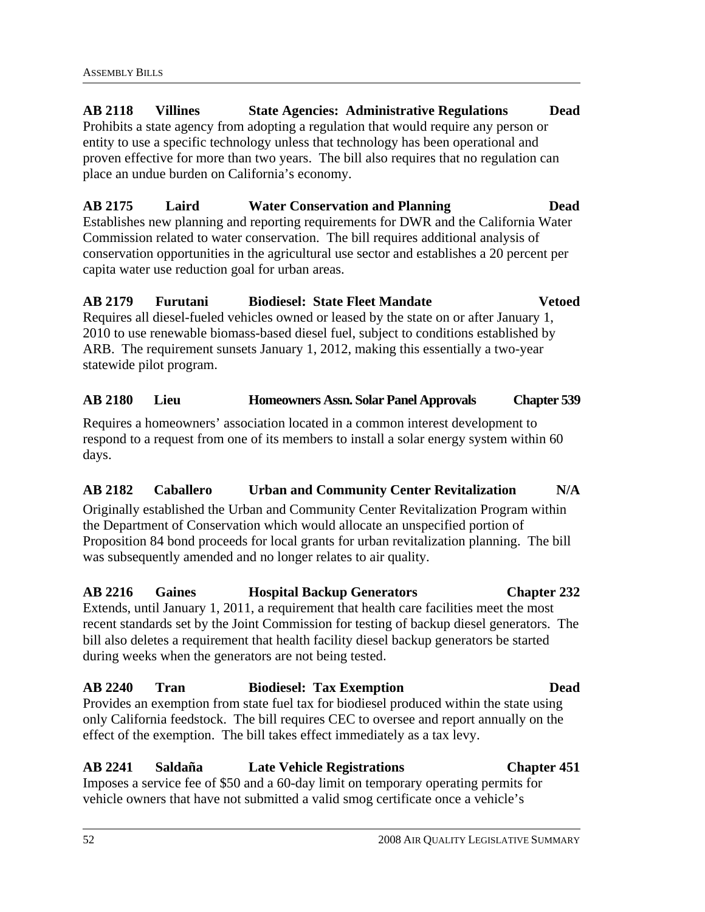**AB 2118 Villines State Agencies: Administrative Regulations Dead**  Prohibits a state agency from adopting a regulation that would require any person or entity to use a specific technology unless that technology has been operational and proven effective for more than two years. The bill also requires that no regulation can place an undue burden on California's economy.

# **AB 2175 Laird Water Conservation and Planning Dead**

Establishes new planning and reporting requirements for DWR and the California Water Commission related to water conservation. The bill requires additional analysis of conservation opportunities in the agricultural use sector and establishes a 20 percent per capita water use reduction goal for urban areas.

### **AB 2179 Furutani Biodiesel: State Fleet Mandate Vetoed**

Requires all diesel-fueled vehicles owned or leased by the state on or after January 1, 2010 to use renewable biomass-based diesel fuel, subject to conditions established by ARB. The requirement sunsets January 1, 2012, making this essentially a two-year statewide pilot program.

#### **AB 2180 Lieu Homeowners Assn. Solar Panel Approvals Chapter 539**

Requires a homeowners' association located in a common interest development to respond to a request from one of its members to install a solar energy system within 60 days.

#### **AB 2182 Caballero Urban and Community Center Revitalization N/A**

Originally established the Urban and Community Center Revitalization Program within the Department of Conservation which would allocate an unspecified portion of Proposition 84 bond proceeds for local grants for urban revitalization planning. The bill was subsequently amended and no longer relates to air quality.

# **AB 2216 Gaines Hospital Backup Generators Chapter 232**

Extends, until January 1, 2011, a requirement that health care facilities meet the most recent standards set by the Joint Commission for testing of backup diesel generators. The bill also deletes a requirement that health facility diesel backup generators be started during weeks when the generators are not being tested.

### **AB 2240 Tran Biodiesel: Tax Exemption Dead**

Provides an exemption from state fuel tax for biodiesel produced within the state using only California feedstock. The bill requires CEC to oversee and report annually on the effect of the exemption. The bill takes effect immediately as a tax levy.

### **AB 2241 Saldaña Late Vehicle Registrations Chapter 451**

Imposes a service fee of \$50 and a 60-day limit on temporary operating permits for vehicle owners that have not submitted a valid smog certificate once a vehicle's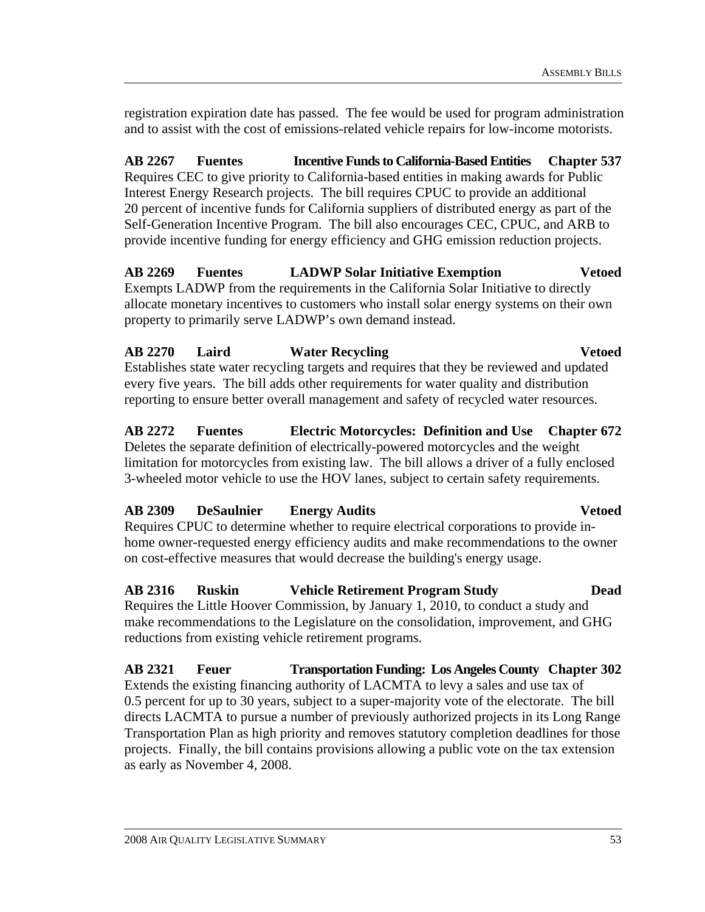registration expiration date has passed. The fee would be used for program administration and to assist with the cost of emissions-related vehicle repairs for low-income motorists.

**AB 2267 Fuentes Incentive Funds to California-Based Entities Chapter 537**  Requires CEC to give priority to California-based entities in making awards for Public Interest Energy Research projects. The bill requires CPUC to provide an additional 20 percent of incentive funds for California suppliers of distributed energy as part of the Self-Generation Incentive Program. The bill also encourages CEC, CPUC, and ARB to provide incentive funding for energy efficiency and GHG emission reduction projects.

**AB 2269 Fuentes LADWP Solar Initiative Exemption Vetoed**  Exempts LADWP from the requirements in the California Solar Initiative to directly allocate monetary incentives to customers who install solar energy systems on their own property to primarily serve LADWP's own demand instead.

#### **AB 2270 Laird Water Recycling Vetoed**

Establishes state water recycling targets and requires that they be reviewed and updated every five years. The bill adds other requirements for water quality and distribution reporting to ensure better overall management and safety of recycled water resources.

#### **AB 2272 Fuentes Electric Motorcycles: Definition and Use Chapter 672**  Deletes the separate definition of electrically-powered motorcycles and the weight limitation for motorcycles from existing law. The bill allows a driver of a fully enclosed

3-wheeled motor vehicle to use the HOV lanes, subject to certain safety requirements.

#### **AB 2309 DeSaulnier Energy Audits Vetoed**

Requires CPUC to determine whether to require electrical corporations to provide inhome owner-requested energy efficiency audits and make recommendations to the owner on cost-effective measures that would decrease the building's energy usage.

#### **AB 2316 Ruskin Vehicle Retirement Program Study Dead**  Requires the Little Hoover Commission, by January 1, 2010, to conduct a study and make recommendations to the Legislature on the consolidation, improvement, and GHG reductions from existing vehicle retirement programs.

**AB 2321 Feuer Transportation Funding: Los Angeles County Chapter 302**  Extends the existing financing authority of LACMTA to levy a sales and use tax of 0.5 percent for up to 30 years, subject to a super-majority vote of the electorate. The bill directs LACMTA to pursue a number of previously authorized projects in its Long Range Transportation Plan as high priority and removes statutory completion deadlines for those projects. Finally, the bill contains provisions allowing a public vote on the tax extension as early as November 4, 2008.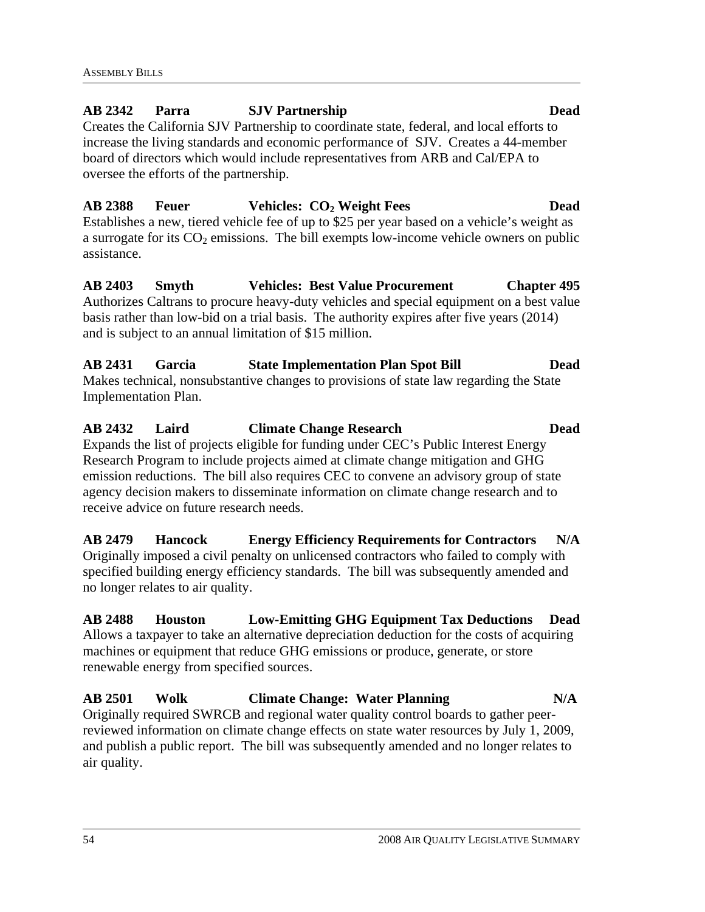#### **AB 2342 Parra SJV Partnership Dead**

Creates the California SJV Partnership to coordinate state, federal, and local efforts to increase the living standards and economic performance of SJV. Creates a 44-member board of directors which would include representatives from ARB and Cal/EPA to oversee the efforts of the partnership.

# **AB 2388 Feuer Vehicles: CO2 Weight Fees Dead**

Establishes a new, tiered vehicle fee of up to \$25 per year based on a vehicle's weight as a surrogate for its  $CO<sub>2</sub>$  emissions. The bill exempts low-income vehicle owners on public assistance.

**AB 2403 Smyth Vehicles: Best Value Procurement Chapter 495**  Authorizes Caltrans to procure heavy-duty vehicles and special equipment on a best value basis rather than low-bid on a trial basis. The authority expires after five years (2014) and is subject to an annual limitation of \$15 million.

#### **AB 2431 Garcia State Implementation Plan Spot Bill Dead**  Makes technical, nonsubstantive changes to provisions of state law regarding the State Implementation Plan.

**AB 2432 Laird Climate Change Research Dead**  Expands the list of projects eligible for funding under CEC's Public Interest Energy Research Program to include projects aimed at climate change mitigation and GHG emission reductions. The bill also requires CEC to convene an advisory group of state agency decision makers to disseminate information on climate change research and to receive advice on future research needs.

#### **AB 2479 Hancock Energy Efficiency Requirements for Contractors N/A**  Originally imposed a civil penalty on unlicensed contractors who failed to comply with specified building energy efficiency standards. The bill was subsequently amended and no longer relates to air quality.

# **AB 2488 Houston Low-Emitting GHG Equipment Tax Deductions Dead**

Allows a taxpayer to take an alternative depreciation deduction for the costs of acquiring machines or equipment that reduce GHG emissions or produce, generate, or store renewable energy from specified sources.

# **AB 2501 Wolk Climate Change: Water Planning N/A**

Originally required SWRCB and regional water quality control boards to gather peerreviewed information on climate change effects on state water resources by July 1, 2009, and publish a public report. The bill was subsequently amended and no longer relates to air quality.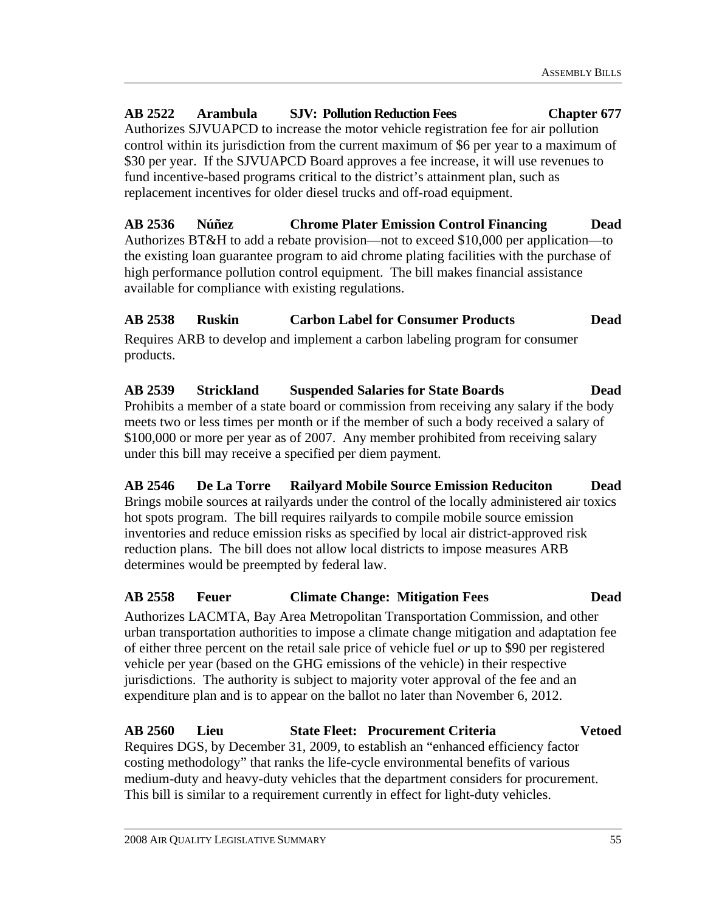#### **AB 2522 Arambula SJV: Pollution Reduction Fees Chapter 677**  Authorizes SJVUAPCD to increase the motor vehicle registration fee for air pollution control within its jurisdiction from the current maximum of \$6 per year to a maximum of \$30 per year. If the SJVUAPCD Board approves a fee increase, it will use revenues to fund incentive-based programs critical to the district's attainment plan, such as replacement incentives for older diesel trucks and off-road equipment.

**AB 2536 Núñez Chrome Plater Emission Control Financing Dead**  Authorizes BT&H to add a rebate provision—not to exceed \$10,000 per application—to the existing loan guarantee program to aid chrome plating facilities with the purchase of high performance pollution control equipment. The bill makes financial assistance available for compliance with existing regulations.

**AB 2538 Ruskin Carbon Label for Consumer Products Dead**  Requires ARB to develop and implement a carbon labeling program for consumer products.

**AB 2539 Strickland Suspended Salaries for State Boards Dead**  Prohibits a member of a state board or commission from receiving any salary if the body meets two or less times per month or if the member of such a body received a salary of \$100,000 or more per year as of 2007. Any member prohibited from receiving salary under this bill may receive a specified per diem payment.

**AB 2546 De La Torre Railyard Mobile Source Emission Reduciton Dead**  Brings mobile sources at railyards under the control of the locally administered air toxics hot spots program. The bill requires railyards to compile mobile source emission inventories and reduce emission risks as specified by local air district-approved risk reduction plans. The bill does not allow local districts to impose measures ARB determines would be preempted by federal law.

# **AB 2558 Feuer Climate Change: Mitigation Fees Dead**

Authorizes LACMTA, Bay Area Metropolitan Transportation Commission, and other urban transportation authorities to impose a climate change mitigation and adaptation fee of either three percent on the retail sale price of vehicle fuel *or* up to \$90 per registered vehicle per year (based on the GHG emissions of the vehicle) in their respective jurisdictions. The authority is subject to majority voter approval of the fee and an expenditure plan and is to appear on the ballot no later than November 6, 2012.

**AB 2560 Lieu State Fleet: Procurement Criteria Vetoed**  Requires DGS, by December 31, 2009, to establish an "enhanced efficiency factor costing methodology" that ranks the life-cycle environmental benefits of various medium-duty and heavy-duty vehicles that the department considers for procurement. This bill is similar to a requirement currently in effect for light-duty vehicles.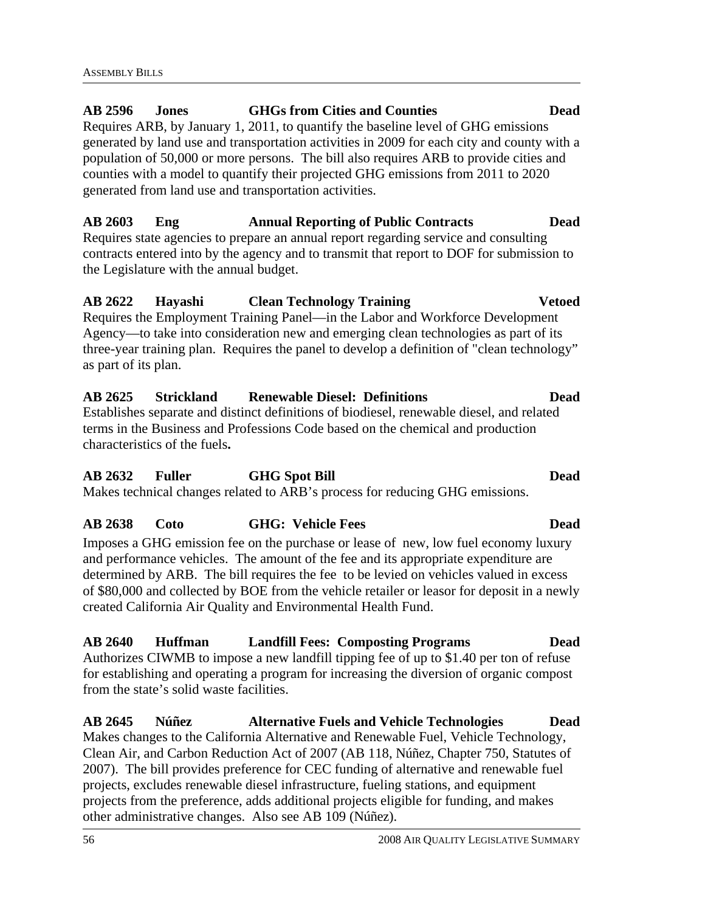#### **AB 2596 Jones GHGs from Cities and Counties Dead**  Requires ARB, by January 1, 2011, to quantify the baseline level of GHG emissions generated by land use and transportation activities in 2009 for each city and county with a population of 50,000 or more persons. The bill also requires ARB to provide cities and counties with a model to quantify their projected GHG emissions from 2011 to 2020 generated from land use and transportation activities.

#### **AB 2603 Eng Annual Reporting of Public Contracts Dead**  Requires state agencies to prepare an annual report regarding service and consulting contracts entered into by the agency and to transmit that report to DOF for submission to the Legislature with the annual budget.

#### **AB 2622 Hayashi Clean Technology Training Vetoed** Requires the Employment Training Panel—in the Labor and Workforce Development

Agency—to take into consideration new and emerging clean technologies as part of its three-year training plan. Requires the panel to develop a definition of "clean technology" as part of its plan.

## **AB 2625 Strickland Renewable Diesel: Definitions Dead**

Establishes separate and distinct definitions of biodiesel, renewable diesel, and related terms in the Business and Professions Code based on the chemical and production characteristics of the fuels**.** 

# **AB 2632 Fuller GHG Spot Bill Dead**

Makes technical changes related to ARB's process for reducing GHG emissions.

# **AB 2638 Coto GHG: Vehicle Fees Dead**

Imposes a GHG emission fee on the purchase or lease of new, low fuel economy luxury and performance vehicles. The amount of the fee and its appropriate expenditure are determined by ARB. The bill requires the fee to be levied on vehicles valued in excess of \$80,000 and collected by BOE from the vehicle retailer or leasor for deposit in a newly created California Air Quality and Environmental Health Fund.

#### **AB 2640 Huffman Landfill Fees: Composting Programs Dead**  Authorizes CIWMB to impose a new landfill tipping fee of up to \$1.40 per ton of refuse for establishing and operating a program for increasing the diversion of organic compost from the state's solid waste facilities.

**AB 2645 Núñez Alternative Fuels and Vehicle Technologies Dead**  Makes changes to the California Alternative and Renewable Fuel, Vehicle Technology, Clean Air, and Carbon Reduction Act of 2007 (AB 118, Núñez, Chapter 750, Statutes of 2007). The bill provides preference for CEC funding of alternative and renewable fuel projects, excludes renewable diesel infrastructure, fueling stations, and equipment projects from the preference, adds additional projects eligible for funding, and makes other administrative changes. Also see AB 109 (Núñez).

#### 56 2008 AIR QUALITY LEGISLATIVE SUMMARY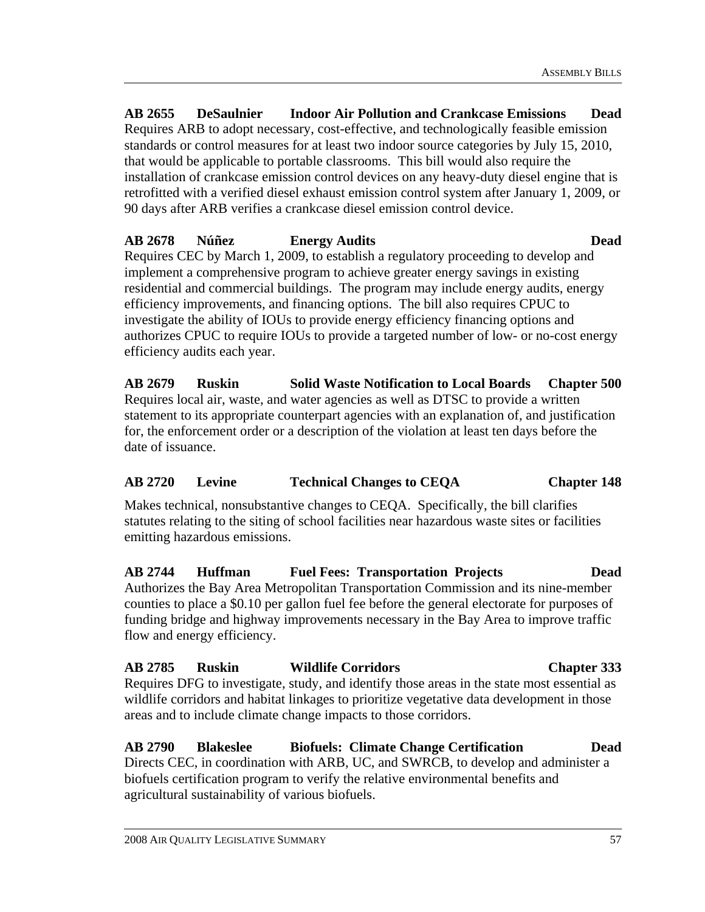**AB 2655 DeSaulnier Indoor Air Pollution and Crankcase Emissions Dead**  Requires ARB to adopt necessary, cost-effective, and technologically feasible emission standards or control measures for at least two indoor source categories by July 15, 2010, that would be applicable to portable classrooms. This bill would also require the installation of crankcase emission control devices on any heavy-duty diesel engine that is retrofitted with a verified diesel exhaust emission control system after January 1, 2009, or 90 days after ARB verifies a crankcase diesel emission control device.

#### **AB 2678 Núñez Energy Audits Dead**

Requires CEC by March 1, 2009, to establish a regulatory proceeding to develop and implement a comprehensive program to achieve greater energy savings in existing residential and commercial buildings. The program may include energy audits, energy efficiency improvements, and financing options. The bill also requires CPUC to investigate the ability of IOUs to provide energy efficiency financing options and authorizes CPUC to require IOUs to provide a targeted number of low- or no-cost energy efficiency audits each year.

**AB 2679 Ruskin Solid Waste Notification to Local Boards Chapter 500**  Requires local air, waste, and water agencies as well as DTSC to provide a written statement to its appropriate counterpart agencies with an explanation of, and justification for, the enforcement order or a description of the violation at least ten days before the date of issuance.

#### **AB 2720 Levine Technical Changes to CEQA Chapter 148**

Makes technical, nonsubstantive changes to CEQA. Specifically, the bill clarifies statutes relating to the siting of school facilities near hazardous waste sites or facilities emitting hazardous emissions.

**AB 2744 Huffman Fuel Fees: Transportation Projects Dead**  Authorizes the Bay Area Metropolitan Transportation Commission and its nine-member counties to place a \$0.10 per gallon fuel fee before the general electorate for purposes of funding bridge and highway improvements necessary in the Bay Area to improve traffic flow and energy efficiency.

**AB 2785 Ruskin Wildlife Corridors Chapter 333**  Requires DFG to investigate, study, and identify those areas in the state most essential as wildlife corridors and habitat linkages to prioritize vegetative data development in those areas and to include climate change impacts to those corridors.

**AB 2790 Blakeslee Biofuels: Climate Change Certification Dead**  Directs CEC, in coordination with ARB, UC, and SWRCB, to develop and administer a biofuels certification program to verify the relative environmental benefits and agricultural sustainability of various biofuels.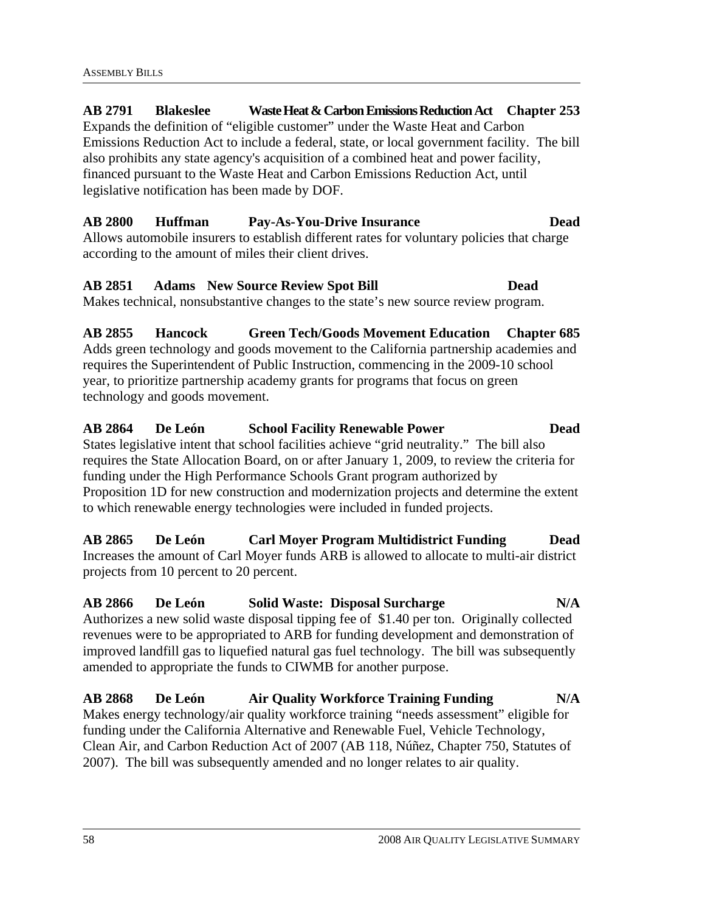# **AB 2791 Blakeslee Waste Heat & Carbon Emissions Reduction Act Chapter 253**

Expands the definition of "eligible customer" under the Waste Heat and Carbon Emissions Reduction Act to include a federal, state, or local government facility. The bill also prohibits any state agency's acquisition of a combined heat and power facility, financed pursuant to the Waste Heat and Carbon Emissions Reduction Act, until legislative notification has been made by DOF.

## **AB 2800 Huffman Pay-As-You-Drive Insurance Dead**

Allows automobile insurers to establish different rates for voluntary policies that charge according to the amount of miles their client drives.

#### **AB 2851 Adams New Source Review Spot Bill Dead**

Makes technical, nonsubstantive changes to the state's new source review program.

# **AB 2855 Hancock Green Tech/Goods Movement Education Chapter 685**

Adds green technology and goods movement to the California partnership academies and requires the Superintendent of Public Instruction, commencing in the 2009-10 school year, to prioritize partnership academy grants for programs that focus on green technology and goods movement.

**AB 2864 De León School Facility Renewable Power Dead**  States legislative intent that school facilities achieve "grid neutrality." The bill also requires the State Allocation Board, on or after January 1, 2009, to review the criteria for funding under the High Performance Schools Grant program authorized by Proposition 1D for new construction and modernization projects and determine the extent to which renewable energy technologies were included in funded projects.

#### **AB 2865 De León Carl Moyer Program Multidistrict Funding Dead**  Increases the amount of Carl Moyer funds ARB is allowed to allocate to multi-air district projects from 10 percent to 20 percent.

#### **AB 2866 De León Solid Waste: Disposal Surcharge N/A**  Authorizes a new solid waste disposal tipping fee of \$1.40 per ton. Originally collected

revenues were to be appropriated to ARB for funding development and demonstration of improved landfill gas to liquefied natural gas fuel technology. The bill was subsequently amended to appropriate the funds to CIWMB for another purpose.

# **AB 2868 De León Air Quality Workforce Training Funding N/A**

Makes energy technology/air quality workforce training "needs assessment" eligible for funding under the California Alternative and Renewable Fuel, Vehicle Technology, Clean Air, and Carbon Reduction Act of 2007 (AB 118, Núñez, Chapter 750, Statutes of 2007). The bill was subsequently amended and no longer relates to air quality.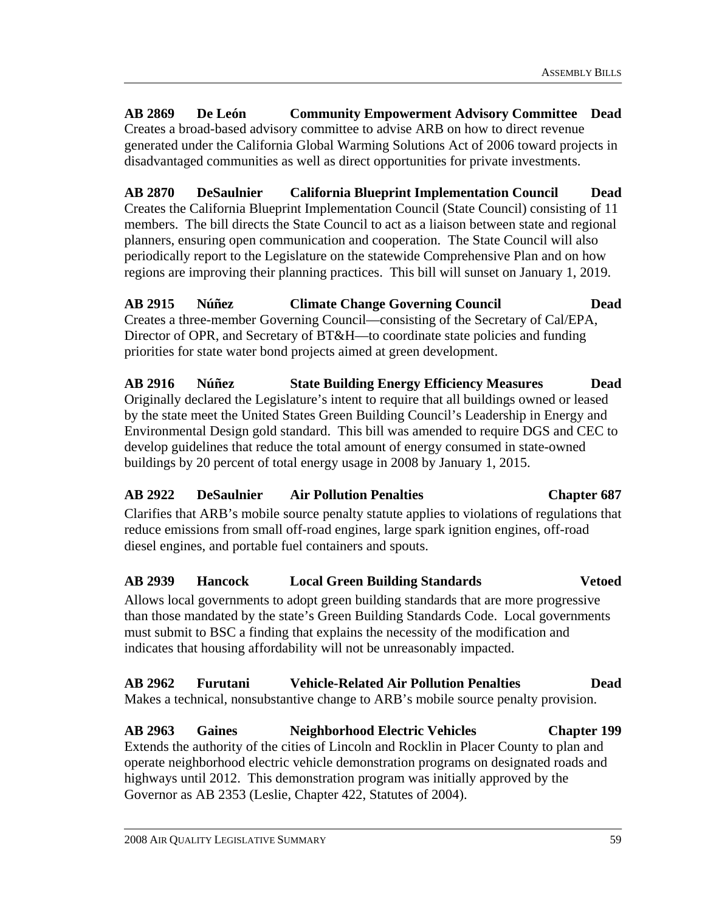**AB 2869 De León Community Empowerment Advisory Committee Dead**  Creates a broad-based advisory committee to advise ARB on how to direct revenue generated under the California Global Warming Solutions Act of 2006 toward projects in disadvantaged communities as well as direct opportunities for private investments.

**AB 2870 DeSaulnier California Blueprint Implementation Council Dead**  Creates the California Blueprint Implementation Council (State Council) consisting of 11 members. The bill directs the State Council to act as a liaison between state and regional planners, ensuring open communication and cooperation. The State Council will also periodically report to the Legislature on the statewide Comprehensive Plan and on how regions are improving their planning practices. This bill will sunset on January 1, 2019.

**AB 2915 Núñez Climate Change Governing Council Dead**  Creates a three-member Governing Council—consisting of the Secretary of Cal/EPA, Director of OPR, and Secretary of BT&H—to coordinate state policies and funding priorities for state water bond projects aimed at green development.

**AB 2916 Núñez State Building Energy Efficiency Measures Dead**  Originally declared the Legislature's intent to require that all buildings owned or leased by the state meet the United States Green Building Council's Leadership in Energy and Environmental Design gold standard. This bill was amended to require DGS and CEC to develop guidelines that reduce the total amount of energy consumed in state-owned buildings by 20 percent of total energy usage in 2008 by January 1, 2015.

# **AB 2922 DeSaulnier Air Pollution Penalties Chapter 687**

Clarifies that ARB's mobile source penalty statute applies to violations of regulations that reduce emissions from small off-road engines, large spark ignition engines, off-road diesel engines, and portable fuel containers and spouts.

#### **AB 2939 Hancock Local Green Building Standards Vetoed**

Allows local governments to adopt green building standards that are more progressive than those mandated by the state's Green Building Standards Code. Local governments must submit to BSC a finding that explains the necessity of the modification and indicates that housing affordability will not be unreasonably impacted.

# **AB 2962 Furutani Vehicle-Related Air Pollution Penalties Dead**

Makes a technical, nonsubstantive change to ARB's mobile source penalty provision.

**AB 2963 Gaines Neighborhood Electric Vehicles Chapter 199**  Extends the authority of the cities of Lincoln and Rocklin in Placer County to plan and operate neighborhood electric vehicle demonstration programs on designated roads and highways until 2012. This demonstration program was initially approved by the Governor as AB 2353 (Leslie, Chapter 422, Statutes of 2004).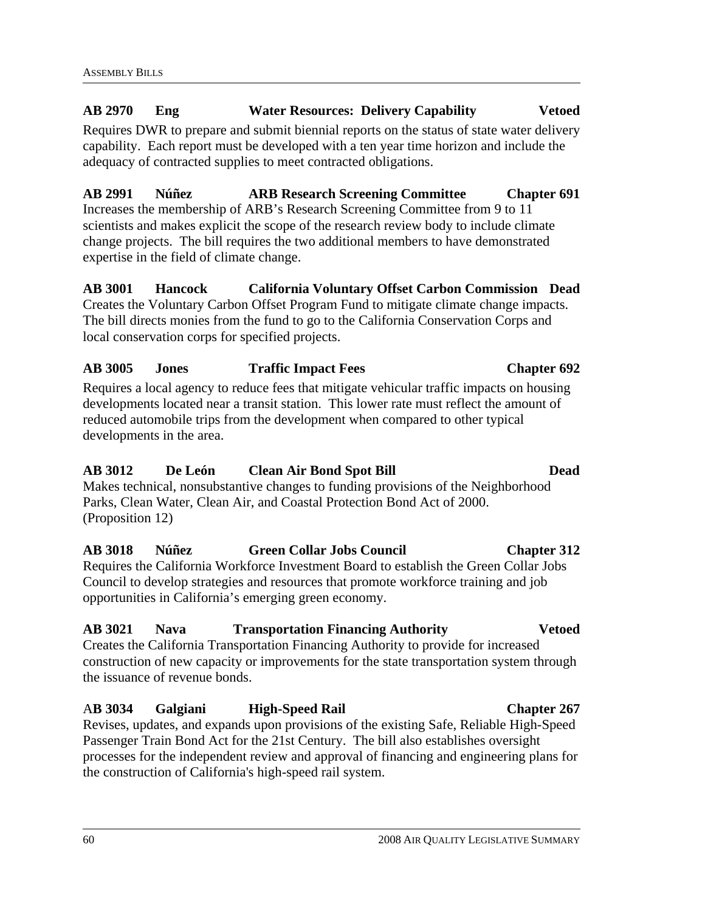#### **AB 2970 Eng Water Resources: Delivery Capability Vetoed**

Requires DWR to prepare and submit biennial reports on the status of state water delivery capability. Each report must be developed with a ten year time horizon and include the adequacy of contracted supplies to meet contracted obligations.

# **AB 2991 Núñez ARB Research Screening Committee Chapter 691**

Increases the membership of ARB's Research Screening Committee from 9 to 11 scientists and makes explicit the scope of the research review body to include climate change projects. The bill requires the two additional members to have demonstrated expertise in the field of climate change.

#### **AB 3001 Hancock California Voluntary Offset Carbon Commission Dead**  Creates the Voluntary Carbon Offset Program Fund to mitigate climate change impacts.

The bill directs monies from the fund to go to the California Conservation Corps and local conservation corps for specified projects.

## **AB 3005 Jones Traffic Impact Fees Chapter 692**

Requires a local agency to reduce fees that mitigate vehicular traffic impacts on housing developments located near a transit station. This lower rate must reflect the amount of reduced automobile trips from the development when compared to other typical developments in the area.

#### **AB 3012 De León Clean Air Bond Spot Bill Dead**

Makes technical, nonsubstantive changes to funding provisions of the Neighborhood Parks, Clean Water, Clean Air, and Coastal Protection Bond Act of 2000. (Proposition 12)

### **AB 3018 Núñez Green Collar Jobs Council Chapter 312**

Requires the California Workforce Investment Board to establish the Green Collar Jobs Council to develop strategies and resources that promote workforce training and job opportunities in California's emerging green economy.

#### **AB 3021 Nava Transportation Financing Authority Vetoed**

Creates the California Transportation Financing Authority to provide for increased construction of new capacity or improvements for the state transportation system through the issuance of revenue bonds.

### A**B 3034 Galgiani High-Speed Rail Chapter 267**

Revises, updates, and expands upon provisions of the existing Safe, Reliable High-Speed Passenger Train Bond Act for the 21st Century. The bill also establishes oversight processes for the independent review and approval of financing and engineering plans for the construction of California's high-speed rail system.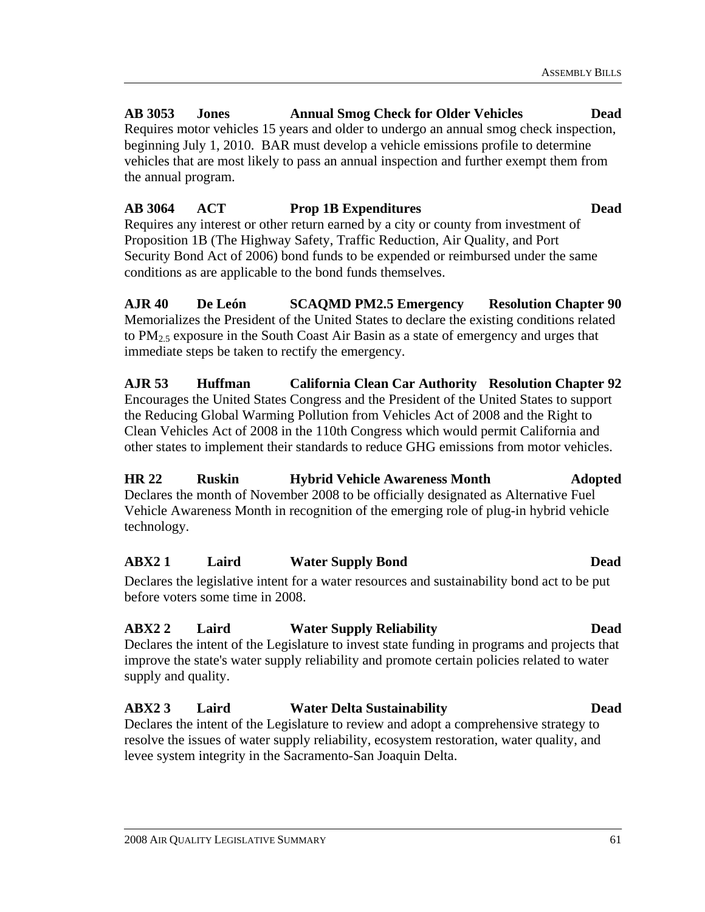**AB 3053 Jones Annual Smog Check for Older Vehicles Dead**  Requires motor vehicles 15 years and older to undergo an annual smog check inspection, beginning July 1, 2010. BAR must develop a vehicle emissions profile to determine vehicles that are most likely to pass an annual inspection and further exempt them from the annual program.

#### **AB 3064 ACT Prop 1B Expenditures Dead**  Requires any interest or other return earned by a city or county from investment of Proposition 1B (The Highway Safety, Traffic Reduction, Air Quality, and Port Security Bond Act of 2006) bond funds to be expended or reimbursed under the same conditions as are applicable to the bond funds themselves.

**AJR 40 De León SCAQMD PM2.5 Emergency Resolution Chapter 90**  Memorializes the President of the United States to declare the existing conditions related to PM2.5 exposure in the South Coast Air Basin as a state of emergency and urges that immediate steps be taken to rectify the emergency.

**AJR 53 Huffman California Clean Car Authority Resolution Chapter 92**  Encourages the United States Congress and the President of the United States to support the Reducing Global Warming Pollution from Vehicles Act of 2008 and the Right to Clean Vehicles Act of 2008 in the 110th Congress which would permit California and other states to implement their standards to reduce GHG emissions from motor vehicles.

#### **HR 22 Ruskin Hybrid Vehicle Awareness Month Adopted**  Declares the month of November 2008 to be officially designated as Alternative Fuel Vehicle Awareness Month in recognition of the emerging role of plug-in hybrid vehicle technology.

### **ABX2 1 Laird Water Supply Bond Dead**

Declares the legislative intent for a water resources and sustainability bond act to be put before voters some time in 2008.

#### **ABX2 2 Laird Water Supply Reliability Dead**

Declares the intent of the Legislature to invest state funding in programs and projects that improve the state's water supply reliability and promote certain policies related to water supply and quality.

### **ABX2 3 Laird Water Delta Sustainability Dead**

Declares the intent of the Legislature to review and adopt a comprehensive strategy to resolve the issues of water supply reliability, ecosystem restoration, water quality, and levee system integrity in the Sacramento-San Joaquin Delta.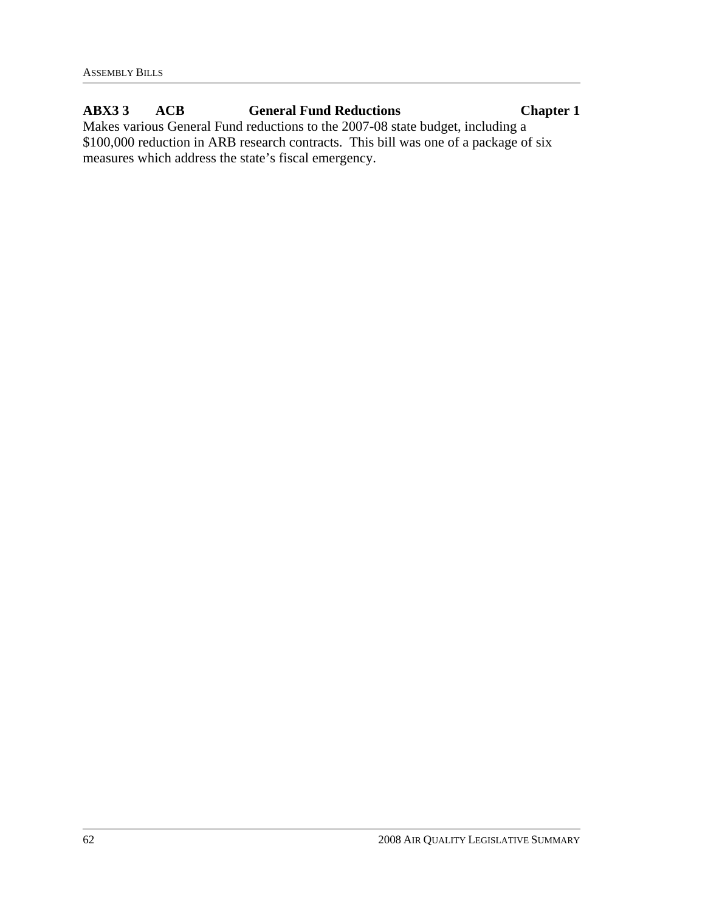### **ABX3 3 ACB General Fund Reductions Chapter 1**

Makes various General Fund reductions to the 2007-08 state budget, including a \$100,000 reduction in ARB research contracts. This bill was one of a package of six measures which address the state's fiscal emergency.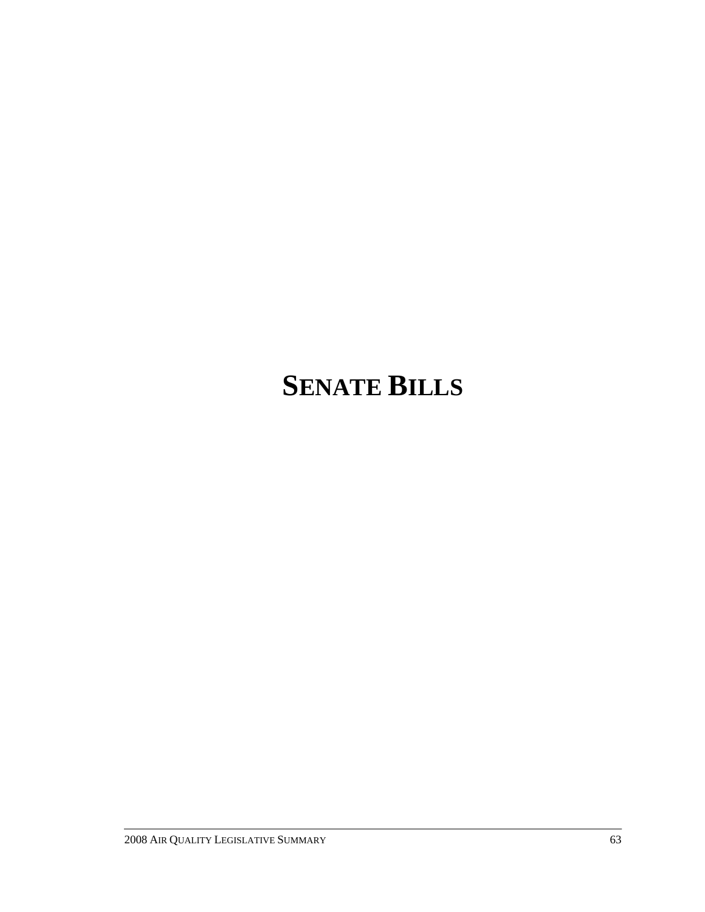# **SENATE BILLS**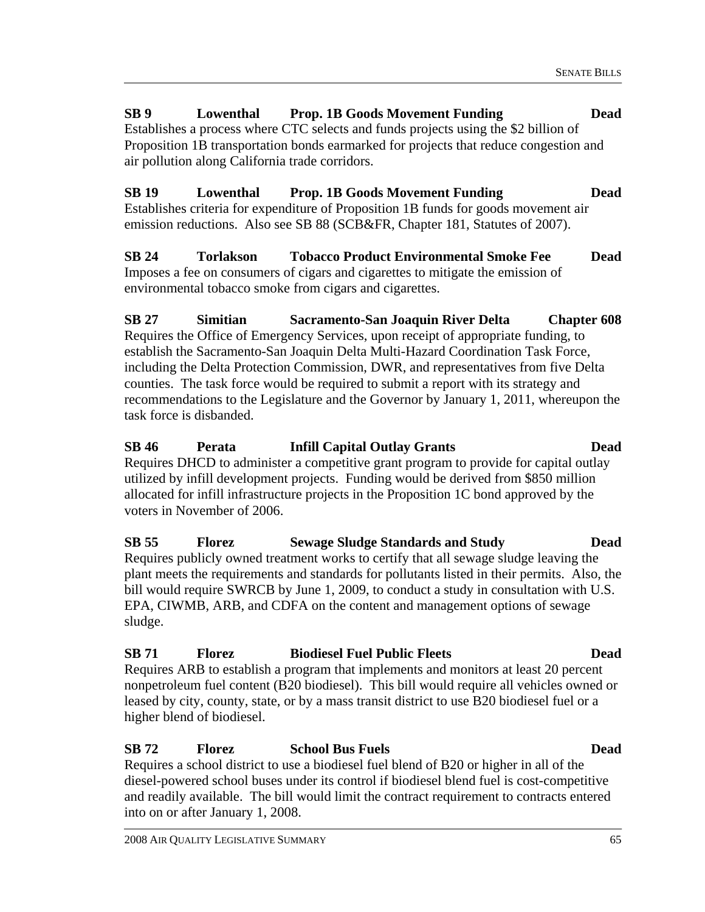#### **SB 9 Lowenthal Prop. 1B Goods Movement Funding Dead**  Establishes a process where CTC selects and funds projects using the \$2 billion of Proposition 1B transportation bonds earmarked for projects that reduce congestion and air pollution along California trade corridors.

**SB 19 Lowenthal Prop. 1B Goods Movement Funding Dead**  Establishes criteria for expenditure of Proposition 1B funds for goods movement air emission reductions. Also see SB 88 (SCB&FR, Chapter 181, Statutes of 2007).

**SB 24 Torlakson Tobacco Product Environmental Smoke Fee Dead**  Imposes a fee on consumers of cigars and cigarettes to mitigate the emission of environmental tobacco smoke from cigars and cigarettes.

**SB 27 Simitian Sacramento-San Joaquin River Delta Chapter 608**  Requires the Office of Emergency Services, upon receipt of appropriate funding, to establish the Sacramento-San Joaquin Delta Multi-Hazard Coordination Task Force, including the Delta Protection Commission, DWR, and representatives from five Delta counties. The task force would be required to submit a report with its strategy and recommendations to the Legislature and the Governor by January 1, 2011, whereupon the task force is disbanded.

**SB 46 Perata Infill Capital Outlay Grants Dead**  Requires DHCD to administer a competitive grant program to provide for capital outlay utilized by infill development projects. Funding would be derived from \$850 million allocated for infill infrastructure projects in the Proposition 1C bond approved by the voters in November of 2006.

**SB 55 Florez Sewage Sludge Standards and Study Dead**  Requires publicly owned treatment works to certify that all sewage sludge leaving the plant meets the requirements and standards for pollutants listed in their permits. Also, the bill would require SWRCB by June 1, 2009, to conduct a study in consultation with U.S. EPA, CIWMB, ARB, and CDFA on the content and management options of sewage sludge.

#### **SB 71 Florez Biodiesel Fuel Public Fleets Dead**

Requires ARB to establish a program that implements and monitors at least 20 percent nonpetroleum fuel content (B20 biodiesel). This bill would require all vehicles owned or leased by city, county, state, or by a mass transit district to use B20 biodiesel fuel or a higher blend of biodiesel.

### **SB 72 Florez School Bus Fuels Dead**

Requires a school district to use a biodiesel fuel blend of B20 or higher in all of the diesel-powered school buses under its control if biodiesel blend fuel is cost-competitive and readily available. The bill would limit the contract requirement to contracts entered into on or after January 1, 2008.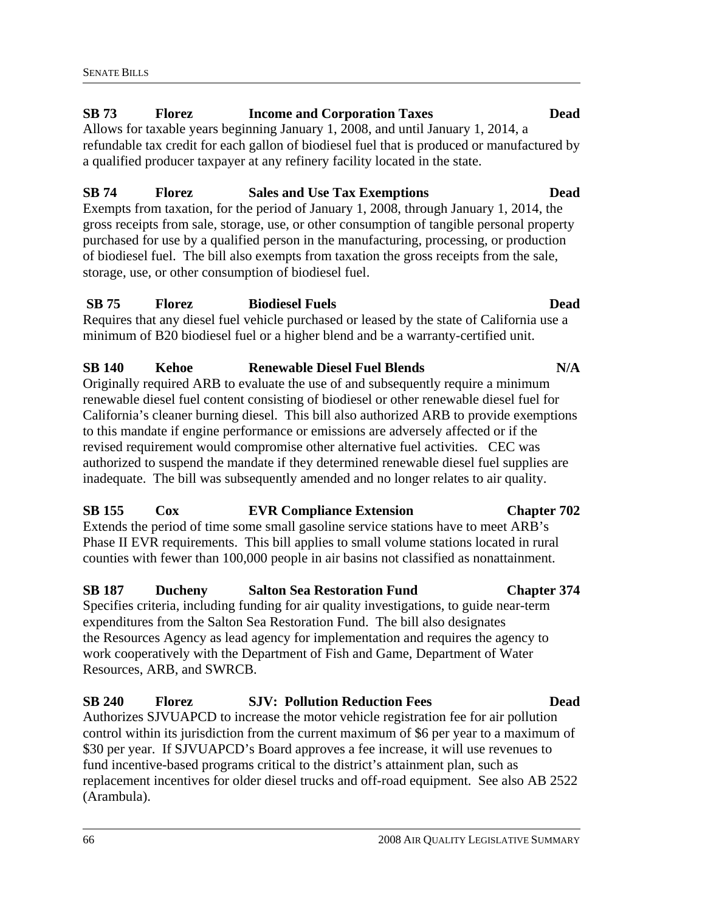#### **SB 73 Florez Income and Corporation Taxes Dead**

Allows for taxable years beginning January 1, 2008, and until January 1, 2014, a refundable tax credit for each gallon of biodiesel fuel that is produced or manufactured by a qualified producer taxpayer at any refinery facility located in the state.

#### **SB 74 Florez Sales and Use Tax Exemptions Dead**

Exempts from taxation, for the period of January 1, 2008, through January 1, 2014, the gross receipts from sale, storage, use, or other consumption of tangible personal property purchased for use by a qualified person in the manufacturing, processing, or production of biodiesel fuel. The bill also exempts from taxation the gross receipts from the sale, storage, use, or other consumption of biodiesel fuel.

#### **SB 75 Florez Biodiesel Fuels Dead**

Requires that any diesel fuel vehicle purchased or leased by the state of California use a minimum of B20 biodiesel fuel or a higher blend and be a warranty-certified unit.

### **SB 140 Kehoe Renewable Diesel Fuel Blends N/A**

Originally required ARB to evaluate the use of and subsequently require a minimum renewable diesel fuel content consisting of biodiesel or other renewable diesel fuel for California's cleaner burning diesel. This bill also authorized ARB to provide exemptions to this mandate if engine performance or emissions are adversely affected or if the revised requirement would compromise other alternative fuel activities. CEC was authorized to suspend the mandate if they determined renewable diesel fuel supplies are inadequate. The bill was subsequently amended and no longer relates to air quality.

### **SB 155 Cox EVR Compliance Extension Chapter 702**

Extends the period of time some small gasoline service stations have to meet ARB's Phase II EVR requirements. This bill applies to small volume stations located in rural counties with fewer than 100,000 people in air basins not classified as nonattainment.

#### **SB 187 Ducheny Salton Sea Restoration Fund Chapter 374**

 Specifies criteria, including funding for air quality investigations, to guide near-term expenditures from the Salton Sea Restoration Fund. The bill also designates the Resources Agency as lead agency for implementation and requires the agency to work cooperatively with the Department of Fish and Game, Department of Water Resources, ARB, and SWRCB.

# **SB 240 Florez SJV: Pollution Reduction Fees Dead**

Authorizes SJVUAPCD to increase the motor vehicle registration fee for air pollution control within its jurisdiction from the current maximum of \$6 per year to a maximum of \$30 per year. If SJVUAPCD's Board approves a fee increase, it will use revenues to fund incentive-based programs critical to the district's attainment plan, such as replacement incentives for older diesel trucks and off-road equipment. See also AB 2522 (Arambula).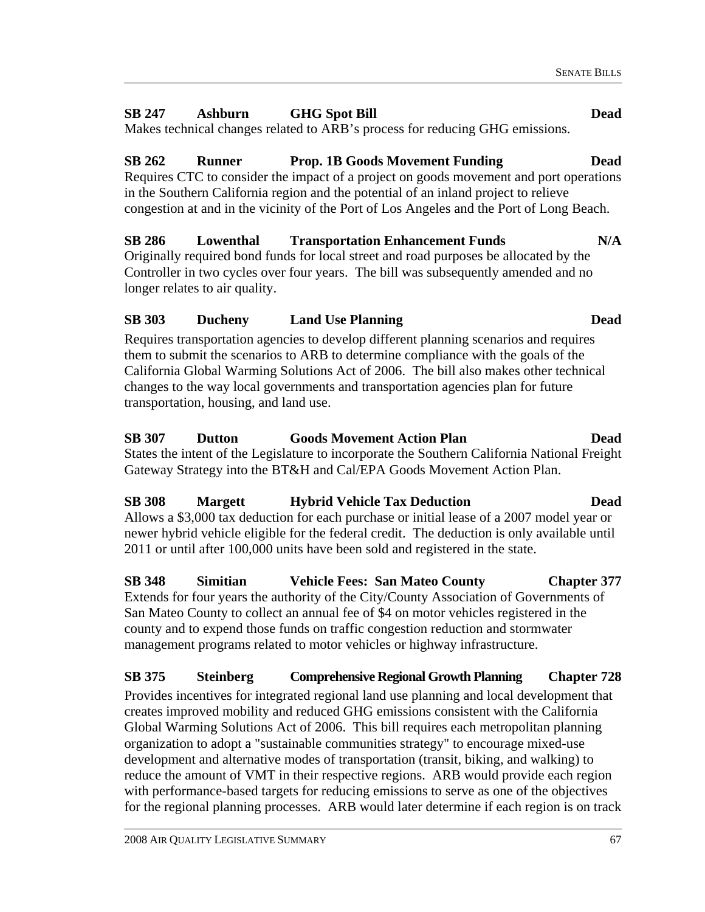#### **SB 247 Ashburn GHG Spot Bill Dead**

Makes technical changes related to ARB's process for reducing GHG emissions.

# **SB 262 Runner Prop. 1B Goods Movement Funding Dead**

Requires CTC to consider the impact of a project on goods movement and port operations in the Southern California region and the potential of an inland project to relieve congestion at and in the vicinity of the Port of Los Angeles and the Port of Long Beach.

#### **SB 286 Lowenthal Transportation Enhancement Funds N/A**  Originally required bond funds for local street and road purposes be allocated by the Controller in two cycles over four years. The bill was subsequently amended and no longer relates to air quality.

### **SB 303 Ducheny Land Use Planning Dead**

Requires transportation agencies to develop different planning scenarios and requires them to submit the scenarios to ARB to determine compliance with the goals of the California Global Warming Solutions Act of 2006. The bill also makes other technical changes to the way local governments and transportation agencies plan for future transportation, housing, and land use.

#### **SB 307 Dutton Goods Movement Action Plan Dead**

States the intent of the Legislature to incorporate the Southern California National Freight Gateway Strategy into the BT&H and Cal/EPA Goods Movement Action Plan.

## **SB 308 Margett Hybrid Vehicle Tax Deduction Dead**

Allows a \$3,000 tax deduction for each purchase or initial lease of a 2007 model year or newer hybrid vehicle eligible for the federal credit. The deduction is only available until 2011 or until after 100,000 units have been sold and registered in the state.

#### **SB 348 Simitian Vehicle Fees: San Mateo County Chapter 377**  Extends for four years the authority of the City/County Association of Governments of

San Mateo County to collect an annual fee of \$4 on motor vehicles registered in the county and to expend those funds on traffic congestion reduction and stormwater management programs related to motor vehicles or highway infrastructure.

#### **SB 375 Steinberg Comprehensive Regional Growth Planning Chapter 728**

Provides incentives for integrated regional land use planning and local development that creates improved mobility and reduced GHG emissions consistent with the California Global Warming Solutions Act of 2006. This bill requires each metropolitan planning organization to adopt a "sustainable communities strategy" to encourage mixed-use development and alternative modes of transportation (transit, biking, and walking) to reduce the amount of VMT in their respective regions. ARB would provide each region with performance-based targets for reducing emissions to serve as one of the objectives for the regional planning processes. ARB would later determine if each region is on track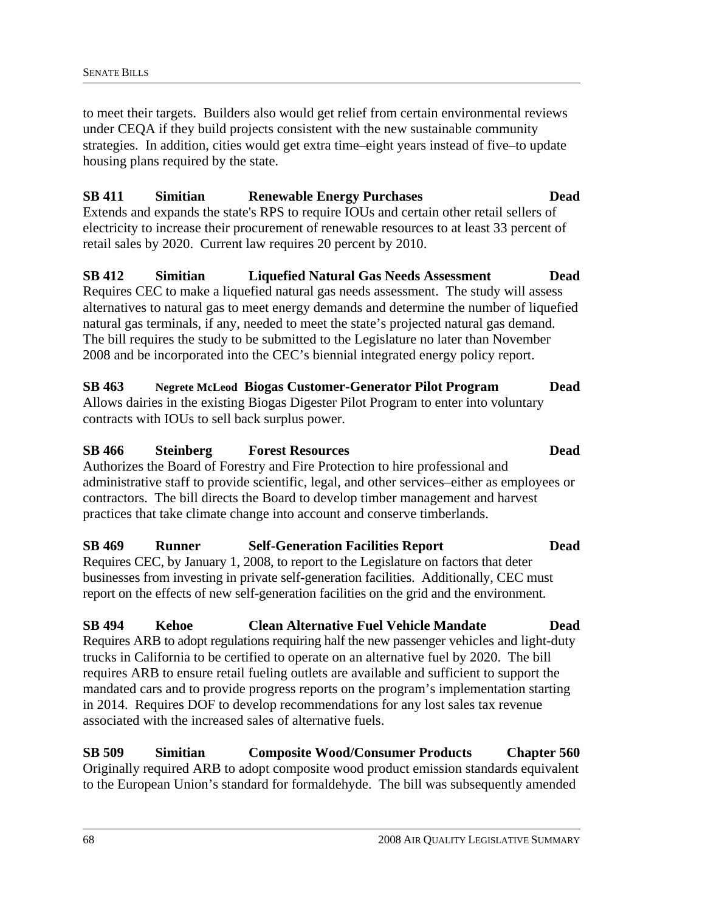to meet their targets. Builders also would get relief from certain environmental reviews under CEQA if they build projects consistent with the new sustainable community strategies. In addition, cities would get extra time–eight years instead of five–to update housing plans required by the state.

#### **SB 411 Simitian Renewable Energy Purchases Dead**

Extends and expands the state's RPS to require IOUs and certain other retail sellers of electricity to increase their procurement of renewable resources to at least 33 percent of retail sales by 2020. Current law requires 20 percent by 2010.

**SB 412 Simitian Liquefied Natural Gas Needs Assessment Dead**  Requires CEC to make a liquefied natural gas needs assessment. The study will assess alternatives to natural gas to meet energy demands and determine the number of liquefied natural gas terminals, if any, needed to meet the state's projected natural gas demand. The bill requires the study to be submitted to the Legislature no later than November 2008 and be incorporated into the CEC's biennial integrated energy policy report.

# **SB 463 Negrete McLeod Biogas Customer-Generator Pilot Program Dead**

Allows dairies in the existing Biogas Digester Pilot Program to enter into voluntary contracts with IOUs to sell back surplus power.

#### **SB 466 Steinberg Forest Resources Dead**  Authorizes the Board of Forestry and Fire Protection to hire professional and administrative staff to provide scientific, legal, and other services–either as employees or contractors. The bill directs the Board to develop timber management and harvest practices that take climate change into account and conserve timberlands.

# **SB 469 Runner Self-Generation Facilities Report Dead**

Requires CEC, by January 1, 2008, to report to the Legislature on factors that deter businesses from investing in private self-generation facilities. Additionally, CEC must report on the effects of new self-generation facilities on the grid and the environment.

**SB 494 Kehoe Clean Alternative Fuel Vehicle Mandate Dead**  Requires ARB to adopt regulations requiring half the new passenger vehicles and light-duty trucks in California to be certified to operate on an alternative fuel by 2020. The bill requires ARB to ensure retail fueling outlets are available and sufficient to support the mandated cars and to provide progress reports on the program's implementation starting in 2014. Requires DOF to develop recommendations for any lost sales tax revenue associated with the increased sales of alternative fuels.

**SB 509 Simitian Composite Wood/Consumer Products Chapter 560**  Originally required ARB to adopt composite wood product emission standards equivalent to the European Union's standard for formaldehyde. The bill was subsequently amended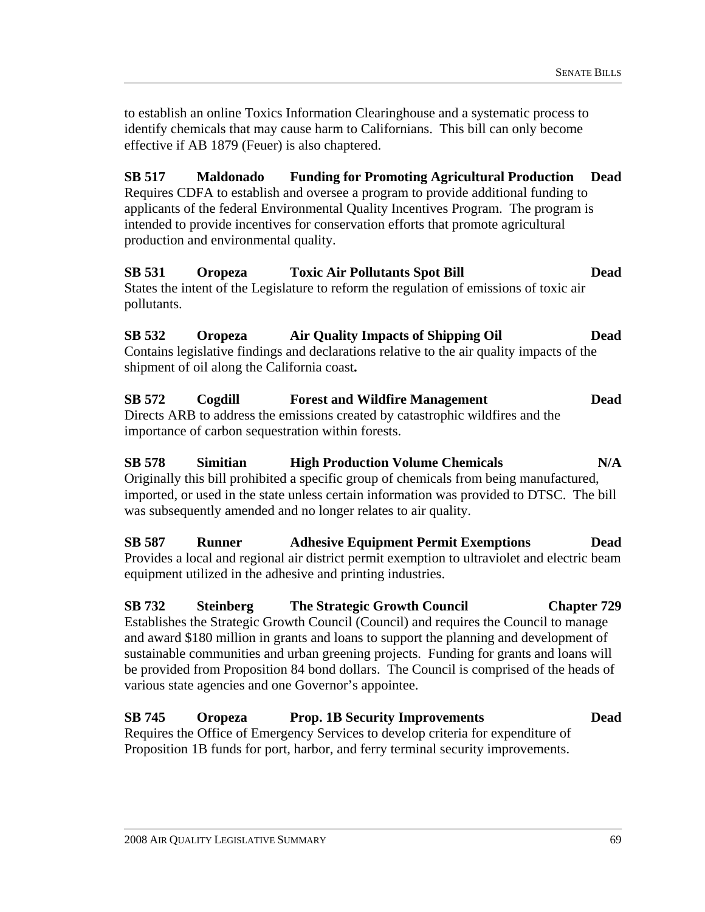to establish an online Toxics Information Clearinghouse and a systematic process to identify chemicals that may cause harm to Californians. This bill can only become effective if AB 1879 (Feuer) is also chaptered.

**SB 517 Maldonado Funding for Promoting Agricultural Production Dead**  Requires CDFA to establish and oversee a program to provide additional funding to applicants of the federal Environmental Quality Incentives Program. The program is intended to provide incentives for conservation efforts that promote agricultural production and environmental quality.

**SB 531 Oropeza Toxic Air Pollutants Spot Bill Dead**  States the intent of the Legislature to reform the regulation of emissions of toxic air pollutants.

**SB 532 Oropeza Air Quality Impacts of Shipping Oil Dead**  Contains legislative findings and declarations relative to the air quality impacts of the shipment of oil along the California coast**.** 

**SB 572 Cogdill Forest and Wildfire Management Dead**  Directs ARB to address the emissions created by catastrophic wildfires and the importance of carbon sequestration within forests.

**SB 578 Simitian High Production Volume Chemicals N/A**  Originally this bill prohibited a specific group of chemicals from being manufactured, imported, or used in the state unless certain information was provided to DTSC. The bill was subsequently amended and no longer relates to air quality.

**SB 587 Runner Adhesive Equipment Permit Exemptions Dead**  Provides a local and regional air district permit exemption to ultraviolet and electric beam equipment utilized in the adhesive and printing industries.

**SB 732 Steinberg The Strategic Growth Council Chapter 729**  Establishes the Strategic Growth Council (Council) and requires the Council to manage and award \$180 million in grants and loans to support the planning and development of sustainable communities and urban greening projects. Funding for grants and loans will be provided from Proposition 84 bond dollars. The Council is comprised of the heads of various state agencies and one Governor's appointee.

**SB 745 Oropeza Prop. 1B Security Improvements Dead**  Requires the Office of Emergency Services to develop criteria for expenditure of Proposition 1B funds for port, harbor, and ferry terminal security improvements.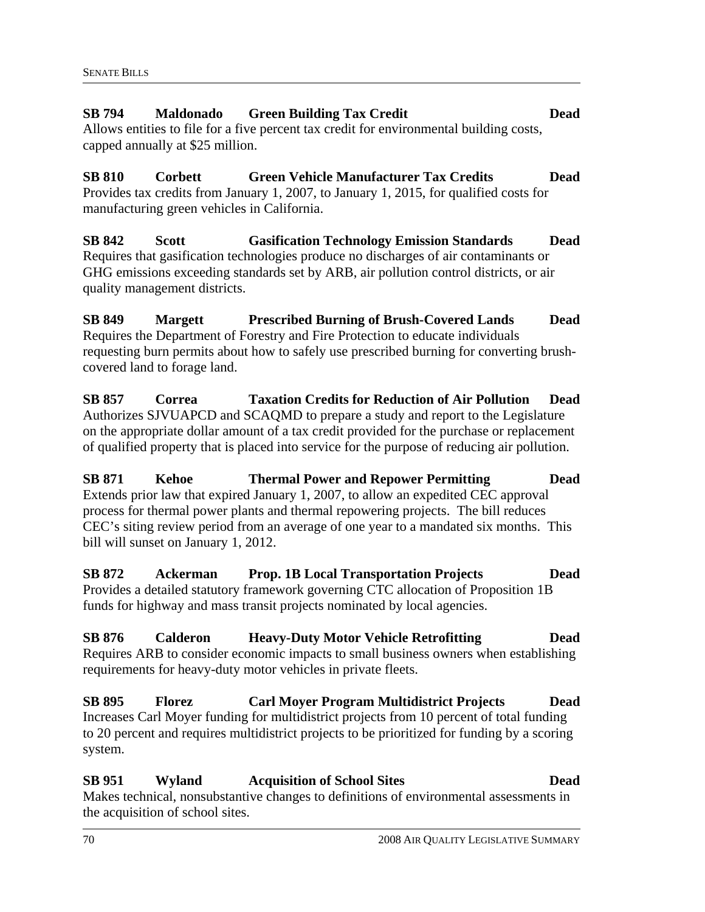## **SB 794 Maldonado Green Building Tax Credit Dead**  Allows entities to file for a five percent tax credit for environmental building costs, capped annually at \$25 million.

**SB 810 Corbett Green Vehicle Manufacturer Tax Credits Dead**  Provides tax credits from January 1, 2007, to January 1, 2015, for qualified costs for manufacturing green vehicles in California.

**SB 842 Scott Gasification Technology Emission Standards Dead**  Requires that gasification technologies produce no discharges of air contaminants or GHG emissions exceeding standards set by ARB, air pollution control districts, or air quality management districts.

**SB 849 Margett Prescribed Burning of Brush-Covered Lands Dead**  Requires the Department of Forestry and Fire Protection to educate individuals requesting burn permits about how to safely use prescribed burning for converting brushcovered land to forage land.

**SB 857 Correa Taxation Credits for Reduction of Air Pollution Dead**  Authorizes SJVUAPCD and SCAQMD to prepare a study and report to the Legislature on the appropriate dollar amount of a tax credit provided for the purchase or replacement of qualified property that is placed into service for the purpose of reducing air pollution.

**SB 871 Kehoe Thermal Power and Repower Permitting Dead**  Extends prior law that expired January 1, 2007, to allow an expedited CEC approval process for thermal power plants and thermal repowering projects. The bill reduces CEC's siting review period from an average of one year to a mandated six months. This bill will sunset on January 1, 2012.

**SB 872 Ackerman Prop. 1B Local Transportation Projects Dead**  Provides a detailed statutory framework governing CTC allocation of Proposition 1B funds for highway and mass transit projects nominated by local agencies.

#### **SB 876 Calderon Heavy-Duty Motor Vehicle Retrofitting Dead**  Requires ARB to consider economic impacts to small business owners when establishing requirements for heavy-duty motor vehicles in private fleets.

#### **SB 895 Florez Carl Moyer Program Multidistrict Projects Dead**  Increases Carl Moyer funding for multidistrict projects from 10 percent of total funding to 20 percent and requires multidistrict projects to be prioritized for funding by a scoring system.

### **SB 951 Wyland Acquisition of School Sites Dead**

Makes technical, nonsubstantive changes to definitions of environmental assessments in the acquisition of school sites.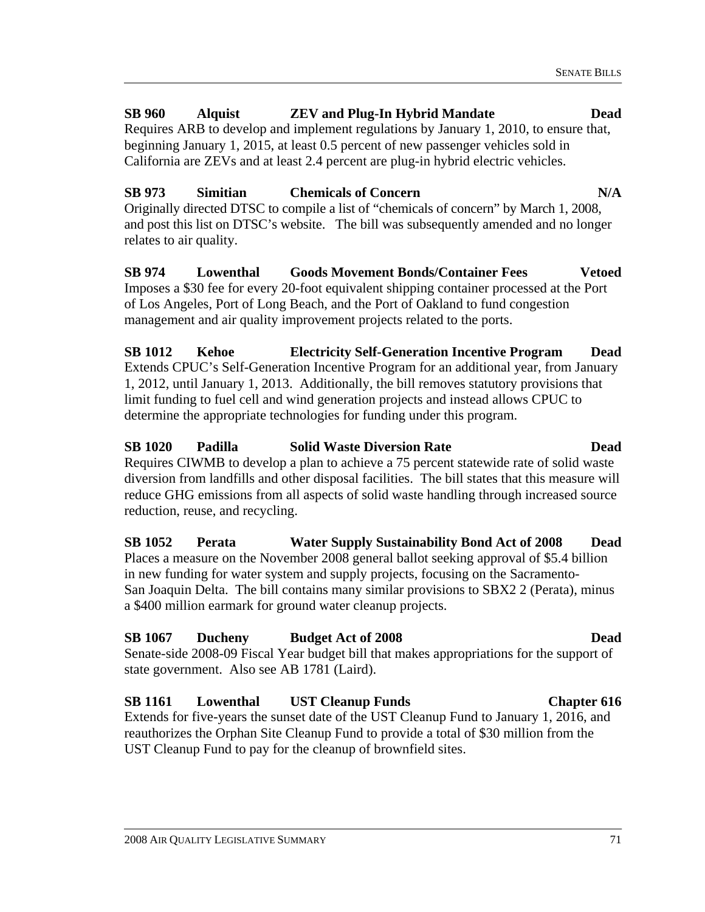#### **SB 960 Alquist ZEV and Plug-In Hybrid Mandate Dead**

Requires ARB to develop and implement regulations by January 1, 2010, to ensure that, beginning January 1, 2015, at least 0.5 percent of new passenger vehicles sold in California are ZEVs and at least 2.4 percent are plug-in hybrid electric vehicles.

#### **SB 973 Simitian Chemicals of Concern N/A**

Originally directed DTSC to compile a list of "chemicals of concern" by March 1, 2008, and post this list on DTSC's website. The bill was subsequently amended and no longer relates to air quality.

#### **SB 974 Lowenthal Goods Movement Bonds/Container Fees Vetoed**  Imposes a \$30 fee for every 20-foot equivalent shipping container processed at the Port of Los Angeles, Port of Long Beach, and the Port of Oakland to fund congestion management and air quality improvement projects related to the ports.

#### **SB 1012 Kehoe Electricity Self-Generation Incentive Program Dead**  Extends CPUC's Self-Generation Incentive Program for an additional year, from January 1, 2012, until January 1, 2013. Additionally, the bill removes statutory provisions that limit funding to fuel cell and wind generation projects and instead allows CPUC to determine the appropriate technologies for funding under this program.

### **SB 1020 Padilla Solid Waste Diversion Rate Dead**

Requires CIWMB to develop a plan to achieve a 75 percent statewide rate of solid waste diversion from landfills and other disposal facilities. The bill states that this measure will reduce GHG emissions from all aspects of solid waste handling through increased source reduction, reuse, and recycling.

#### **SB 1052 Perata Water Supply Sustainability Bond Act of 2008 Dead**  Places a measure on the November 2008 general ballot seeking approval of \$5.4 billion in new funding for water system and supply projects, focusing on the Sacramento-San Joaquin Delta. The bill contains many similar provisions to SBX2 2 (Perata), minus a \$400 million earmark for ground water cleanup projects.

#### **SB 1067 Ducheny Budget Act of 2008 Dead**

Senate-side 2008-09 Fiscal Year budget bill that makes appropriations for the support of state government. Also see AB 1781 (Laird).

#### **SB 1161 Lowenthal UST Cleanup Funds Chapter 616**

Extends for five-years the sunset date of the UST Cleanup Fund to January 1, 2016, and reauthorizes the Orphan Site Cleanup Fund to provide a total of \$30 million from the UST Cleanup Fund to pay for the cleanup of brownfield sites.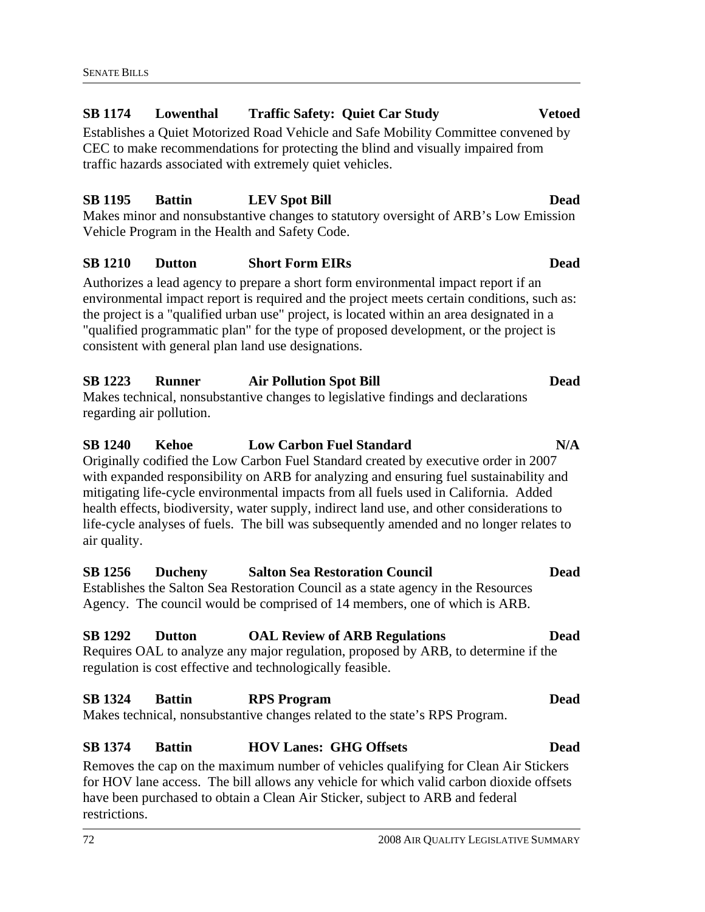#### **SB 1174 Lowenthal Traffic Safety: Quiet Car Study Vetoed**

Establishes a Quiet Motorized Road Vehicle and Safe Mobility Committee convened by CEC to make recommendations for protecting the blind and visually impaired from traffic hazards associated with extremely quiet vehicles.

#### **SB 1195 Battin LEV Spot Bill Dead**

Makes minor and nonsubstantive changes to statutory oversight of ARB's Low Emission Vehicle Program in the Health and Safety Code.

#### **SB 1210 Dutton Short Form EIRs Dead**

Authorizes a lead agency to prepare a short form environmental impact report if an environmental impact report is required and the project meets certain conditions, such as: the project is a "qualified urban use" project, is located within an area designated in a "qualified programmatic plan" for the type of proposed development, or the project is consistent with general plan land use designations.

# **SB 1223 Runner Air Pollution Spot Bill Dead**

Makes technical, nonsubstantive changes to legislative findings and declarations regarding air pollution.

## **SB 1240 Kehoe Low Carbon Fuel Standard N/A**

Originally codified the Low Carbon Fuel Standard created by executive order in 2007 with expanded responsibility on ARB for analyzing and ensuring fuel sustainability and mitigating life-cycle environmental impacts from all fuels used in California. Added health effects, biodiversity, water supply, indirect land use, and other considerations to life-cycle analyses of fuels. The bill was subsequently amended and no longer relates to air quality.

#### **SB 1256 Ducheny Salton Sea Restoration Council Dead**  Establishes the Salton Sea Restoration Council as a state agency in the Resources

#### **SB 1292 Dutton OAL Review of ARB Regulations Dead**

Requires OAL to analyze any major regulation, proposed by ARB, to determine if the regulation is cost effective and technologically feasible.

Agency. The council would be comprised of 14 members, one of which is ARB.

#### **SB 1324 Battin RPS Program Dead**

Makes technical, nonsubstantive changes related to the state's RPS Program.

#### **SB 1374 Battin HOV Lanes: GHG Offsets Dead**

Removes the cap on the maximum number of vehicles qualifying for Clean Air Stickers for HOV lane access. The bill allows any vehicle for which valid carbon dioxide offsets have been purchased to obtain a Clean Air Sticker, subject to ARB and federal restrictions.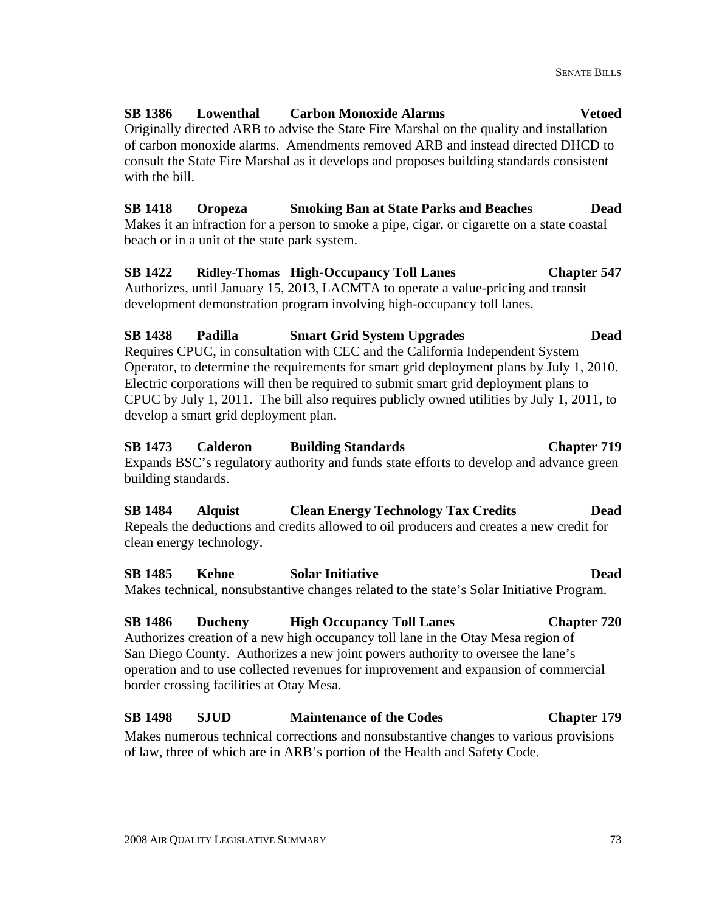## **SB 1386 Lowenthal Carbon Monoxide Alarms Vetoed**

Originally directed ARB to advise the State Fire Marshal on the quality and installation of carbon monoxide alarms. Amendments removed ARB and instead directed DHCD to consult the State Fire Marshal as it develops and proposes building standards consistent with the bill.

#### **SB 1418 Oropeza Smoking Ban at State Parks and Beaches Dead**  Makes it an infraction for a person to smoke a pipe, cigar, or cigarette on a state coastal beach or in a unit of the state park system.

#### **SB 1422 Ridley-Thomas High-Occupancy Toll Lanes Chapter 547**  Authorizes, until January 15, 2013, LACMTA to operate a value-pricing and transit development demonstration program involving high-occupancy toll lanes.

#### **SB 1438 Padilla Smart Grid System Upgrades Dead**

Requires CPUC, in consultation with CEC and the California Independent System Operator, to determine the requirements for smart grid deployment plans by July 1, 2010. Electric corporations will then be required to submit smart grid deployment plans to CPUC by July 1, 2011. The bill also requires publicly owned utilities by July 1, 2011, to develop a smart grid deployment plan.

#### **SB 1473 Calderon Building Standards Chapter 719**  Expands BSC's regulatory authority and funds state efforts to develop and advance green building standards.

#### **SB 1484 Alquist Clean Energy Technology Tax Credits Dead**  Repeals the deductions and credits allowed to oil producers and creates a new credit for clean energy technology.

#### **SB 1485 Kehoe Solar Initiative Dead**

Makes technical, nonsubstantive changes related to the state's Solar Initiative Program.

#### **SB 1486 Ducheny High Occupancy Toll Lanes Chapter 720**

Authorizes creation of a new high occupancy toll lane in the Otay Mesa region of San Diego County. Authorizes a new joint powers authority to oversee the lane's operation and to use collected revenues for improvement and expansion of commercial border crossing facilities at Otay Mesa.

#### **SB 1498 SJUD Maintenance of the Codes Chapter 179**

Makes numerous technical corrections and nonsubstantive changes to various provisions of law, three of which are in ARB's portion of the Health and Safety Code.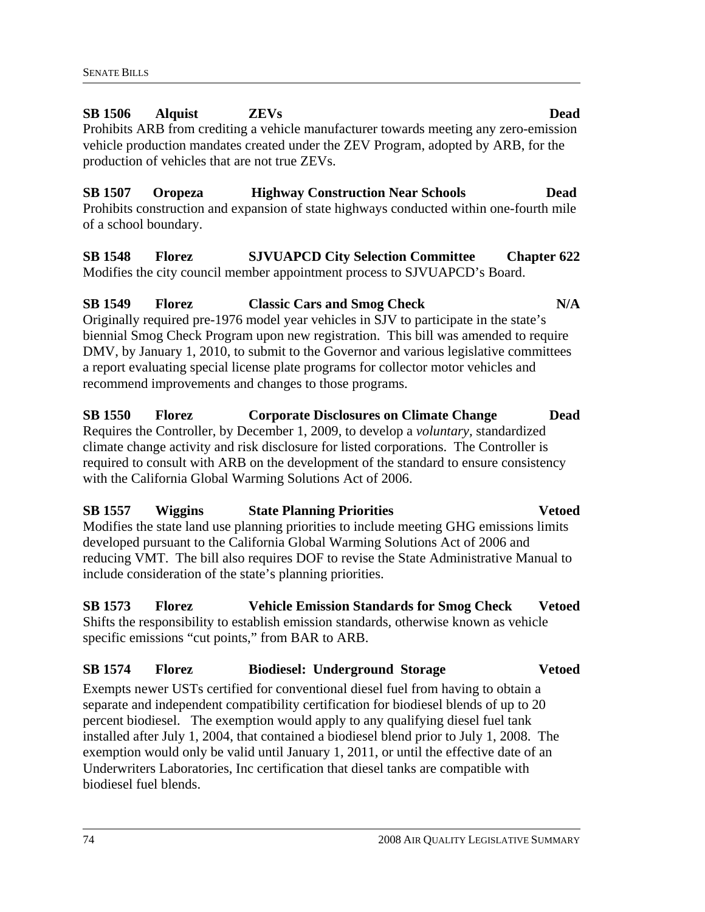### **SB 1506 Alquist ZEVs Dead**  Prohibits ARB from crediting a vehicle manufacturer towards meeting any zero-emission vehicle production mandates created under the ZEV Program, adopted by ARB, for the production of vehicles that are not true ZEVs.

#### **SB 1507 Oropeza Highway Construction Near Schools Dead**  Prohibits construction and expansion of state highways conducted within one-fourth mile of a school boundary.

**SB 1548 Florez SJVUAPCD City Selection Committee Chapter 622** Modifies the city council member appointment process to SJVUAPCD's Board.

# SB 1549 Florez Classic Cars and Smog Check N/A

Originally required pre-1976 model year vehicles in SJV to participate in the state's biennial Smog Check Program upon new registration. This bill was amended to require DMV, by January 1, 2010, to submit to the Governor and various legislative committees a report evaluating special license plate programs for collector motor vehicles and recommend improvements and changes to those programs.

#### **SB 1550 Florez Corporate Disclosures on Climate Change Dead**  Requires the Controller, by December 1, 2009, to develop a *voluntary,* standardized climate change activity and risk disclosure for listed corporations. The Controller is required to consult with ARB on the development of the standard to ensure consistency with the California Global Warming Solutions Act of 2006.

# **SB 1557 Wiggins State Planning Priorities Vetoed**

Modifies the state land use planning priorities to include meeting GHG emissions limits developed pursuant to the California Global Warming Solutions Act of 2006 and reducing VMT. The bill also requires DOF to revise the State Administrative Manual to include consideration of the state's planning priorities.

# **SB 1573 Florez Vehicle Emission Standards for Smog Check Vetoed**

Shifts the responsibility to establish emission standards, otherwise known as vehicle specific emissions "cut points," from BAR to ARB.

#### **SB 1574 Florez Biodiesel: Underground Storage Vetoed**

Exempts newer USTs certified for conventional diesel fuel from having to obtain a separate and independent compatibility certification for biodiesel blends of up to 20 percent biodiesel. The exemption would apply to any qualifying diesel fuel tank installed after July 1, 2004, that contained a biodiesel blend prior to July 1, 2008. The exemption would only be valid until January 1, 2011, or until the effective date of an Underwriters Laboratories, Inc certification that diesel tanks are compatible with biodiesel fuel blends.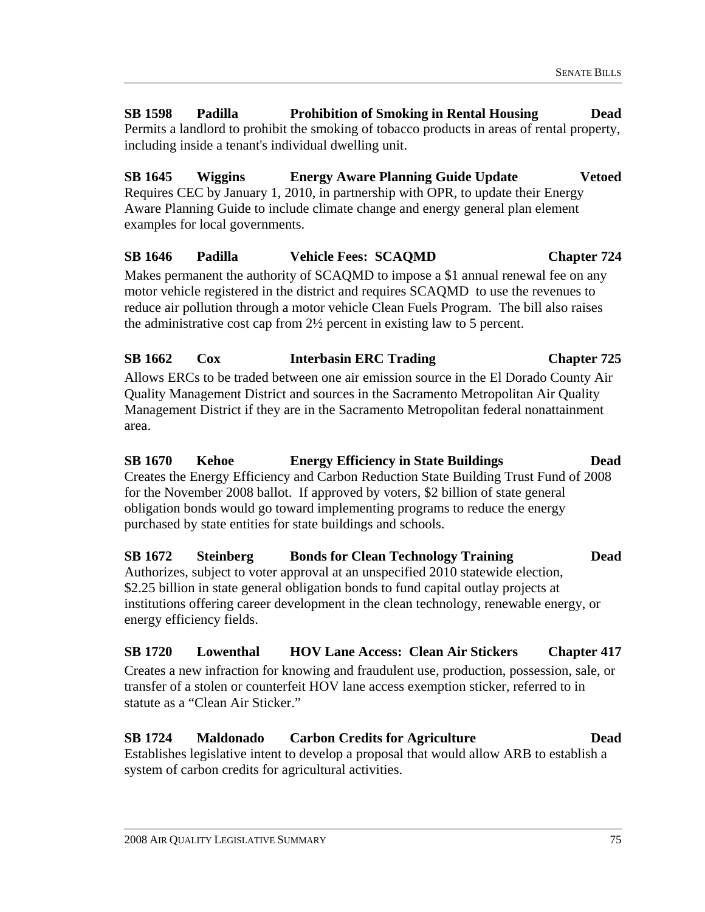**SB 1598 Padilla Prohibition of Smoking in Rental Housing Dead**  Permits a landlord to prohibit the smoking of tobacco products in areas of rental property, including inside a tenant's individual dwelling unit.

**SB 1645 Wiggins Energy Aware Planning Guide Update Vetoed**  Requires CEC by January 1, 2010, in partnership with OPR, to update their Energy Aware Planning Guide to include climate change and energy general plan element examples for local governments.

#### **SB 1646 Padilla Vehicle Fees: SCAQMD Chapter 724**

Makes permanent the authority of SCAOMD to impose a \$1 annual renewal fee on any motor vehicle registered in the district and requires SCAQMD to use the revenues to reduce air pollution through a motor vehicle Clean Fuels Program. The bill also raises the administrative cost cap from 2½ percent in existing law to 5 percent.

#### **SB 1662 Cox Interbasin ERC Trading Chapter 725**

Allows ERCs to be traded between one air emission source in the El Dorado County Air Quality Management District and sources in the Sacramento Metropolitan Air Quality Management District if they are in the Sacramento Metropolitan federal nonattainment area.

#### **SB 1670 Kehoe Energy Efficiency in State Buildings Dead**  Creates the Energy Efficiency and Carbon Reduction State Building Trust Fund of 2008 for the November 2008 ballot. If approved by voters, \$2 billion of state general obligation bonds would go toward implementing programs to reduce the energy purchased by state entities for state buildings and schools.

#### **SB 1672 Steinberg Bonds for Clean Technology Training Dead**  Authorizes, subject to voter approval at an unspecified 2010 statewide election, \$2.25 billion in state general obligation bonds to fund capital outlay projects at institutions offering career development in the clean technology, renewable energy, or energy efficiency fields.

#### **SB 1720 Lowenthal HOV Lane Access: Clean Air Stickers Chapter 417**

Creates a new infraction for knowing and fraudulent use, production, possession, sale, or transfer of a stolen or counterfeit HOV lane access exemption sticker, referred to in statute as a "Clean Air Sticker."

### **SB 1724 Maldonado Carbon Credits for Agriculture Dead**

Establishes legislative intent to develop a proposal that would allow ARB to establish a system of carbon credits for agricultural activities.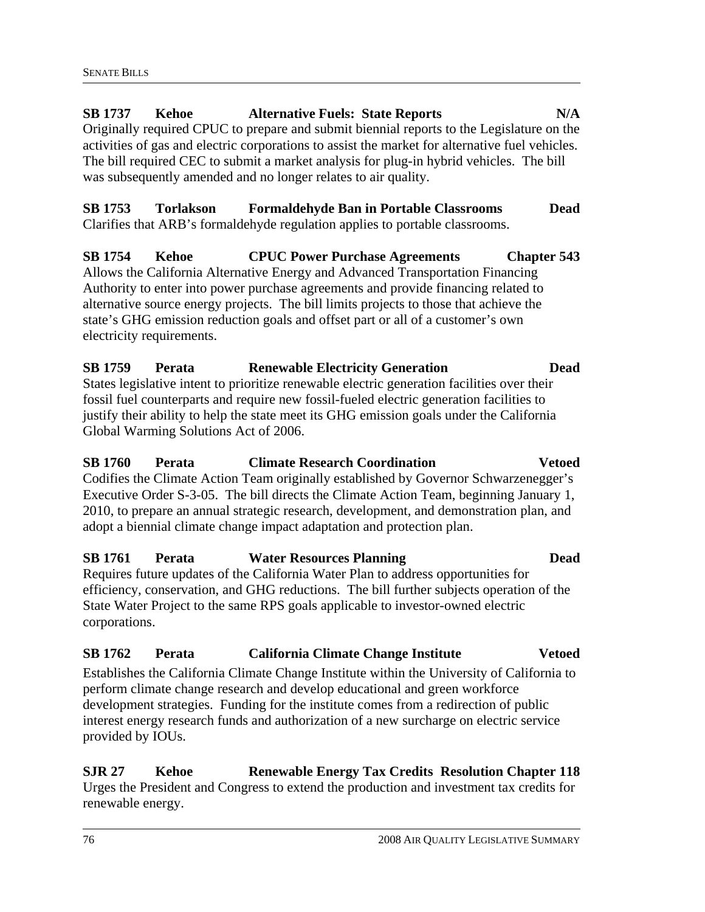#### **SB 1737 Kehoe Alternative Fuels: State Reports N/A**

Originally required CPUC to prepare and submit biennial reports to the Legislature on the activities of gas and electric corporations to assist the market for alternative fuel vehicles. The bill required CEC to submit a market analysis for plug-in hybrid vehicles. The bill was subsequently amended and no longer relates to air quality.

#### **SB 1753 Torlakson Formaldehyde Ban in Portable Classrooms Dead** Clarifies that ARB's formaldehyde regulation applies to portable classrooms.

#### **SB 1754 Kehoe CPUC Power Purchase Agreements Chapter 543** Allows the California Alternative Energy and Advanced Transportation Financing Authority to enter into power purchase agreements and provide financing related to alternative source energy projects. The bill limits projects to those that achieve the state's GHG emission reduction goals and offset part or all of a customer's own electricity requirements.

#### **SB 1759 Perata Renewable Electricity Generation Dead**  States legislative intent to prioritize renewable electric generation facilities over their fossil fuel counterparts and require new fossil-fueled electric generation facilities to justify their ability to help the state meet its GHG emission goals under the California Global Warming Solutions Act of 2006.

#### **SB 1760 Perata Climate Research Coordination Vetoed**

Codifies the Climate Action Team originally established by Governor Schwarzenegger's Executive Order S-3-05. The bill directs the Climate Action Team, beginning January 1, 2010, to prepare an annual strategic research, development, and demonstration plan, and adopt a biennial climate change impact adaptation and protection plan.

#### **SB 1761 Perata Water Resources Planning Dead**

Requires future updates of the California Water Plan to address opportunities for efficiency, conservation, and GHG reductions. The bill further subjects operation of the State Water Project to the same RPS goals applicable to investor-owned electric corporations.

#### **SB 1762 Perata California Climate Change Institute Vetoed**

Establishes the California Climate Change Institute within the University of California to perform climate change research and develop educational and green workforce development strategies. Funding for the institute comes from a redirection of public interest energy research funds and authorization of a new surcharge on electric service provided by IOUs.

**SJR 27 Kehoe Renewable Energy Tax Credits Resolution Chapter 118**  Urges the President and Congress to extend the production and investment tax credits for renewable energy.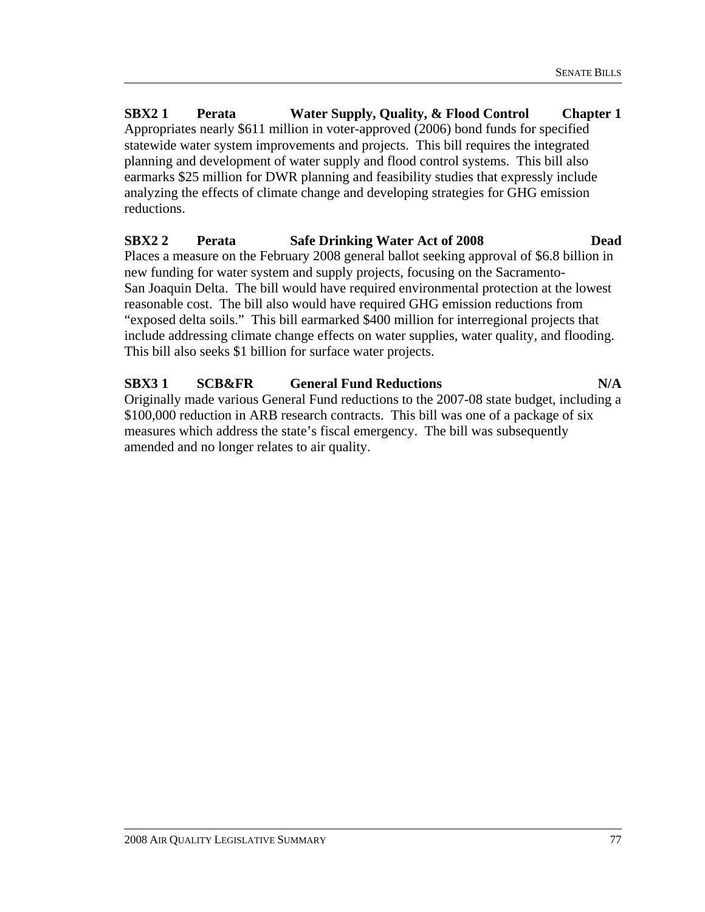**SBX2 1 Perata Water Supply, Quality, & Flood Control Chapter 1**  Appropriates nearly \$611 million in voter-approved (2006) bond funds for specified statewide water system improvements and projects. This bill requires the integrated planning and development of water supply and flood control systems. This bill also earmarks \$25 million for DWR planning and feasibility studies that expressly include analyzing the effects of climate change and developing strategies for GHG emission reductions.

#### **SBX2 2 Perata Safe Drinking Water Act of 2008 Dead**

Places a measure on the February 2008 general ballot seeking approval of \$6.8 billion in new funding for water system and supply projects, focusing on the Sacramento-San Joaquin Delta. The bill would have required environmental protection at the lowest reasonable cost. The bill also would have required GHG emission reductions from "exposed delta soils." This bill earmarked \$400 million for interregional projects that include addressing climate change effects on water supplies, water quality, and flooding. This bill also seeks \$1 billion for surface water projects.

# **SBX3 1** SCB&FR General Fund Reductions N/A

Originally made various General Fund reductions to the 2007-08 state budget, including a \$100,000 reduction in ARB research contracts. This bill was one of a package of six measures which address the state's fiscal emergency. The bill was subsequently amended and no longer relates to air quality.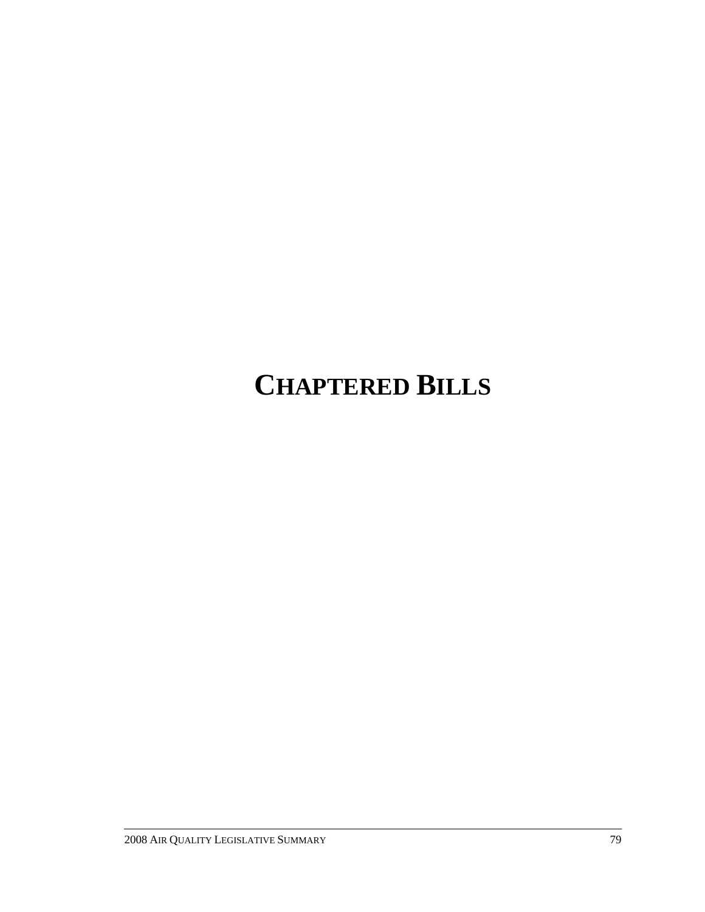# **CHAPTERED BILLS**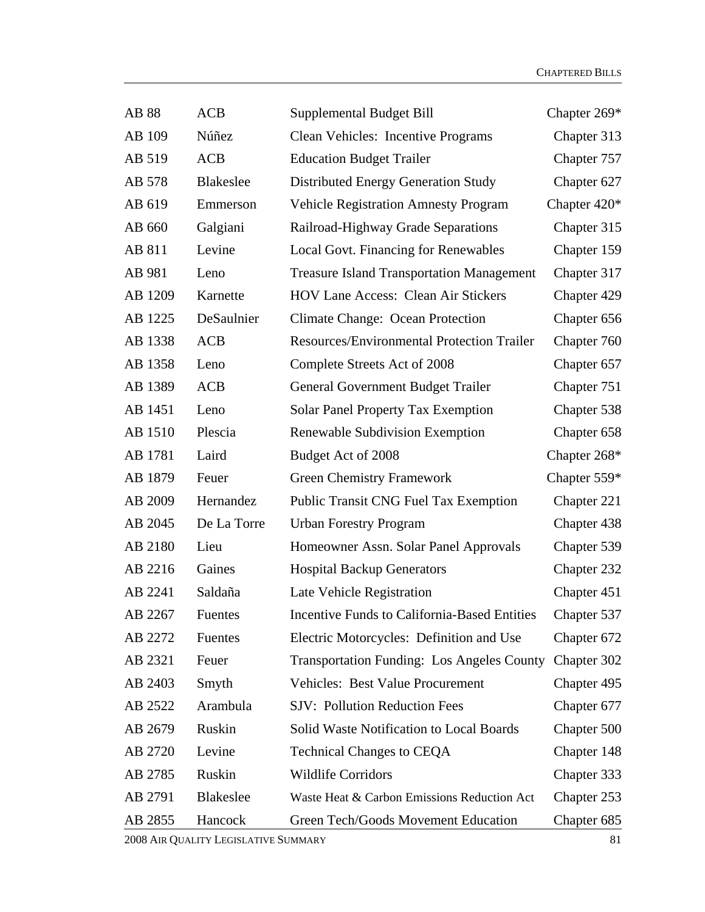| AB 88   | <b>ACB</b>       | <b>Supplemental Budget Bill</b>                     | Chapter 269*   |
|---------|------------------|-----------------------------------------------------|----------------|
| AB 109  | Núñez            | <b>Clean Vehicles: Incentive Programs</b>           | Chapter 313    |
| AB 519  | <b>ACB</b>       | <b>Education Budget Trailer</b>                     | Chapter 757    |
| AB 578  | <b>Blakeslee</b> | Distributed Energy Generation Study                 | Chapter 627    |
| AB 619  | Emmerson         | <b>Vehicle Registration Amnesty Program</b>         | Chapter $420*$ |
| AB 660  | Galgiani         | Railroad-Highway Grade Separations                  | Chapter 315    |
| AB 811  | Levine           | Local Govt. Financing for Renewables                | Chapter 159    |
| AB 981  | Leno             | <b>Treasure Island Transportation Management</b>    | Chapter 317    |
| AB 1209 | Karnette         | <b>HOV Lane Access: Clean Air Stickers</b>          | Chapter 429    |
| AB 1225 | DeSaulnier       | <b>Climate Change: Ocean Protection</b>             | Chapter 656    |
| AB 1338 | <b>ACB</b>       | <b>Resources/Environmental Protection Trailer</b>   | Chapter 760    |
| AB 1358 | Leno             | Complete Streets Act of 2008                        | Chapter 657    |
| AB 1389 | <b>ACB</b>       | General Government Budget Trailer                   | Chapter 751    |
| AB 1451 | Leno             | <b>Solar Panel Property Tax Exemption</b>           | Chapter 538    |
| AB 1510 | Plescia          | Renewable Subdivision Exemption                     | Chapter 658    |
| AB 1781 | Laird            | Budget Act of 2008                                  | Chapter 268*   |
|         |                  |                                                     |                |
| AB 1879 | Feuer            | <b>Green Chemistry Framework</b>                    | Chapter 559*   |
| AB 2009 | Hernandez        | <b>Public Transit CNG Fuel Tax Exemption</b>        | Chapter 221    |
| AB 2045 | De La Torre      | <b>Urban Forestry Program</b>                       | Chapter 438    |
| AB 2180 | Lieu             | Homeowner Assn. Solar Panel Approvals               | Chapter 539    |
| AB 2216 | Gaines           | <b>Hospital Backup Generators</b>                   | Chapter 232    |
| AB 2241 | Saldaña          | Late Vehicle Registration                           | Chapter 451    |
| AB 2267 | Fuentes          | <b>Incentive Funds to California-Based Entities</b> | Chapter 537    |
| AB 2272 | Fuentes          | Electric Motorcycles: Definition and Use            | Chapter 672    |
| AB 2321 | Feuer            | <b>Transportation Funding: Los Angeles County</b>   | Chapter 302    |
| AB 2403 | Smyth            | <b>Vehicles: Best Value Procurement</b>             | Chapter 495    |
| AB 2522 | Arambula         | <b>SJV: Pollution Reduction Fees</b>                | Chapter 677    |
| AB 2679 | Ruskin           | Solid Waste Notification to Local Boards            | Chapter 500    |
| AB 2720 | Levine           | <b>Technical Changes to CEQA</b>                    | Chapter 148    |
| AB 2785 | Ruskin           | <b>Wildlife Corridors</b>                           | Chapter 333    |
| AB 2791 | <b>Blakeslee</b> | Waste Heat & Carbon Emissions Reduction Act         | Chapter 253    |

2008 AIR QUALITY LEGISLATIVE SUMMARY 81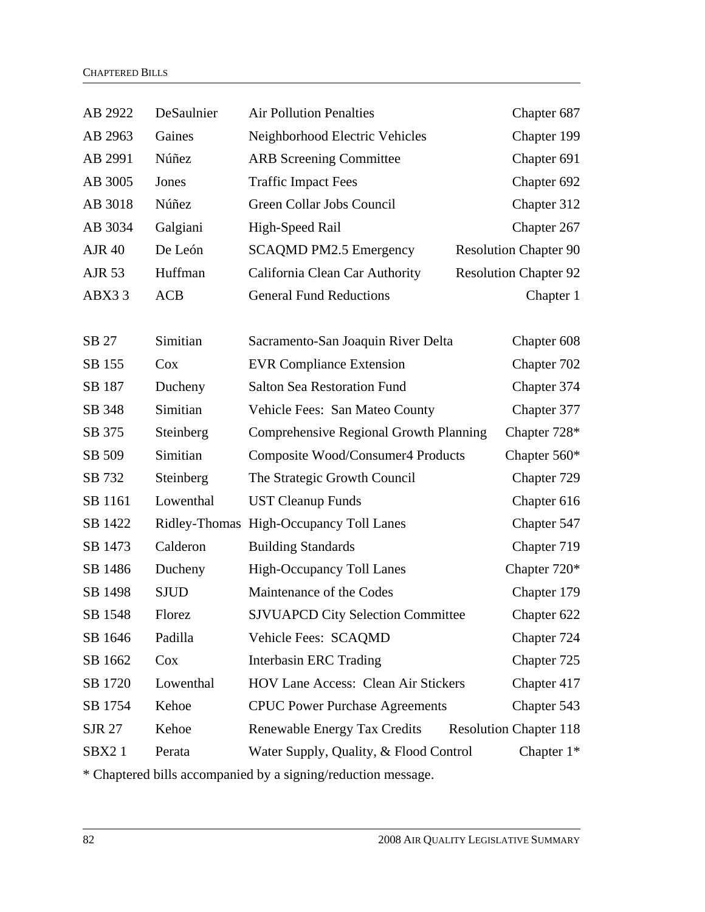| AB 2922                                                                                                                                                                                                           | DeSaulnier    | <b>Air Pollution Penalties</b>                      | Chapter 687                  |  |  |
|-------------------------------------------------------------------------------------------------------------------------------------------------------------------------------------------------------------------|---------------|-----------------------------------------------------|------------------------------|--|--|
| AB 2963                                                                                                                                                                                                           | Gaines        | Neighborhood Electric Vehicles                      | Chapter 199                  |  |  |
| AB 2991                                                                                                                                                                                                           | Núñez         | <b>ARB Screening Committee</b>                      | Chapter 691                  |  |  |
| AB 3005                                                                                                                                                                                                           | Jones         | <b>Traffic Impact Fees</b>                          | Chapter 692                  |  |  |
| AB 3018                                                                                                                                                                                                           | Núñez         | Green Collar Jobs Council                           | Chapter 312                  |  |  |
| AB 3034                                                                                                                                                                                                           | Galgiani      | High-Speed Rail                                     | Chapter 267                  |  |  |
| <b>AJR 40</b>                                                                                                                                                                                                     | De León       | <b>SCAQMD PM2.5 Emergency</b>                       | <b>Resolution Chapter 90</b> |  |  |
| AJR 53                                                                                                                                                                                                            | Huffman       | California Clean Car Authority                      | <b>Resolution Chapter 92</b> |  |  |
| ABX33                                                                                                                                                                                                             | <b>ACB</b>    | <b>General Fund Reductions</b>                      | Chapter 1                    |  |  |
|                                                                                                                                                                                                                   |               |                                                     |                              |  |  |
| SB 27                                                                                                                                                                                                             | Simitian      | Sacramento-San Joaquin River Delta                  | Chapter 608                  |  |  |
| SB 155                                                                                                                                                                                                            | Cox           | <b>EVR Compliance Extension</b>                     | Chapter 702                  |  |  |
| SB 187                                                                                                                                                                                                            | Ducheny       | <b>Salton Sea Restoration Fund</b>                  | Chapter 374                  |  |  |
| SB 348                                                                                                                                                                                                            | Simitian      | Vehicle Fees: San Mateo County                      | Chapter 377                  |  |  |
| SB 375                                                                                                                                                                                                            | Steinberg     | <b>Comprehensive Regional Growth Planning</b>       | Chapter 728*                 |  |  |
| SB 509                                                                                                                                                                                                            | Simitian      | Composite Wood/Consumer4 Products                   | Chapter $560*$               |  |  |
| SB 732                                                                                                                                                                                                            | Steinberg     | The Strategic Growth Council                        | Chapter 729                  |  |  |
| SB 1161                                                                                                                                                                                                           | Lowenthal     | <b>UST Cleanup Funds</b>                            | Chapter 616                  |  |  |
| SB 1422                                                                                                                                                                                                           | Ridley-Thomas | <b>High-Occupancy Toll Lanes</b>                    | Chapter 547                  |  |  |
| SB 1473                                                                                                                                                                                                           | Calderon      | <b>Building Standards</b>                           | Chapter 719                  |  |  |
| SB 1486                                                                                                                                                                                                           | Ducheny       | <b>High-Occupancy Toll Lanes</b>                    | Chapter 720*                 |  |  |
| SB 1498                                                                                                                                                                                                           | <b>SJUD</b>   | Maintenance of the Codes                            | Chapter 179                  |  |  |
| SB 1548                                                                                                                                                                                                           | Florez        | <b>SJVUAPCD City Selection Committee</b>            | Chapter 622                  |  |  |
| SB 1646                                                                                                                                                                                                           | Padilla       | Vehicle Fees: SCAQMD                                | Chapter 724                  |  |  |
| SB 1662                                                                                                                                                                                                           | Cox           | <b>Interbasin ERC Trading</b>                       | Chapter 725                  |  |  |
| SB 1720                                                                                                                                                                                                           | Lowenthal     | HOV Lane Access: Clean Air Stickers                 | Chapter 417                  |  |  |
| SB 1754                                                                                                                                                                                                           | Kehoe         | <b>CPUC Power Purchase Agreements</b>               | Chapter 543                  |  |  |
| SJR 27                                                                                                                                                                                                            | Kehoe         | Renewable Energy Tax Credits Resolution Chapter 118 |                              |  |  |
| SBX2 1                                                                                                                                                                                                            | Perata        | Water Supply, Quality, & Flood Control              | Chapter $1*$                 |  |  |
| $\frac{1}{2}$ and $\frac{1}{2}$ are $\frac{1}{2}$ and $\frac{1}{2}$ and $\frac{1}{2}$ and $\frac{1}{2}$ and $\frac{1}{2}$ are $\frac{1}{2}$ and $\frac{1}{2}$ are $\frac{1}{2}$<br>$*$ Chantana d Lilla against a |               |                                                     |                              |  |  |

\* Chaptered bills accompanied by a signing/reduction message.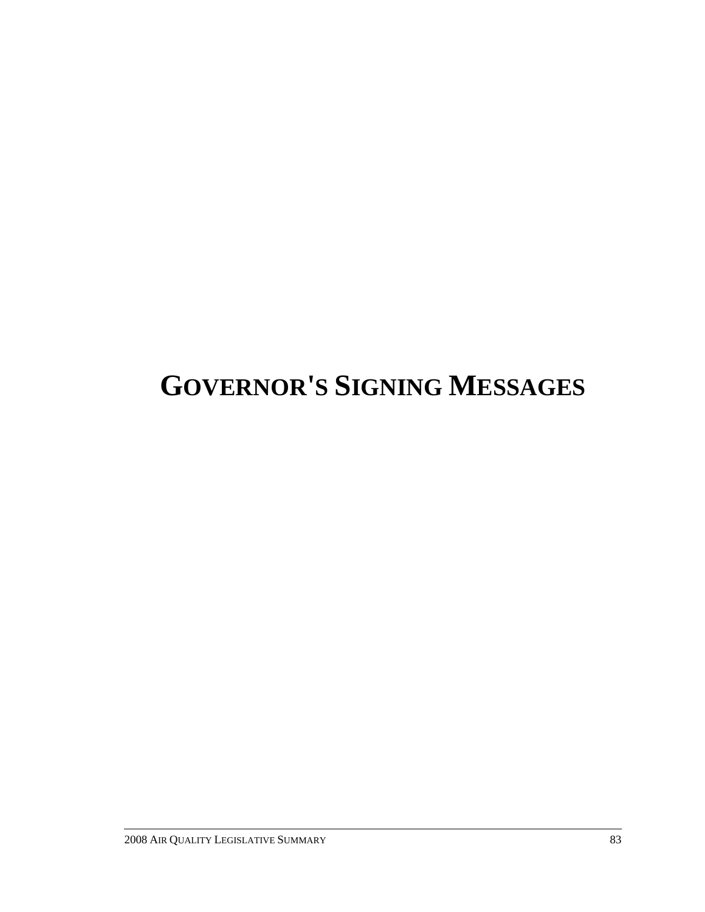# **GOVERNOR'S SIGNING MESSAGES**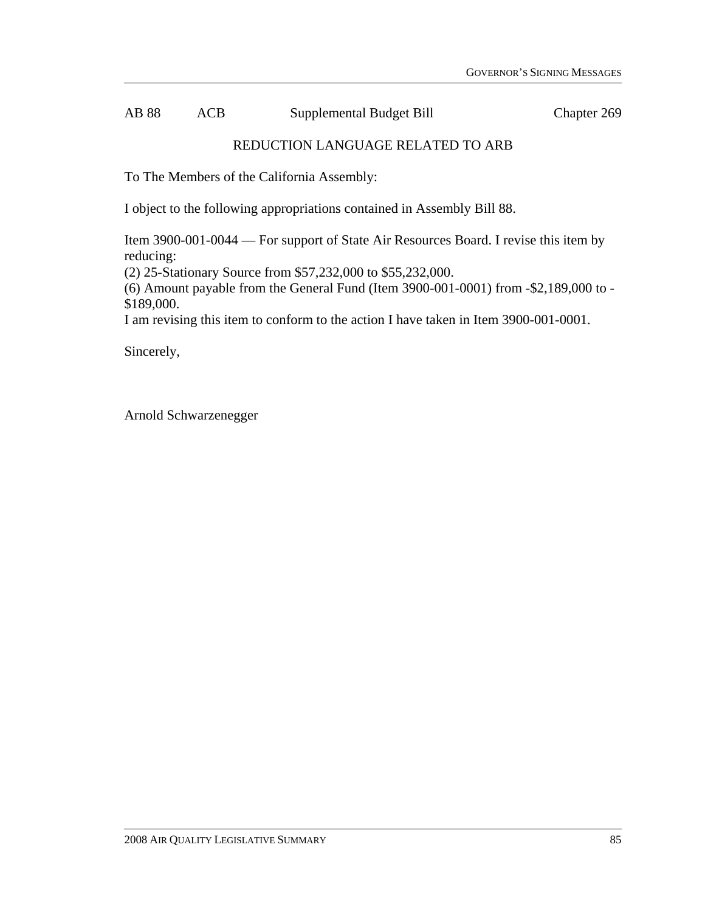#### AB 88 ACB Supplemental Budget Bill Chapter 269

#### REDUCTION LANGUAGE RELATED TO ARB

To The Members of the California Assembly:

I object to the following appropriations contained in Assembly Bill 88.

Item 3900-001-0044 — For support of State Air Resources Board. I revise this item by reducing:

(2) 25-Stationary Source from \$57,232,000 to \$55,232,000.

(6) Amount payable from the General Fund (Item 3900-001-0001) from -\$2,189,000 to - \$189,000.

I am revising this item to conform to the action I have taken in Item 3900-001-0001.

Sincerely,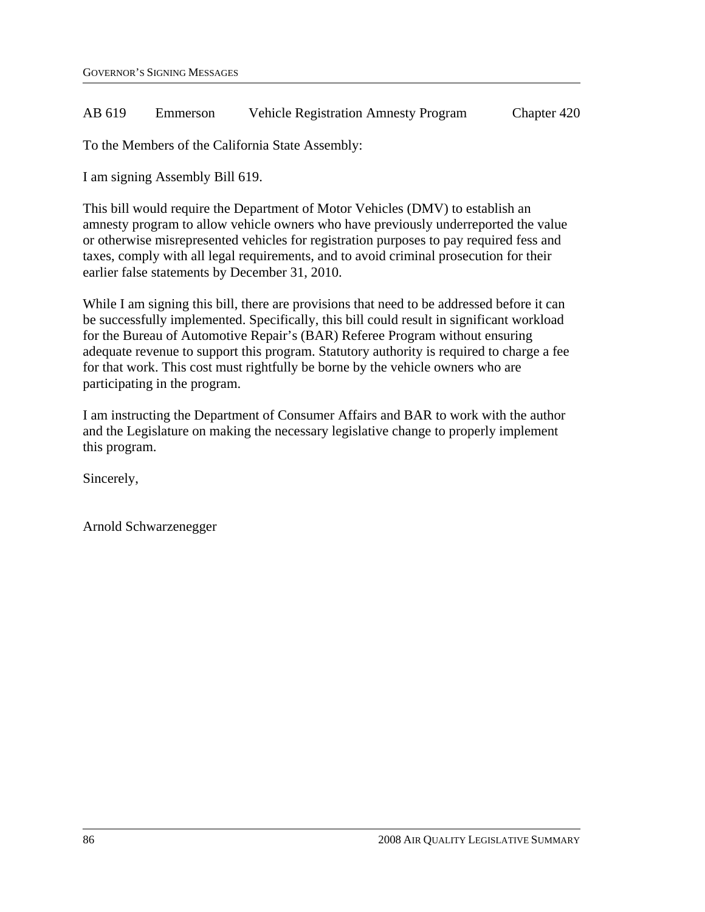#### AB 619 Emmerson Vehicle Registration Amnesty Program Chapter 420

To the Members of the California State Assembly:

I am signing Assembly Bill 619.

This bill would require the Department of Motor Vehicles (DMV) to establish an amnesty program to allow vehicle owners who have previously underreported the value or otherwise misrepresented vehicles for registration purposes to pay required fess and taxes, comply with all legal requirements, and to avoid criminal prosecution for their earlier false statements by December 31, 2010.

While I am signing this bill, there are provisions that need to be addressed before it can be successfully implemented. Specifically, this bill could result in significant workload for the Bureau of Automotive Repair's (BAR) Referee Program without ensuring adequate revenue to support this program. Statutory authority is required to charge a fee for that work. This cost must rightfully be borne by the vehicle owners who are participating in the program.

I am instructing the Department of Consumer Affairs and BAR to work with the author and the Legislature on making the necessary legislative change to properly implement this program.

Sincerely,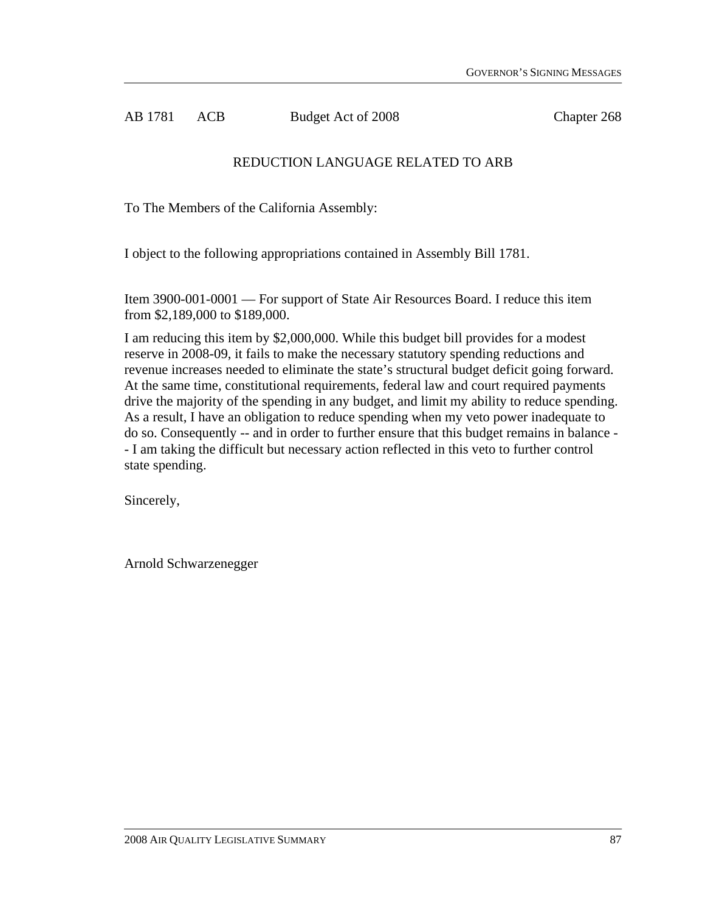AB 1781 ACB Budget Act of 2008 Chapter 268

#### REDUCTION LANGUAGE RELATED TO ARB

To The Members of the California Assembly:

I object to the following appropriations contained in Assembly Bill 1781.

Item 3900-001-0001 — For support of State Air Resources Board. I reduce this item from \$2,189,000 to \$189,000.

I am reducing this item by \$2,000,000. While this budget bill provides for a modest reserve in 2008-09, it fails to make the necessary statutory spending reductions and revenue increases needed to eliminate the state's structural budget deficit going forward. At the same time, constitutional requirements, federal law and court required payments drive the majority of the spending in any budget, and limit my ability to reduce spending. As a result, I have an obligation to reduce spending when my veto power inadequate to do so. Consequently -- and in order to further ensure that this budget remains in balance - - I am taking the difficult but necessary action reflected in this veto to further control state spending.

Sincerely,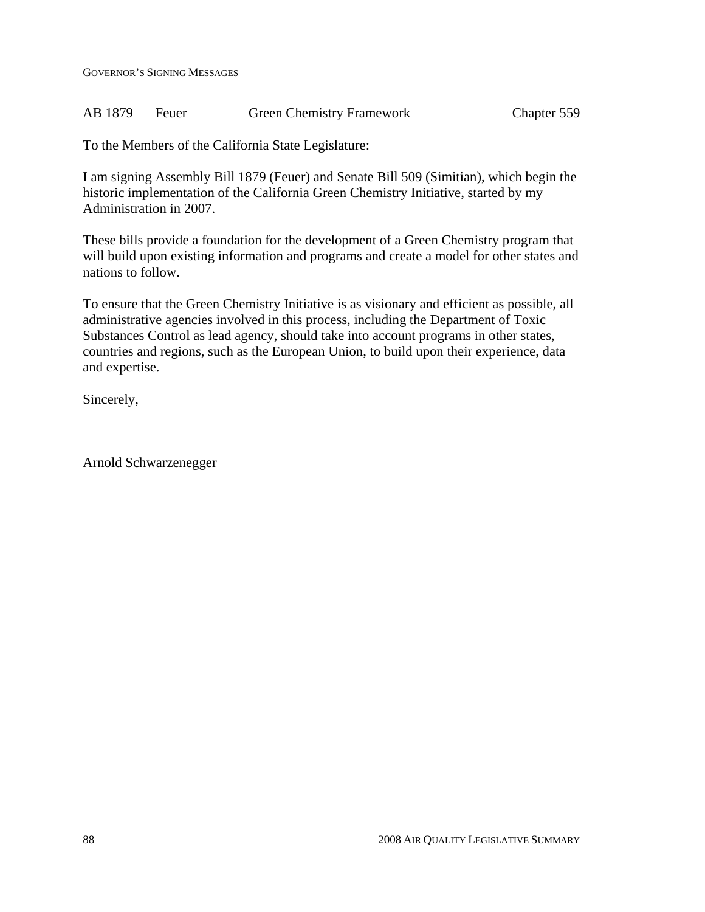#### AB 1879 Feuer Green Chemistry Framework Chapter 559

To the Members of the California State Legislature:

I am signing Assembly Bill 1879 (Feuer) and Senate Bill 509 (Simitian), which begin the historic implementation of the California Green Chemistry Initiative, started by my Administration in 2007.

These bills provide a foundation for the development of a Green Chemistry program that will build upon existing information and programs and create a model for other states and nations to follow.

To ensure that the Green Chemistry Initiative is as visionary and efficient as possible, all administrative agencies involved in this process, including the Department of Toxic Substances Control as lead agency, should take into account programs in other states, countries and regions, such as the European Union, to build upon their experience, data and expertise.

Sincerely,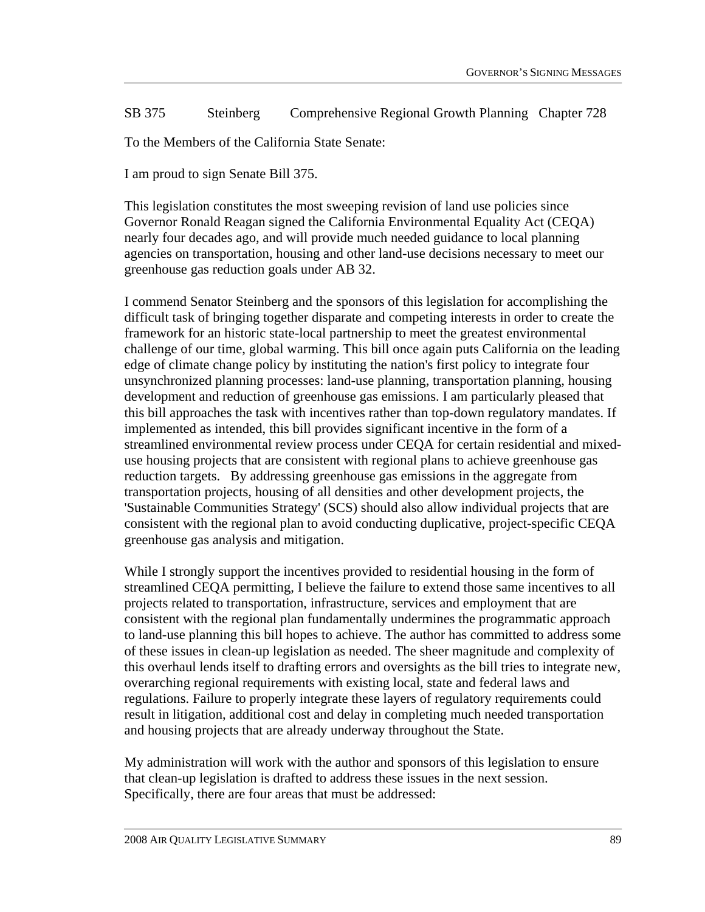#### SB 375 Steinberg Comprehensive Regional Growth Planning Chapter 728

To the Members of the California State Senate:

I am proud to sign Senate Bill 375.

This legislation constitutes the most sweeping revision of land use policies since Governor Ronald Reagan signed the California Environmental Equality Act (CEQA) nearly four decades ago, and will provide much needed guidance to local planning agencies on transportation, housing and other land-use decisions necessary to meet our greenhouse gas reduction goals under AB 32.

I commend Senator Steinberg and the sponsors of this legislation for accomplishing the difficult task of bringing together disparate and competing interests in order to create the framework for an historic state-local partnership to meet the greatest environmental challenge of our time, global warming. This bill once again puts California on the leading edge of climate change policy by instituting the nation's first policy to integrate four unsynchronized planning processes: land-use planning, transportation planning, housing development and reduction of greenhouse gas emissions. I am particularly pleased that this bill approaches the task with incentives rather than top-down regulatory mandates. If implemented as intended, this bill provides significant incentive in the form of a streamlined environmental review process under CEQA for certain residential and mixeduse housing projects that are consistent with regional plans to achieve greenhouse gas reduction targets. By addressing greenhouse gas emissions in the aggregate from transportation projects, housing of all densities and other development projects, the 'Sustainable Communities Strategy' (SCS) should also allow individual projects that are consistent with the regional plan to avoid conducting duplicative, project-specific CEQA greenhouse gas analysis and mitigation.

While I strongly support the incentives provided to residential housing in the form of streamlined CEQA permitting, I believe the failure to extend those same incentives to all projects related to transportation, infrastructure, services and employment that are consistent with the regional plan fundamentally undermines the programmatic approach to land-use planning this bill hopes to achieve. The author has committed to address some of these issues in clean-up legislation as needed. The sheer magnitude and complexity of this overhaul lends itself to drafting errors and oversights as the bill tries to integrate new, overarching regional requirements with existing local, state and federal laws and regulations. Failure to properly integrate these layers of regulatory requirements could result in litigation, additional cost and delay in completing much needed transportation and housing projects that are already underway throughout the State.

My administration will work with the author and sponsors of this legislation to ensure that clean-up legislation is drafted to address these issues in the next session. Specifically, there are four areas that must be addressed: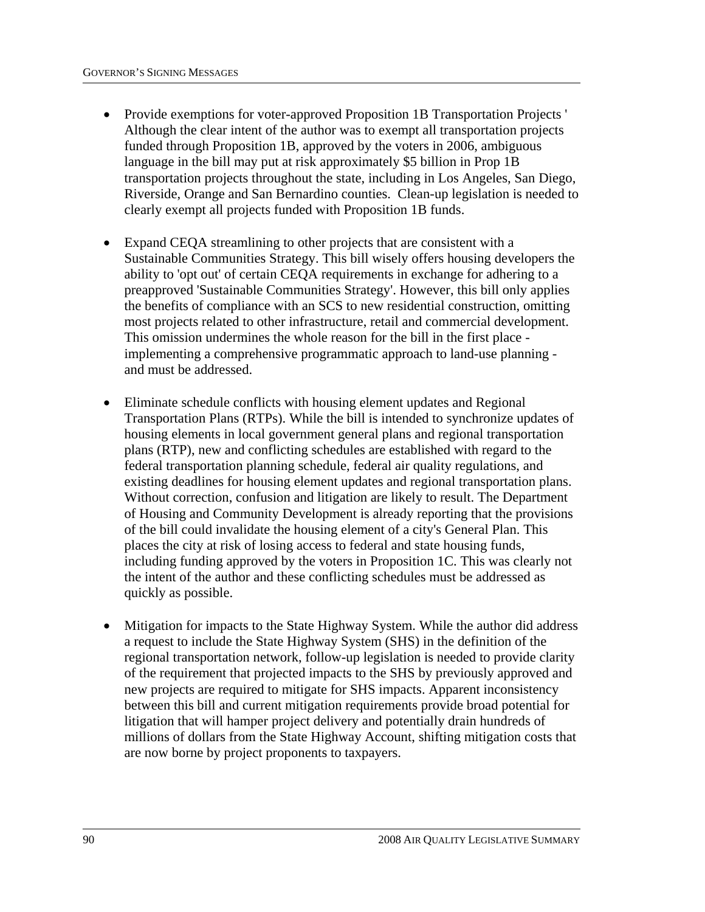- Provide exemptions for voter-approved Proposition 1B Transportation Projects ' Although the clear intent of the author was to exempt all transportation projects funded through Proposition 1B, approved by the voters in 2006, ambiguous language in the bill may put at risk approximately \$5 billion in Prop 1B transportation projects throughout the state, including in Los Angeles, San Diego, Riverside, Orange and San Bernardino counties. Clean-up legislation is needed to clearly exempt all projects funded with Proposition 1B funds.
- Expand CEQA streamlining to other projects that are consistent with a Sustainable Communities Strategy. This bill wisely offers housing developers the ability to 'opt out' of certain CEQA requirements in exchange for adhering to a preapproved 'Sustainable Communities Strategy'. However, this bill only applies the benefits of compliance with an SCS to new residential construction, omitting most projects related to other infrastructure, retail and commercial development. This omission undermines the whole reason for the bill in the first place implementing a comprehensive programmatic approach to land-use planning and must be addressed.
- Eliminate schedule conflicts with housing element updates and Regional Transportation Plans (RTPs). While the bill is intended to synchronize updates of housing elements in local government general plans and regional transportation plans (RTP), new and conflicting schedules are established with regard to the federal transportation planning schedule, federal air quality regulations, and existing deadlines for housing element updates and regional transportation plans. Without correction, confusion and litigation are likely to result. The Department of Housing and Community Development is already reporting that the provisions of the bill could invalidate the housing element of a city's General Plan. This places the city at risk of losing access to federal and state housing funds, including funding approved by the voters in Proposition 1C. This was clearly not the intent of the author and these conflicting schedules must be addressed as quickly as possible.
- Mitigation for impacts to the State Highway System. While the author did address a request to include the State Highway System (SHS) in the definition of the regional transportation network, follow-up legislation is needed to provide clarity of the requirement that projected impacts to the SHS by previously approved and new projects are required to mitigate for SHS impacts. Apparent inconsistency between this bill and current mitigation requirements provide broad potential for litigation that will hamper project delivery and potentially drain hundreds of millions of dollars from the State Highway Account, shifting mitigation costs that are now borne by project proponents to taxpayers.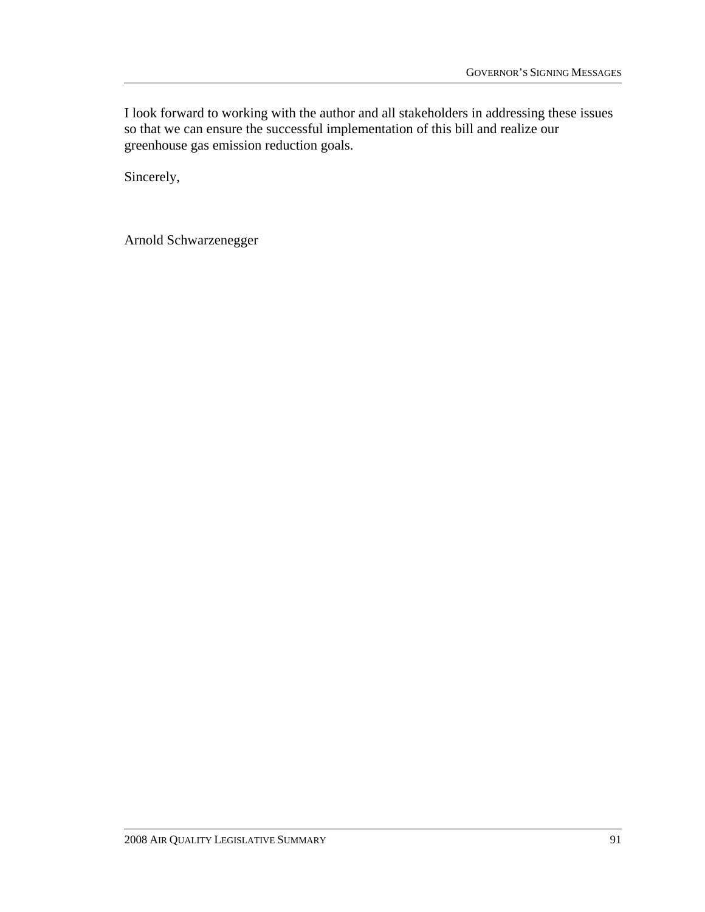I look forward to working with the author and all stakeholders in addressing these issues so that we can ensure the successful implementation of this bill and realize our greenhouse gas emission reduction goals.

Sincerely,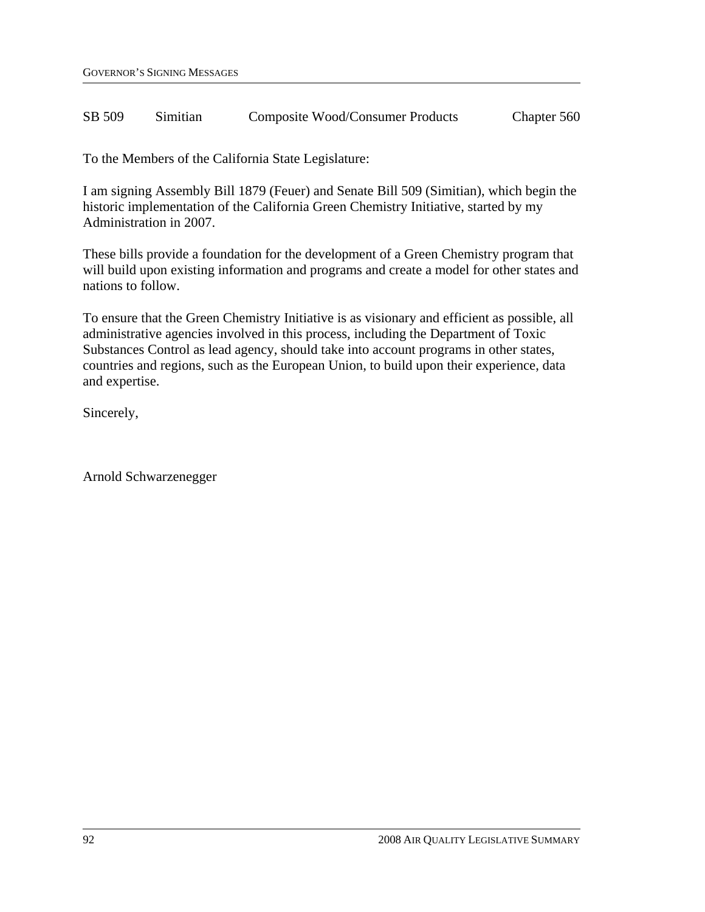| SB 509 | Simitian | Composite Wood/Consumer Products | Chapter 560 |
|--------|----------|----------------------------------|-------------|
|        |          |                                  |             |

To the Members of the California State Legislature:

I am signing Assembly Bill 1879 (Feuer) and Senate Bill 509 (Simitian), which begin the historic implementation of the California Green Chemistry Initiative, started by my Administration in 2007.

These bills provide a foundation for the development of a Green Chemistry program that will build upon existing information and programs and create a model for other states and nations to follow.

To ensure that the Green Chemistry Initiative is as visionary and efficient as possible, all administrative agencies involved in this process, including the Department of Toxic Substances Control as lead agency, should take into account programs in other states, countries and regions, such as the European Union, to build upon their experience, data and expertise.

Sincerely,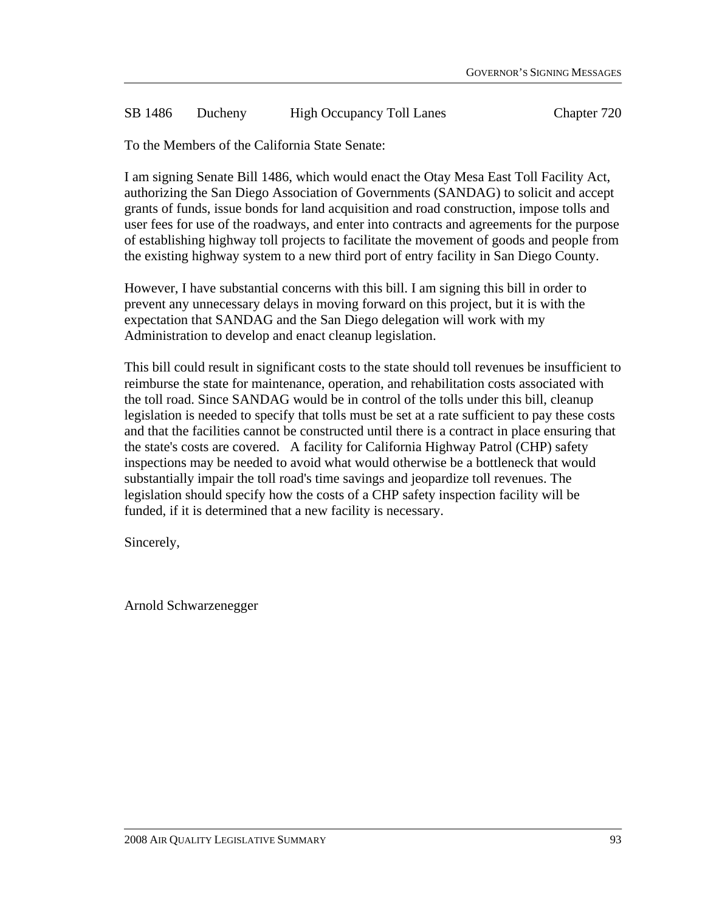#### SB 1486 Ducheny High Occupancy Toll Lanes Chapter 720

To the Members of the California State Senate:

I am signing Senate Bill 1486, which would enact the Otay Mesa East Toll Facility Act, authorizing the San Diego Association of Governments (SANDAG) to solicit and accept grants of funds, issue bonds for land acquisition and road construction, impose tolls and user fees for use of the roadways, and enter into contracts and agreements for the purpose of establishing highway toll projects to facilitate the movement of goods and people from the existing highway system to a new third port of entry facility in San Diego County.

However, I have substantial concerns with this bill. I am signing this bill in order to prevent any unnecessary delays in moving forward on this project, but it is with the expectation that SANDAG and the San Diego delegation will work with my Administration to develop and enact cleanup legislation.

This bill could result in significant costs to the state should toll revenues be insufficient to reimburse the state for maintenance, operation, and rehabilitation costs associated with the toll road. Since SANDAG would be in control of the tolls under this bill, cleanup legislation is needed to specify that tolls must be set at a rate sufficient to pay these costs and that the facilities cannot be constructed until there is a contract in place ensuring that the state's costs are covered. A facility for California Highway Patrol (CHP) safety inspections may be needed to avoid what would otherwise be a bottleneck that would substantially impair the toll road's time savings and jeopardize toll revenues. The legislation should specify how the costs of a CHP safety inspection facility will be funded, if it is determined that a new facility is necessary.

Sincerely,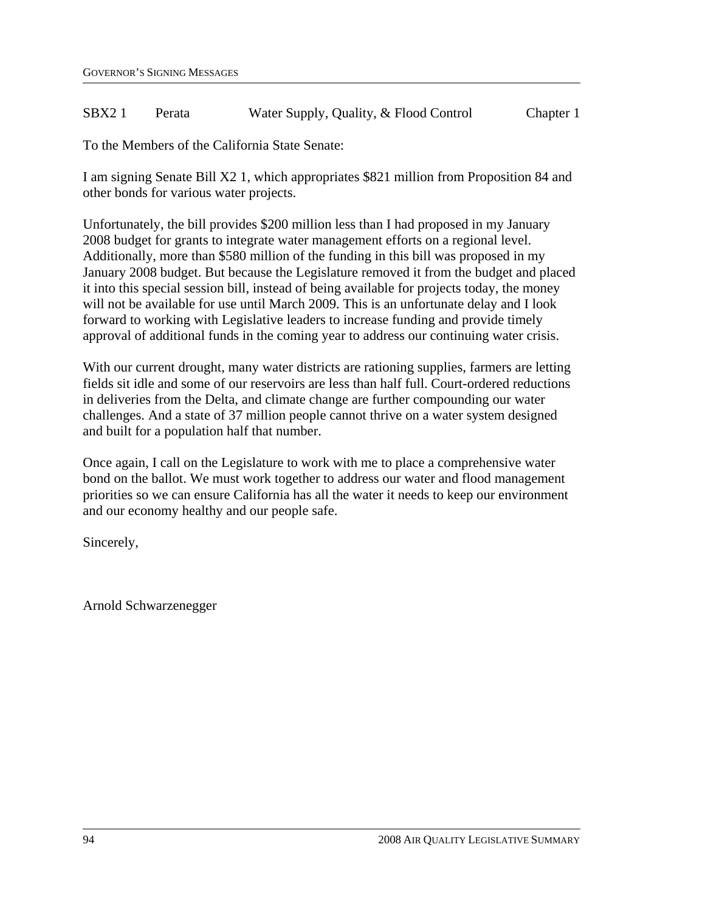#### SBX2 1 Perata Water Supply, Quality, & Flood Control Chapter 1

To the Members of the California State Senate:

I am signing Senate Bill X2 1, which appropriates \$821 million from Proposition 84 and other bonds for various water projects.

Unfortunately, the bill provides \$200 million less than I had proposed in my January 2008 budget for grants to integrate water management efforts on a regional level. Additionally, more than \$580 million of the funding in this bill was proposed in my January 2008 budget. But because the Legislature removed it from the budget and placed it into this special session bill, instead of being available for projects today, the money will not be available for use until March 2009. This is an unfortunate delay and I look forward to working with Legislative leaders to increase funding and provide timely approval of additional funds in the coming year to address our continuing water crisis.

With our current drought, many water districts are rationing supplies, farmers are letting fields sit idle and some of our reservoirs are less than half full. Court-ordered reductions in deliveries from the Delta, and climate change are further compounding our water challenges. And a state of 37 million people cannot thrive on a water system designed and built for a population half that number.

Once again, I call on the Legislature to work with me to place a comprehensive water bond on the ballot. We must work together to address our water and flood management priorities so we can ensure California has all the water it needs to keep our environment and our economy healthy and our people safe.

Sincerely,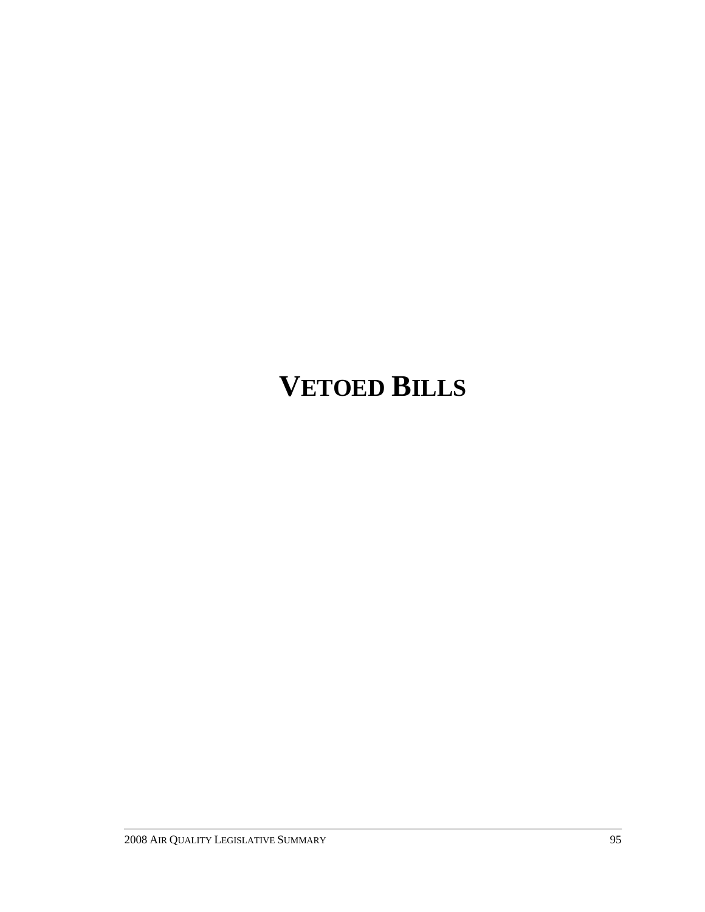# **VETOED BILLS**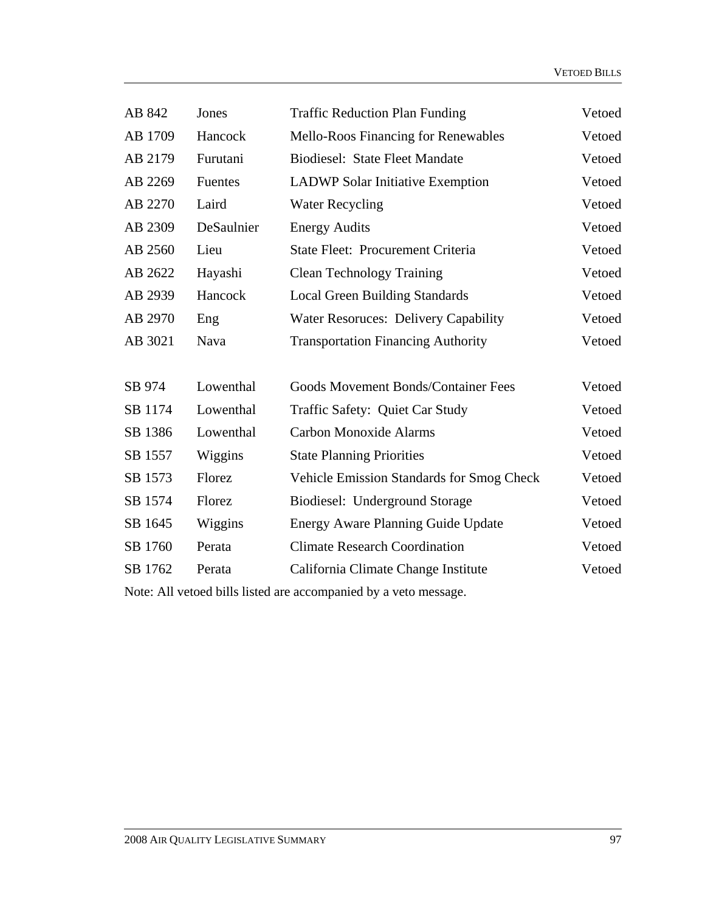| AB 842  | Jones      | <b>Traffic Reduction Plan Funding</b>            | Vetoed |
|---------|------------|--------------------------------------------------|--------|
| AB 1709 | Hancock    | Mello-Roos Financing for Renewables              | Vetoed |
| AB 2179 | Furutani   | <b>Biodiesel: State Fleet Mandate</b>            | Vetoed |
| AB 2269 | Fuentes    | <b>LADWP</b> Solar Initiative Exemption          | Vetoed |
| AB 2270 | Laird      | <b>Water Recycling</b>                           | Vetoed |
| AB 2309 | DeSaulnier | <b>Energy Audits</b>                             | Vetoed |
| AB 2560 | Lieu       | State Fleet: Procurement Criteria                | Vetoed |
| AB 2622 | Hayashi    | <b>Clean Technology Training</b>                 | Vetoed |
| AB 2939 | Hancock    | <b>Local Green Building Standards</b>            | Vetoed |
| AB 2970 | Eng        | <b>Water Resoruces: Delivery Capability</b>      | Vetoed |
| AB 3021 | Nava       | <b>Transportation Financing Authority</b>        | Vetoed |
|         |            |                                                  |        |
| SB 974  | Lowenthal  | <b>Goods Movement Bonds/Container Fees</b>       | Vetoed |
| SB 1174 | Lowenthal  | Traffic Safety: Quiet Car Study                  | Vetoed |
| SB 1386 | Lowenthal  | <b>Carbon Monoxide Alarms</b>                    | Vetoed |
| SB 1557 | Wiggins    | <b>State Planning Priorities</b>                 | Vetoed |
| SB 1573 | Florez     | <b>Vehicle Emission Standards for Smog Check</b> | Vetoed |
| SB 1574 | Florez     | Biodiesel: Underground Storage                   | Vetoed |
| SB 1645 | Wiggins    | <b>Energy Aware Planning Guide Update</b>        | Vetoed |
| SB 1760 | Perata     | <b>Climate Research Coordination</b>             | Vetoed |
| SB 1762 | Perata     | California Climate Change Institute              | Vetoed |
|         |            |                                                  |        |

Note: All vetoed bills listed are accompanied by a veto message.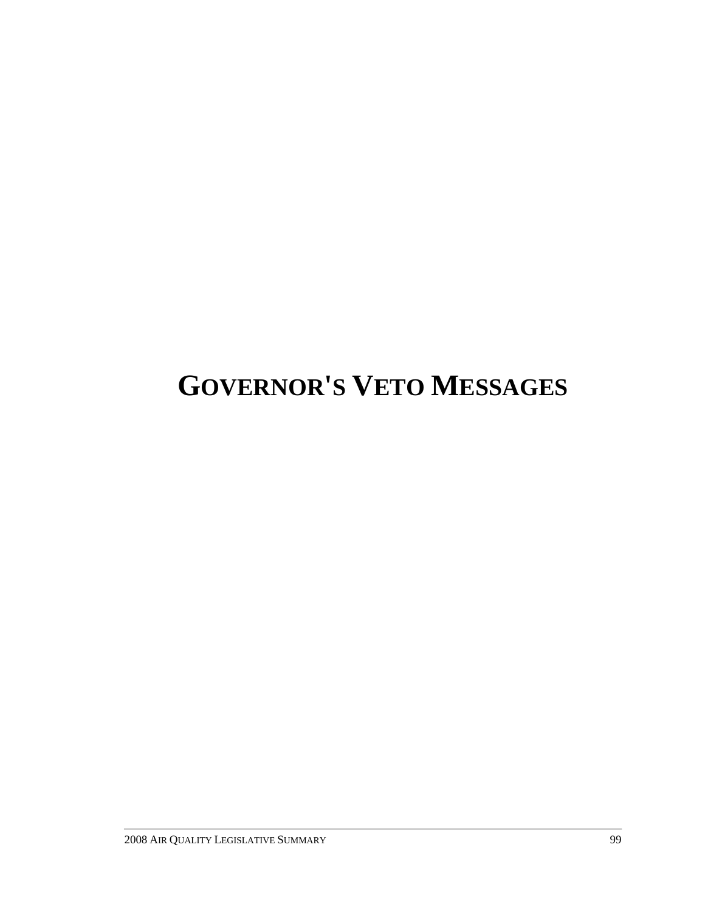# **GOVERNOR'S VETO MESSAGES**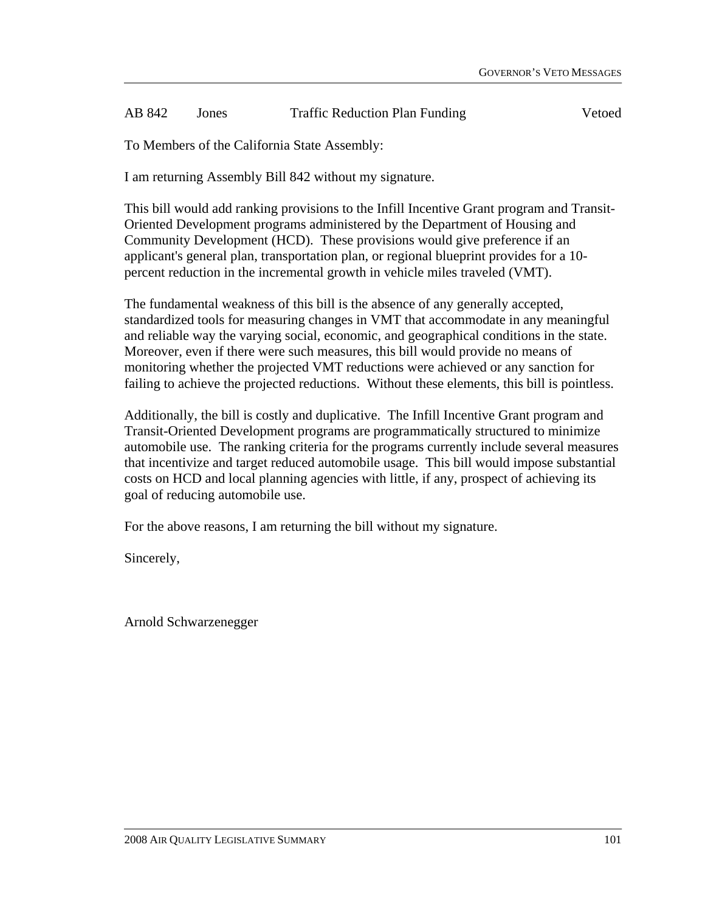#### AB 842 Jones Traffic Reduction Plan Funding Vetoed

To Members of the California State Assembly:

I am returning Assembly Bill 842 without my signature.

This bill would add ranking provisions to the Infill Incentive Grant program and Transit-Oriented Development programs administered by the Department of Housing and Community Development (HCD). These provisions would give preference if an applicant's general plan, transportation plan, or regional blueprint provides for a 10 percent reduction in the incremental growth in vehicle miles traveled (VMT).

The fundamental weakness of this bill is the absence of any generally accepted, standardized tools for measuring changes in VMT that accommodate in any meaningful and reliable way the varying social, economic, and geographical conditions in the state. Moreover, even if there were such measures, this bill would provide no means of monitoring whether the projected VMT reductions were achieved or any sanction for failing to achieve the projected reductions. Without these elements, this bill is pointless.

Additionally, the bill is costly and duplicative. The Infill Incentive Grant program and Transit-Oriented Development programs are programmatically structured to minimize automobile use. The ranking criteria for the programs currently include several measures that incentivize and target reduced automobile usage. This bill would impose substantial costs on HCD and local planning agencies with little, if any, prospect of achieving its goal of reducing automobile use.

For the above reasons, I am returning the bill without my signature.

Sincerely,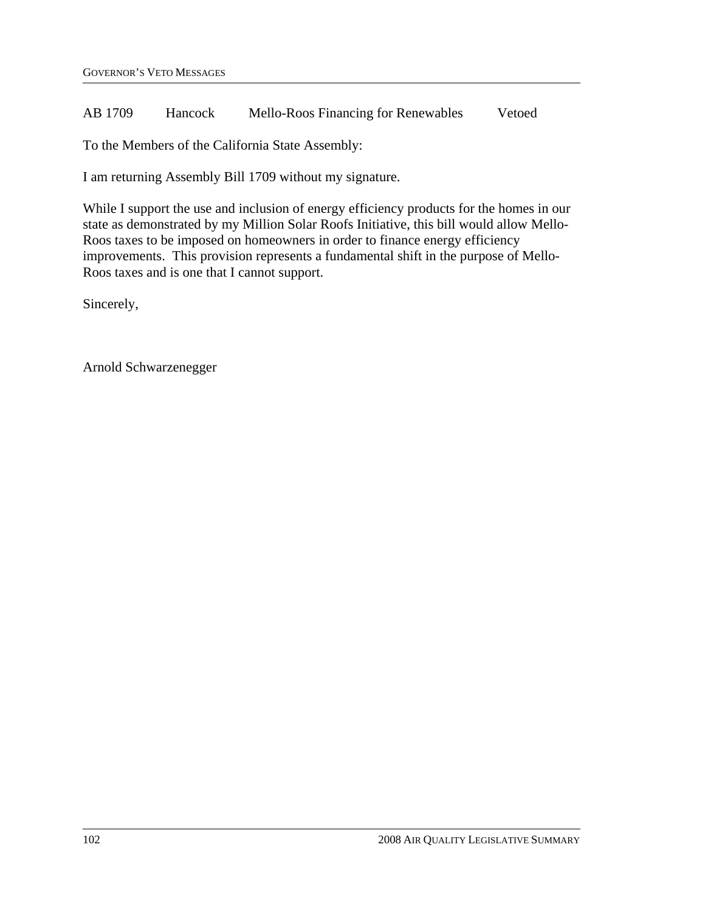AB 1709 Hancock Mello-Roos Financing for Renewables Vetoed

To the Members of the California State Assembly:

I am returning Assembly Bill 1709 without my signature.

While I support the use and inclusion of energy efficiency products for the homes in our state as demonstrated by my Million Solar Roofs Initiative, this bill would allow Mello-Roos taxes to be imposed on homeowners in order to finance energy efficiency improvements. This provision represents a fundamental shift in the purpose of Mello-Roos taxes and is one that I cannot support.

Sincerely,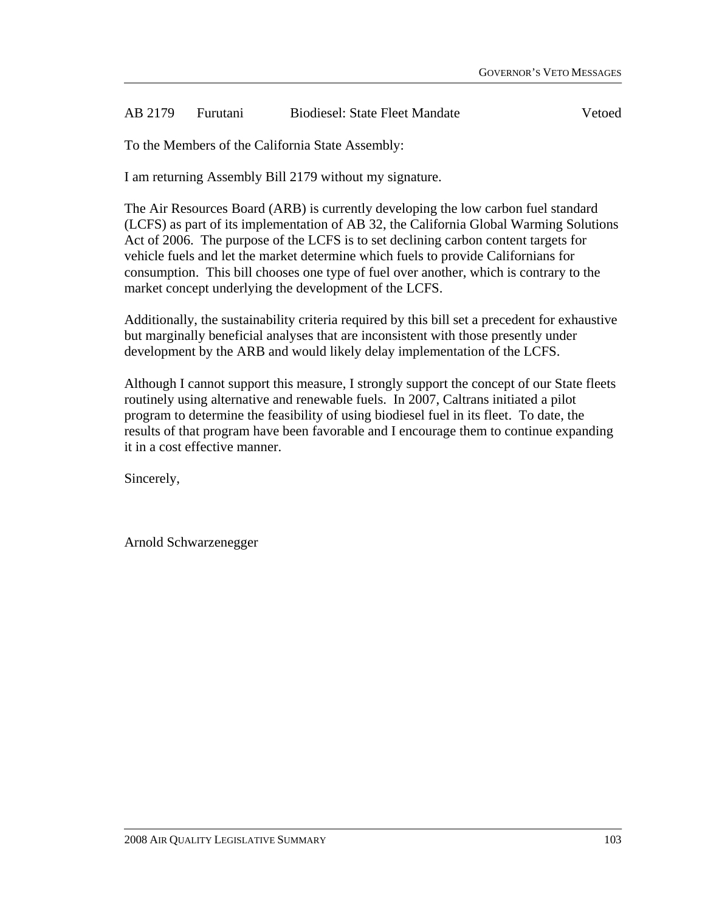#### AB 2179 Furutani Biodiesel: State Fleet Mandate Vetoed

To the Members of the California State Assembly:

I am returning Assembly Bill 2179 without my signature.

The Air Resources Board (ARB) is currently developing the low carbon fuel standard (LCFS) as part of its implementation of AB 32, the California Global Warming Solutions Act of 2006. The purpose of the LCFS is to set declining carbon content targets for vehicle fuels and let the market determine which fuels to provide Californians for consumption. This bill chooses one type of fuel over another, which is contrary to the market concept underlying the development of the LCFS.

Additionally, the sustainability criteria required by this bill set a precedent for exhaustive but marginally beneficial analyses that are inconsistent with those presently under development by the ARB and would likely delay implementation of the LCFS.

Although I cannot support this measure, I strongly support the concept of our State fleets routinely using alternative and renewable fuels. In 2007, Caltrans initiated a pilot program to determine the feasibility of using biodiesel fuel in its fleet. To date, the results of that program have been favorable and I encourage them to continue expanding it in a cost effective manner.

Sincerely,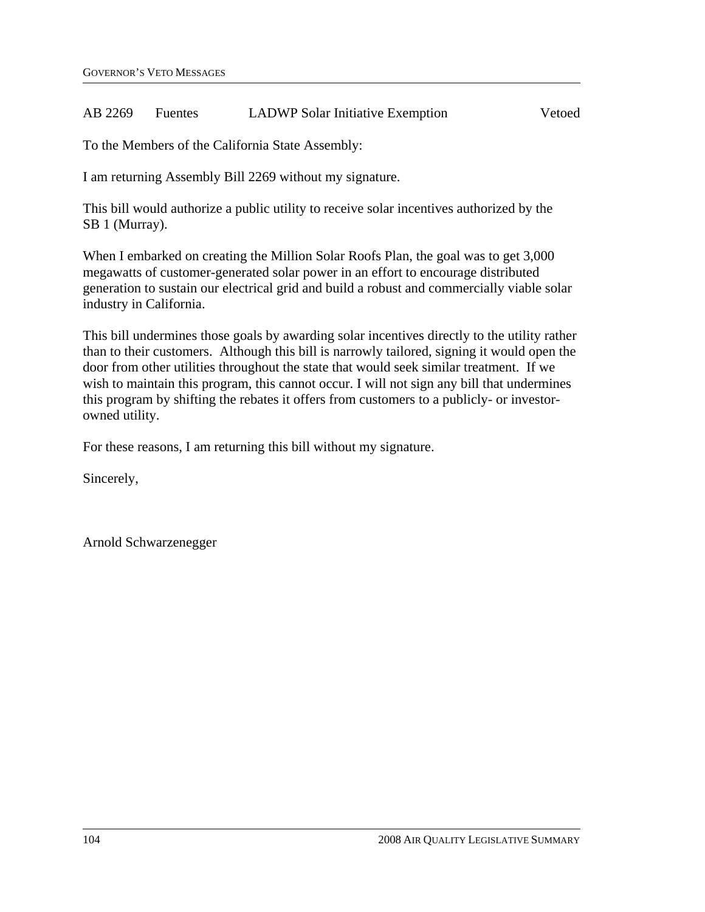#### AB 2269 Fuentes LADWP Solar Initiative Exemption Vetoed

To the Members of the California State Assembly:

I am returning Assembly Bill 2269 without my signature.

This bill would authorize a public utility to receive solar incentives authorized by the SB 1 (Murray).

When I embarked on creating the Million Solar Roofs Plan, the goal was to get 3,000 megawatts of customer-generated solar power in an effort to encourage distributed generation to sustain our electrical grid and build a robust and commercially viable solar industry in California.

This bill undermines those goals by awarding solar incentives directly to the utility rather than to their customers. Although this bill is narrowly tailored, signing it would open the door from other utilities throughout the state that would seek similar treatment. If we wish to maintain this program, this cannot occur. I will not sign any bill that undermines this program by shifting the rebates it offers from customers to a publicly- or investorowned utility.

For these reasons, I am returning this bill without my signature.

Sincerely,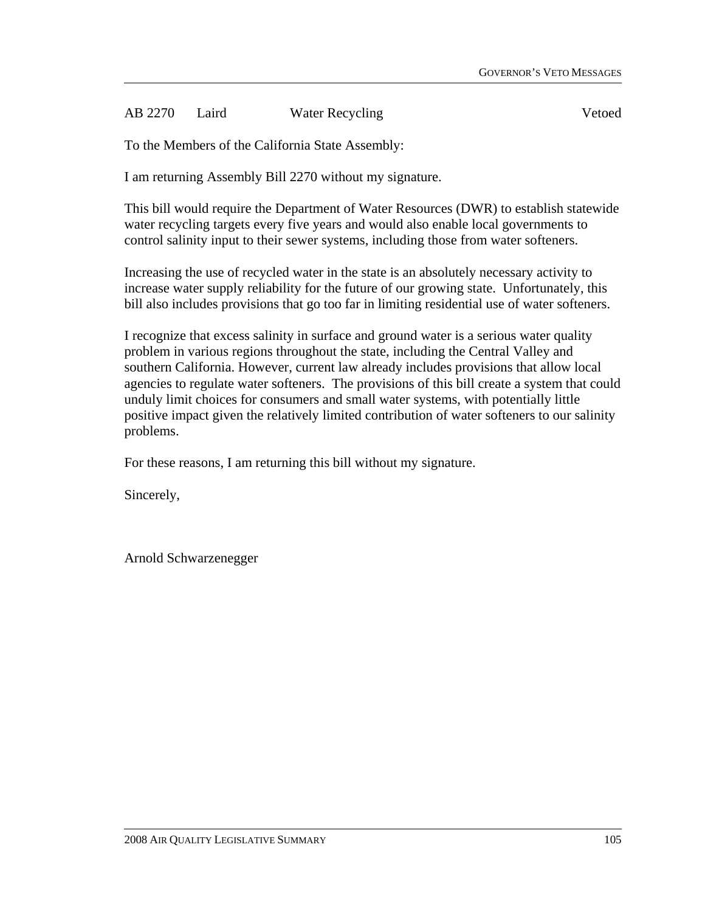AB 2270 Laird Water Recycling Vetoed

To the Members of the California State Assembly:

I am returning Assembly Bill 2270 without my signature.

This bill would require the Department of Water Resources (DWR) to establish statewide water recycling targets every five years and would also enable local governments to control salinity input to their sewer systems, including those from water softeners.

Increasing the use of recycled water in the state is an absolutely necessary activity to increase water supply reliability for the future of our growing state. Unfortunately, this bill also includes provisions that go too far in limiting residential use of water softeners.

I recognize that excess salinity in surface and ground water is a serious water quality problem in various regions throughout the state, including the Central Valley and southern California. However, current law already includes provisions that allow local agencies to regulate water softeners. The provisions of this bill create a system that could unduly limit choices for consumers and small water systems, with potentially little positive impact given the relatively limited contribution of water softeners to our salinity problems.

For these reasons, I am returning this bill without my signature.

Sincerely,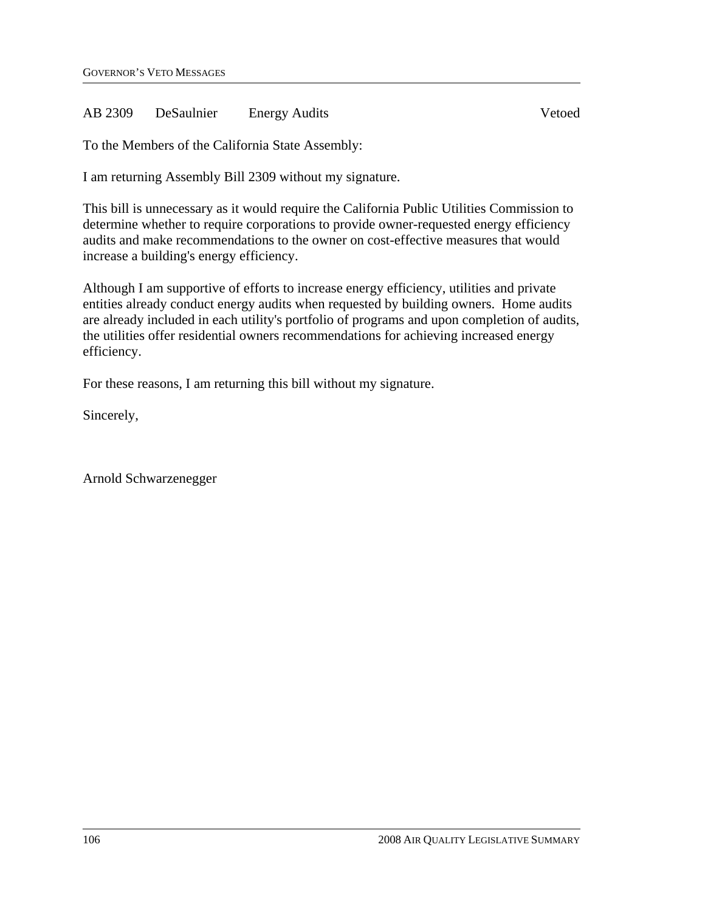#### AB 2309 DeSaulnier Energy Audits Vetoed

To the Members of the California State Assembly:

I am returning Assembly Bill 2309 without my signature.

This bill is unnecessary as it would require the California Public Utilities Commission to determine whether to require corporations to provide owner-requested energy efficiency audits and make recommendations to the owner on cost-effective measures that would increase a building's energy efficiency.

Although I am supportive of efforts to increase energy efficiency, utilities and private entities already conduct energy audits when requested by building owners. Home audits are already included in each utility's portfolio of programs and upon completion of audits, the utilities offer residential owners recommendations for achieving increased energy efficiency.

For these reasons, I am returning this bill without my signature.

Sincerely,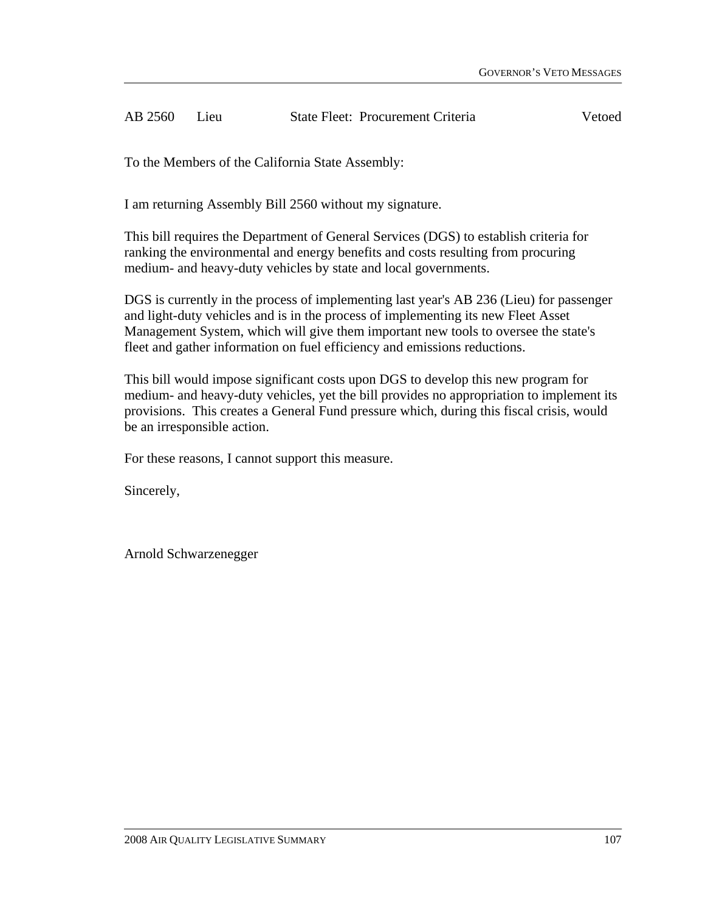| AB 2560 Lieu |  | State Fleet: Procurement Criteria | Vetoed |
|--------------|--|-----------------------------------|--------|
|              |  |                                   |        |

To the Members of the California State Assembly:

I am returning Assembly Bill 2560 without my signature.

This bill requires the Department of General Services (DGS) to establish criteria for ranking the environmental and energy benefits and costs resulting from procuring medium- and heavy-duty vehicles by state and local governments.

DGS is currently in the process of implementing last year's AB 236 (Lieu) for passenger and light-duty vehicles and is in the process of implementing its new Fleet Asset Management System, which will give them important new tools to oversee the state's fleet and gather information on fuel efficiency and emissions reductions.

This bill would impose significant costs upon DGS to develop this new program for medium- and heavy-duty vehicles, yet the bill provides no appropriation to implement its provisions. This creates a General Fund pressure which, during this fiscal crisis, would be an irresponsible action.

For these reasons, I cannot support this measure.

Sincerely,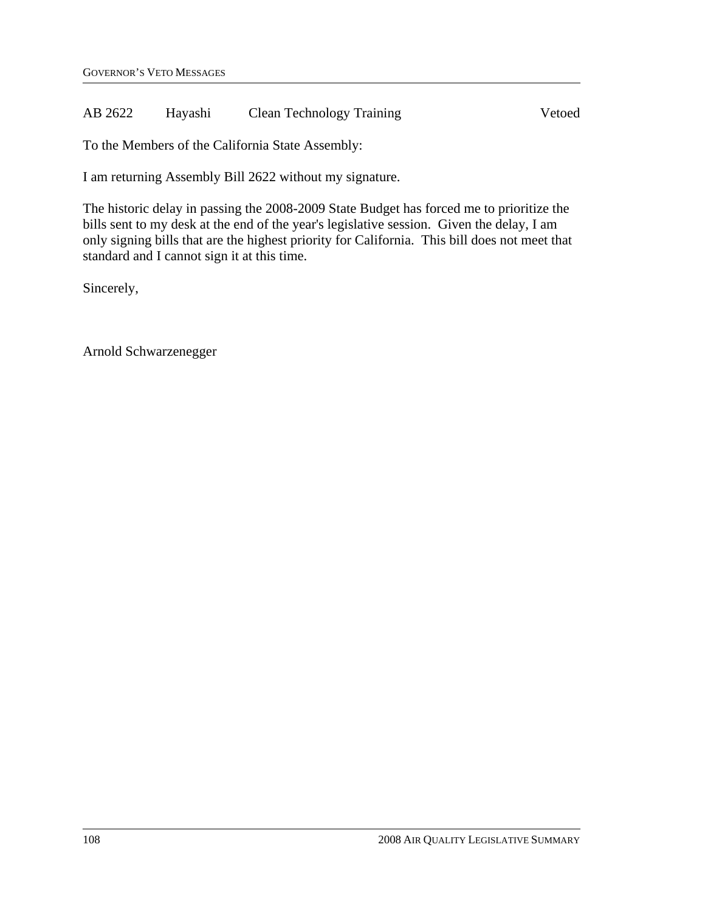#### AB 2622 Hayashi Clean Technology Training Vetoed

To the Members of the California State Assembly:

I am returning Assembly Bill 2622 without my signature.

The historic delay in passing the 2008-2009 State Budget has forced me to prioritize the bills sent to my desk at the end of the year's legislative session. Given the delay, I am only signing bills that are the highest priority for California. This bill does not meet that standard and I cannot sign it at this time.

Sincerely,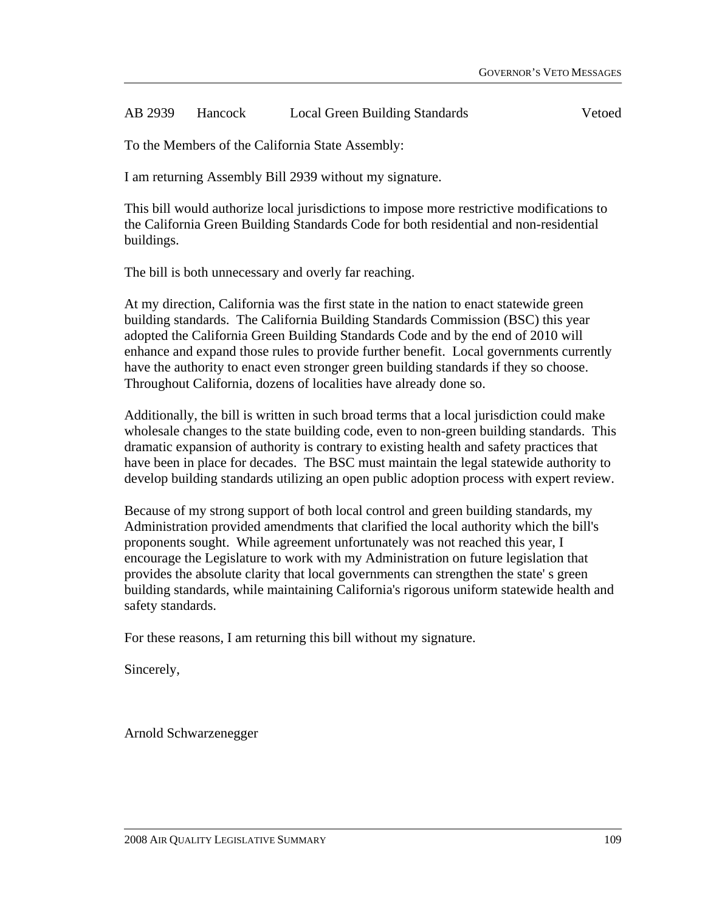#### AB 2939 Hancock Local Green Building Standards Vetoed

To the Members of the California State Assembly:

I am returning Assembly Bill 2939 without my signature.

This bill would authorize local jurisdictions to impose more restrictive modifications to the California Green Building Standards Code for both residential and non-residential buildings.

The bill is both unnecessary and overly far reaching.

At my direction, California was the first state in the nation to enact statewide green building standards. The California Building Standards Commission (BSC) this year adopted the California Green Building Standards Code and by the end of 2010 will enhance and expand those rules to provide further benefit. Local governments currently have the authority to enact even stronger green building standards if they so choose. Throughout California, dozens of localities have already done so.

Additionally, the bill is written in such broad terms that a local jurisdiction could make wholesale changes to the state building code, even to non-green building standards. This dramatic expansion of authority is contrary to existing health and safety practices that have been in place for decades. The BSC must maintain the legal statewide authority to develop building standards utilizing an open public adoption process with expert review.

Because of my strong support of both local control and green building standards, my Administration provided amendments that clarified the local authority which the bill's proponents sought. While agreement unfortunately was not reached this year, I encourage the Legislature to work with my Administration on future legislation that provides the absolute clarity that local governments can strengthen the state' s green building standards, while maintaining California's rigorous uniform statewide health and safety standards.

For these reasons, I am returning this bill without my signature.

Sincerely,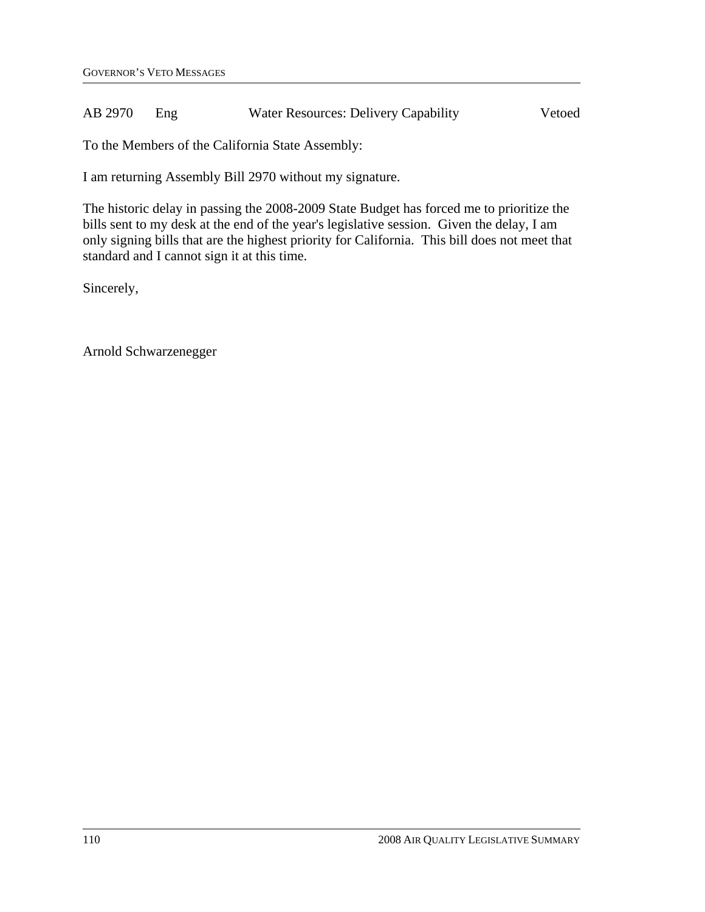#### AB 2970 Eng Water Resources: Delivery Capability Vetoed

To the Members of the California State Assembly:

I am returning Assembly Bill 2970 without my signature.

The historic delay in passing the 2008-2009 State Budget has forced me to prioritize the bills sent to my desk at the end of the year's legislative session. Given the delay, I am only signing bills that are the highest priority for California. This bill does not meet that standard and I cannot sign it at this time.

Sincerely,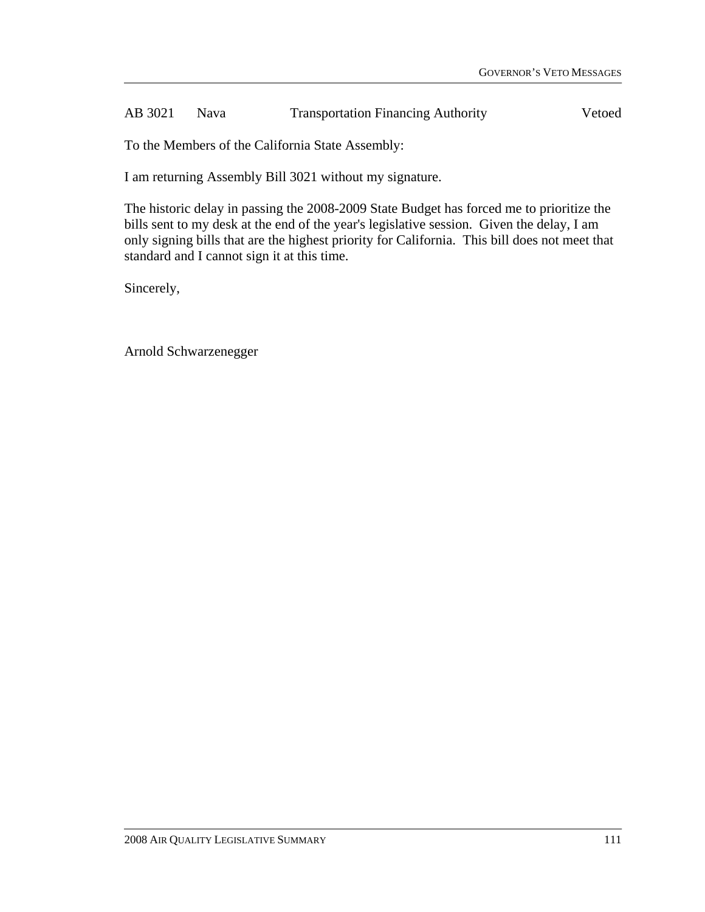#### AB 3021 Nava Transportation Financing Authority Vetoed

To the Members of the California State Assembly:

I am returning Assembly Bill 3021 without my signature.

The historic delay in passing the 2008-2009 State Budget has forced me to prioritize the bills sent to my desk at the end of the year's legislative session. Given the delay, I am only signing bills that are the highest priority for California. This bill does not meet that standard and I cannot sign it at this time.

Sincerely,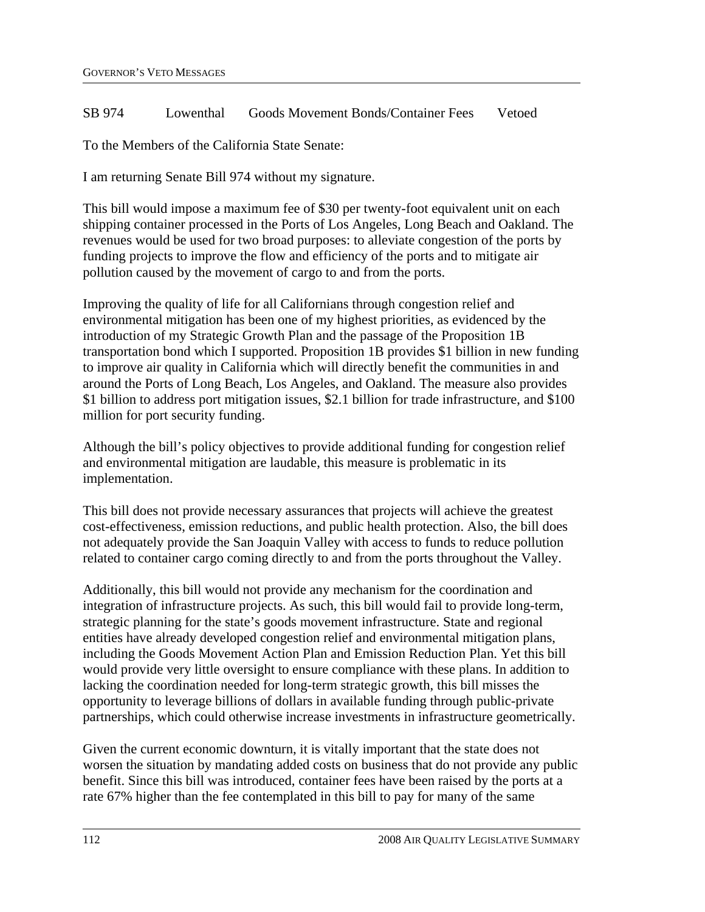#### SB 974 Lowenthal Goods Movement Bonds/Container Fees Vetoed

To the Members of the California State Senate:

I am returning Senate Bill 974 without my signature.

This bill would impose a maximum fee of \$30 per twenty-foot equivalent unit on each shipping container processed in the Ports of Los Angeles, Long Beach and Oakland. The revenues would be used for two broad purposes: to alleviate congestion of the ports by funding projects to improve the flow and efficiency of the ports and to mitigate air pollution caused by the movement of cargo to and from the ports.

Improving the quality of life for all Californians through congestion relief and environmental mitigation has been one of my highest priorities, as evidenced by the introduction of my Strategic Growth Plan and the passage of the Proposition 1B transportation bond which I supported. Proposition 1B provides \$1 billion in new funding to improve air quality in California which will directly benefit the communities in and around the Ports of Long Beach, Los Angeles, and Oakland. The measure also provides \$1 billion to address port mitigation issues, \$2.1 billion for trade infrastructure, and \$100 million for port security funding.

Although the bill's policy objectives to provide additional funding for congestion relief and environmental mitigation are laudable, this measure is problematic in its implementation.

This bill does not provide necessary assurances that projects will achieve the greatest cost-effectiveness, emission reductions, and public health protection. Also, the bill does not adequately provide the San Joaquin Valley with access to funds to reduce pollution related to container cargo coming directly to and from the ports throughout the Valley.

Additionally, this bill would not provide any mechanism for the coordination and integration of infrastructure projects. As such, this bill would fail to provide long-term, strategic planning for the state's goods movement infrastructure. State and regional entities have already developed congestion relief and environmental mitigation plans, including the Goods Movement Action Plan and Emission Reduction Plan. Yet this bill would provide very little oversight to ensure compliance with these plans. In addition to lacking the coordination needed for long-term strategic growth, this bill misses the opportunity to leverage billions of dollars in available funding through public-private partnerships, which could otherwise increase investments in infrastructure geometrically.

Given the current economic downturn, it is vitally important that the state does not worsen the situation by mandating added costs on business that do not provide any public benefit. Since this bill was introduced, container fees have been raised by the ports at a rate 67% higher than the fee contemplated in this bill to pay for many of the same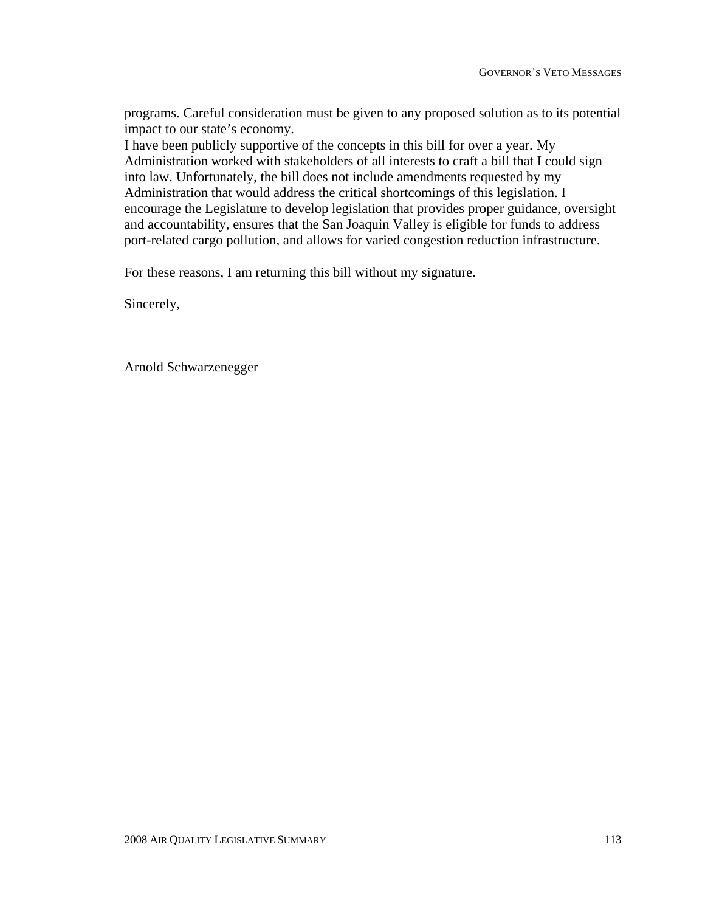programs. Careful consideration must be given to any proposed solution as to its potential impact to our state's economy.

I have been publicly supportive of the concepts in this bill for over a year. My Administration worked with stakeholders of all interests to craft a bill that I could sign into law. Unfortunately, the bill does not include amendments requested by my Administration that would address the critical shortcomings of this legislation. I encourage the Legislature to develop legislation that provides proper guidance, oversight and accountability, ensures that the San Joaquin Valley is eligible for funds to address port-related cargo pollution, and allows for varied congestion reduction infrastructure.

For these reasons, I am returning this bill without my signature.

Sincerely,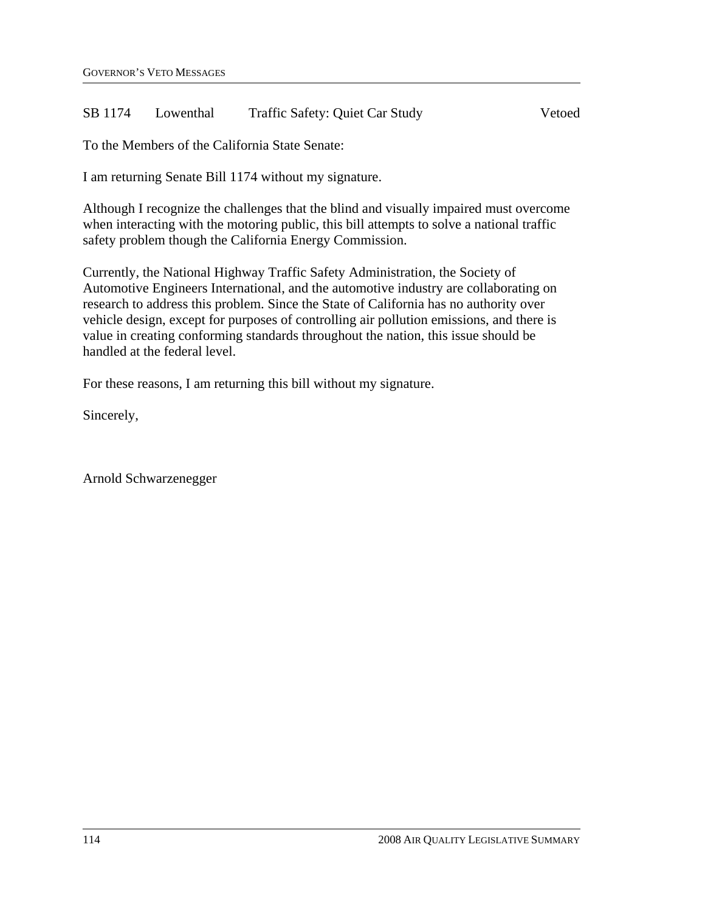#### SB 1174 Lowenthal Traffic Safety: Quiet Car Study Vetoed

To the Members of the California State Senate:

I am returning Senate Bill 1174 without my signature.

Although I recognize the challenges that the blind and visually impaired must overcome when interacting with the motoring public, this bill attempts to solve a national traffic safety problem though the California Energy Commission.

Currently, the National Highway Traffic Safety Administration, the Society of Automotive Engineers International, and the automotive industry are collaborating on research to address this problem. Since the State of California has no authority over vehicle design, except for purposes of controlling air pollution emissions, and there is value in creating conforming standards throughout the nation, this issue should be handled at the federal level.

For these reasons, I am returning this bill without my signature.

Sincerely,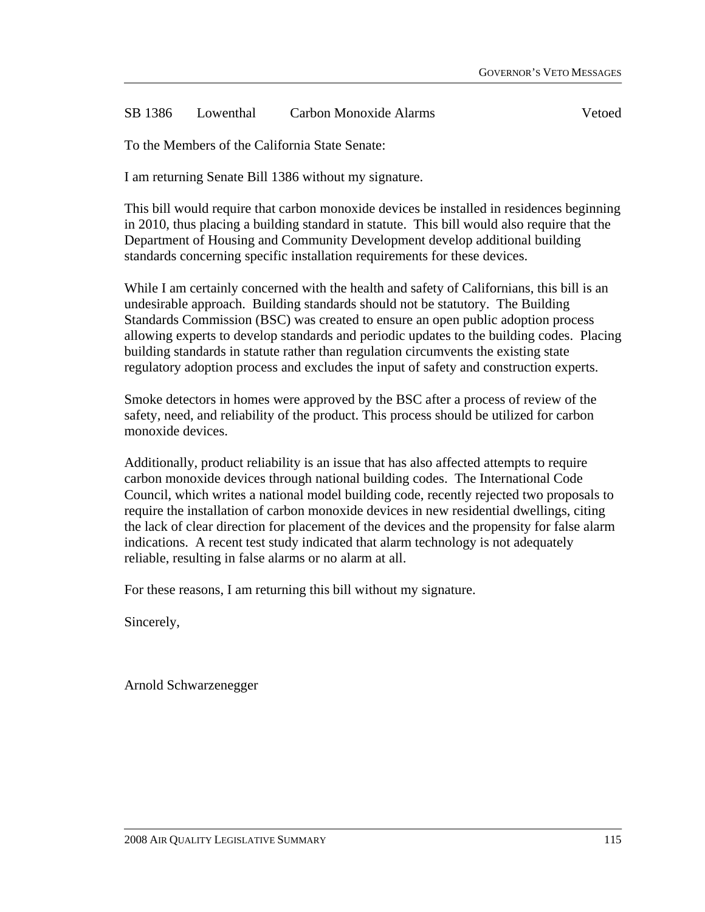#### SB 1386 Lowenthal Carbon Monoxide Alarms Vetoed

To the Members of the California State Senate:

I am returning Senate Bill 1386 without my signature.

This bill would require that carbon monoxide devices be installed in residences beginning in 2010, thus placing a building standard in statute. This bill would also require that the Department of Housing and Community Development develop additional building standards concerning specific installation requirements for these devices.

While I am certainly concerned with the health and safety of Californians, this bill is an undesirable approach. Building standards should not be statutory. The Building Standards Commission (BSC) was created to ensure an open public adoption process allowing experts to develop standards and periodic updates to the building codes. Placing building standards in statute rather than regulation circumvents the existing state regulatory adoption process and excludes the input of safety and construction experts.

Smoke detectors in homes were approved by the BSC after a process of review of the safety, need, and reliability of the product. This process should be utilized for carbon monoxide devices.

Additionally, product reliability is an issue that has also affected attempts to require carbon monoxide devices through national building codes. The International Code Council, which writes a national model building code, recently rejected two proposals to require the installation of carbon monoxide devices in new residential dwellings, citing the lack of clear direction for placement of the devices and the propensity for false alarm indications. A recent test study indicated that alarm technology is not adequately reliable, resulting in false alarms or no alarm at all.

For these reasons, I am returning this bill without my signature.

Sincerely,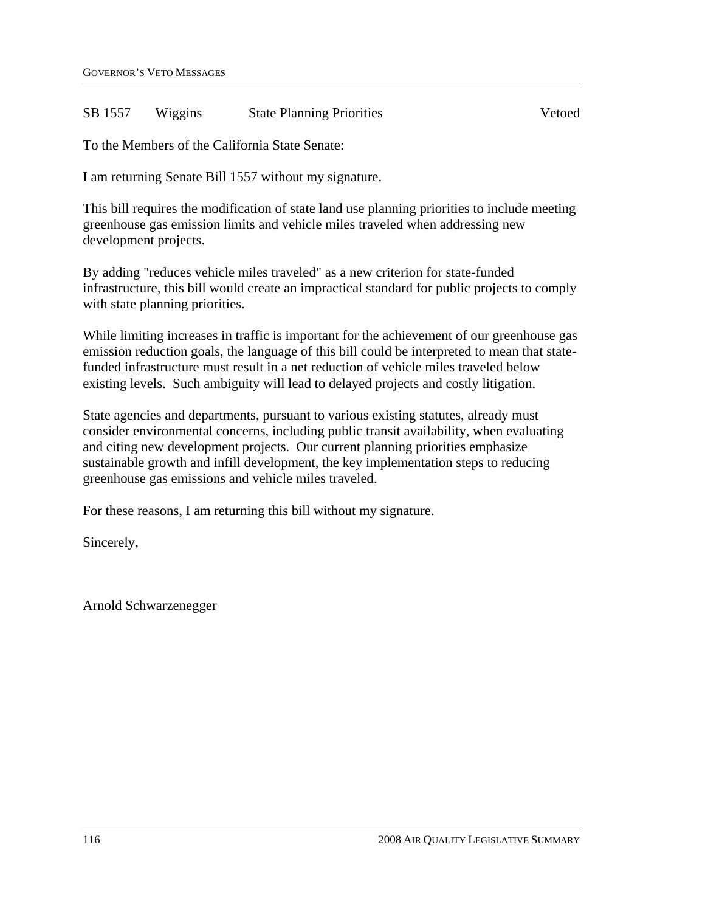#### SB 1557 Wiggins State Planning Priorities Vetoed

To the Members of the California State Senate:

I am returning Senate Bill 1557 without my signature.

This bill requires the modification of state land use planning priorities to include meeting greenhouse gas emission limits and vehicle miles traveled when addressing new development projects.

By adding "reduces vehicle miles traveled" as a new criterion for state-funded infrastructure, this bill would create an impractical standard for public projects to comply with state planning priorities.

While limiting increases in traffic is important for the achievement of our greenhouse gas emission reduction goals, the language of this bill could be interpreted to mean that statefunded infrastructure must result in a net reduction of vehicle miles traveled below existing levels. Such ambiguity will lead to delayed projects and costly litigation.

State agencies and departments, pursuant to various existing statutes, already must consider environmental concerns, including public transit availability, when evaluating and citing new development projects. Our current planning priorities emphasize sustainable growth and infill development, the key implementation steps to reducing greenhouse gas emissions and vehicle miles traveled.

For these reasons, I am returning this bill without my signature.

Sincerely,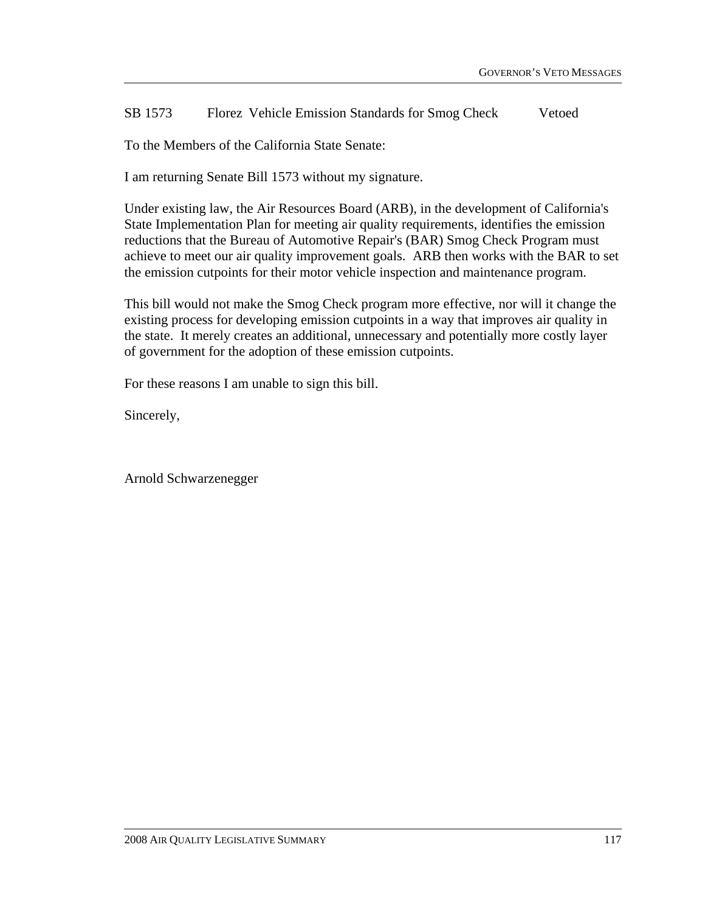SB 1573 Florez Vehicle Emission Standards for Smog Check Vetoed

To the Members of the California State Senate:

I am returning Senate Bill 1573 without my signature.

Under existing law, the Air Resources Board (ARB), in the development of California's State Implementation Plan for meeting air quality requirements, identifies the emission reductions that the Bureau of Automotive Repair's (BAR) Smog Check Program must achieve to meet our air quality improvement goals. ARB then works with the BAR to set the emission cutpoints for their motor vehicle inspection and maintenance program.

This bill would not make the Smog Check program more effective, nor will it change the existing process for developing emission cutpoints in a way that improves air quality in the state. It merely creates an additional, unnecessary and potentially more costly layer of government for the adoption of these emission cutpoints.

For these reasons I am unable to sign this bill.

Sincerely,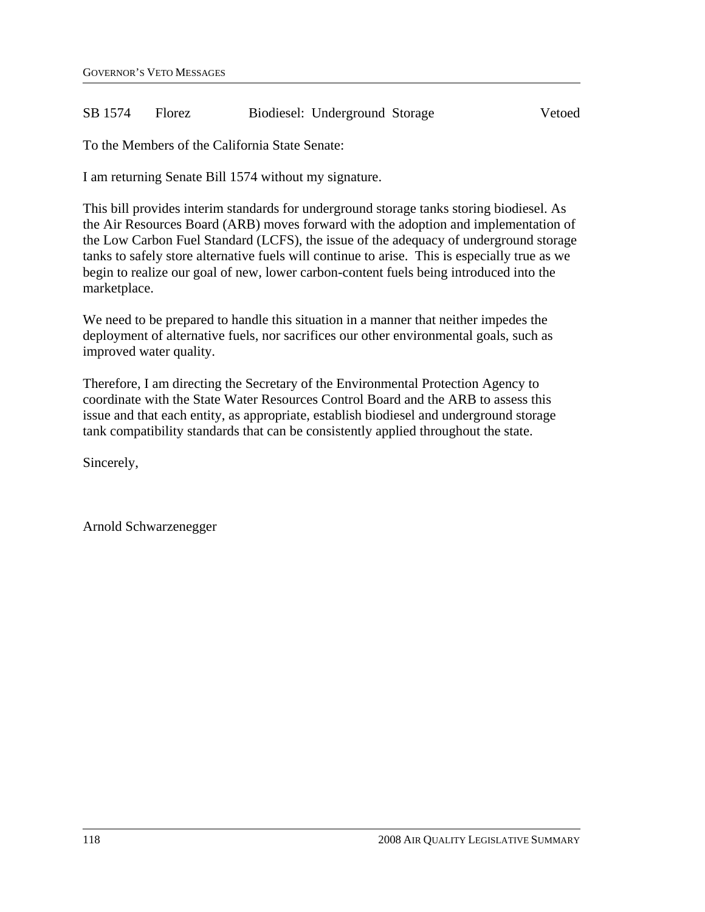#### SB 1574 Florez Biodiesel: Underground Storage Vetoed

To the Members of the California State Senate:

I am returning Senate Bill 1574 without my signature.

This bill provides interim standards for underground storage tanks storing biodiesel. As the Air Resources Board (ARB) moves forward with the adoption and implementation of the Low Carbon Fuel Standard (LCFS), the issue of the adequacy of underground storage tanks to safely store alternative fuels will continue to arise. This is especially true as we begin to realize our goal of new, lower carbon-content fuels being introduced into the marketplace.

We need to be prepared to handle this situation in a manner that neither impedes the deployment of alternative fuels, nor sacrifices our other environmental goals, such as improved water quality.

Therefore, I am directing the Secretary of the Environmental Protection Agency to coordinate with the State Water Resources Control Board and the ARB to assess this issue and that each entity, as appropriate, establish biodiesel and underground storage tank compatibility standards that can be consistently applied throughout the state.

Sincerely,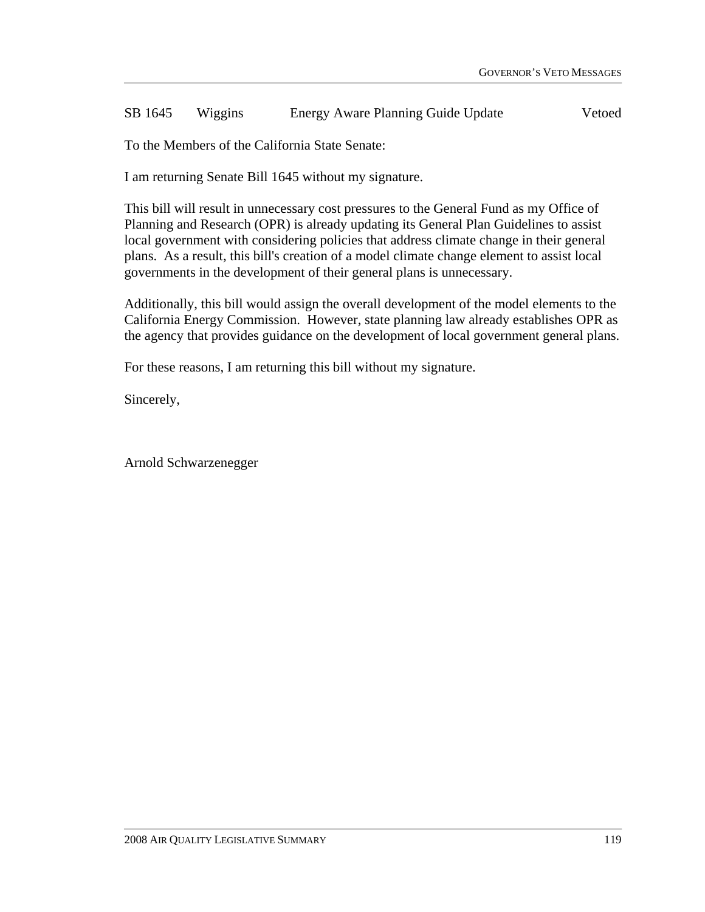#### SB 1645 Wiggins Energy Aware Planning Guide Update Vetoed

To the Members of the California State Senate:

I am returning Senate Bill 1645 without my signature.

This bill will result in unnecessary cost pressures to the General Fund as my Office of Planning and Research (OPR) is already updating its General Plan Guidelines to assist local government with considering policies that address climate change in their general plans. As a result, this bill's creation of a model climate change element to assist local governments in the development of their general plans is unnecessary.

Additionally, this bill would assign the overall development of the model elements to the California Energy Commission. However, state planning law already establishes OPR as the agency that provides guidance on the development of local government general plans.

For these reasons, I am returning this bill without my signature.

Sincerely,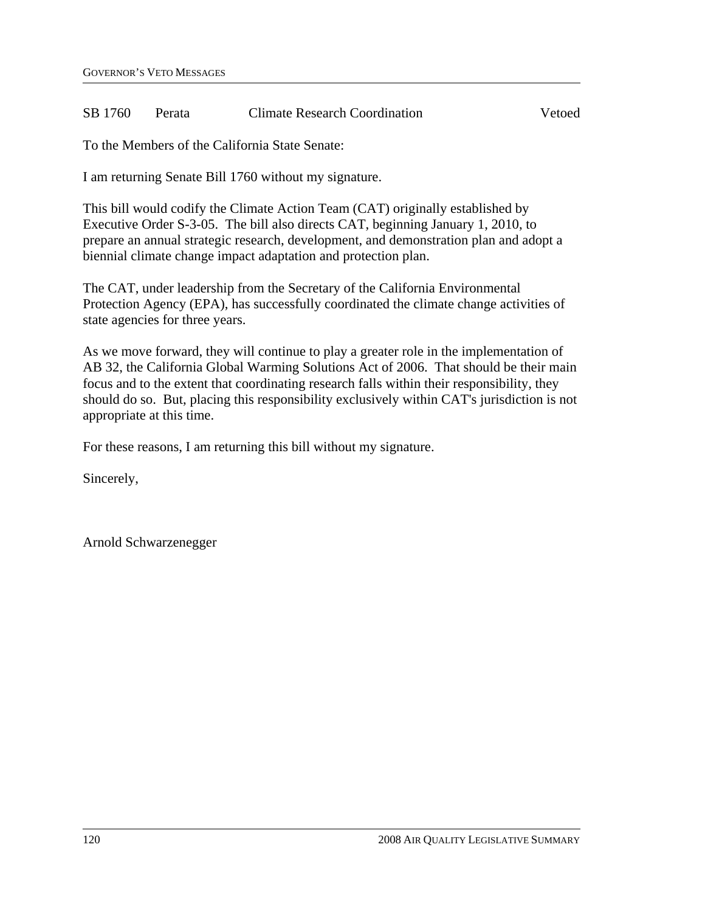#### SB 1760 Perata Climate Research Coordination Vetoed

To the Members of the California State Senate:

I am returning Senate Bill 1760 without my signature.

This bill would codify the Climate Action Team (CAT) originally established by Executive Order S-3-05. The bill also directs CAT, beginning January 1, 2010, to prepare an annual strategic research, development, and demonstration plan and adopt a biennial climate change impact adaptation and protection plan.

The CAT, under leadership from the Secretary of the California Environmental Protection Agency (EPA), has successfully coordinated the climate change activities of state agencies for three years.

As we move forward, they will continue to play a greater role in the implementation of AB 32, the California Global Warming Solutions Act of 2006. That should be their main focus and to the extent that coordinating research falls within their responsibility, they should do so. But, placing this responsibility exclusively within CAT's jurisdiction is not appropriate at this time.

For these reasons, I am returning this bill without my signature.

Sincerely,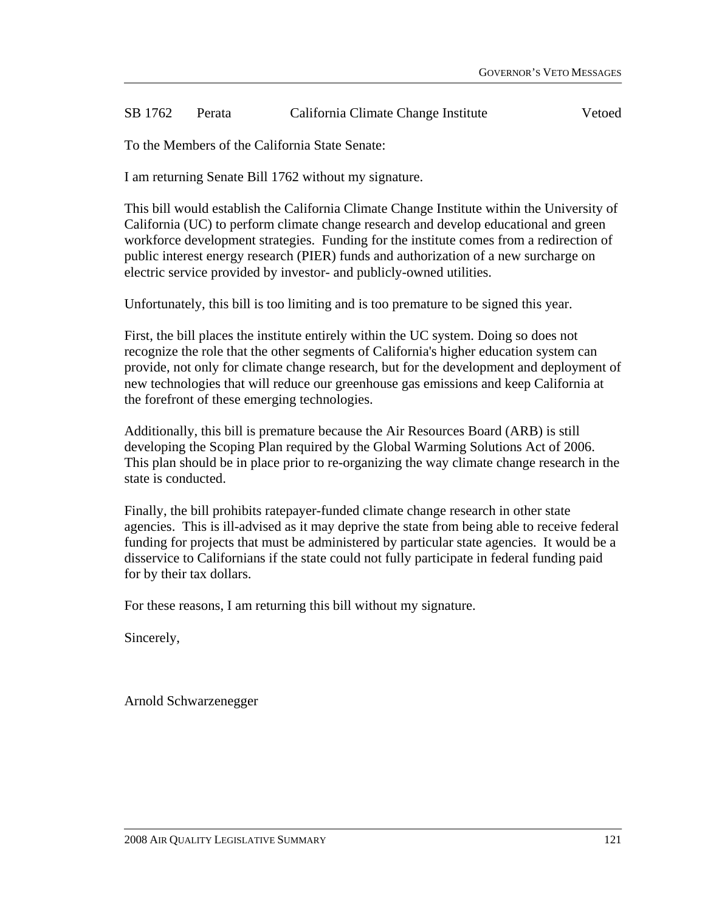#### SB 1762 Perata California Climate Change Institute Vetoed

To the Members of the California State Senate:

I am returning Senate Bill 1762 without my signature.

This bill would establish the California Climate Change Institute within the University of California (UC) to perform climate change research and develop educational and green workforce development strategies. Funding for the institute comes from a redirection of public interest energy research (PIER) funds and authorization of a new surcharge on electric service provided by investor- and publicly-owned utilities.

Unfortunately, this bill is too limiting and is too premature to be signed this year.

First, the bill places the institute entirely within the UC system. Doing so does not recognize the role that the other segments of California's higher education system can provide, not only for climate change research, but for the development and deployment of new technologies that will reduce our greenhouse gas emissions and keep California at the forefront of these emerging technologies.

Additionally, this bill is premature because the Air Resources Board (ARB) is still developing the Scoping Plan required by the Global Warming Solutions Act of 2006. This plan should be in place prior to re-organizing the way climate change research in the state is conducted.

Finally, the bill prohibits ratepayer-funded climate change research in other state agencies. This is ill-advised as it may deprive the state from being able to receive federal funding for projects that must be administered by particular state agencies. It would be a disservice to Californians if the state could not fully participate in federal funding paid for by their tax dollars.

For these reasons, I am returning this bill without my signature.

Sincerely,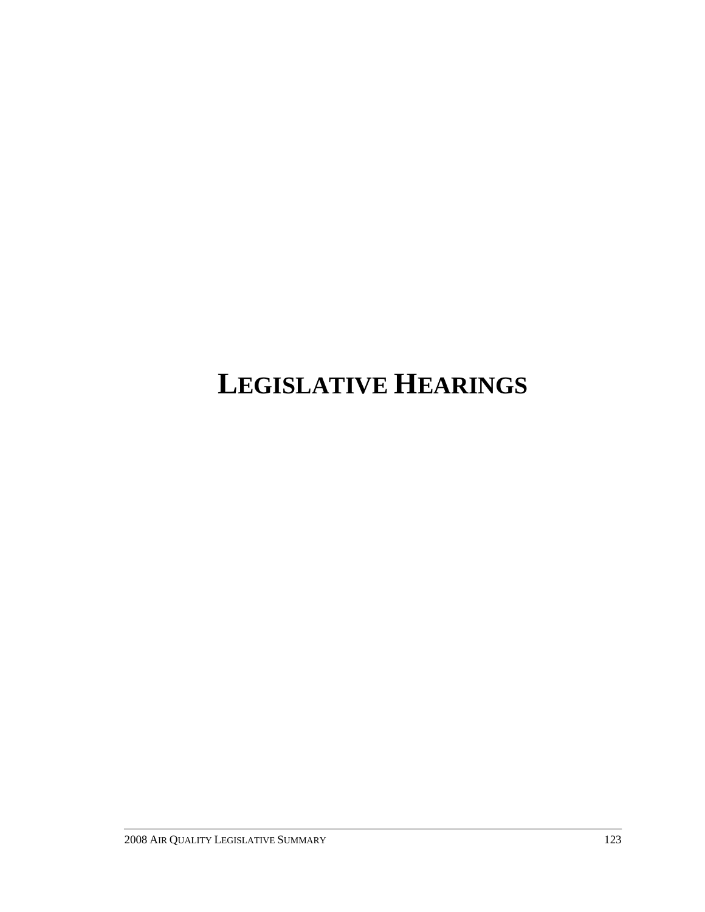## **LEGISLATIVE HEARINGS**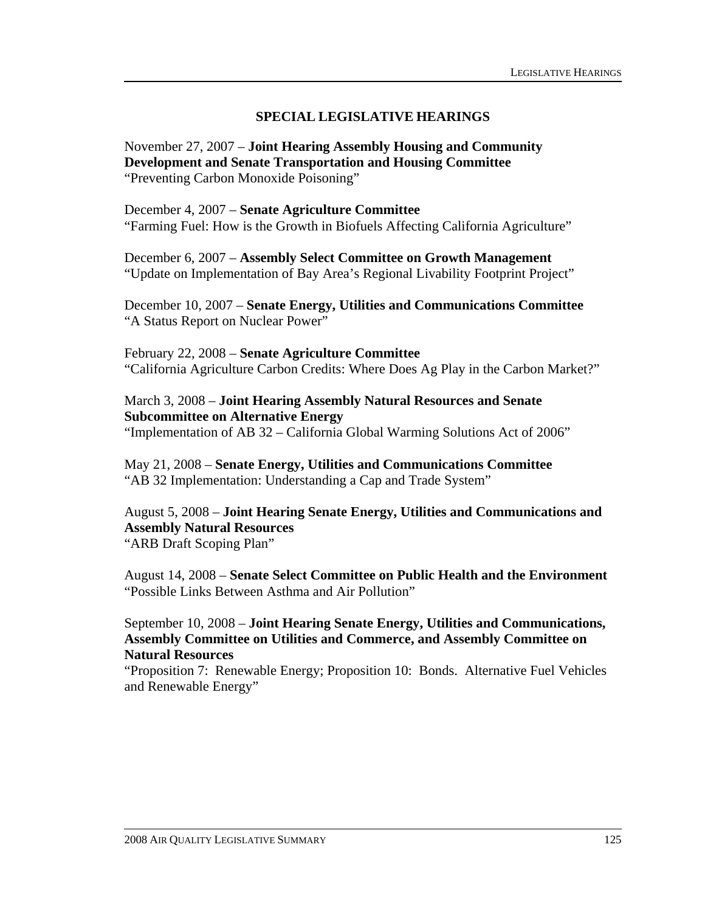#### **SPECIAL LEGISLATIVE HEARINGS**

November 27, 2007 – **Joint Hearing Assembly Housing and Community Development and Senate Transportation and Housing Committee**  "Preventing Carbon Monoxide Poisoning"

December 4, 2007 – **Senate Agriculture Committee**  "Farming Fuel: How is the Growth in Biofuels Affecting California Agriculture"

December 6, 2007 – **Assembly Select Committee on Growth Management**  "Update on Implementation of Bay Area's Regional Livability Footprint Project"

December 10, 2007 – **Senate Energy, Utilities and Communications Committee**  "A Status Report on Nuclear Power"

February 22, 2008 – **Senate Agriculture Committee**  "California Agriculture Carbon Credits: Where Does Ag Play in the Carbon Market?"

March 3, 2008 – **Joint Hearing Assembly Natural Resources and Senate Subcommittee on Alternative Energy**  "Implementation of AB 32 – California Global Warming Solutions Act of 2006"

May 21, 2008 – **Senate Energy, Utilities and Communications Committee**  "AB 32 Implementation: Understanding a Cap and Trade System"

August 5, 2008 – **Joint Hearing Senate Energy, Utilities and Communications and Assembly Natural Resources**  "ARB Draft Scoping Plan"

August 14, 2008 – **Senate Select Committee on Public Health and the Environment**  "Possible Links Between Asthma and Air Pollution"

September 10, 2008 – **Joint Hearing Senate Energy, Utilities and Communications, Assembly Committee on Utilities and Commerce, and Assembly Committee on Natural Resources** 

"Proposition 7: Renewable Energy; Proposition 10: Bonds. Alternative Fuel Vehicles and Renewable Energy"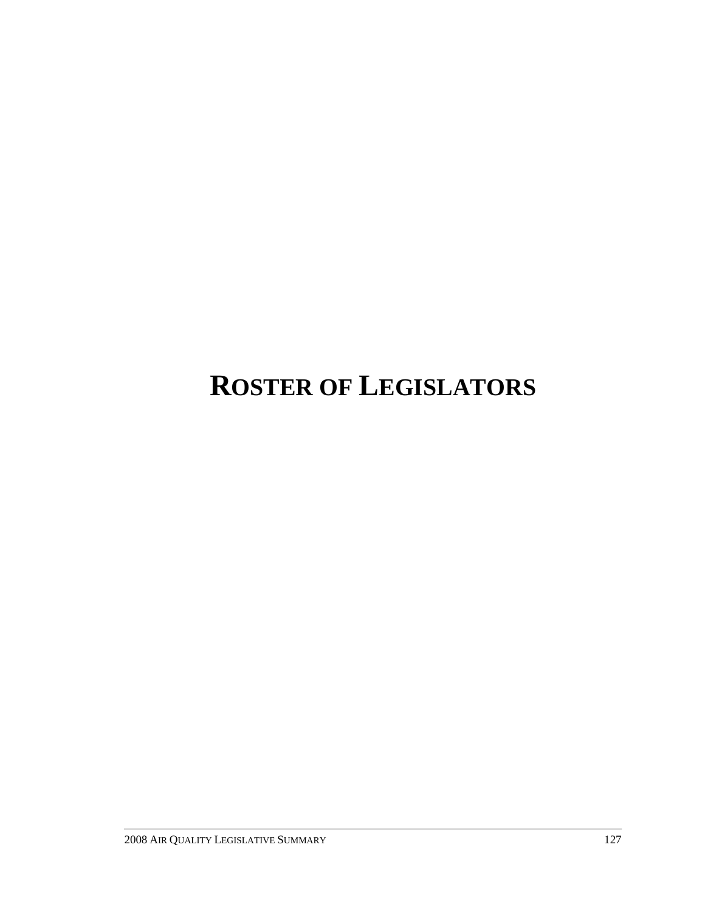# **ROSTER OF LEGISLATORS**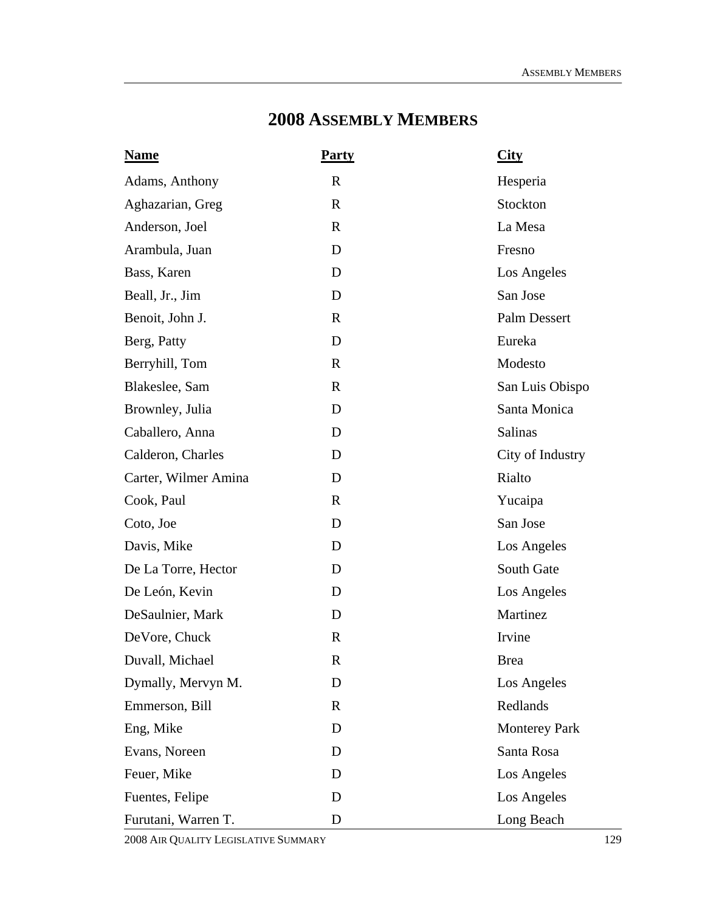### **2008 ASSEMBLY MEMBERS**

| <b>Name</b>          | <b>Party</b> | City                 |
|----------------------|--------------|----------------------|
| Adams, Anthony       | $\mathbf R$  | Hesperia             |
| Aghazarian, Greg     | $\mathbb{R}$ | Stockton             |
| Anderson, Joel       | $\mathbf R$  | La Mesa              |
| Arambula, Juan       | D            | Fresno               |
| Bass, Karen          | D            | Los Angeles          |
| Beall, Jr., Jim      | D            | San Jose             |
| Benoit, John J.      | $\mathbb{R}$ | <b>Palm Dessert</b>  |
| Berg, Patty          | D            | Eureka               |
| Berryhill, Tom       | $\mathbf R$  | Modesto              |
| Blakeslee, Sam       | $\mathbf R$  | San Luis Obispo      |
| Brownley, Julia      | D            | Santa Monica         |
| Caballero, Anna      | D            | Salinas              |
| Calderon, Charles    | D            | City of Industry     |
| Carter, Wilmer Amina | D            | Rialto               |
| Cook, Paul           | $\mathbf{R}$ | Yucaipa              |
| Coto, Joe            | D            | San Jose             |
| Davis, Mike          | D            | Los Angeles          |
| De La Torre, Hector  | D            | South Gate           |
| De León, Kevin       | D            | Los Angeles          |
| DeSaulnier, Mark     | D            | Martinez             |
| DeVore, Chuck        | $\mathbf R$  | Irvine               |
| Duvall, Michael      | $\mathbf R$  | <b>Brea</b>          |
| Dymally, Mervyn M.   | D            | Los Angeles          |
| Emmerson, Bill       | $\mathbf R$  | Redlands             |
| Eng, Mike            | D            | <b>Monterey Park</b> |
| Evans, Noreen        | D            | Santa Rosa           |
| Feuer, Mike          | D            | Los Angeles          |
| Fuentes, Felipe      | D            | Los Angeles          |
| Furutani, Warren T.  | D            | Long Beach           |

2008 AIR QUALITY LEGISLATIVE SUMMARY 129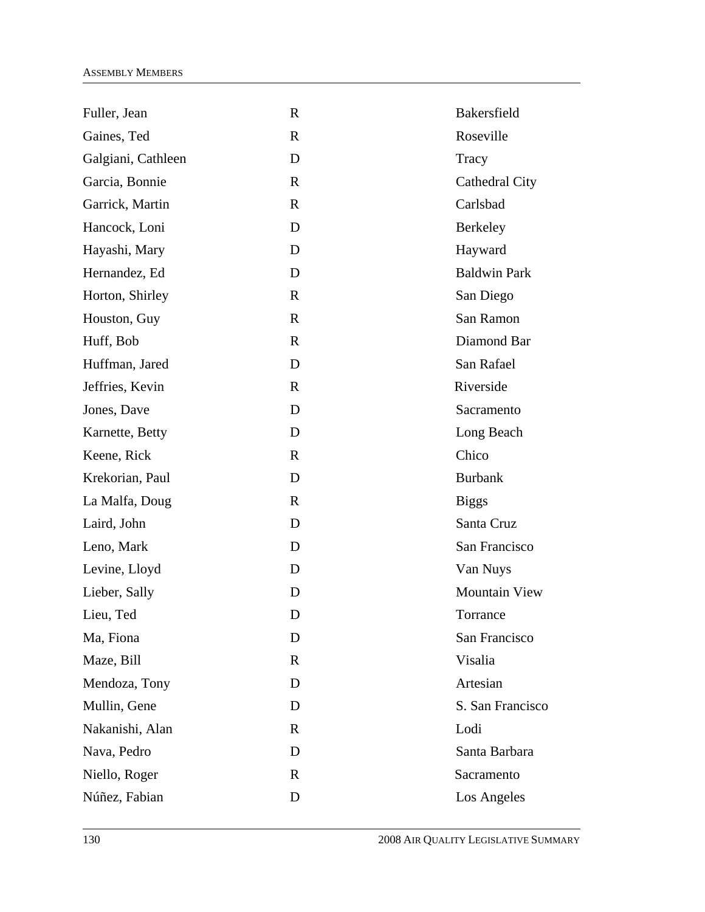| Fuller, Jean       | $\mathbf R$  | Bakersfield          |
|--------------------|--------------|----------------------|
| Gaines, Ted        | $\mathbf R$  | Roseville            |
| Galgiani, Cathleen | D            | Tracy                |
| Garcia, Bonnie     | $\mathbf R$  | Cathedral City       |
| Garrick, Martin    | $\mathbf R$  | Carlsbad             |
| Hancock, Loni      | D            | Berkeley             |
| Hayashi, Mary      | D            | Hayward              |
| Hernandez, Ed      | D            | <b>Baldwin Park</b>  |
| Horton, Shirley    | $\mathbf R$  | San Diego            |
| Houston, Guy       | $\mathbf R$  | San Ramon            |
| Huff, Bob          | $\mathbf R$  | Diamond Bar          |
| Huffman, Jared     | D            | San Rafael           |
| Jeffries, Kevin    | $\mathbf R$  | Riverside            |
| Jones, Dave        | D            | Sacramento           |
| Karnette, Betty    | D            | Long Beach           |
| Keene, Rick        | $\mathbf R$  | Chico                |
| Krekorian, Paul    | D            | <b>Burbank</b>       |
| La Malfa, Doug     | $\mathbf R$  | <b>Biggs</b>         |
| Laird, John        | D            | Santa Cruz           |
| Leno, Mark         | D            | San Francisco        |
| Levine, Lloyd      | D            | Van Nuys             |
| Lieber, Sally      | D            | <b>Mountain View</b> |
| Lieu, Ted          | D            | Torrance             |
| Ma, Fiona          | D            | San Francisco        |
| Maze, Bill         | $\mathbf{R}$ | Visalia              |
| Mendoza, Tony      | D            | Artesian             |
| Mullin, Gene       | D            | S. San Francisco     |
| Nakanishi, Alan    | $\mathbf R$  | Lodi                 |
| Nava, Pedro        | D            | Santa Barbara        |
| Niello, Roger      | $\mathbf R$  | Sacramento           |
| Núñez, Fabian      | D            | Los Angeles          |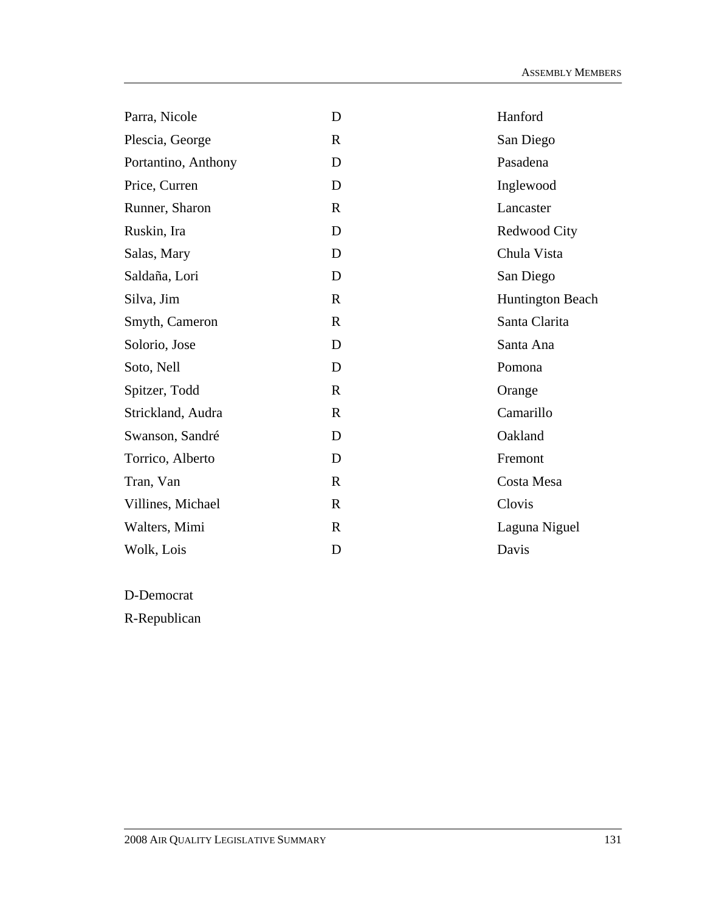| Parra, Nicole       | D            | Hanford                 |
|---------------------|--------------|-------------------------|
| Plescia, George     | $\mathbf R$  | San Diego               |
| Portantino, Anthony | D            | Pasadena                |
| Price, Curren       | D            | Inglewood               |
| Runner, Sharon      | $\mathbf R$  | Lancaster               |
| Ruskin, Ira         | D            | Redwood City            |
| Salas, Mary         | D            | Chula Vista             |
| Saldaña, Lori       | D            | San Diego               |
| Silva, Jim          | $\mathbb{R}$ | <b>Huntington Beach</b> |
| Smyth, Cameron      | $\mathbb{R}$ | Santa Clarita           |
| Solorio, Jose       | D            | Santa Ana               |
| Soto, Nell          | D            | Pomona                  |
| Spitzer, Todd       | $\mathbb{R}$ | Orange                  |
| Strickland, Audra   | R            | Camarillo               |
| Swanson, Sandré     | D            | Oakland                 |
| Torrico, Alberto    | D            | Fremont                 |
| Tran, Van           | $\mathbb{R}$ | Costa Mesa              |
| Villines, Michael   | $\mathbf R$  | Clovis                  |
| Walters, Mimi       | $\mathbf R$  | Laguna Niguel           |
| Wolk, Lois          | D            | Davis                   |

D-Democrat

R-Republican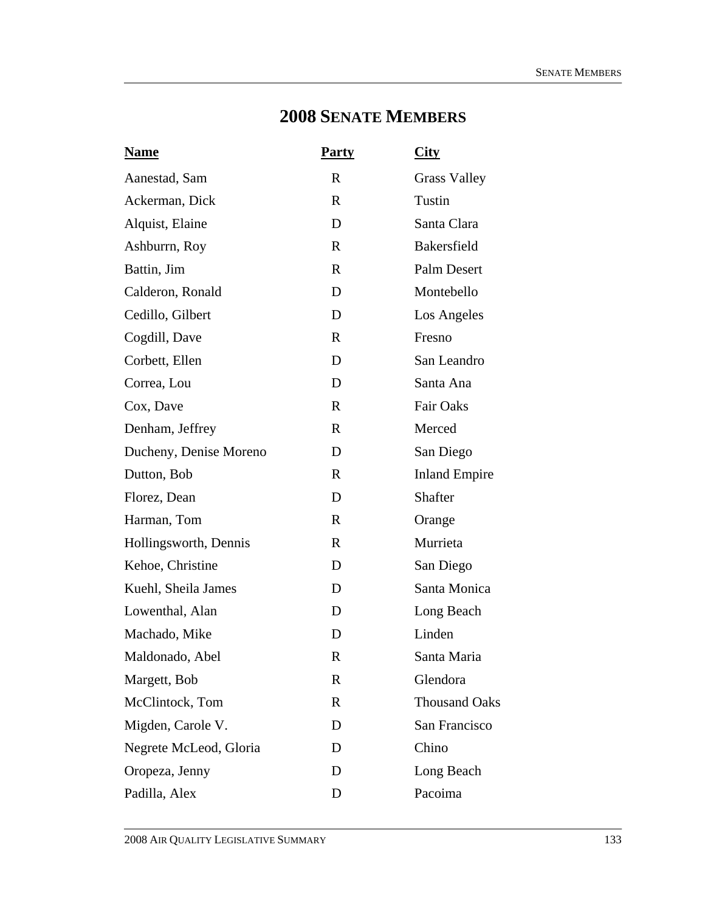### **2008 SENATE MEMBERS**

| <u>Name</u>            | <b>Party</b> | <b>City</b>          |
|------------------------|--------------|----------------------|
| Aanestad, Sam          | R            | <b>Grass Valley</b>  |
| Ackerman, Dick         | $\mathbf{R}$ | Tustin               |
| Alquist, Elaine        | D            | Santa Clara          |
| Ashburrn, Roy          | $\mathbf R$  | <b>Bakersfield</b>   |
| Battin, Jim            | $\mathbf R$  | Palm Desert          |
| Calderon, Ronald       | D            | Montebello           |
| Cedillo, Gilbert       | D            | Los Angeles          |
| Cogdill, Dave          | $\mathbf{R}$ | Fresno               |
| Corbett, Ellen         | D            | San Leandro          |
| Correa, Lou            | D            | Santa Ana            |
| Cox, Dave              | $\mathbf R$  | <b>Fair Oaks</b>     |
| Denham, Jeffrey        | $\mathbf{R}$ | Merced               |
| Ducheny, Denise Moreno | D            | San Diego            |
| Dutton, Bob            | $\mathbf{R}$ | <b>Inland Empire</b> |
| Florez, Dean           | D            | Shafter              |
| Harman, Tom            | $\mathbf{R}$ | Orange               |
| Hollingsworth, Dennis  | $\mathbf R$  | Murrieta             |
| Kehoe, Christine       | D            | San Diego            |
| Kuehl, Sheila James    | D            | Santa Monica         |
| Lowenthal, Alan        | D            | Long Beach           |
| Machado, Mike          | D            | Linden               |
| Maldonado, Abel        | R            | Santa Maria          |
| Margett, Bob           | $\mathbf R$  | Glendora             |
| McClintock, Tom        | $\mathbf R$  | <b>Thousand Oaks</b> |
| Migden, Carole V.      | D            | San Francisco        |
| Negrete McLeod, Gloria | D            | Chino                |
| Oropeza, Jenny         | D            | Long Beach           |
| Padilla, Alex          | D            | Pacoima              |